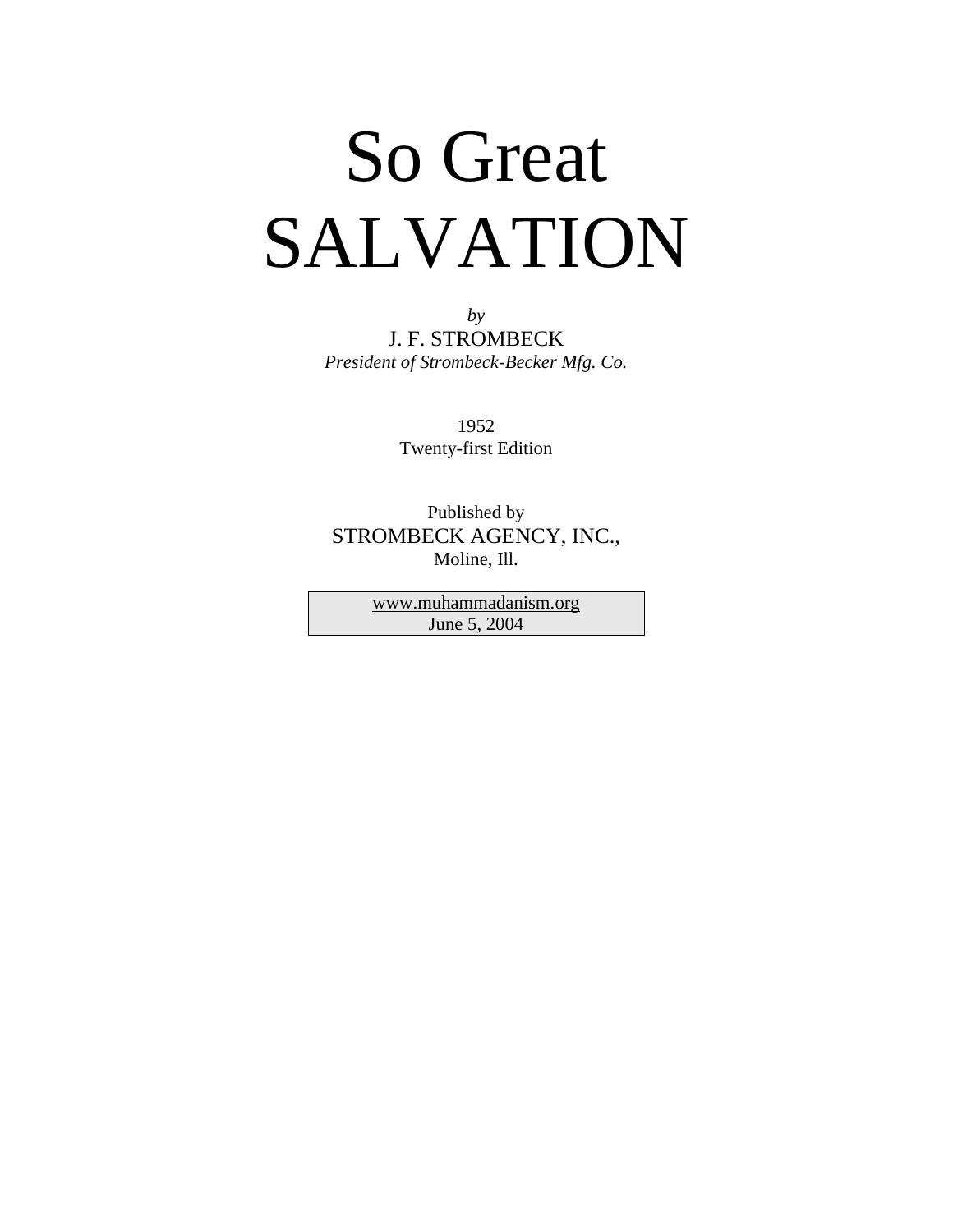# So Great SALVATION

*by*  J. F. STROMBECK *President of Strombeck-Becker Mfg. Co.* 

> 1952 Twenty-first Edition

Published by STROMBECK AGENCY, INC., Moline, Ill.

> [www.muhammadanism.org](http://www.muhammadanism.org) June 5, 2004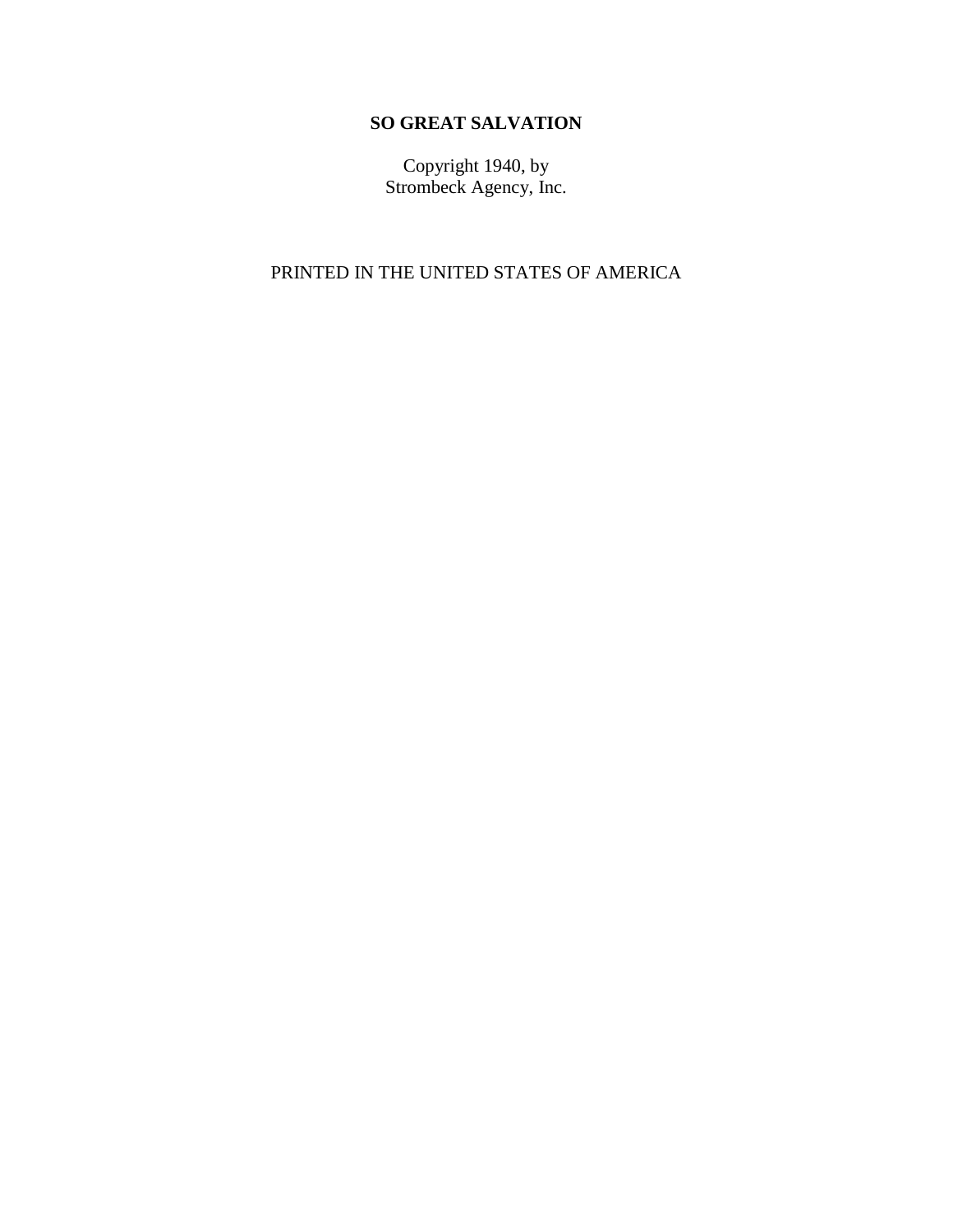Copyright 1940, by Strombeck Agency, Inc.

PRINTED IN THE UNITED STATES OF AMERICA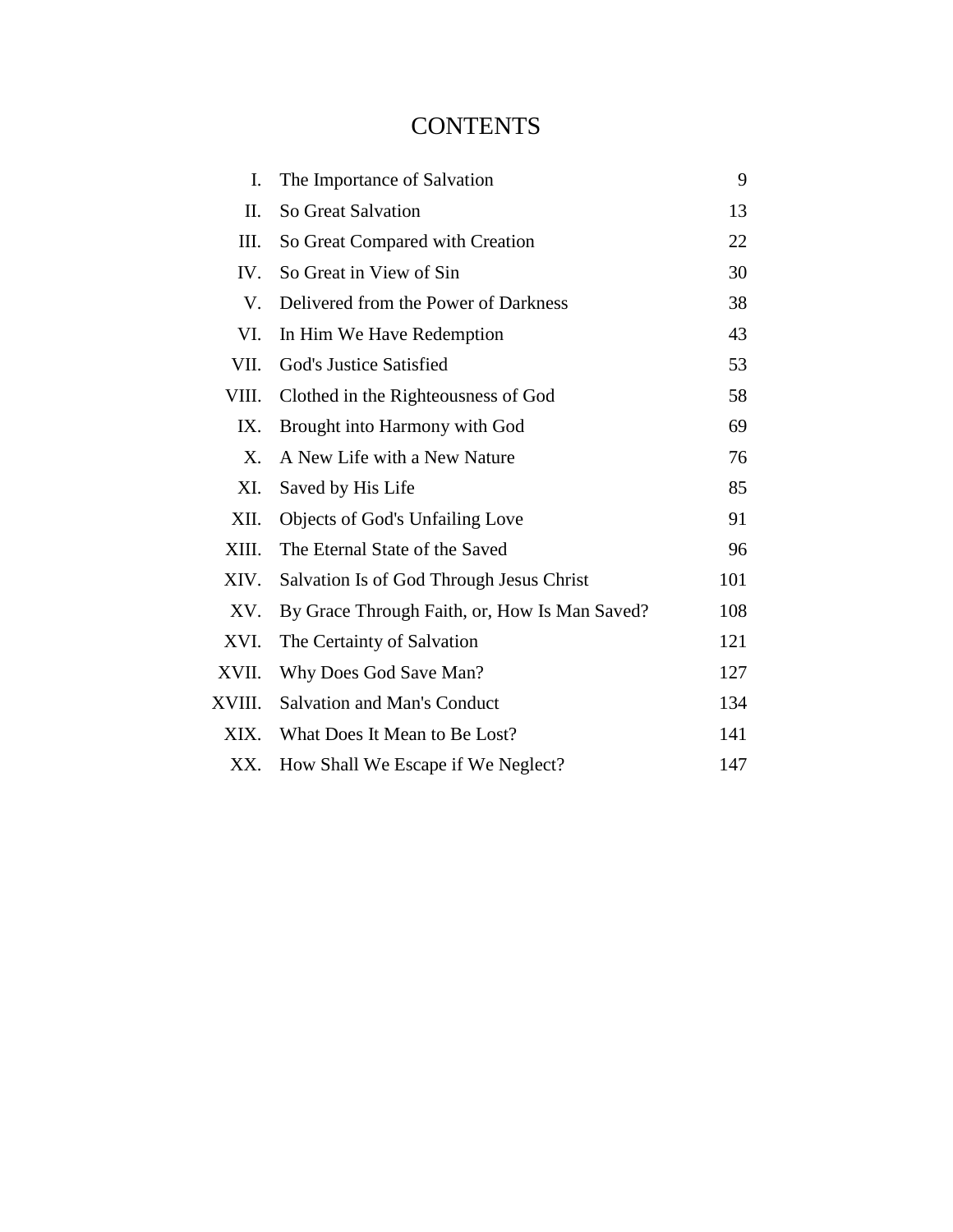## **CONTENTS**

| I.     | The Importance of Salvation                   | 9   |
|--------|-----------------------------------------------|-----|
| П.     | So Great Salvation                            | 13  |
| Ш.     | So Great Compared with Creation               | 22  |
| IV.    | So Great in View of Sin                       | 30  |
| V.     | Delivered from the Power of Darkness          | 38  |
| VI.    | In Him We Have Redemption                     | 43  |
| VII.   | <b>God's Justice Satisfied</b>                | 53  |
| VIII.  | Clothed in the Righteousness of God           | 58  |
| IX.    | Brought into Harmony with God                 | 69  |
| X.     | A New Life with a New Nature                  | 76  |
| XI.    | Saved by His Life                             | 85  |
| XII.   | <b>Objects of God's Unfailing Love</b>        | 91  |
| XIII.  | The Eternal State of the Saved                | 96  |
| XIV.   | Salvation Is of God Through Jesus Christ      | 101 |
| XV.    | By Grace Through Faith, or, How Is Man Saved? | 108 |
| XVI.   | The Certainty of Salvation                    | 121 |
| XVII.  | Why Does God Save Man?                        | 127 |
| XVIII. | <b>Salvation and Man's Conduct</b>            | 134 |
| XIX.   | What Does It Mean to Be Lost?                 | 141 |
| XX.    | How Shall We Escape if We Neglect?            | 147 |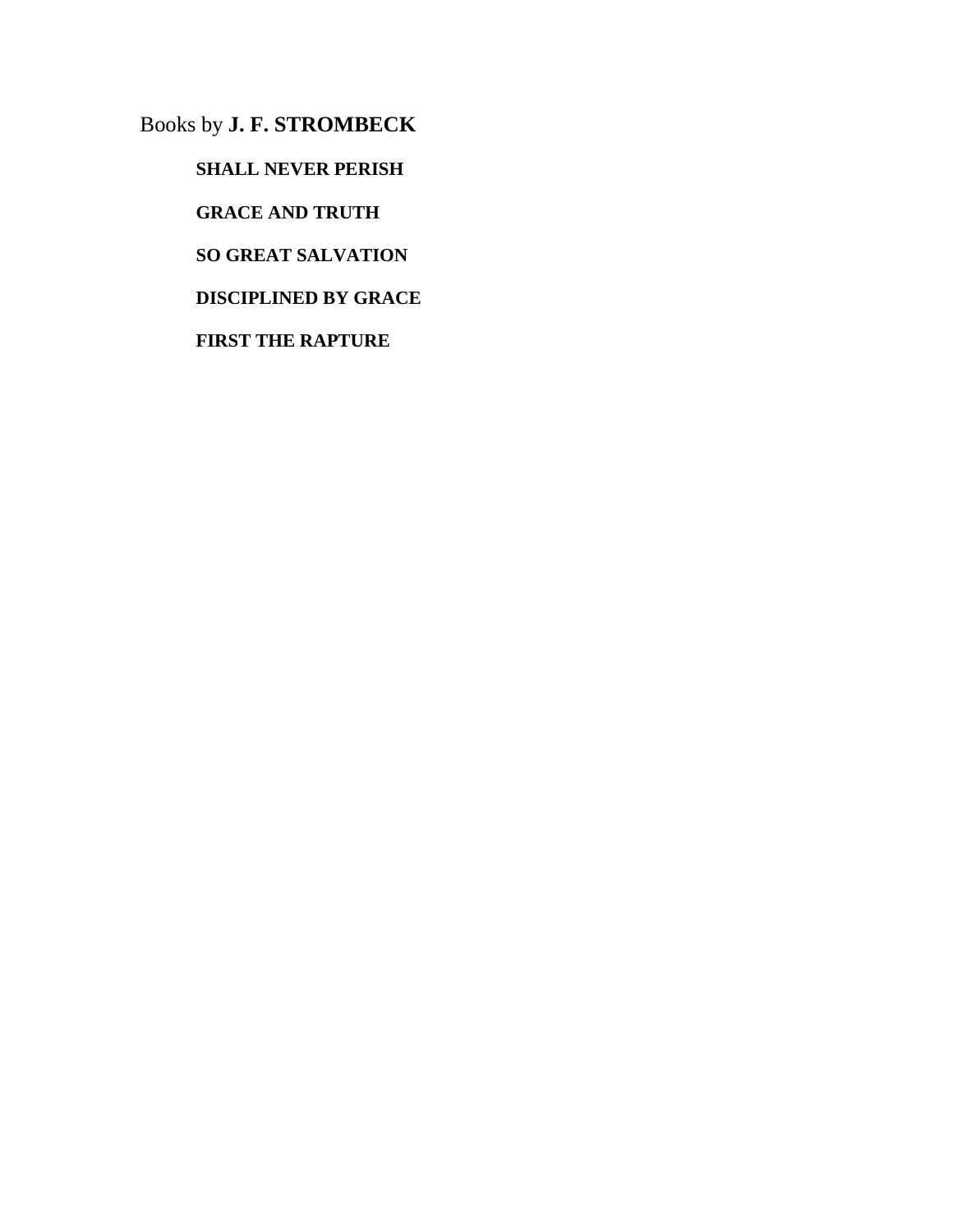Books by **J. F. STROMBECK**

**SHALL NEVER PERISH GRACE AND TRUTH SO GREAT SALVATION DISCIPLINED BY GRACE FIRST THE RAPTURE**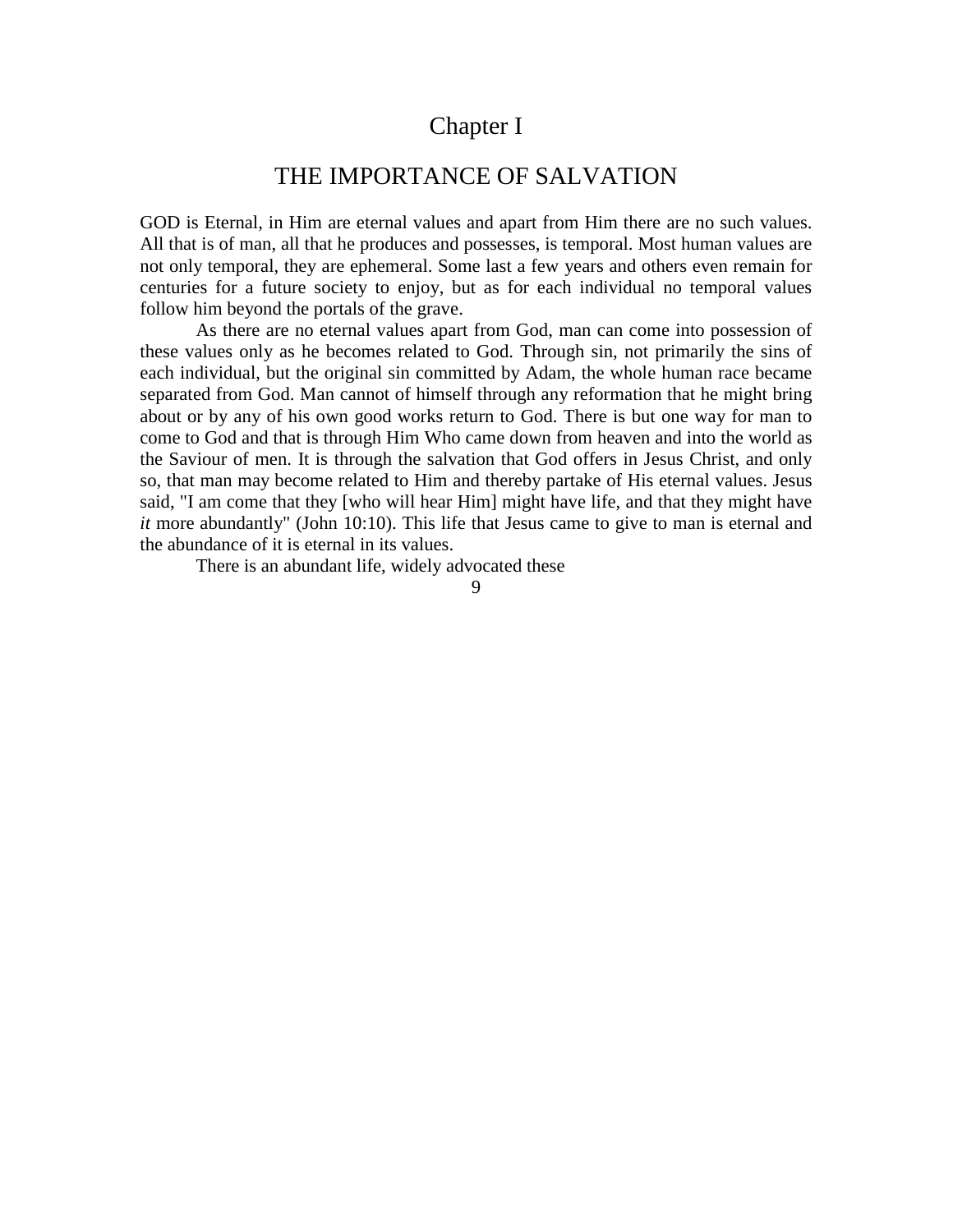## Chapter I

## THE IMPORTANCE OF SALVATION

GOD is Eternal, in Him are eternal values and apart from Him there are no such values. All that is of man, all that he produces and possesses, is temporal. Most human values are not only temporal, they are ephemeral. Some last a few years and others even remain for centuries for a future society to enjoy, but as for each individual no temporal values follow him beyond the portals of the grave.

As there are no eternal values apart from God, man can come into possession of these values only as he becomes related to God. Through sin, not primarily the sins of each individual, but the original sin committed by Adam, the whole human race became separated from God. Man cannot of himself through any reformation that he might bring about or by any of his own good works return to God. There is but one way for man to come to God and that is through Him Who came down from heaven and into the world as the Saviour of men. It is through the salvation that God offers in Jesus Christ, and only so, that man may become related to Him and thereby partake of His eternal values. Jesus said, "I am come that they [who will hear Him] might have life, and that they might have *it* more abundantly" (John 10:10). This life that Jesus came to give to man is eternal and the abundance of it is eternal in its values.

There is an abundant life, widely advocated these

<sup>9</sup>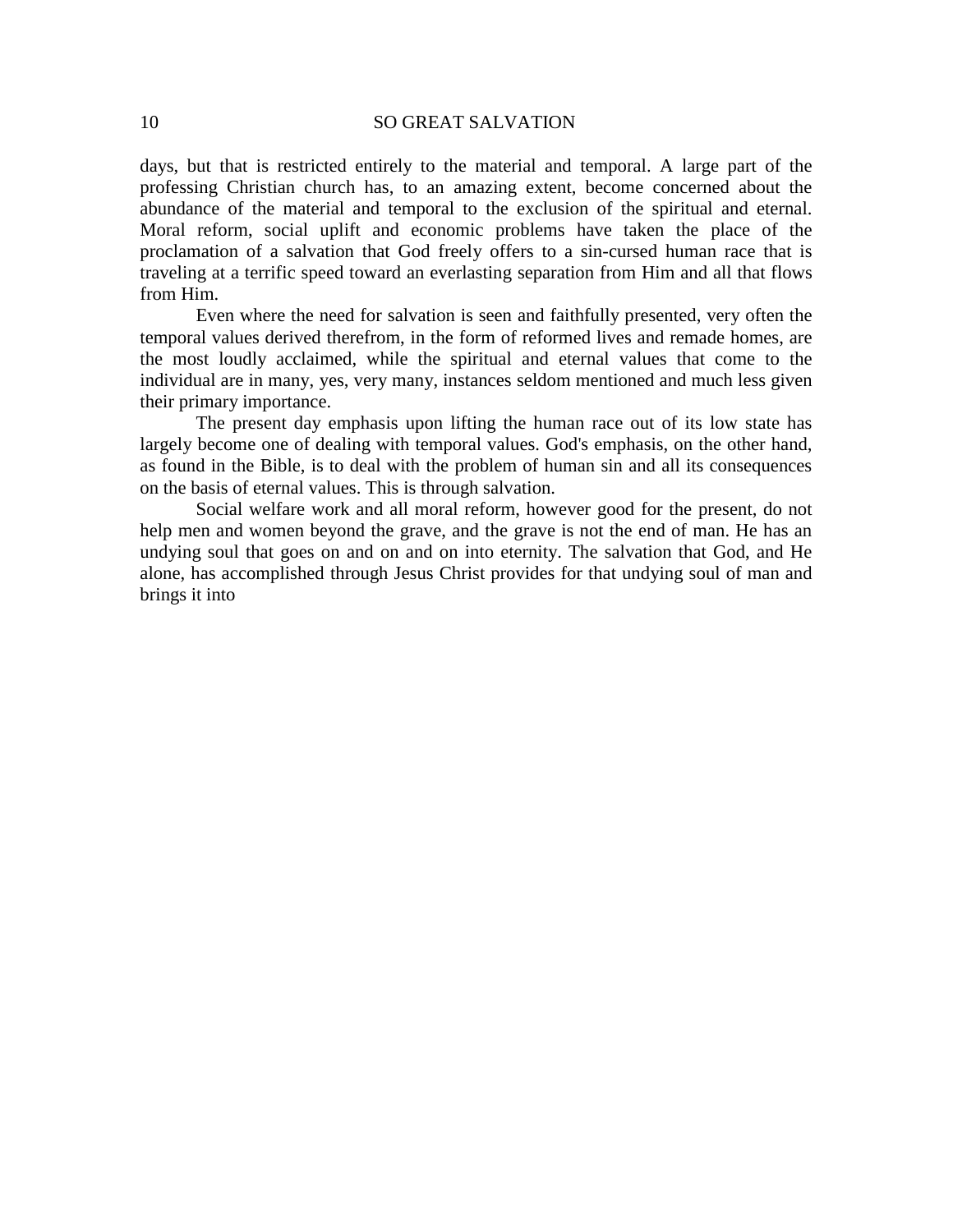days, but that is restricted entirely to the material and temporal. A large part of the professing Christian church has, to an amazing extent, become concerned about the abundance of the material and temporal to the exclusion of the spiritual and eternal. Moral reform, social uplift and economic problems have taken the place of the proclamation of a salvation that God freely offers to a sin-cursed human race that is traveling at a terrific speed toward an everlasting separation from Him and all that flows from Him.

Even where the need for salvation is seen and faithfully presented, very often the temporal values derived therefrom, in the form of reformed lives and remade homes, are the most loudly acclaimed, while the spiritual and eternal values that come to the individual are in many, yes, very many, instances seldom mentioned and much less given their primary importance.

The present day emphasis upon lifting the human race out of its low state has largely become one of dealing with temporal values. God's emphasis, on the other hand, as found in the Bible, is to deal with the problem of human sin and all its consequences on the basis of eternal values. This is through salvation.

Social welfare work and all moral reform, however good for the present, do not help men and women beyond the grave, and the grave is not the end of man. He has an undying soul that goes on and on and on into eternity. The salvation that God, and He alone, has accomplished through Jesus Christ provides for that undying soul of man and brings it into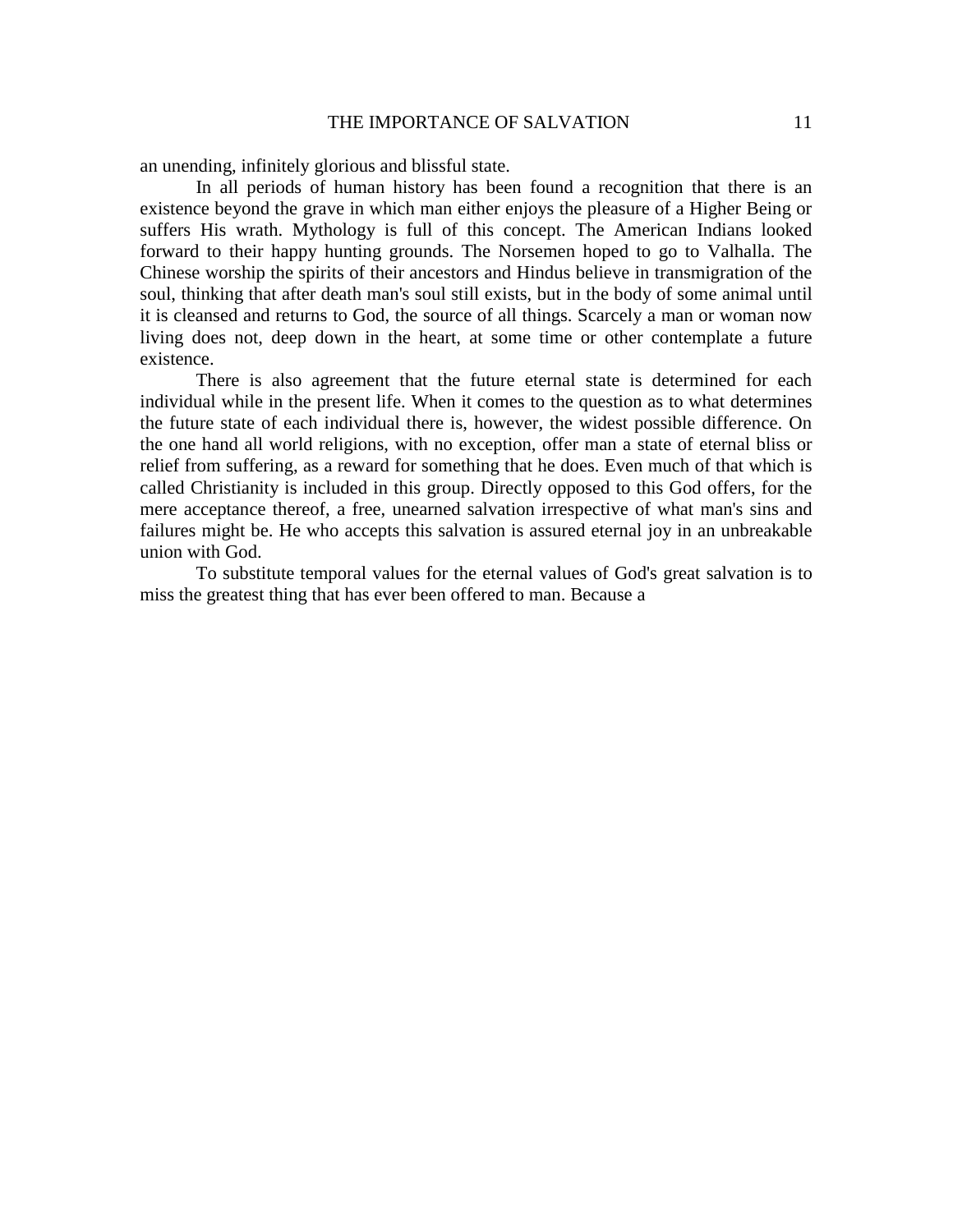an unending, infinitely glorious and blissful state.

In all periods of human history has been found a recognition that there is an existence beyond the grave in which man either enjoys the pleasure of a Higher Being or suffers His wrath. Mythology is full of this concept. The American Indians looked forward to their happy hunting grounds. The Norsemen hoped to go to Valhalla. The Chinese worship the spirits of their ancestors and Hindus believe in transmigration of the soul, thinking that after death man's soul still exists, but in the body of some animal until it is cleansed and returns to God, the source of all things. Scarcely a man or woman now living does not, deep down in the heart, at some time or other contemplate a future existence.

There is also agreement that the future eternal state is determined for each individual while in the present life. When it comes to the question as to what determines the future state of each individual there is, however, the widest possible difference. On the one hand all world religions, with no exception, offer man a state of eternal bliss or relief from suffering, as a reward for something that he does. Even much of that which is called Christianity is included in this group. Directly opposed to this God offers, for the mere acceptance thereof, a free, unearned salvation irrespective of what man's sins and failures might be. He who accepts this salvation is assured eternal joy in an unbreakable union with God.

To substitute temporal values for the eternal values of God's great salvation is to miss the greatest thing that has ever been offered to man. Because a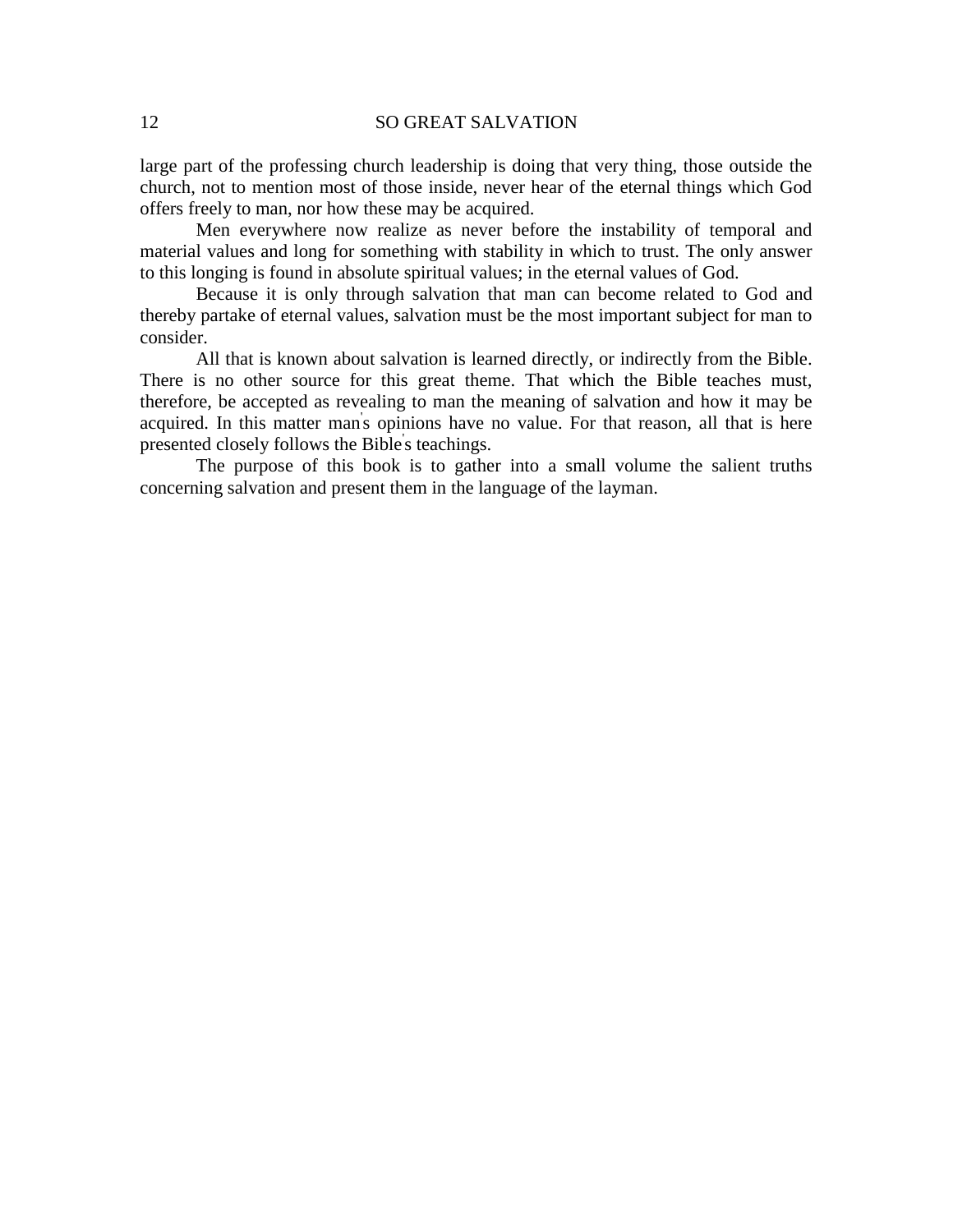large part of the professing church leadership is doing that very thing, those outside the church, not to mention most of those inside, never hear of the eternal things which God offers freely to man, nor how these may be acquired.

Men everywhere now realize as never before the instability of temporal and material values and long for something with stability in which to trust. The only answer to this longing is found in absolute spiritual values; in the eternal values of God.

Because it is only through salvation that man can become related to God and thereby partake of eternal values, salvation must be the most important subject for man to consider.

All that is known about salvation is learned directly, or indirectly from the Bible. There is no other source for this great theme. That which the Bible teaches must, therefore, be accepted as revealing to man the meaning of salvation and how it may be acquired. In this matter man' s opinions have no value. For that reason, all that is here presented closely follows the Bible' s teachings.

The purpose of this book is to gather into a small volume the salient truths concerning salvation and present them in the language of the layman.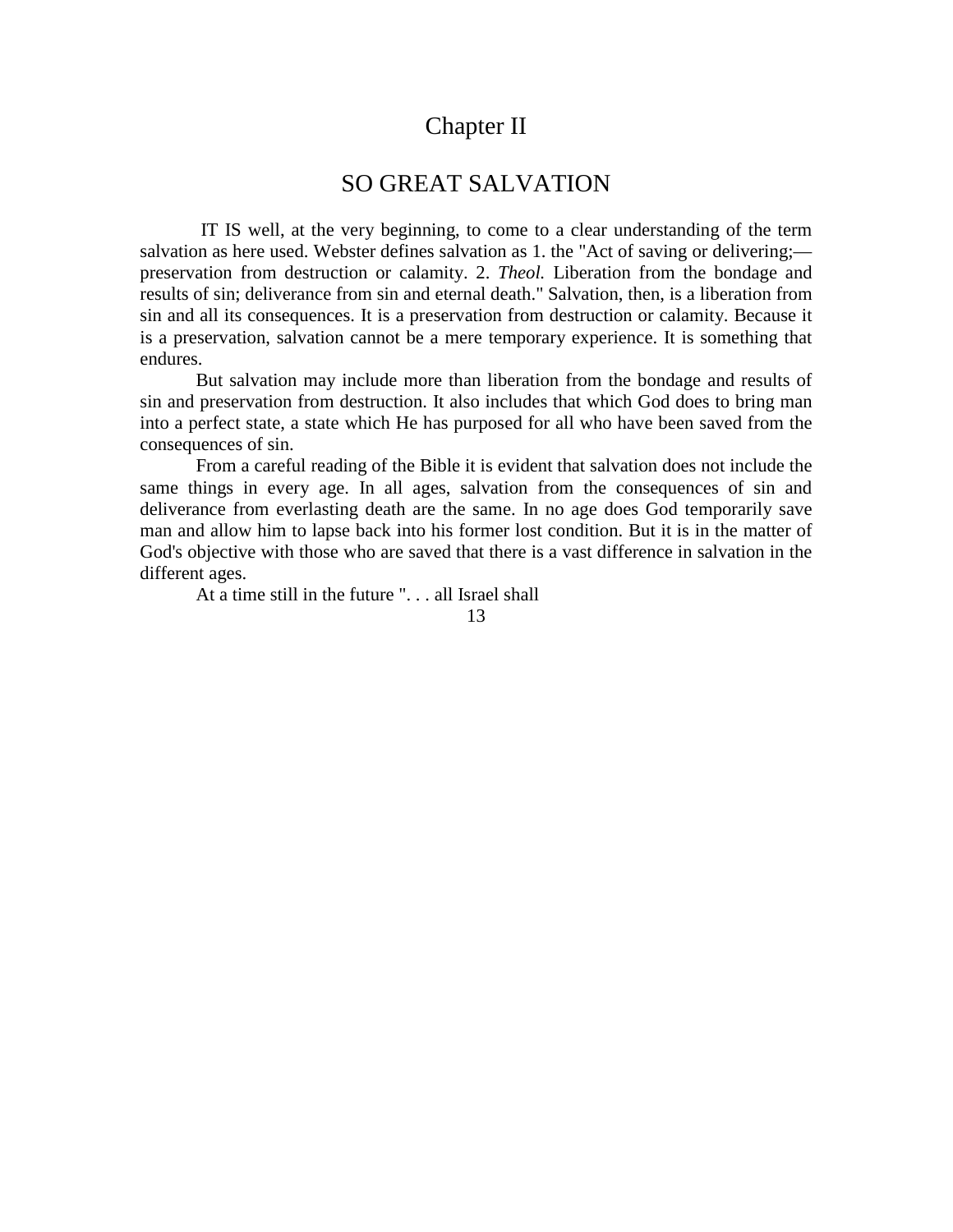## Chapter II

## SO GREAT SALVATION

 IT IS well, at the very beginning, to come to a clear understanding of the term salvation as here used. Webster defines salvation as 1. the "Act of saving or delivering; preservation from destruction or calamity. 2. *Theol.* Liberation from the bondage and results of sin; deliverance from sin and eternal death." Salvation, then, is a liberation from sin and all its consequences. It is a preservation from destruction or calamity. Because it is a preservation, salvation cannot be a mere temporary experience. It is something that endures.

But salvation may include more than liberation from the bondage and results of sin and preservation from destruction. It also includes that which God does to bring man into a perfect state, a state which He has purposed for all who have been saved from the consequences of sin.

From a careful reading of the Bible it is evident that salvation does not include the same things in every age. In all ages, salvation from the consequences of sin and deliverance from everlasting death are the same. In no age does God temporarily save man and allow him to lapse back into his former lost condition. But it is in the matter of God's objective with those who are saved that there is a vast difference in salvation in the different ages.

At a time still in the future ". . . all Israel shall

<sup>13</sup>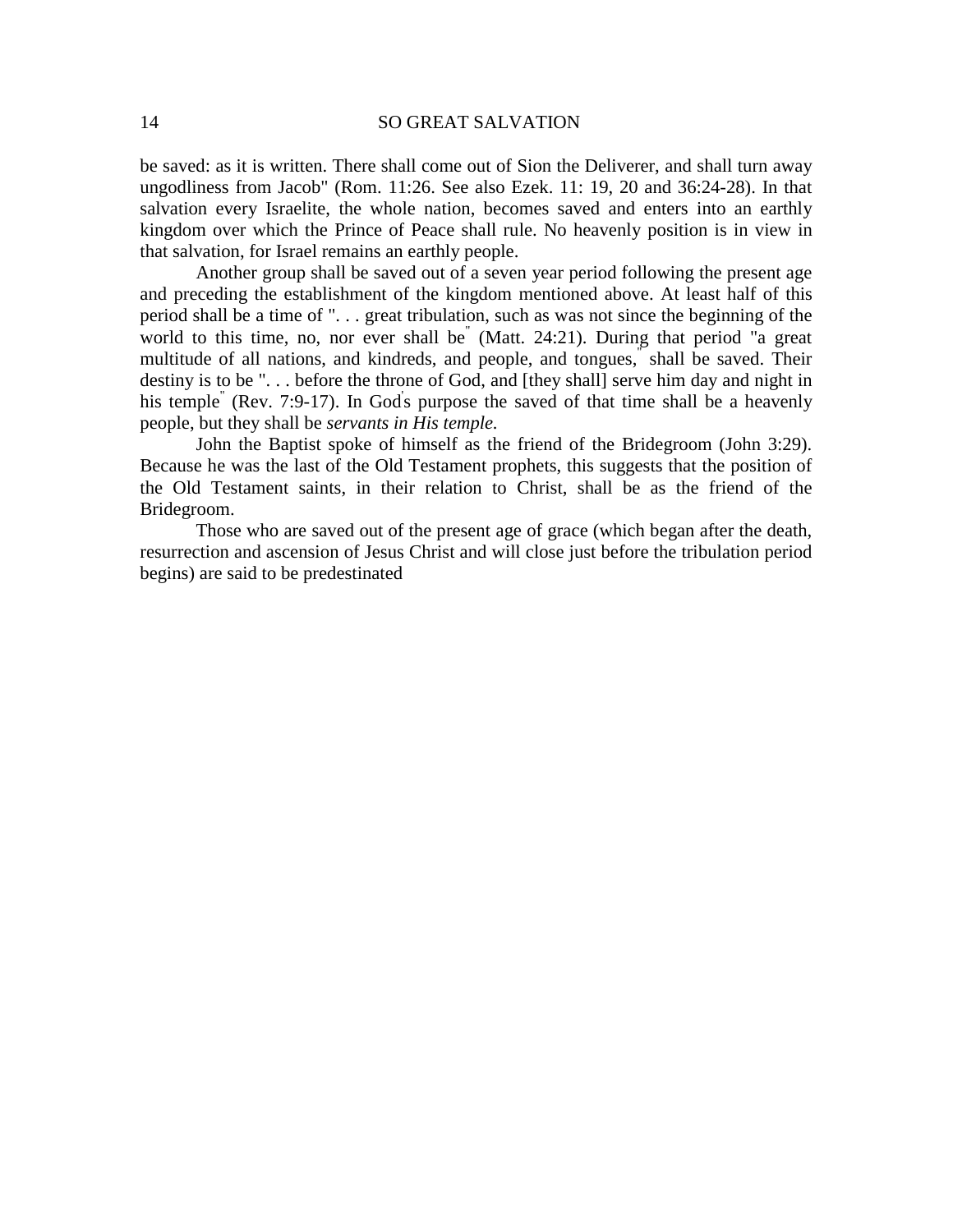be saved: as it is written. There shall come out of Sion the Deliverer, and shall turn away ungodliness from Jacob" (Rom. 11:26. See also Ezek. 11: 19, 20 and 36:24-28). In that salvation every Israelite, the whole nation, becomes saved and enters into an earthly kingdom over which the Prince of Peace shall rule. No heavenly position is in view in that salvation, for Israel remains an earthly people.

Another group shall be saved out of a seven year period following the present age and preceding the establishment of the kingdom mentioned above. At least half of this period shall be a time of ". . . great tribulation, such as was not since the beginning of the world to this time, no, nor ever shall be" (Matt. 24:21). During that period "a great multitude of all nations, and kindreds, and people, and tongues," shall be saved. Their destiny is to be ". . . before the throne of God, and [they shall] serve him day and night in his temple<sup>"</sup> (Rev. 7:9-17). In God's purpose the saved of that time shall be a heavenly people, but they shall be *servants in His temple.*

John the Baptist spoke of himself as the friend of the Bridegroom (John 3:29). Because he was the last of the Old Testament prophets, this suggests that the position of the Old Testament saints, in their relation to Christ, shall be as the friend of the Bridegroom.

Those who are saved out of the present age of grace (which began after the death, resurrection and ascension of Jesus Christ and will close just before the tribulation period begins) are said to be predestinated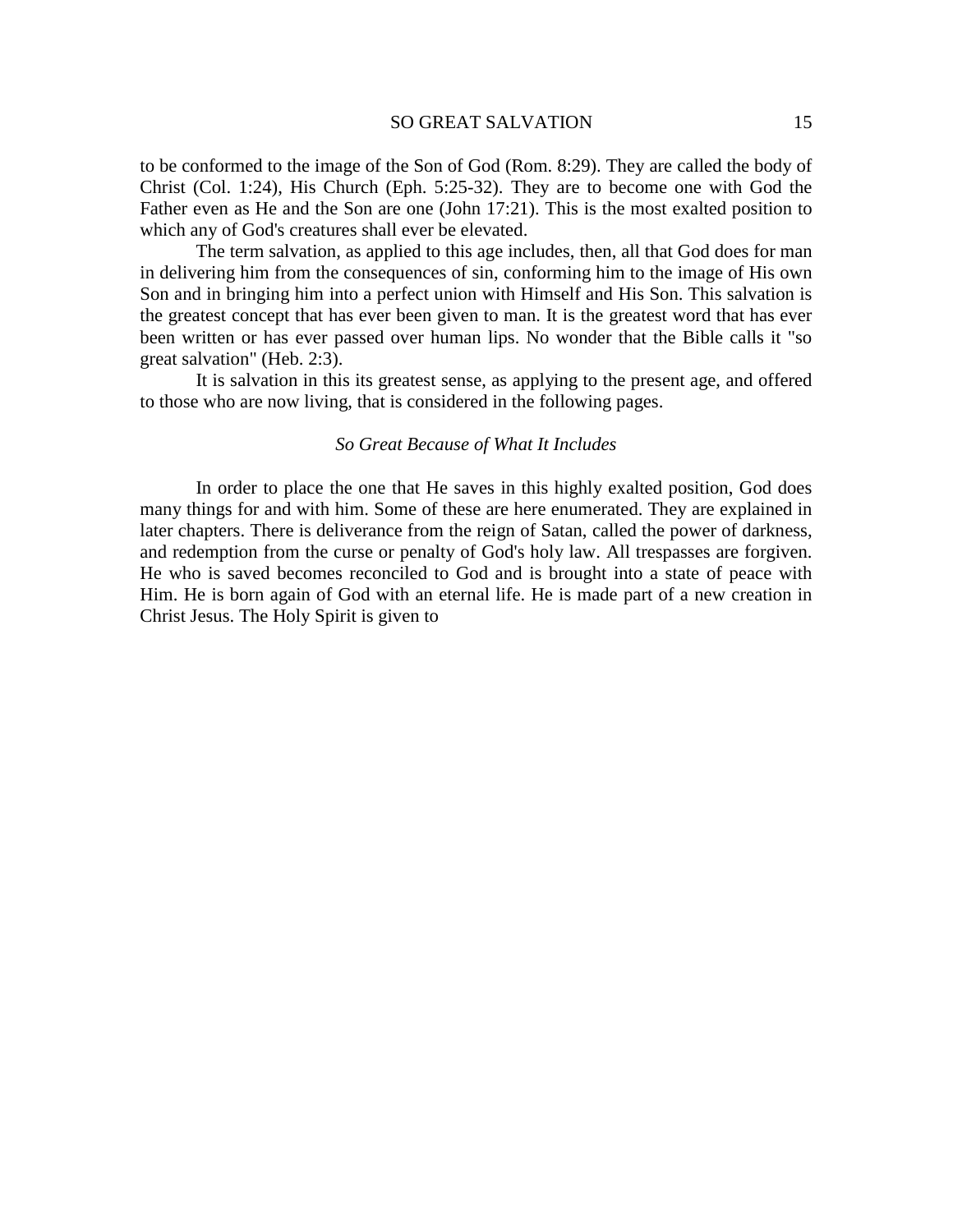to be conformed to the image of the Son of God (Rom. 8:29). They are called the body of Christ (Col. 1:24), His Church (Eph. 5:25-32). They are to become one with God the Father even as He and the Son are one (John 17:21). This is the most exalted position to which any of God's creatures shall ever be elevated.

The term salvation, as applied to this age includes, then, all that God does for man in delivering him from the consequences of sin, conforming him to the image of His own Son and in bringing him into a perfect union with Himself and His Son. This salvation is the greatest concept that has ever been given to man. It is the greatest word that has ever been written or has ever passed over human lips. No wonder that the Bible calls it "so great salvation" (Heb. 2:3).

It is salvation in this its greatest sense, as applying to the present age, and offered to those who are now living, that is considered in the following pages.

#### *So Great Because of What It Includes*

In order to place the one that He saves in this highly exalted position, God does many things for and with him. Some of these are here enumerated. They are explained in later chapters. There is deliverance from the reign of Satan, called the power of darkness, and redemption from the curse or penalty of God's holy law. All trespasses are forgiven. He who is saved becomes reconciled to God and is brought into a state of peace with Him. He is born again of God with an eternal life. He is made part of a new creation in Christ Jesus. The Holy Spirit is given to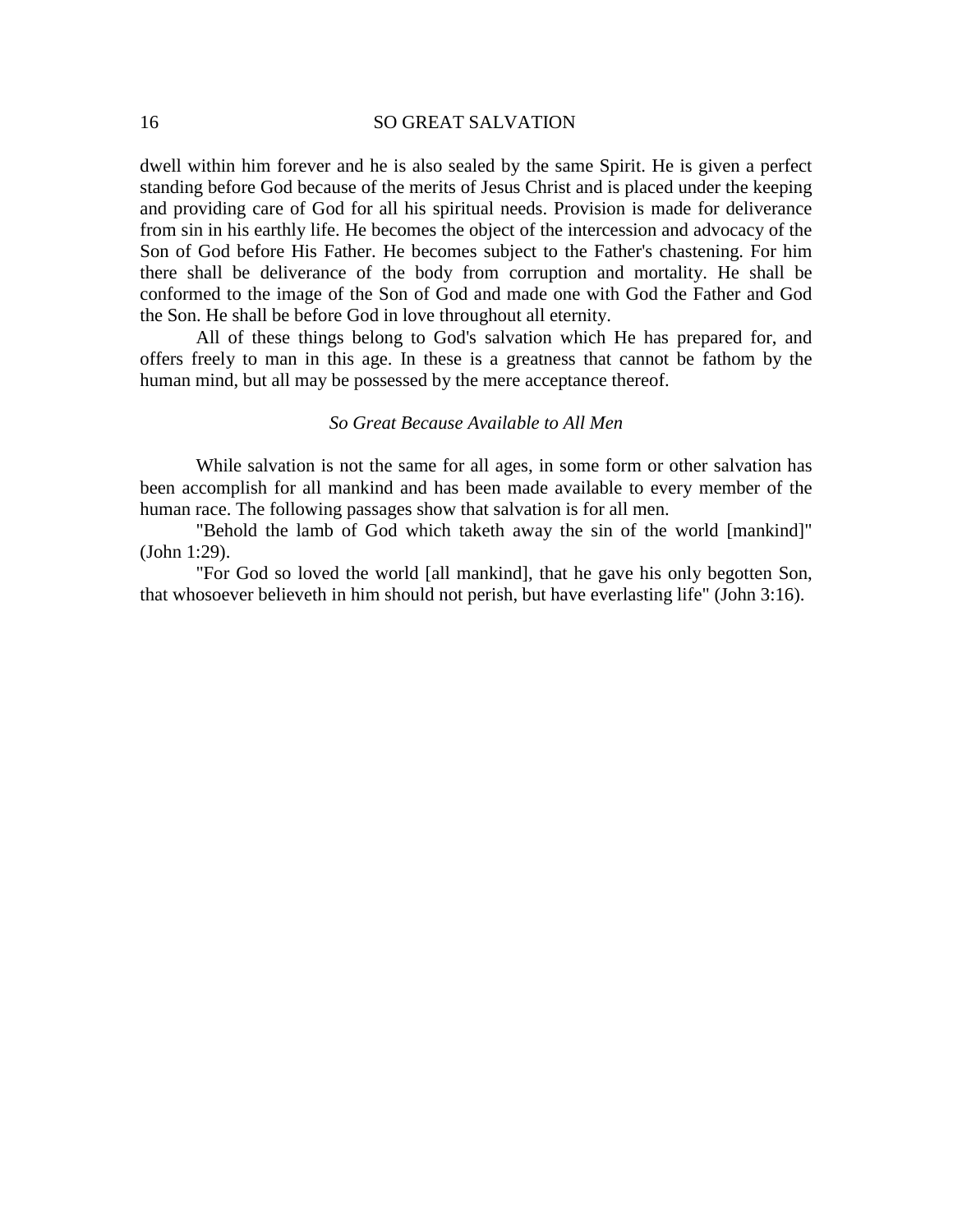dwell within him forever and he is also sealed by the same Spirit. He is given a perfect standing before God because of the merits of Jesus Christ and is placed under the keeping and providing care of God for all his spiritual needs. Provision is made for deliverance from sin in his earthly life. He becomes the object of the intercession and advocacy of the Son of God before His Father. He becomes subject to the Father's chastening. For him there shall be deliverance of the body from corruption and mortality. He shall be conformed to the image of the Son of God and made one with God the Father and God the Son. He shall be before God in love throughout all eternity.

All of these things belong to God's salvation which He has prepared for, and offers freely to man in this age. In these is a greatness that cannot be fathom by the human mind, but all may be possessed by the mere acceptance thereof.

#### *So Great Because Available to All Men*

While salvation is not the same for all ages, in some form or other salvation has been accomplish for all mankind and has been made available to every member of the human race. The following passages show that salvation is for all men.

"Behold the lamb of God which taketh away the sin of the world [mankind]" (John 1:29).

"For God so loved the world [all mankind], that he gave his only begotten Son, that whosoever believeth in him should not perish, but have everlasting life" (John 3:16).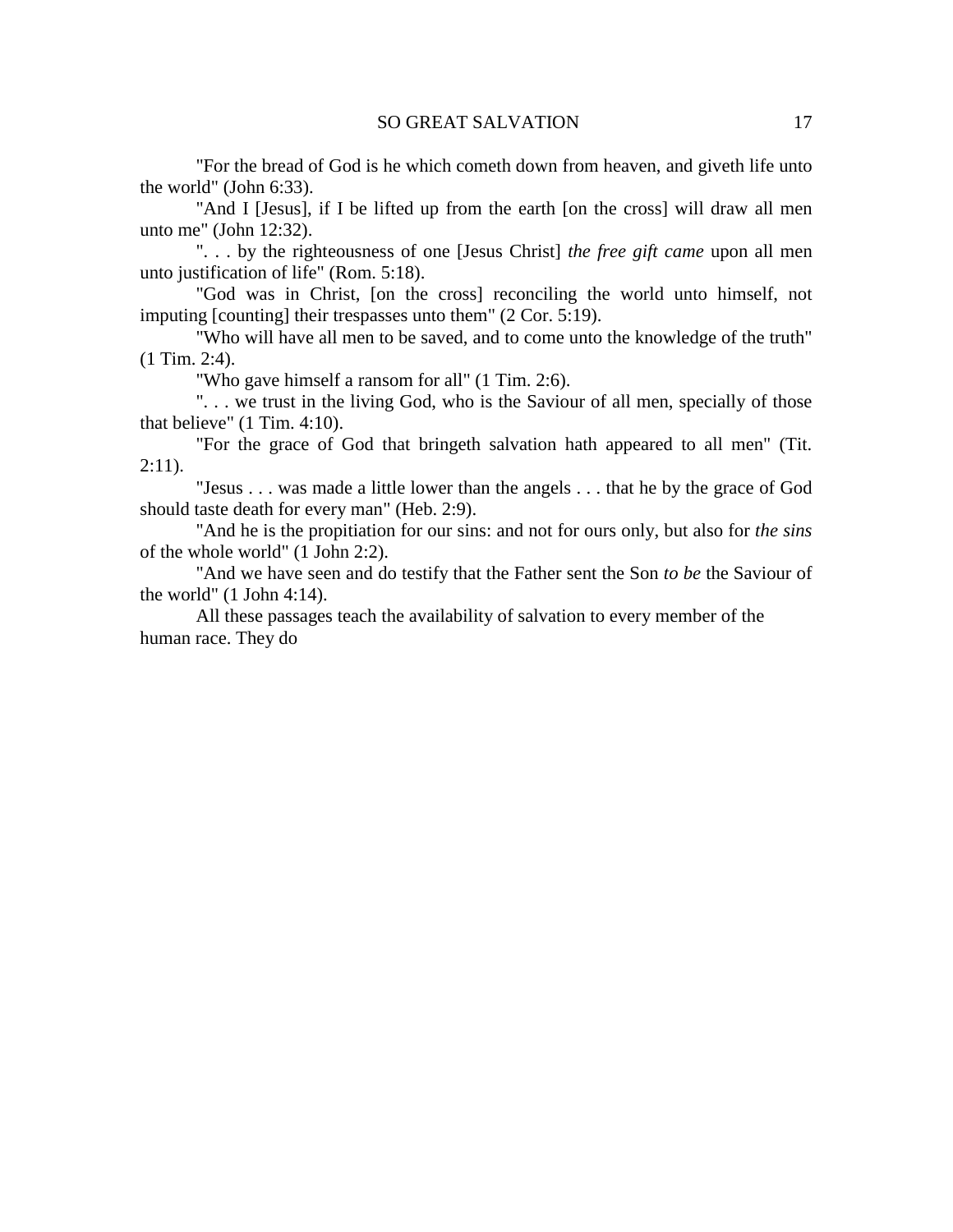"For the bread of God is he which cometh down from heaven, and giveth life unto the world" (John 6:33).

"And I [Jesus], if I be lifted up from the earth [on the cross] will draw all men unto me" (John 12:32).

". . . by the righteousness of one [Jesus Christ] *the free gift came* upon all men unto justification of life" (Rom. 5:18).

"God was in Christ, [on the cross] reconciling the world unto himself, not imputing [counting] their trespasses unto them" (2 Cor. 5:19).

"Who will have all men to be saved, and to come unto the knowledge of the truth" (1 Tim. 2:4).

"Who gave himself a ransom for all" (1 Tim. 2:6).

". . . we trust in the living God, who is the Saviour of all men, specially of those that believe" (1 Tim. 4:10).

"For the grace of God that bringeth salvation hath appeared to all men" (Tit. 2:11).

"Jesus . . . was made a little lower than the angels . . . that he by the grace of God should taste death for every man" (Heb. 2:9).

"And he is the propitiation for our sins: and not for ours only, but also for *the sins*  of the whole world" (1 John 2:2).

"And we have seen and do testify that the Father sent the Son *to be* the Saviour of the world" (1 John 4:14).

All these passages teach the availability of salvation to every member of the human race. They do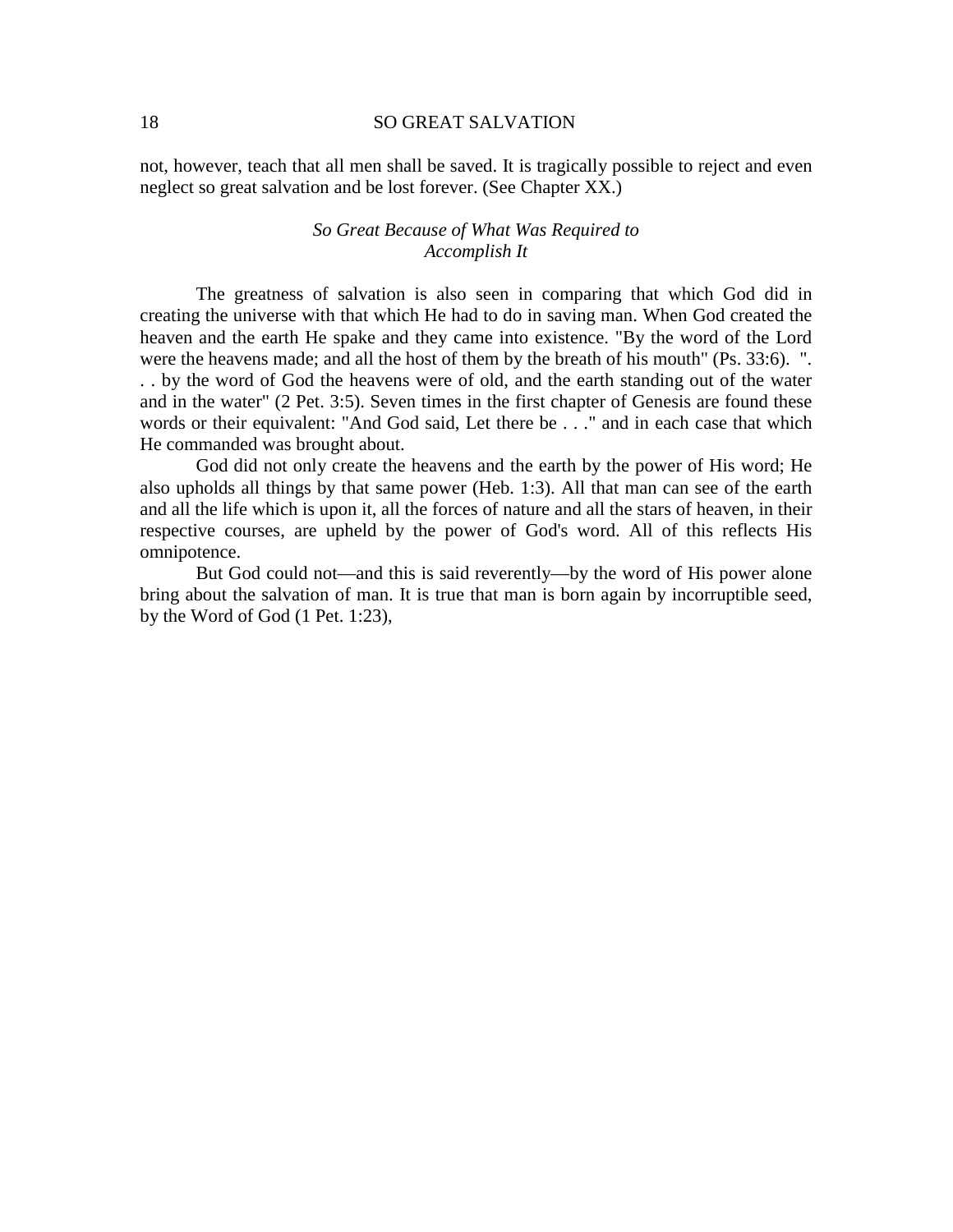not, however, teach that all men shall be saved. It is tragically possible to reject and even neglect so great salvation and be lost forever. (See Chapter XX.)

#### *So Great Because of What Was Required to Accomplish It*

The greatness of salvation is also seen in comparing that which God did in creating the universe with that which He had to do in saving man. When God created the heaven and the earth He spake and they came into existence. "By the word of the Lord were the heavens made; and all the host of them by the breath of his mouth" (Ps. 33:6). ". . . by the word of God the heavens were of old, and the earth standing out of the water and in the water" (2 Pet. 3:5). Seven times in the first chapter of Genesis are found these words or their equivalent: "And God said, Let there be . . ." and in each case that which He commanded was brought about.

God did not only create the heavens and the earth by the power of His word; He also upholds all things by that same power (Heb. 1:3). All that man can see of the earth and all the life which is upon it, all the forces of nature and all the stars of heaven, in their respective courses, are upheld by the power of God's word. All of this reflects His omnipotence.

But God could not—and this is said reverently—by the word of His power alone bring about the salvation of man. It is true that man is born again by incorruptible seed, by the Word of God (1 Pet. 1:23),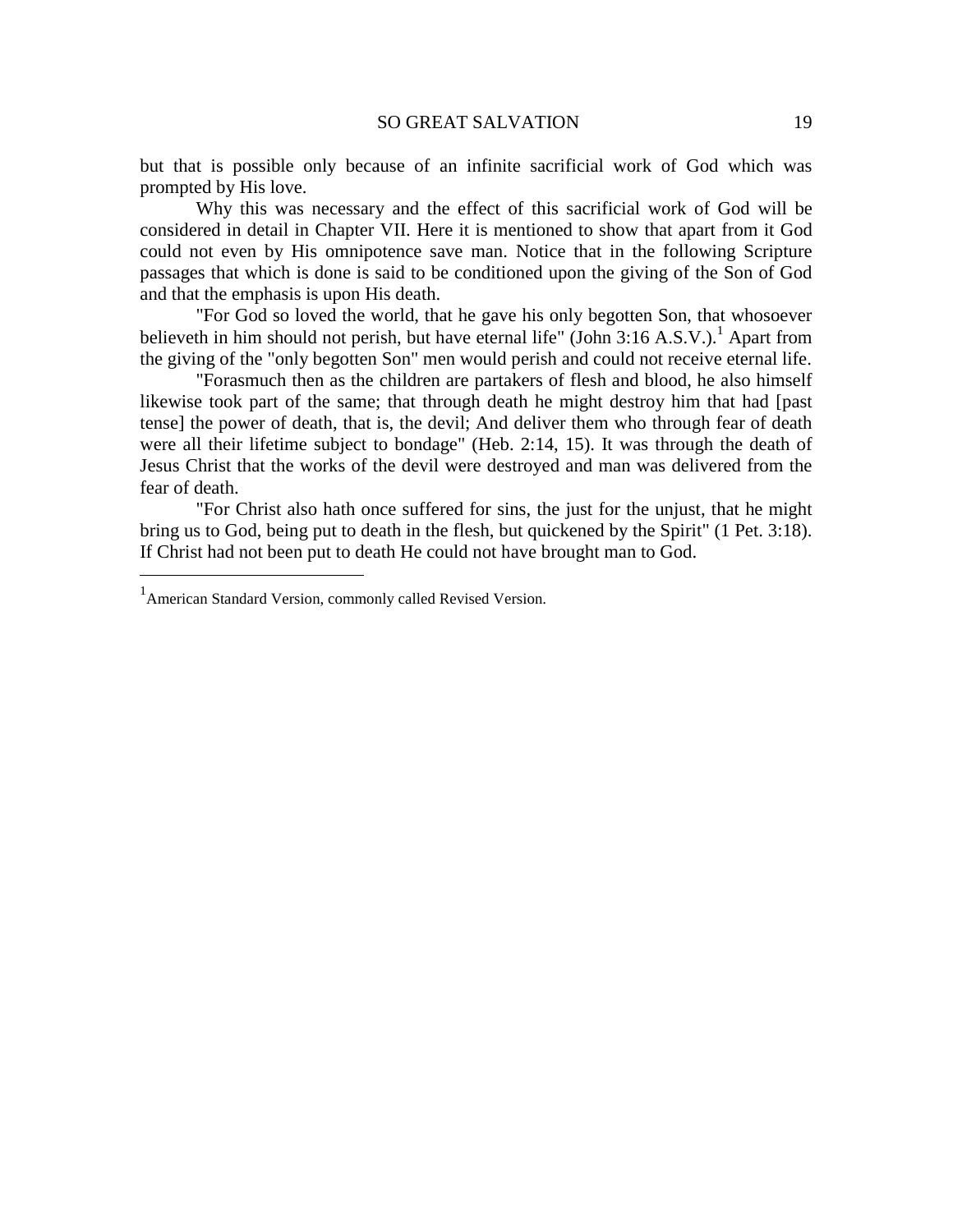but that is possible only because of an infinite sacrificial work of God which was prompted by His love.

Why this was necessary and the effect of this sacrificial work of God will be considered in detail in Chapter VII. Here it is mentioned to show that apart from it God could not even by His omnipotence save man. Notice that in the following Scripture passages that which is done is said to be conditioned upon the giving of the Son of God and that the emphasis is upon His death.

"For God so loved the world, that he gave his only begotten Son, that whosoever believeth in him should not perish, but have eternal life" (John  $3:16$  A.S.V.).<sup>1</sup> Apart from the giving of the "only begotten Son" men would perish and could not receive eternal life.

"Forasmuch then as the children are partakers of flesh and blood, he also himself likewise took part of the same; that through death he might destroy him that had [past tense] the power of death, that is, the devil; And deliver them who through fear of death were all their lifetime subject to bondage" (Heb. 2:14, 15). It was through the death of Jesus Christ that the works of the devil were destroyed and man was delivered from the fear of death.

"For Christ also hath once suffered for sins, the just for the unjust, that he might bring us to God, being put to death in the flesh, but quickened by the Spirit" (1 Pet. 3:18). If Christ had not been put to death He could not have brought man to God.

 $\overline{a}$ 

<sup>&</sup>lt;sup>1</sup> American Standard Version, commonly called Revised Version.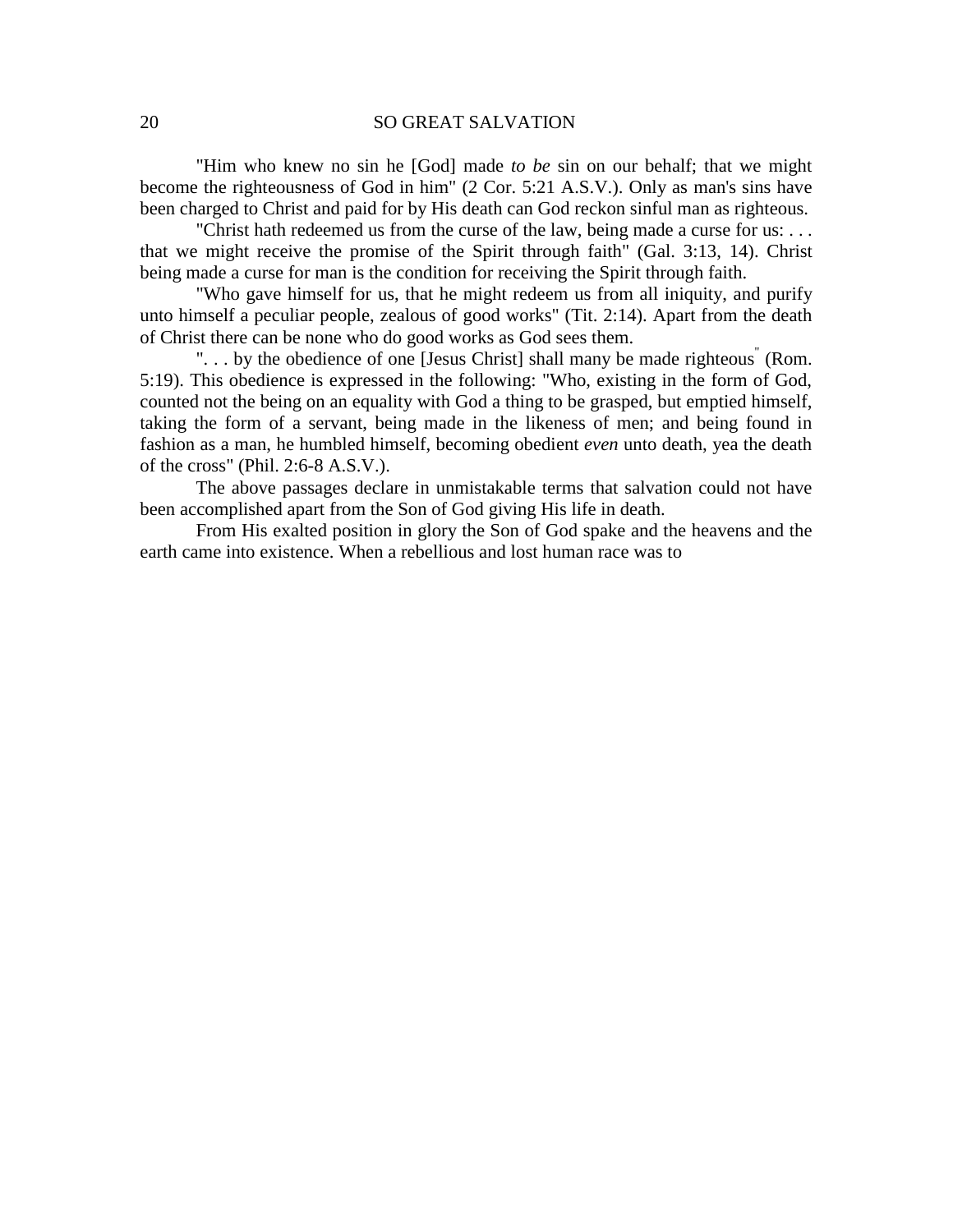"Him who knew no sin he [God] made *to be* sin on our behalf; that we might become the righteousness of God in him" (2 Cor. 5:21 A.S.V.). Only as man's sins have been charged to Christ and paid for by His death can God reckon sinful man as righteous.

"Christ hath redeemed us from the curse of the law, being made a curse for us: . . . that we might receive the promise of the Spirit through faith" (Gal. 3:13, 14). Christ being made a curse for man is the condition for receiving the Spirit through faith.

"Who gave himself for us, that he might redeem us from all iniquity, and purify unto himself a peculiar people, zealous of good works" (Tit. 2:14). Apart from the death of Christ there can be none who do good works as God sees them.

"... by the obedience of one [Jesus Christ] shall many be made righteous<sup>"</sup> (Rom. 5:19). This obedience is expressed in the following: "Who, existing in the form of God, counted not the being on an equality with God a thing to be grasped, but emptied himself, taking the form of a servant, being made in the likeness of men; and being found in fashion as a man, he humbled himself, becoming obedient *even* unto death, yea the death of the cross" (Phil. 2:6-8 A.S.V.).

The above passages declare in unmistakable terms that salvation could not have been accomplished apart from the Son of God giving His life in death.

From His exalted position in glory the Son of God spake and the heavens and the earth came into existence. When a rebellious and lost human race was to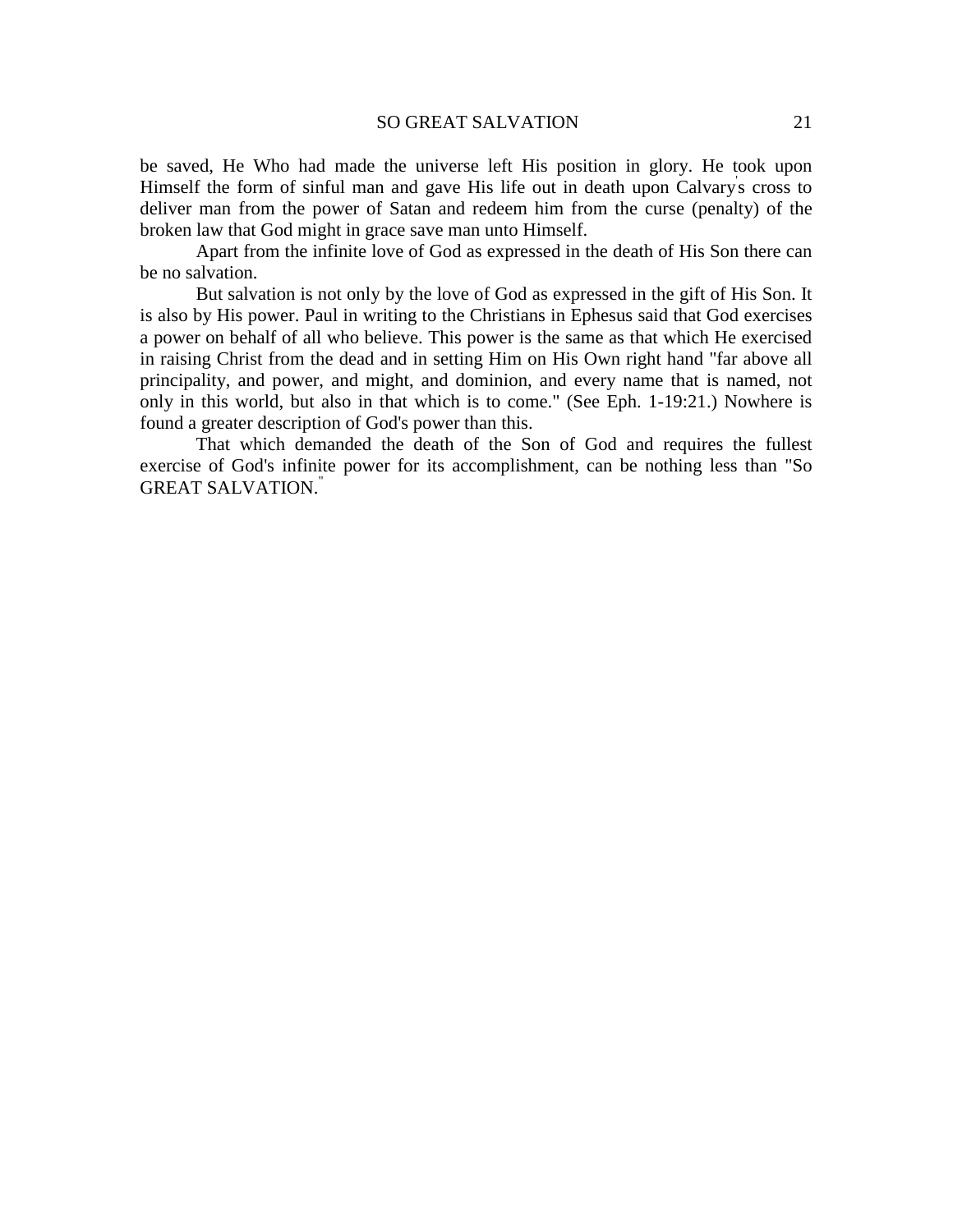be saved, He Who had made the universe left His position in glory. He took upon Himself the form of sinful man and gave His life out in death upon Calvary's cross to deliver man from the power of Satan and redeem him from the curse (penalty) of the broken law that God might in grace save man unto Himself.

Apart from the infinite love of God as expressed in the death of His Son there can be no salvation.

But salvation is not only by the love of God as expressed in the gift of His Son. It is also by His power. Paul in writing to the Christians in Ephesus said that God exercises a power on behalf of all who believe. This power is the same as that which He exercised in raising Christ from the dead and in setting Him on His Own right hand "far above all principality, and power, and might, and dominion, and every name that is named, not only in this world, but also in that which is to come." (See Eph. 1-19:21.) Nowhere is found a greater description of God's power than this.

That which demanded the death of the Son of God and requires the fullest exercise of God's infinite power for its accomplishment, can be nothing less than "So GREAT SALVATION."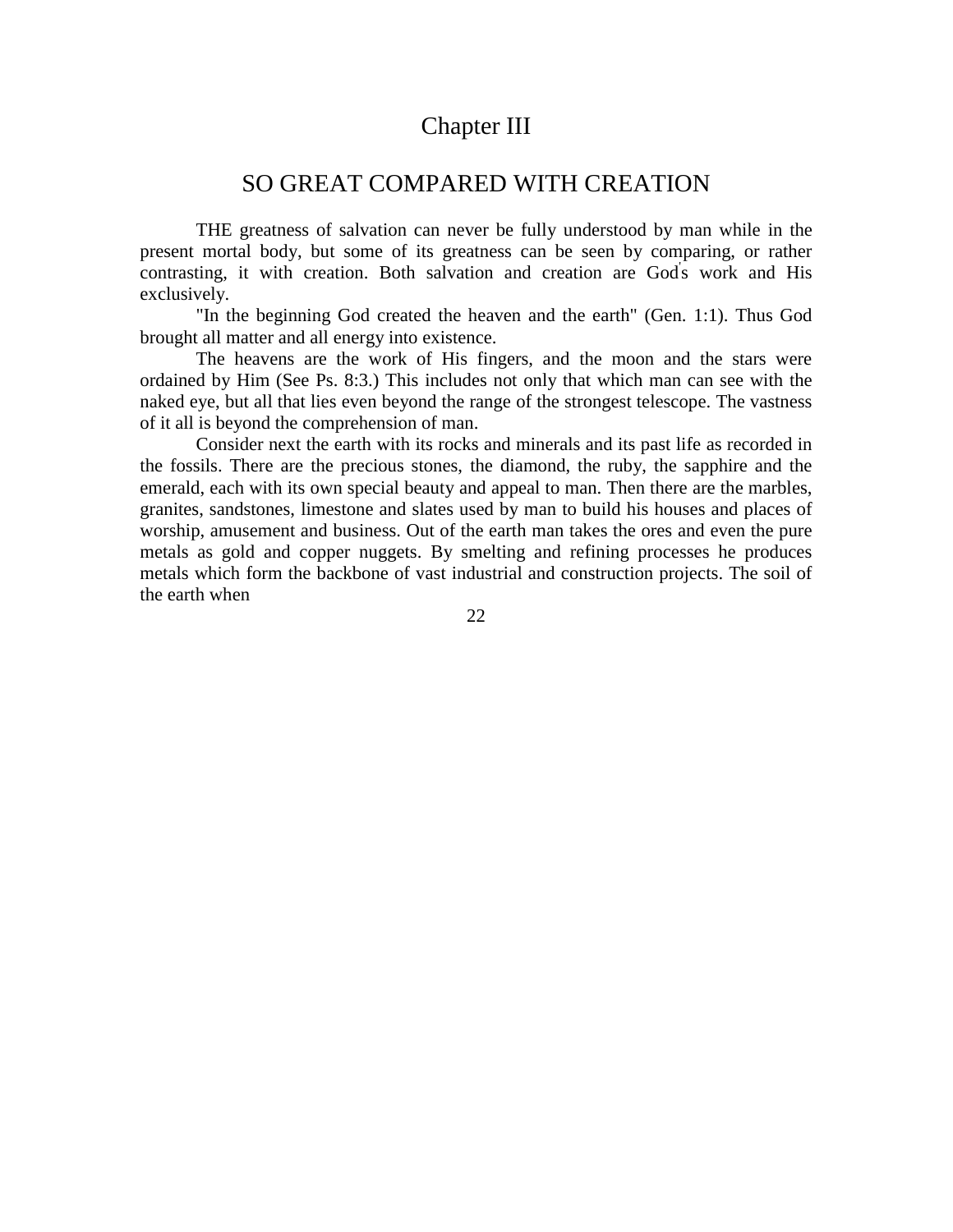## Chapter III

## SO GREAT COMPARED WITH CREATION

THE greatness of salvation can never be fully understood by man while in the present mortal body, but some of its greatness can be seen by comparing, or rather contrasting, it with creation. Both salvation and creation are God's work and His exclusively.

"In the beginning God created the heaven and the earth" (Gen. 1:1). Thus God brought all matter and all energy into existence.

The heavens are the work of His fingers, and the moon and the stars were ordained by Him (See Ps. 8:3.) This includes not only that which man can see with the naked eye, but all that lies even beyond the range of the strongest telescope. The vastness of it all is beyond the comprehension of man.

Consider next the earth with its rocks and minerals and its past life as recorded in the fossils. There are the precious stones, the diamond, the ruby, the sapphire and the emerald, each with its own special beauty and appeal to man. Then there are the marbles, granites, sandstones, limestone and slates used by man to build his houses and places of worship, amusement and business. Out of the earth man takes the ores and even the pure metals as gold and copper nuggets. By smelting and refining processes he produces metals which form the backbone of vast industrial and construction projects. The soil of the earth when

22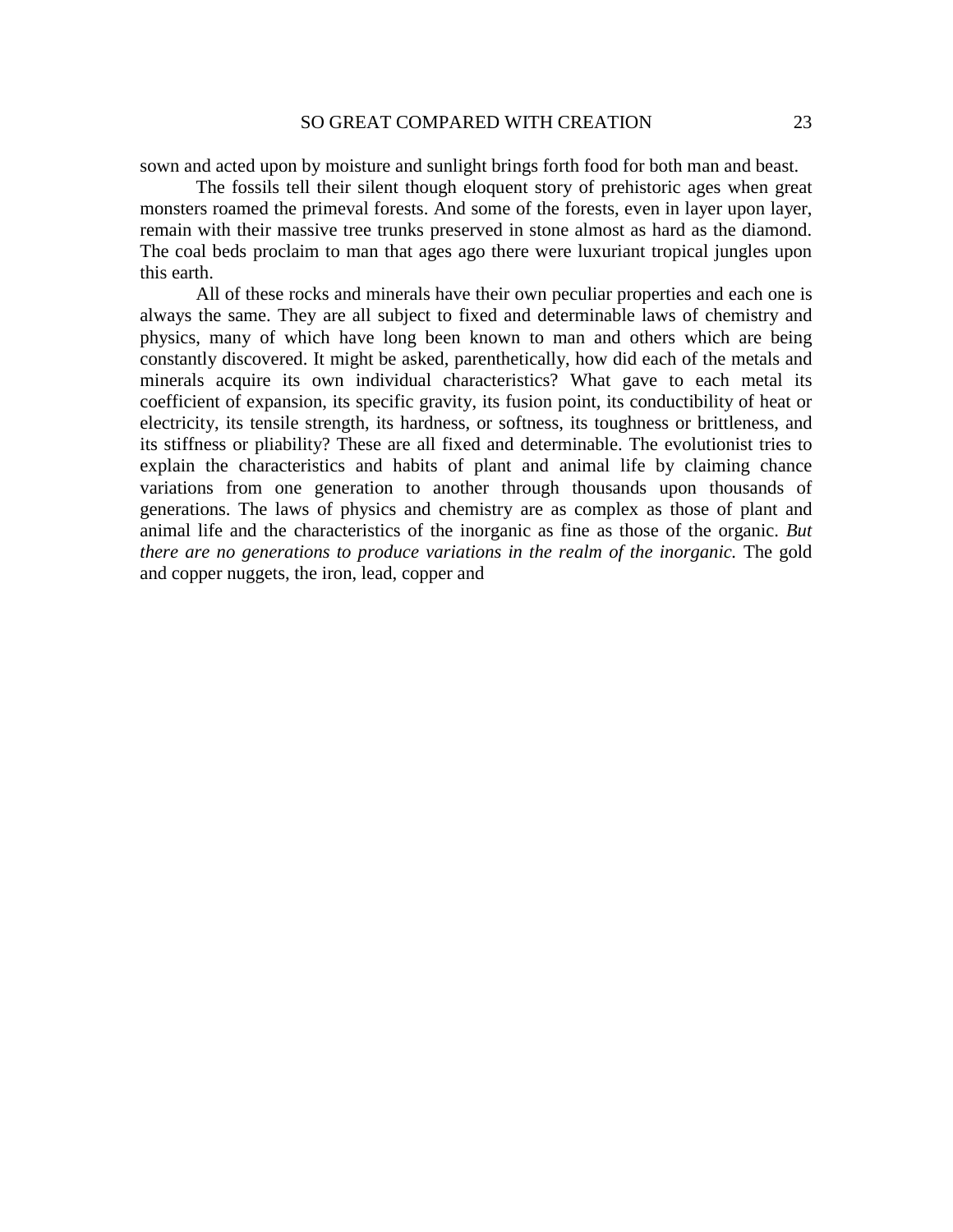sown and acted upon by moisture and sunlight brings forth food for both man and beast.

The fossils tell their silent though eloquent story of prehistoric ages when great monsters roamed the primeval forests. And some of the forests, even in layer upon layer, remain with their massive tree trunks preserved in stone almost as hard as the diamond. The coal beds proclaim to man that ages ago there were luxuriant tropical jungles upon this earth.

All of these rocks and minerals have their own peculiar properties and each one is always the same. They are all subject to fixed and determinable laws of chemistry and physics, many of which have long been known to man and others which are being constantly discovered. It might be asked, parenthetically, how did each of the metals and minerals acquire its own individual characteristics? What gave to each metal its coefficient of expansion, its specific gravity, its fusion point, its conductibility of heat or electricity, its tensile strength, its hardness, or softness, its toughness or brittleness, and its stiffness or pliability? These are all fixed and determinable. The evolutionist tries to explain the characteristics and habits of plant and animal life by claiming chance variations from one generation to another through thousands upon thousands of generations. The laws of physics and chemistry are as complex as those of plant and animal life and the characteristics of the inorganic as fine as those of the organic. *But there are no generations to produce variations in the realm of the inorganic.* The gold and copper nuggets, the iron, lead, copper and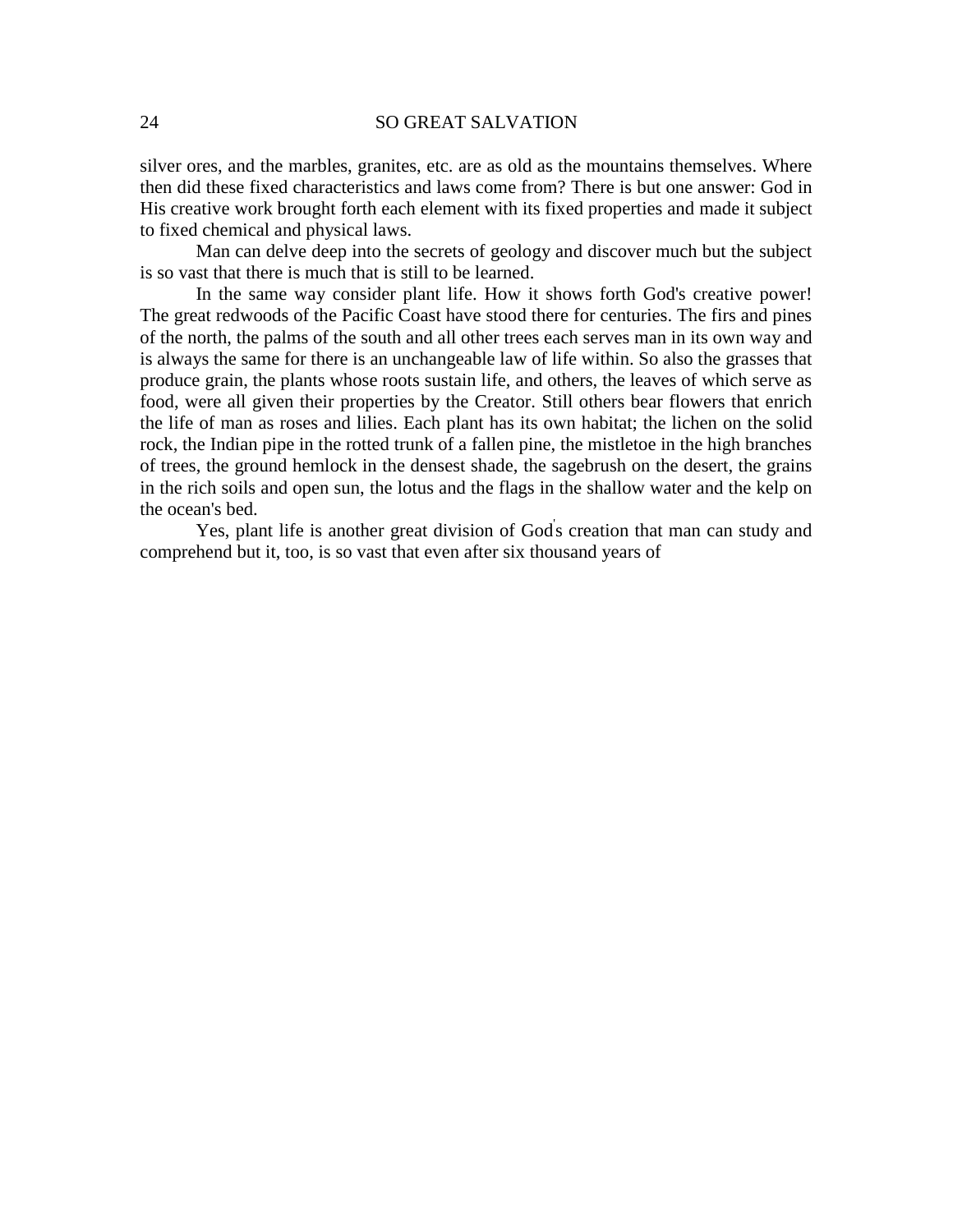silver ores, and the marbles, granites, etc. are as old as the mountains themselves. Where then did these fixed characteristics and laws come from? There is but one answer: God in His creative work brought forth each element with its fixed properties and made it subject to fixed chemical and physical laws.

Man can delve deep into the secrets of geology and discover much but the subject is so vast that there is much that is still to be learned.

In the same way consider plant life. How it shows forth God's creative power! The great redwoods of the Pacific Coast have stood there for centuries. The firs and pines of the north, the palms of the south and all other trees each serves man in its own way and is always the same for there is an unchangeable law of life within. So also the grasses that produce grain, the plants whose roots sustain life, and others, the leaves of which serve as food, were all given their properties by the Creator. Still others bear flowers that enrich the life of man as roses and lilies. Each plant has its own habitat; the lichen on the solid rock, the Indian pipe in the rotted trunk of a fallen pine, the mistletoe in the high branches of trees, the ground hemlock in the densest shade, the sagebrush on the desert, the grains in the rich soils and open sun, the lotus and the flags in the shallow water and the kelp on the ocean's bed.

Yes, plant life is another great division of God's creation that man can study and comprehend but it, too, is so vast that even after six thousand years of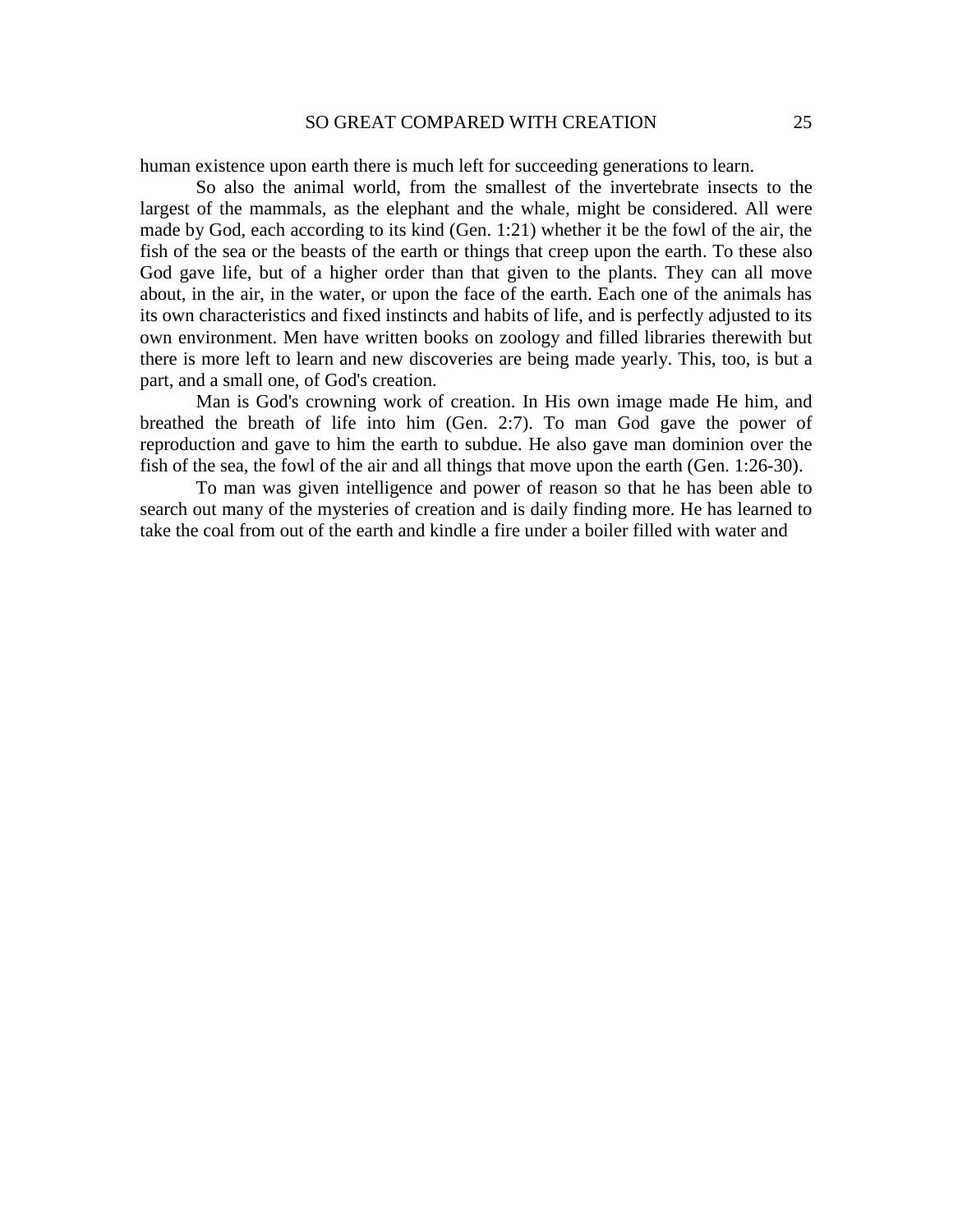#### SO GREAT COMPARED WITH CREATION 25

human existence upon earth there is much left for succeeding generations to learn.

So also the animal world, from the smallest of the invertebrate insects to the largest of the mammals, as the elephant and the whale, might be considered. All were made by God, each according to its kind (Gen. 1:21) whether it be the fowl of the air, the fish of the sea or the beasts of the earth or things that creep upon the earth. To these also God gave life, but of a higher order than that given to the plants. They can all move about, in the air, in the water, or upon the face of the earth. Each one of the animals has its own characteristics and fixed instincts and habits of life, and is perfectly adjusted to its own environment. Men have written books on zoology and filled libraries therewith but there is more left to learn and new discoveries are being made yearly. This, too, is but a part, and a small one, of God's creation.

Man is God's crowning work of creation. In His own image made He him, and breathed the breath of life into him (Gen. 2:7). To man God gave the power of reproduction and gave to him the earth to subdue. He also gave man dominion over the fish of the sea, the fowl of the air and all things that move upon the earth (Gen. 1:26-30).

To man was given intelligence and power of reason so that he has been able to search out many of the mysteries of creation and is daily finding more. He has learned to take the coal from out of the earth and kindle a fire under a boiler filled with water and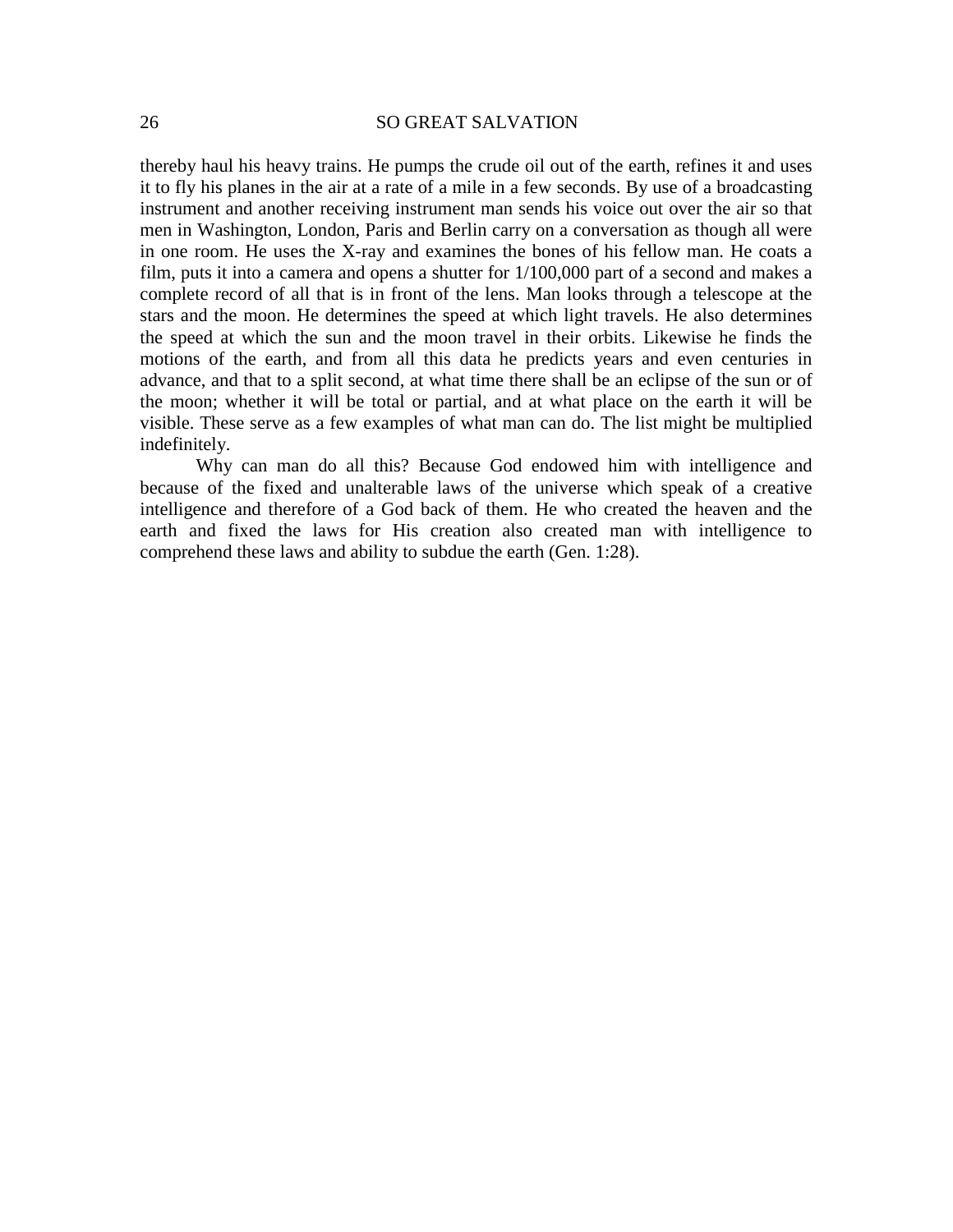thereby haul his heavy trains. He pumps the crude oil out of the earth, refines it and uses it to fly his planes in the air at a rate of a mile in a few seconds. By use of a broadcasting instrument and another receiving instrument man sends his voice out over the air so that men in Washington, London, Paris and Berlin carry on a conversation as though all were in one room. He uses the X-ray and examines the bones of his fellow man. He coats a film, puts it into a camera and opens a shutter for 1/100,000 part of a second and makes a complete record of all that is in front of the lens. Man looks through a telescope at the stars and the moon. He determines the speed at which light travels. He also determines the speed at which the sun and the moon travel in their orbits. Likewise he finds the motions of the earth, and from all this data he predicts years and even centuries in advance, and that to a split second, at what time there shall be an eclipse of the sun or of the moon; whether it will be total or partial, and at what place on the earth it will be visible. These serve as a few examples of what man can do. The list might be multiplied indefinitely.

Why can man do all this? Because God endowed him with intelligence and because of the fixed and unalterable laws of the universe which speak of a creative intelligence and therefore of a God back of them. He who created the heaven and the earth and fixed the laws for His creation also created man with intelligence to comprehend these laws and ability to subdue the earth (Gen. 1:28).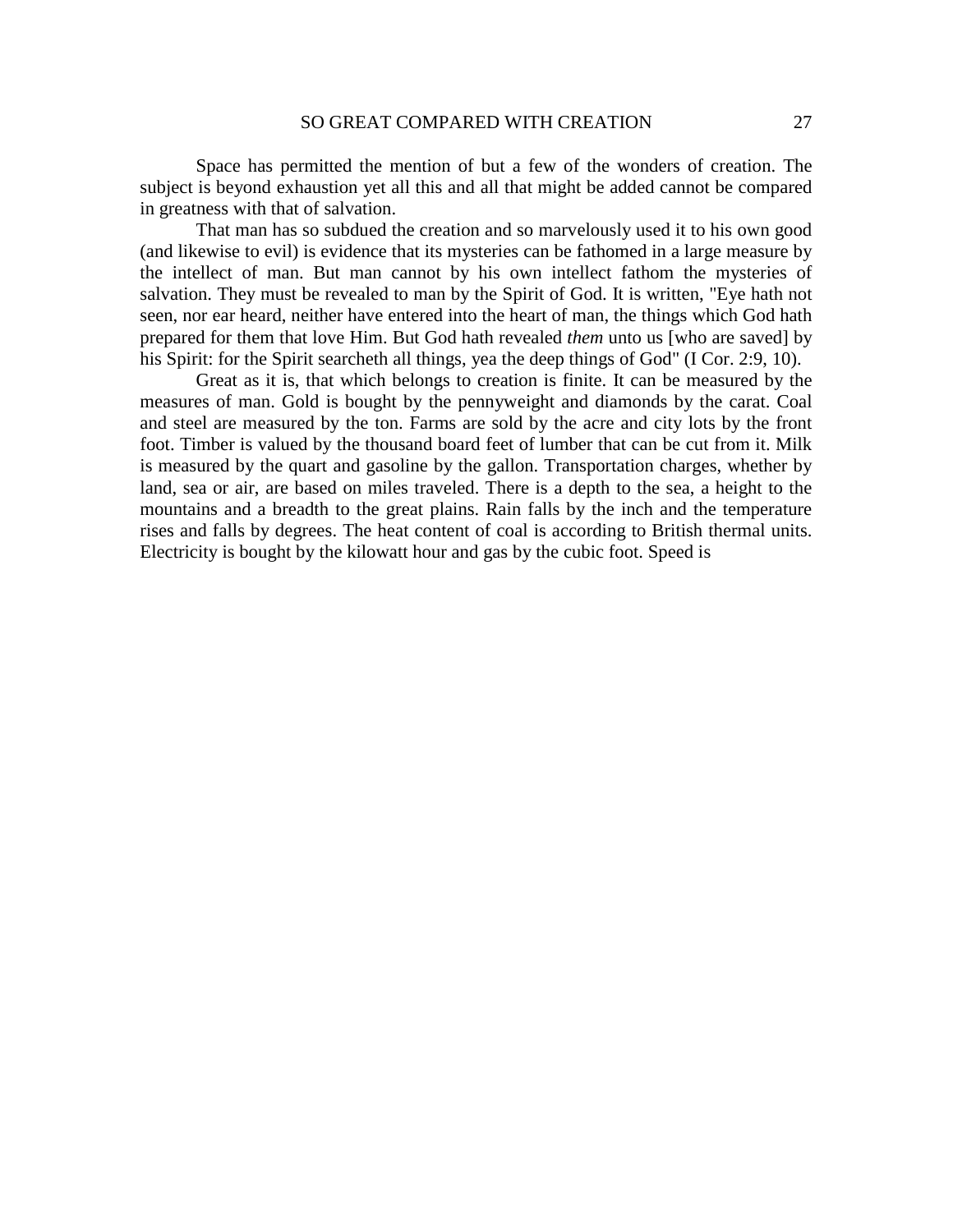Space has permitted the mention of but a few of the wonders of creation. The subject is beyond exhaustion yet all this and all that might be added cannot be compared in greatness with that of salvation.

That man has so subdued the creation and so marvelously used it to his own good (and likewise to evil) is evidence that its mysteries can be fathomed in a large measure by the intellect of man. But man cannot by his own intellect fathom the mysteries of salvation. They must be revealed to man by the Spirit of God. It is written, "Eye hath not seen, nor ear heard, neither have entered into the heart of man, the things which God hath prepared for them that love Him. But God hath revealed *them* unto us [who are saved] by his Spirit: for the Spirit searcheth all things, yea the deep things of God" (I Cor. 2:9, 10).

Great as it is, that which belongs to creation is finite. It can be measured by the measures of man. Gold is bought by the pennyweight and diamonds by the carat. Coal and steel are measured by the ton. Farms are sold by the acre and city lots by the front foot. Timber is valued by the thousand board feet of lumber that can be cut from it. Milk is measured by the quart and gasoline by the gallon. Transportation charges, whether by land, sea or air, are based on miles traveled. There is a depth to the sea, a height to the mountains and a breadth to the great plains. Rain falls by the inch and the temperature rises and falls by degrees. The heat content of coal is according to British thermal units. Electricity is bought by the kilowatt hour and gas by the cubic foot. Speed is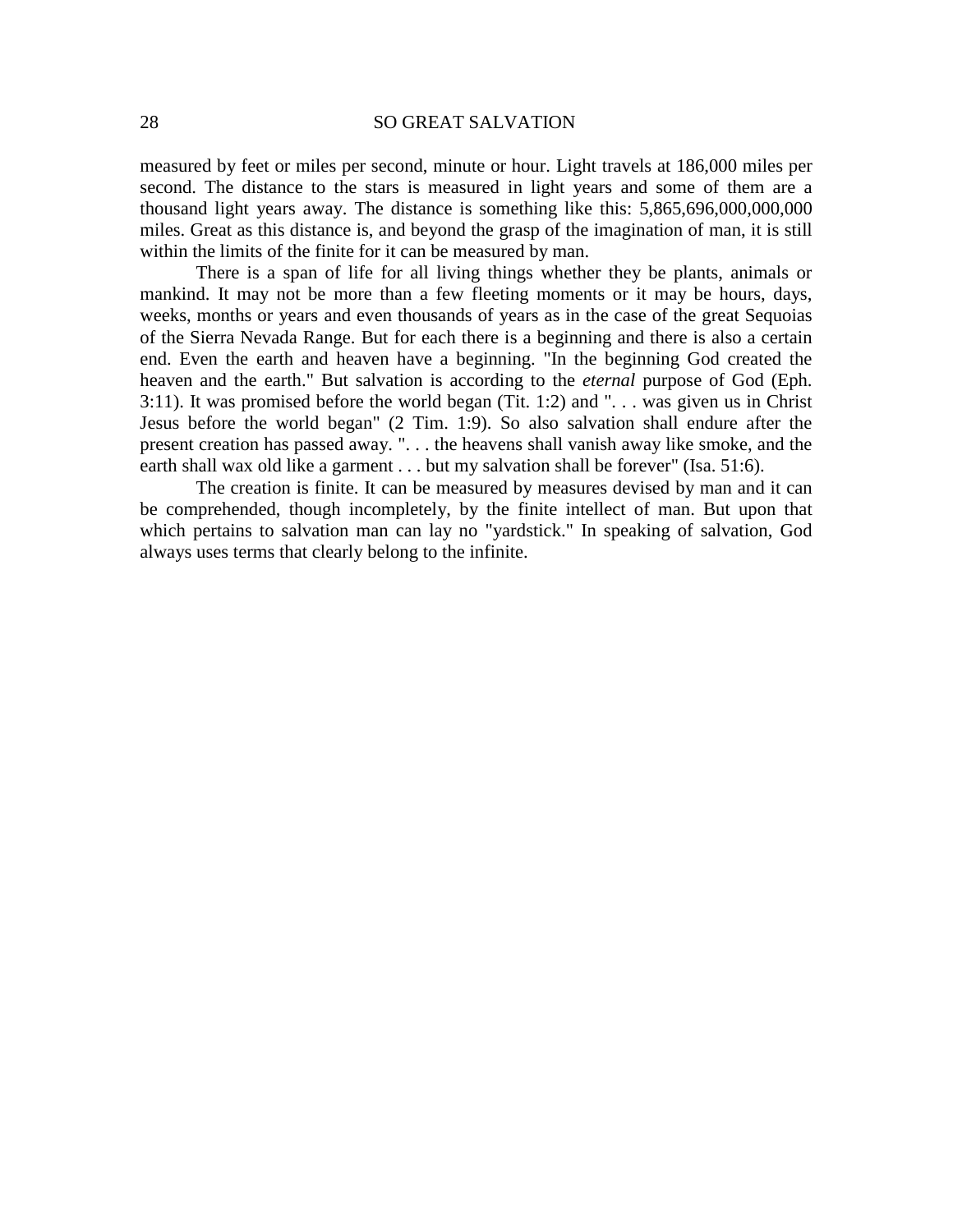measured by feet or miles per second, minute or hour. Light travels at 186,000 miles per second. The distance to the stars is measured in light years and some of them are a thousand light years away. The distance is something like this: 5,865,696,000,000,000 miles. Great as this distance is, and beyond the grasp of the imagination of man, it is still within the limits of the finite for it can be measured by man.

There is a span of life for all living things whether they be plants, animals or mankind. It may not be more than a few fleeting moments or it may be hours, days, weeks, months or years and even thousands of years as in the case of the great Sequoias of the Sierra Nevada Range. But for each there is a beginning and there is also a certain end. Even the earth and heaven have a beginning. "In the beginning God created the heaven and the earth." But salvation is according to the *eternal* purpose of God (Eph. 3:11). It was promised before the world began (Tit. 1:2) and ". . . was given us in Christ Jesus before the world began" (2 Tim. 1:9). So also salvation shall endure after the present creation has passed away. ". . . the heavens shall vanish away like smoke, and the earth shall wax old like a garment . . . but my salvation shall be forever" (Isa. 51:6).

The creation is finite. It can be measured by measures devised by man and it can be comprehended, though incompletely, by the finite intellect of man. But upon that which pertains to salvation man can lay no "yardstick." In speaking of salvation, God always uses terms that clearly belong to the infinite.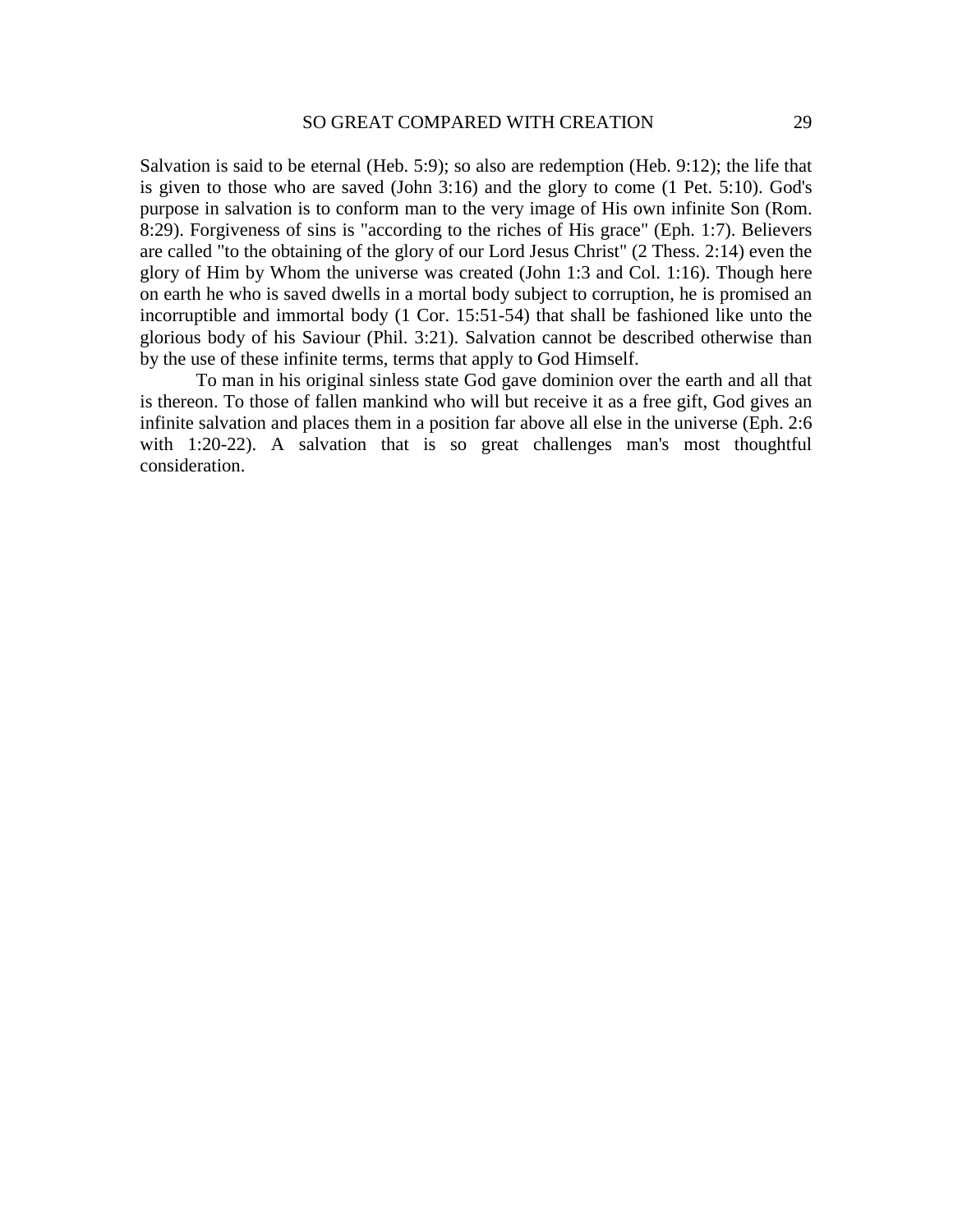Salvation is said to be eternal (Heb. 5:9); so also are redemption (Heb. 9:12); the life that is given to those who are saved (John 3:16) and the glory to come (1 Pet. 5:10). God's purpose in salvation is to conform man to the very image of His own infinite Son (Rom. 8:29). Forgiveness of sins is "according to the riches of His grace" (Eph. 1:7). Believers are called "to the obtaining of the glory of our Lord Jesus Christ" (2 Thess. 2:14) even the glory of Him by Whom the universe was created (John 1:3 and Col. 1:16). Though here on earth he who is saved dwells in a mortal body subject to corruption, he is promised an incorruptible and immortal body (1 Cor. 15:51-54) that shall be fashioned like unto the glorious body of his Saviour (Phil. 3:21). Salvation cannot be described otherwise than by the use of these infinite terms, terms that apply to God Himself.

To man in his original sinless state God gave dominion over the earth and all that is thereon. To those of fallen mankind who will but receive it as a free gift, God gives an infinite salvation and places them in a position far above all else in the universe (Eph. 2:6 with 1:20-22). A salvation that is so great challenges man's most thoughtful consideration.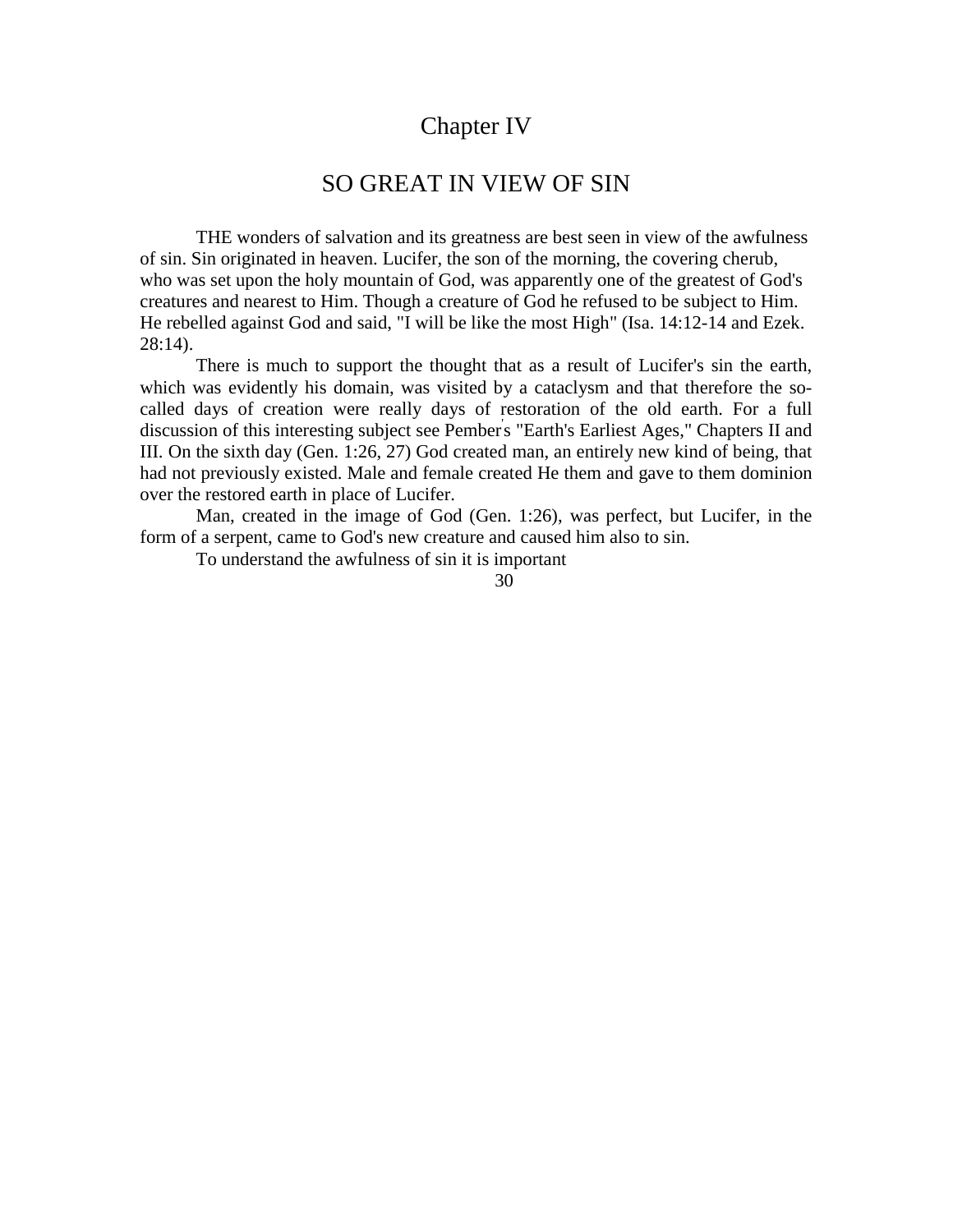## Chapter IV

## SO GREAT IN VIEW OF SIN

THE wonders of salvation and its greatness are best seen in view of the awfulness of sin. Sin originated in heaven. Lucifer, the son of the morning, the covering cherub, who was set upon the holy mountain of God, was apparently one of the greatest of God's creatures and nearest to Him. Though a creature of God he refused to be subject to Him. He rebelled against God and said, "I will be like the most High" (Isa. 14:12-14 and Ezek. 28:14).

There is much to support the thought that as a result of Lucifer's sin the earth, which was evidently his domain, was visited by a cataclysm and that therefore the socalled days of creation were really days of restoration of the old earth. For a full discussion of this interesting subject see Pember' s "Earth's Earliest Ages," Chapters II and III. On the sixth day (Gen. 1:26, 27) God created man, an entirely new kind of being, that had not previously existed. Male and female created He them and gave to them dominion over the restored earth in place of Lucifer.

Man, created in the image of God (Gen. 1:26), was perfect, but Lucifer, in the form of a serpent, came to God's new creature and caused him also to sin.

To understand the awfulness of sin it is important

30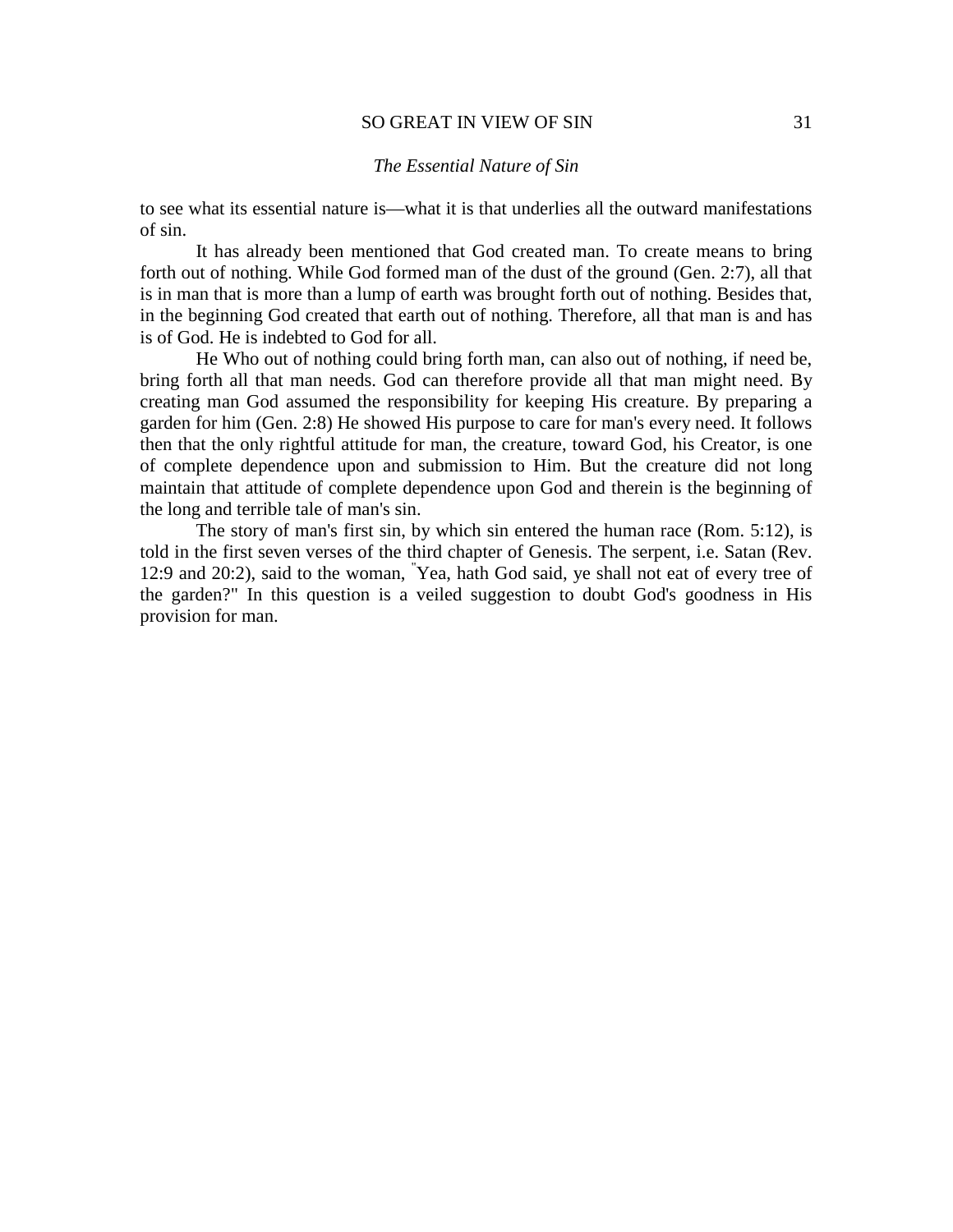#### SO GREAT IN VIEW OF SIN 31

#### *The Essential Nature of Sin*

to see what its essential nature is—what it is that underlies all the outward manifestations of sin.

It has already been mentioned that God created man. To create means to bring forth out of nothing. While God formed man of the dust of the ground (Gen. 2:7), all that is in man that is more than a lump of earth was brought forth out of nothing. Besides that, in the beginning God created that earth out of nothing. Therefore, all that man is and has is of God. He is indebted to God for all.

He Who out of nothing could bring forth man, can also out of nothing, if need be, bring forth all that man needs. God can therefore provide all that man might need. By creating man God assumed the responsibility for keeping His creature. By preparing a garden for him (Gen. 2:8) He showed His purpose to care for man's every need. It follows then that the only rightful attitude for man, the creature, toward God, his Creator, is one of complete dependence upon and submission to Him. But the creature did not long maintain that attitude of complete dependence upon God and therein is the beginning of the long and terrible tale of man's sin.

The story of man's first sin, by which sin entered the human race (Rom. 5:12), is told in the first seven verses of the third chapter of Genesis. The serpent, i.e. Satan (Rev. 12:9 and 20:2), said to the woman, " Yea, hath God said, ye shall not eat of every tree of the garden?" In this question is a veiled suggestion to doubt God's goodness in His provision for man.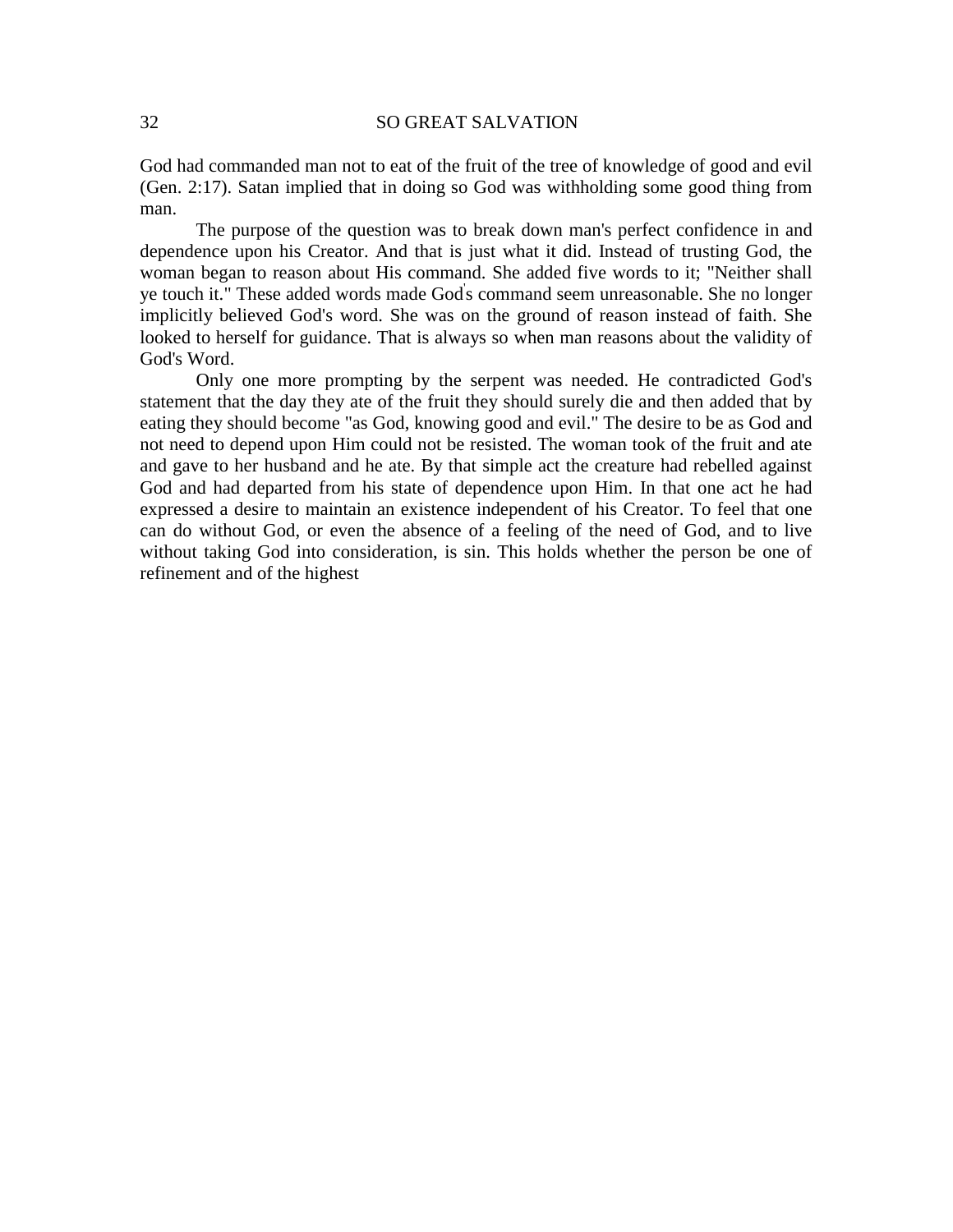God had commanded man not to eat of the fruit of the tree of knowledge of good and evil (Gen. 2:17). Satan implied that in doing so God was withholding some good thing from man.

The purpose of the question was to break down man's perfect confidence in and dependence upon his Creator. And that is just what it did. Instead of trusting God, the woman began to reason about His command. She added five words to it; "Neither shall ye touch it." These added words made God' s command seem unreasonable. She no longer implicitly believed God's word. She was on the ground of reason instead of faith. She looked to herself for guidance. That is always so when man reasons about the validity of God's Word.

Only one more prompting by the serpent was needed. He contradicted God's statement that the day they ate of the fruit they should surely die and then added that by eating they should become "as God, knowing good and evil." The desire to be as God and not need to depend upon Him could not be resisted. The woman took of the fruit and ate and gave to her husband and he ate. By that simple act the creature had rebelled against God and had departed from his state of dependence upon Him. In that one act he had expressed a desire to maintain an existence independent of his Creator. To feel that one can do without God, or even the absence of a feeling of the need of God, and to live without taking God into consideration, is sin. This holds whether the person be one of refinement and of the highest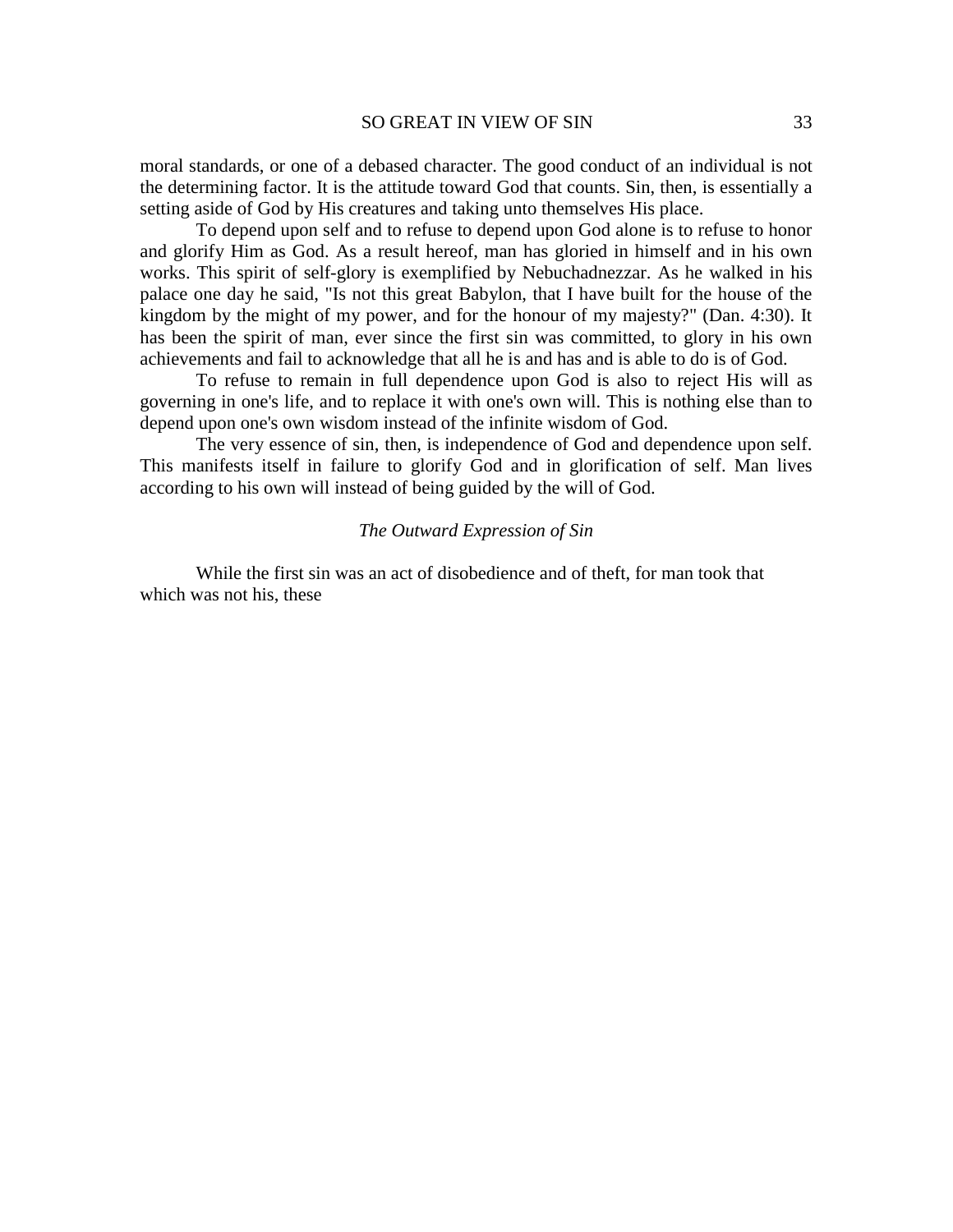#### SO GREAT IN VIEW OF SIN 33

moral standards, or one of a debased character. The good conduct of an individual is not the determining factor. It is the attitude toward God that counts. Sin, then, is essentially a setting aside of God by His creatures and taking unto themselves His place.

To depend upon self and to refuse to depend upon God alone is to refuse to honor and glorify Him as God. As a result hereof, man has gloried in himself and in his own works. This spirit of self-glory is exemplified by Nebuchadnezzar. As he walked in his palace one day he said, "Is not this great Babylon, that I have built for the house of the kingdom by the might of my power, and for the honour of my majesty?" (Dan. 4:30). It has been the spirit of man, ever since the first sin was committed, to glory in his own achievements and fail to acknowledge that all he is and has and is able to do is of God.

To refuse to remain in full dependence upon God is also to reject His will as governing in one's life, and to replace it with one's own will. This is nothing else than to depend upon one's own wisdom instead of the infinite wisdom of God.

The very essence of sin, then, is independence of God and dependence upon self. This manifests itself in failure to glorify God and in glorification of self. Man lives according to his own will instead of being guided by the will of God.

#### *The Outward Expression of Sin*

While the first sin was an act of disobedience and of theft, for man took that which was not his, these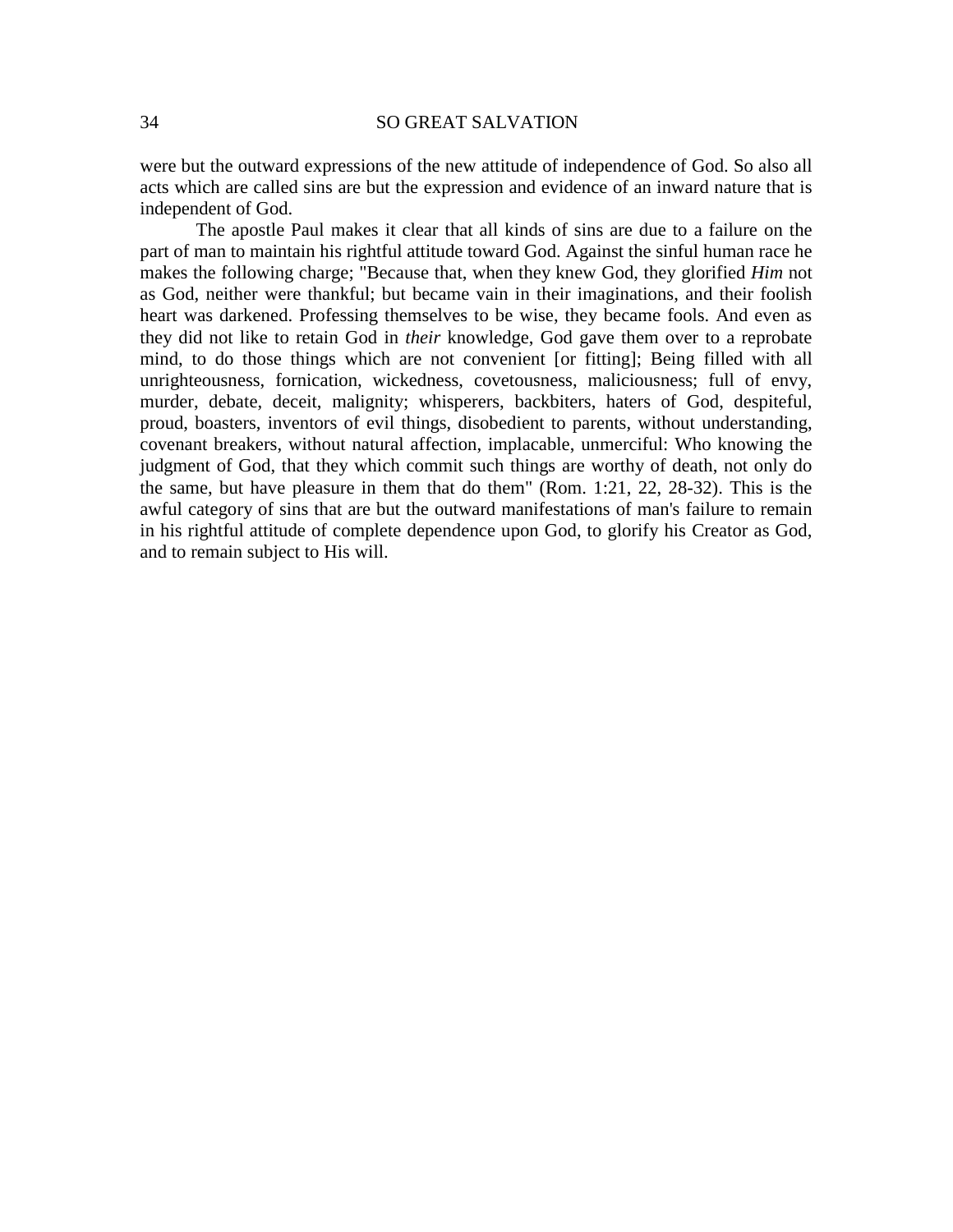were but the outward expressions of the new attitude of independence of God. So also all acts which are called sins are but the expression and evidence of an inward nature that is independent of God.

The apostle Paul makes it clear that all kinds of sins are due to a failure on the part of man to maintain his rightful attitude toward God. Against the sinful human race he makes the following charge; "Because that, when they knew God, they glorified *Him* not as God, neither were thankful; but became vain in their imaginations, and their foolish heart was darkened. Professing themselves to be wise, they became fools. And even as they did not like to retain God in *their* knowledge, God gave them over to a reprobate mind, to do those things which are not convenient [or fitting]; Being filled with all unrighteousness, fornication, wickedness, covetousness, maliciousness; full of envy, murder, debate, deceit, malignity; whisperers, backbiters, haters of God, despiteful, proud, boasters, inventors of evil things, disobedient to parents, without understanding, covenant breakers, without natural affection, implacable, unmerciful: Who knowing the judgment of God, that they which commit such things are worthy of death, not only do the same, but have pleasure in them that do them" (Rom. 1:21, 22, 28-32). This is the awful category of sins that are but the outward manifestations of man's failure to remain in his rightful attitude of complete dependence upon God, to glorify his Creator as God, and to remain subject to His will.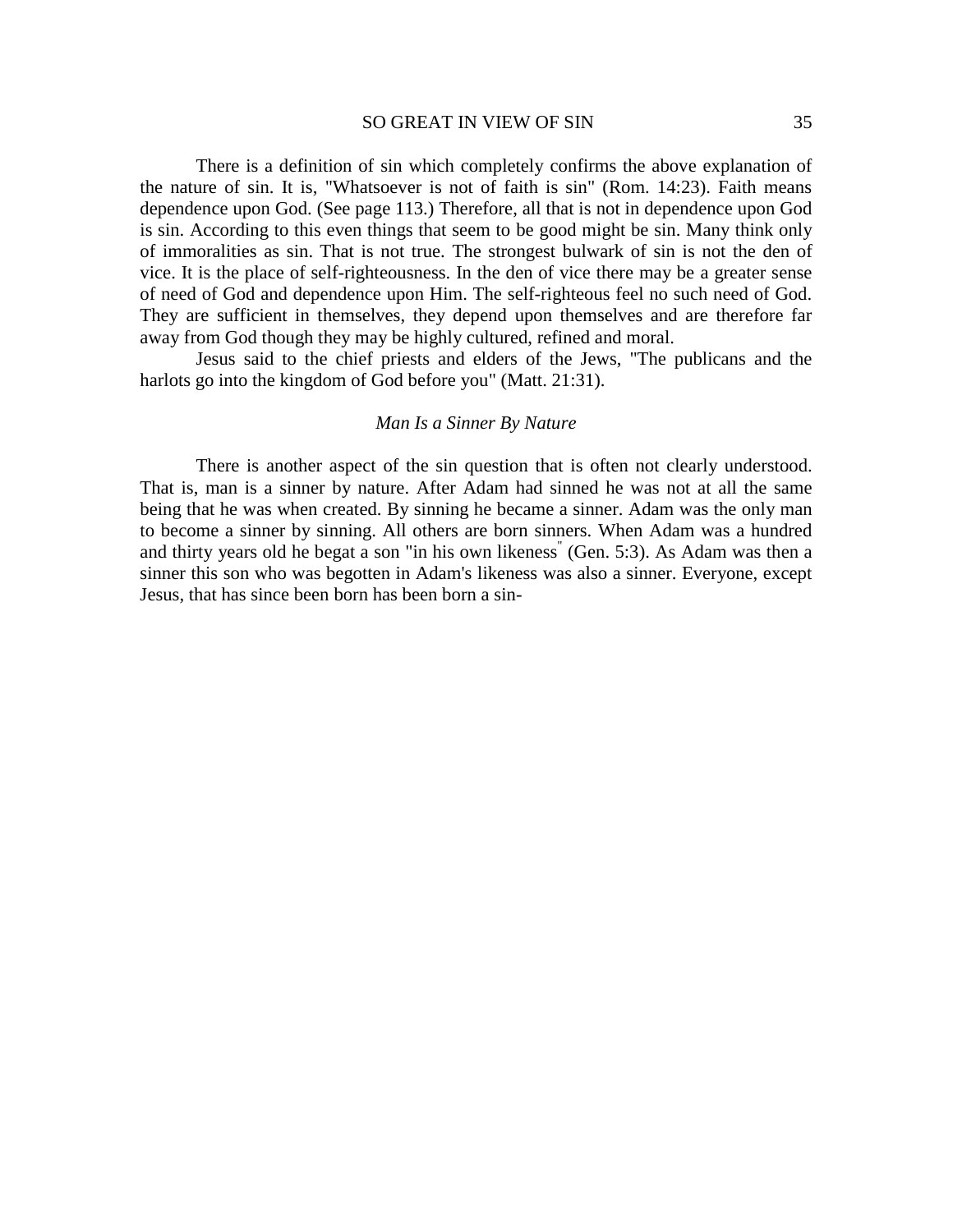#### SO GREAT IN VIEW OF SIN 35

There is a definition of sin which completely confirms the above explanation of the nature of sin. It is, "Whatsoever is not of faith is sin" (Rom. 14:23). Faith means dependence upon God. (See page 113.) Therefore, all that is not in dependence upon God is sin. According to this even things that seem to be good might be sin. Many think only of immoralities as sin. That is not true. The strongest bulwark of sin is not the den of vice. It is the place of self-righteousness. In the den of vice there may be a greater sense of need of God and dependence upon Him. The self-righteous feel no such need of God. They are sufficient in themselves, they depend upon themselves and are therefore far away from God though they may be highly cultured, refined and moral.

Jesus said to the chief priests and elders of the Jews, "The publicans and the harlots go into the kingdom of God before you" (Matt. 21:31).

#### *Man Is a Sinner By Nature*

There is another aspect of the sin question that is often not clearly understood. That is, man is a sinner by nature. After Adam had sinned he was not at all the same being that he was when created. By sinning he became a sinner. Adam was the only man to become a sinner by sinning. All others are born sinners. When Adam was a hundred and thirty years old he begat a son "in his own likeness" (Gen. 5:3). As Adam was then a sinner this son who was begotten in Adam's likeness was also a sinner. Everyone, except Jesus, that has since been born has been born a sin-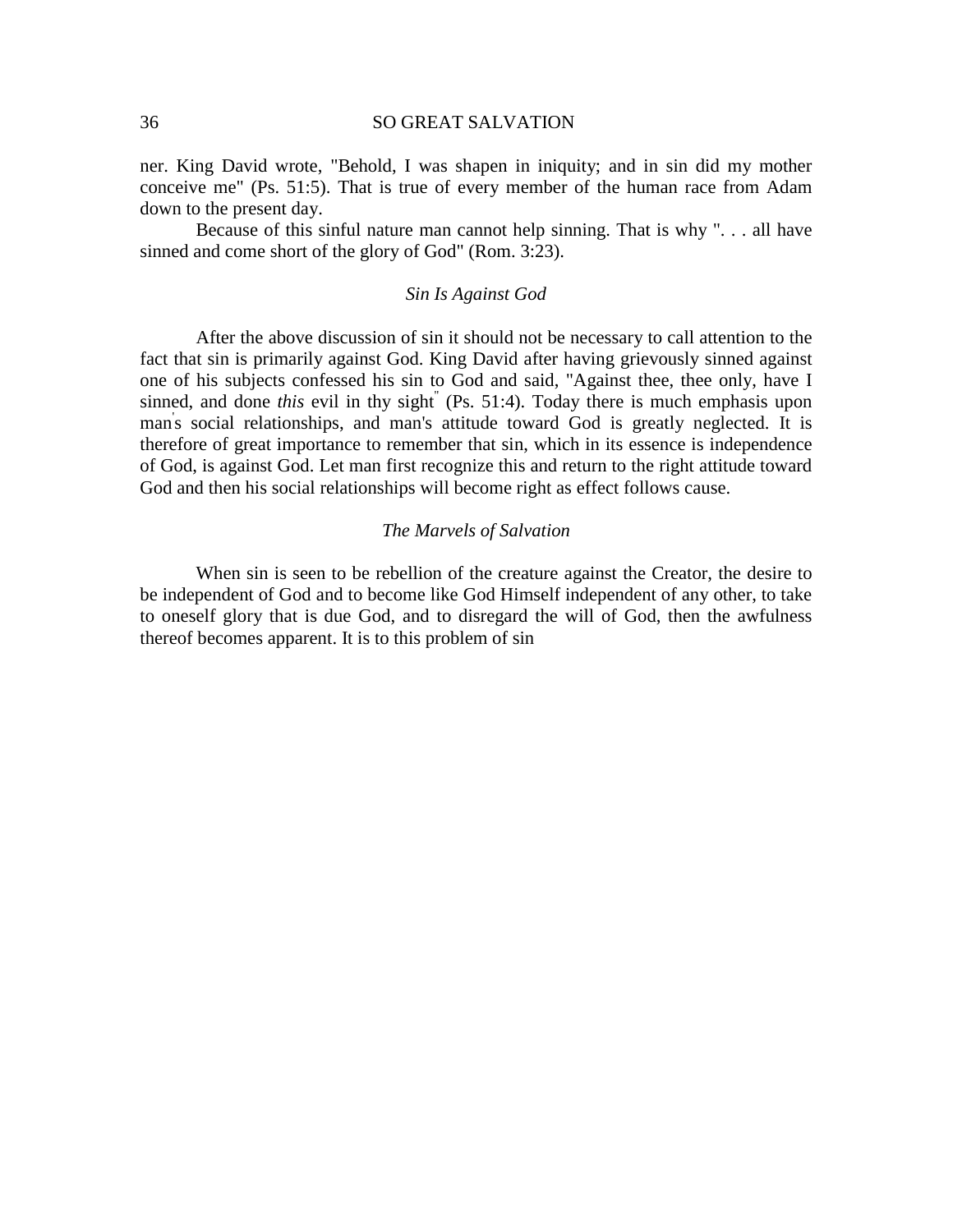ner. King David wrote, "Behold, I was shapen in iniquity; and in sin did my mother conceive me" (Ps. 51:5). That is true of every member of the human race from Adam down to the present day.

Because of this sinful nature man cannot help sinning. That is why ". . . all have sinned and come short of the glory of God" (Rom. 3:23).

#### *Sin Is Against God*

After the above discussion of sin it should not be necessary to call attention to the fact that sin is primarily against God. King David after having grievously sinned against one of his subjects confessed his sin to God and said, "Against thee, thee only, have I sinned, and done *this* evil in thy sight" (Ps. 51:4). Today there is much emphasis upon man' s social relationships, and man's attitude toward God is greatly neglected. It is therefore of great importance to remember that sin, which in its essence is independence of God, is against God. Let man first recognize this and return to the right attitude toward God and then his social relationships will become right as effect follows cause.

#### *The Marvels of Salvation*

When sin is seen to be rebellion of the creature against the Creator, the desire to be independent of God and to become like God Himself independent of any other, to take to oneself glory that is due God, and to disregard the will of God, then the awfulness thereof becomes apparent. It is to this problem of sin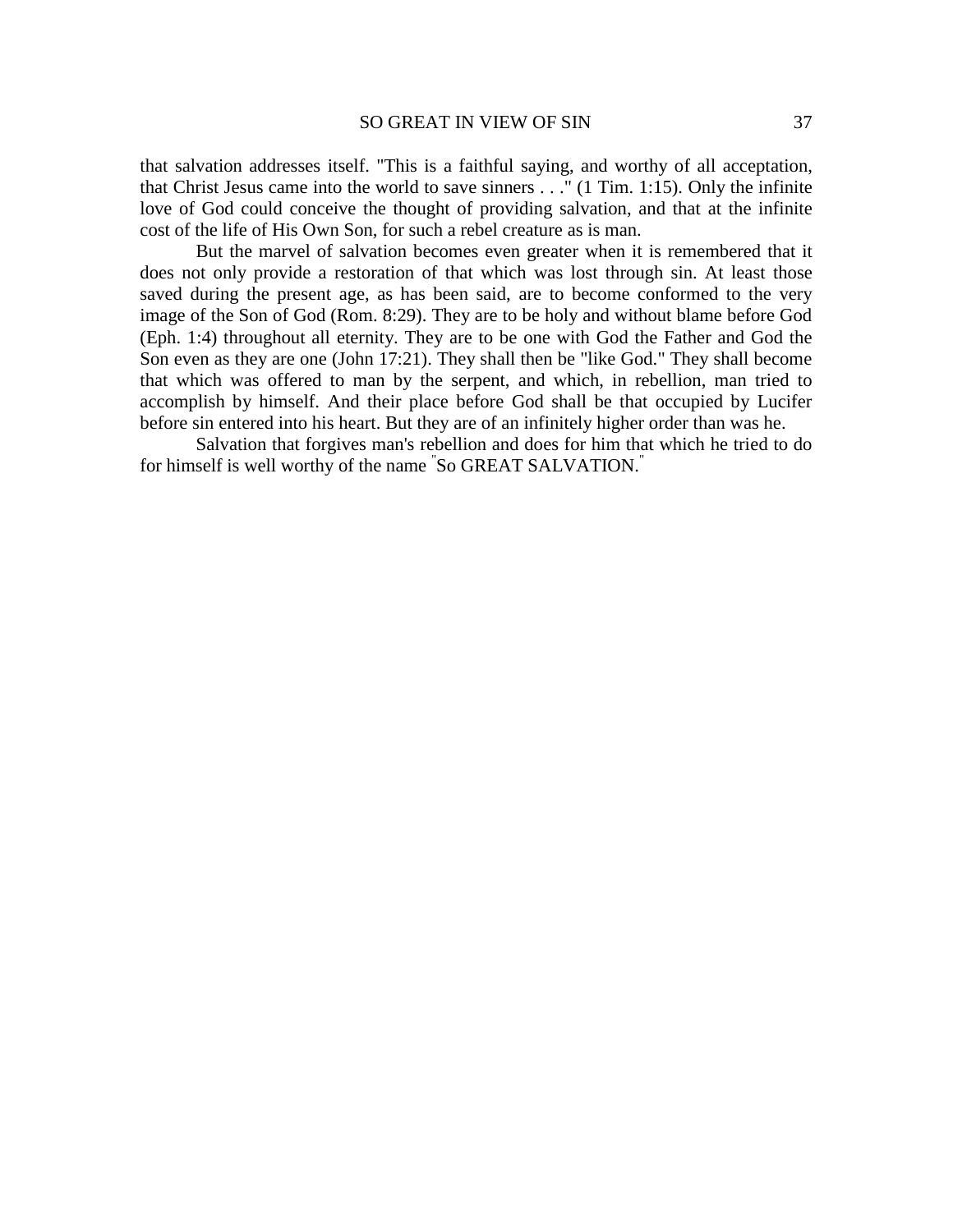that salvation addresses itself. "This is a faithful saying, and worthy of all acceptation, that Christ Jesus came into the world to save sinners . . ." (1 Tim. 1:15). Only the infinite love of God could conceive the thought of providing salvation, and that at the infinite cost of the life of His Own Son, for such a rebel creature as is man.

But the marvel of salvation becomes even greater when it is remembered that it does not only provide a restoration of that which was lost through sin. At least those saved during the present age, as has been said, are to become conformed to the very image of the Son of God (Rom. 8:29). They are to be holy and without blame before God (Eph. 1:4) throughout all eternity. They are to be one with God the Father and God the Son even as they are one (John 17:21). They shall then be "like God." They shall become that which was offered to man by the serpent, and which, in rebellion, man tried to accomplish by himself. And their place before God shall be that occupied by Lucifer before sin entered into his heart. But they are of an infinitely higher order than was he.

Salvation that forgives man's rebellion and does for him that which he tried to do for himself is well worthy of the name <sup>"</sup>So GREAT SALVATION.<sup>"</sup>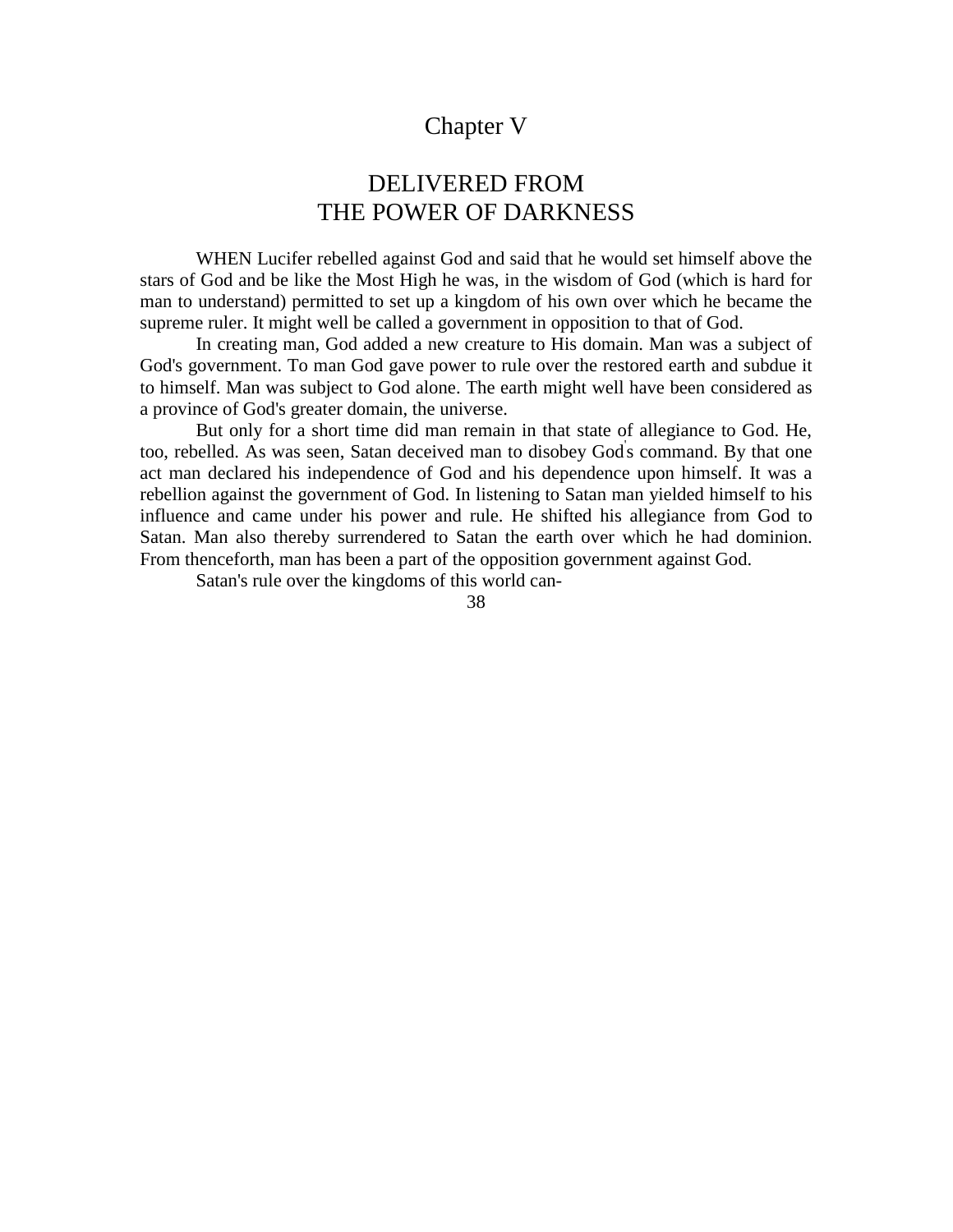## Chapter V

## DELIVERED FROM THE POWER OF DARKNESS

WHEN Lucifer rebelled against God and said that he would set himself above the stars of God and be like the Most High he was, in the wisdom of God (which is hard for man to understand) permitted to set up a kingdom of his own over which he became the supreme ruler. It might well be called a government in opposition to that of God.

In creating man, God added a new creature to His domain. Man was a subject of God's government. To man God gave power to rule over the restored earth and subdue it to himself. Man was subject to God alone. The earth might well have been considered as a province of God's greater domain, the universe.

But only for a short time did man remain in that state of allegiance to God. He, too, rebelled. As was seen, Satan deceived man to disobey God' s command. By that one act man declared his independence of God and his dependence upon himself. It was a rebellion against the government of God. In listening to Satan man yielded himself to his influence and came under his power and rule. He shifted his allegiance from God to Satan. Man also thereby surrendered to Satan the earth over which he had dominion. From thenceforth, man has been a part of the opposition government against God.

Satan's rule over the kingdoms of this world can-

38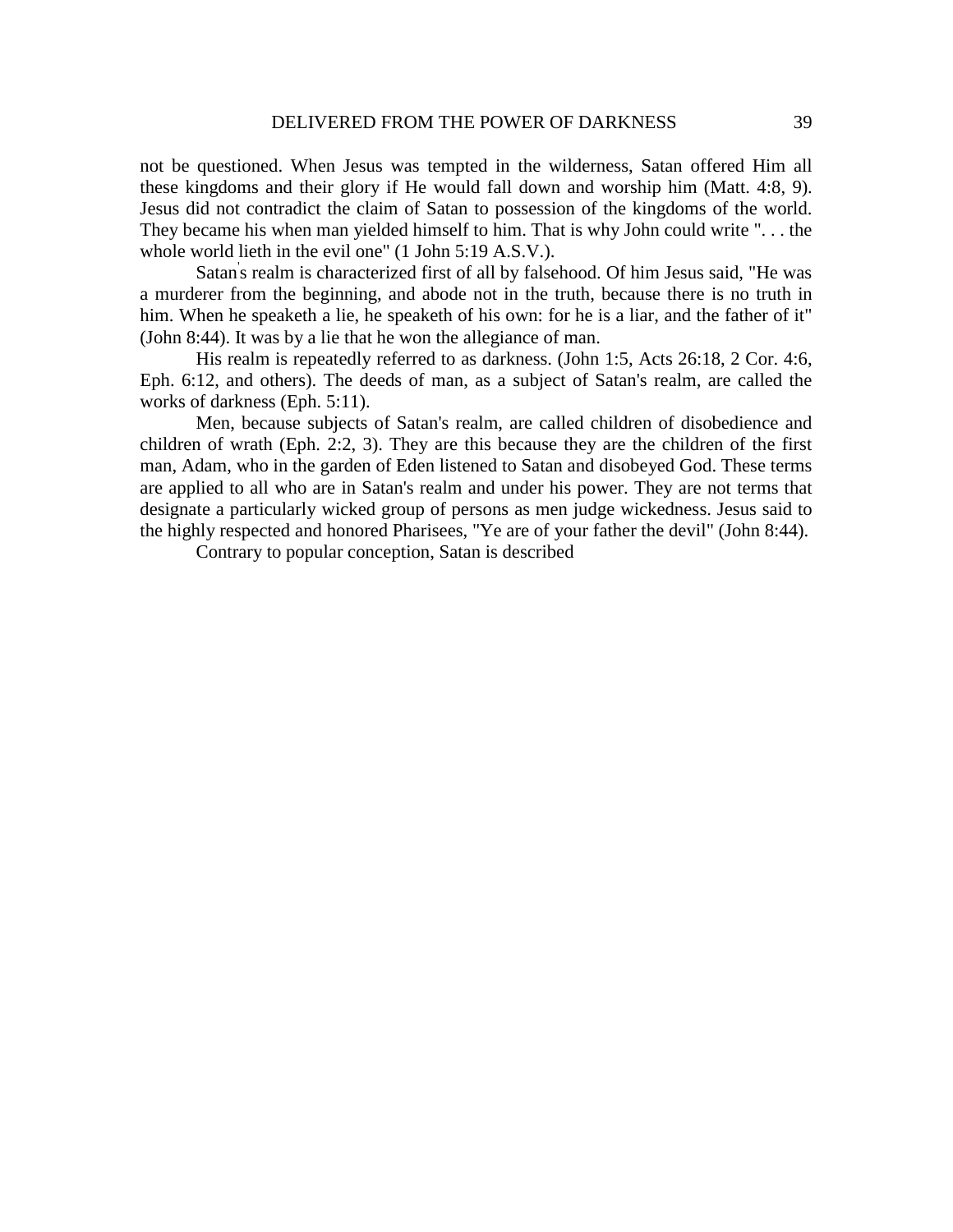not be questioned. When Jesus was tempted in the wilderness, Satan offered Him all these kingdoms and their glory if He would fall down and worship him (Matt. 4:8, 9). Jesus did not contradict the claim of Satan to possession of the kingdoms of the world. They became his when man yielded himself to him. That is why John could write ". . . the whole world lieth in the evil one" (1 John 5:19 A.S.V.).

Satan' s realm is characterized first of all by falsehood. Of him Jesus said, "He was a murderer from the beginning, and abode not in the truth, because there is no truth in him. When he speaketh a lie, he speaketh of his own: for he is a liar, and the father of it" (John 8:44). It was by a lie that he won the allegiance of man.

His realm is repeatedly referred to as darkness. (John 1:5, Acts 26:18, 2 Cor. 4:6, Eph. 6:12, and others). The deeds of man, as a subject of Satan's realm, are called the works of darkness (Eph. 5:11).

Men, because subjects of Satan's realm, are called children of disobedience and children of wrath (Eph. 2:2, 3). They are this because they are the children of the first man, Adam, who in the garden of Eden listened to Satan and disobeyed God. These terms are applied to all who are in Satan's realm and under his power. They are not terms that designate a particularly wicked group of persons as men judge wickedness. Jesus said to the highly respected and honored Pharisees, "Ye are of your father the devil" (John 8:44).

Contrary to popular conception, Satan is described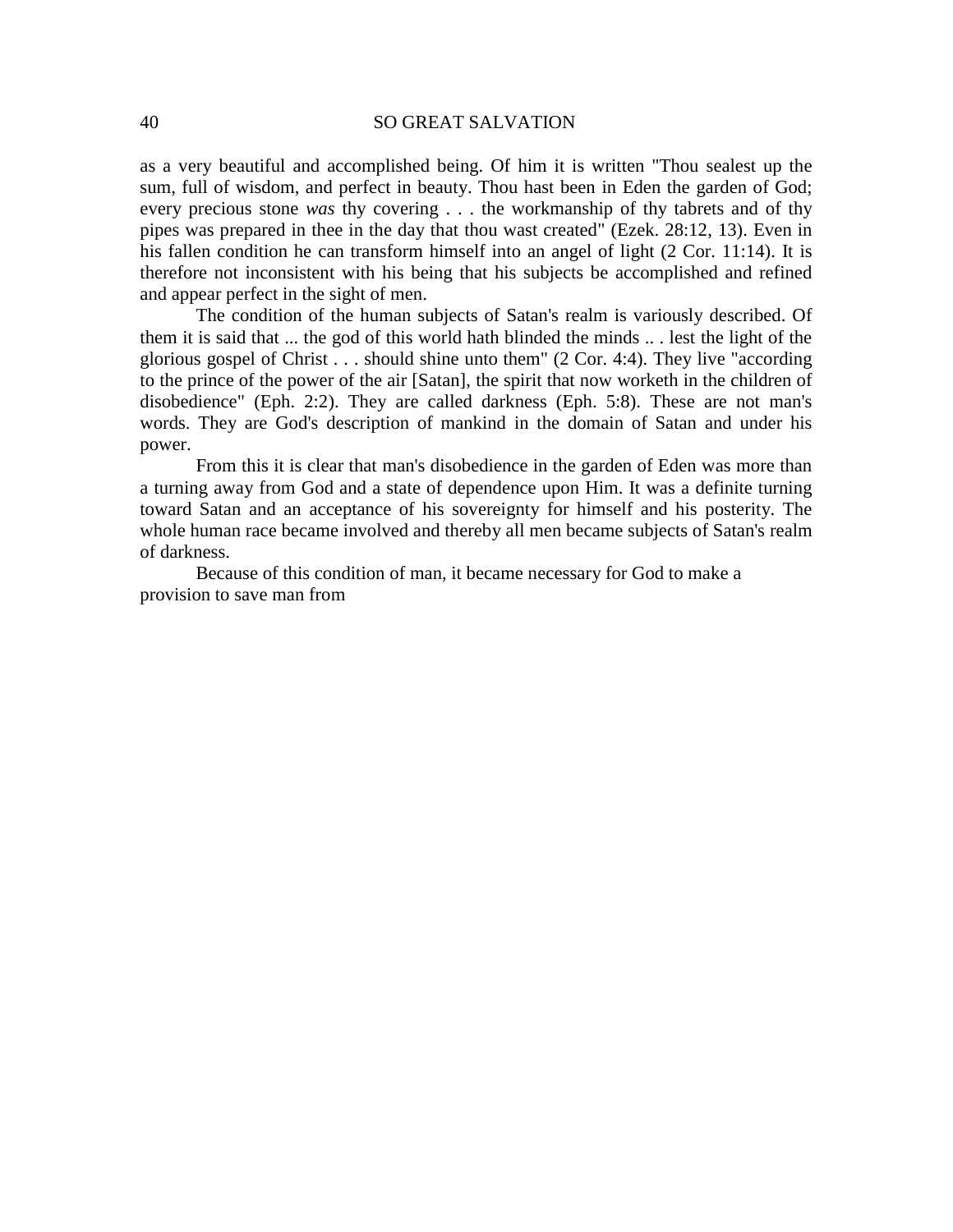as a very beautiful and accomplished being. Of him it is written "Thou sealest up the sum, full of wisdom, and perfect in beauty. Thou hast been in Eden the garden of God; every precious stone *was* thy covering . . . the workmanship of thy tabrets and of thy pipes was prepared in thee in the day that thou wast created" (Ezek. 28:12, 13). Even in his fallen condition he can transform himself into an angel of light (2 Cor. 11:14). It is therefore not inconsistent with his being that his subjects be accomplished and refined and appear perfect in the sight of men.

The condition of the human subjects of Satan's realm is variously described. Of them it is said that ... the god of this world hath blinded the minds .. . lest the light of the glorious gospel of Christ . . . should shine unto them" (2 Cor. 4:4). They live "according to the prince of the power of the air [Satan], the spirit that now worketh in the children of disobedience" (Eph. 2:2). They are called darkness (Eph. 5:8). These are not man's words. They are God's description of mankind in the domain of Satan and under his power.

From this it is clear that man's disobedience in the garden of Eden was more than a turning away from God and a state of dependence upon Him. It was a definite turning toward Satan and an acceptance of his sovereignty for himself and his posterity. The whole human race became involved and thereby all men became subjects of Satan's realm of darkness.

Because of this condition of man, it became necessary for God to make a provision to save man from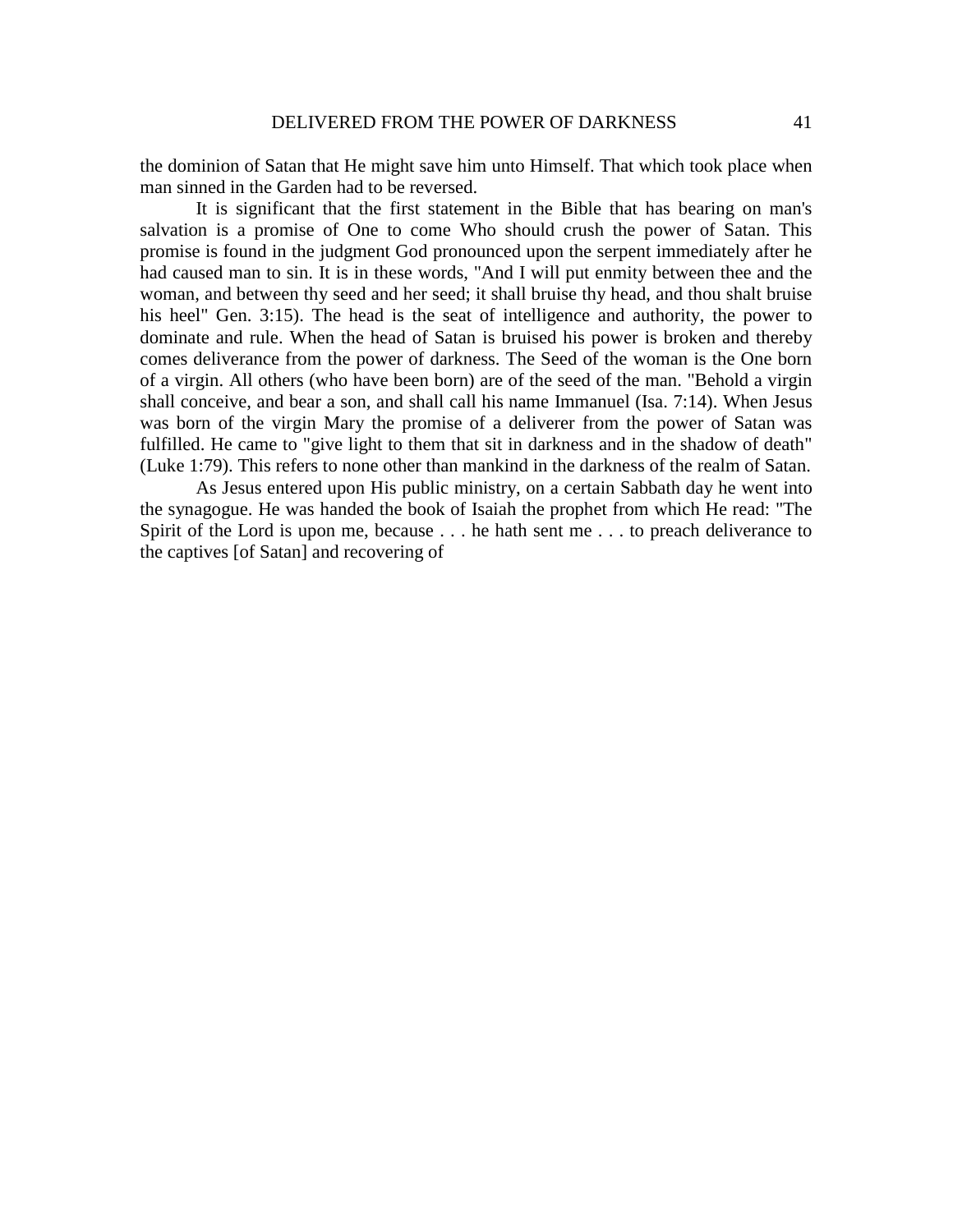the dominion of Satan that He might save him unto Himself. That which took place when man sinned in the Garden had to be reversed.

It is significant that the first statement in the Bible that has bearing on man's salvation is a promise of One to come Who should crush the power of Satan. This promise is found in the judgment God pronounced upon the serpent immediately after he had caused man to sin. It is in these words, "And I will put enmity between thee and the woman, and between thy seed and her seed; it shall bruise thy head, and thou shalt bruise his heel" Gen. 3:15). The head is the seat of intelligence and authority, the power to dominate and rule. When the head of Satan is bruised his power is broken and thereby comes deliverance from the power of darkness. The Seed of the woman is the One born of a virgin. All others (who have been born) are of the seed of the man. "Behold a virgin shall conceive, and bear a son, and shall call his name Immanuel (Isa. 7:14). When Jesus was born of the virgin Mary the promise of a deliverer from the power of Satan was fulfilled. He came to "give light to them that sit in darkness and in the shadow of death" (Luke 1:79). This refers to none other than mankind in the darkness of the realm of Satan.

As Jesus entered upon His public ministry, on a certain Sabbath day he went into the synagogue. He was handed the book of Isaiah the prophet from which He read: "The Spirit of the Lord is upon me, because . . . he hath sent me . . . to preach deliverance to the captives [of Satan] and recovering of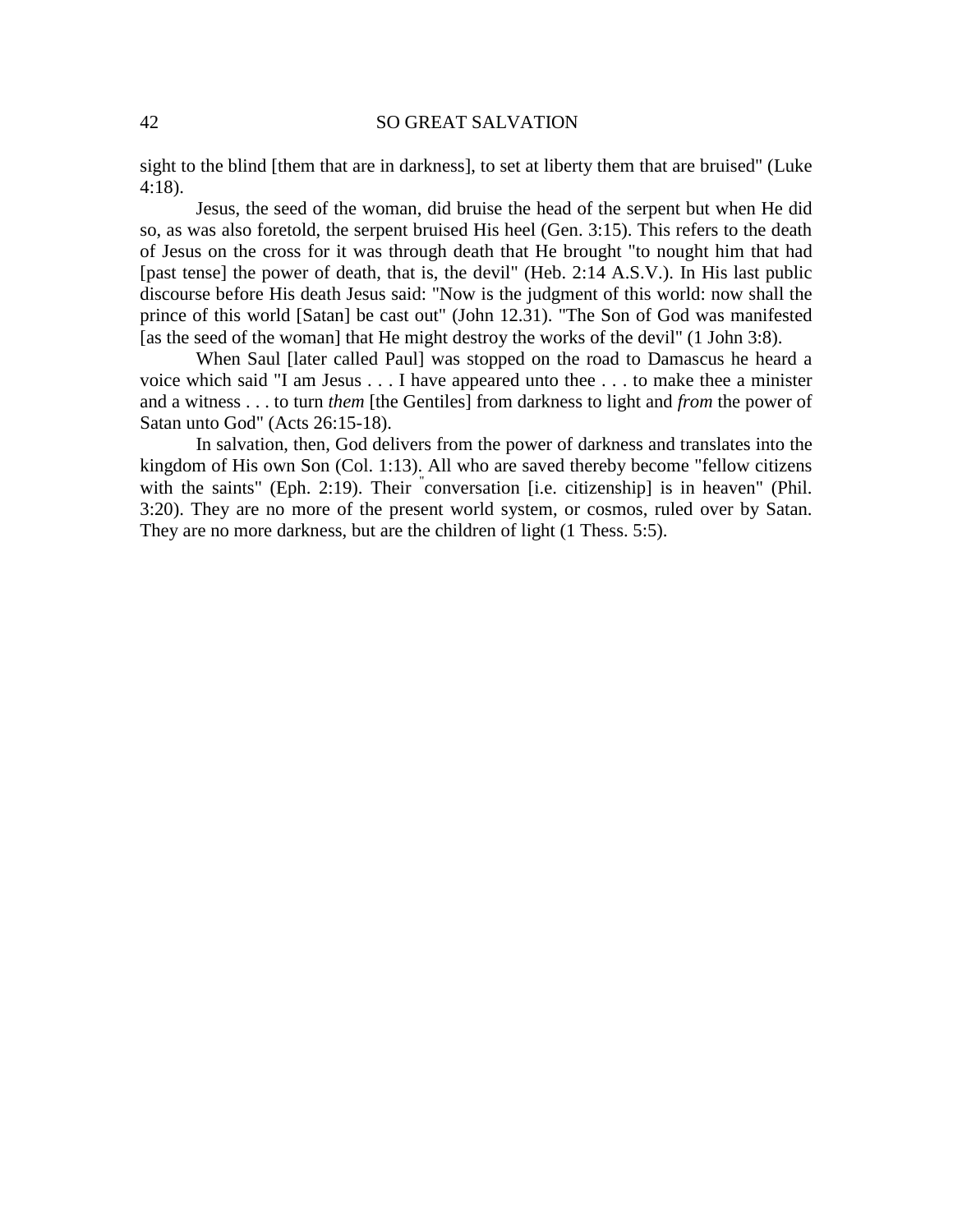sight to the blind [them that are in darkness], to set at liberty them that are bruised" (Luke 4:18).

Jesus, the seed of the woman, did bruise the head of the serpent but when He did so, as was also foretold, the serpent bruised His heel (Gen. 3:15). This refers to the death of Jesus on the cross for it was through death that He brought "to nought him that had [past tense] the power of death, that is, the devil" (Heb. 2:14 A.S.V.). In His last public discourse before His death Jesus said: "Now is the judgment of this world: now shall the prince of this world [Satan] be cast out" (John 12.31). "The Son of God was manifested [as the seed of the woman] that He might destroy the works of the devil" (1 John 3:8).

When Saul [later called Paul] was stopped on the road to Damascus he heard a voice which said "I am Jesus . . . I have appeared unto thee . . . to make thee a minister and a witness . . . to turn *them* [the Gentiles] from darkness to light and *from* the power of Satan unto God" (Acts 26:15-18).

In salvation, then, God delivers from the power of darkness and translates into the kingdom of His own Son (Col. 1:13). All who are saved thereby become "fellow citizens with the saints" (Eph. 2:19). Their <sup>"</sup>conversation [i.e. citizenship] is in heaven" (Phil. 3:20). They are no more of the present world system, or cosmos, ruled over by Satan. They are no more darkness, but are the children of light (1 Thess. 5:5).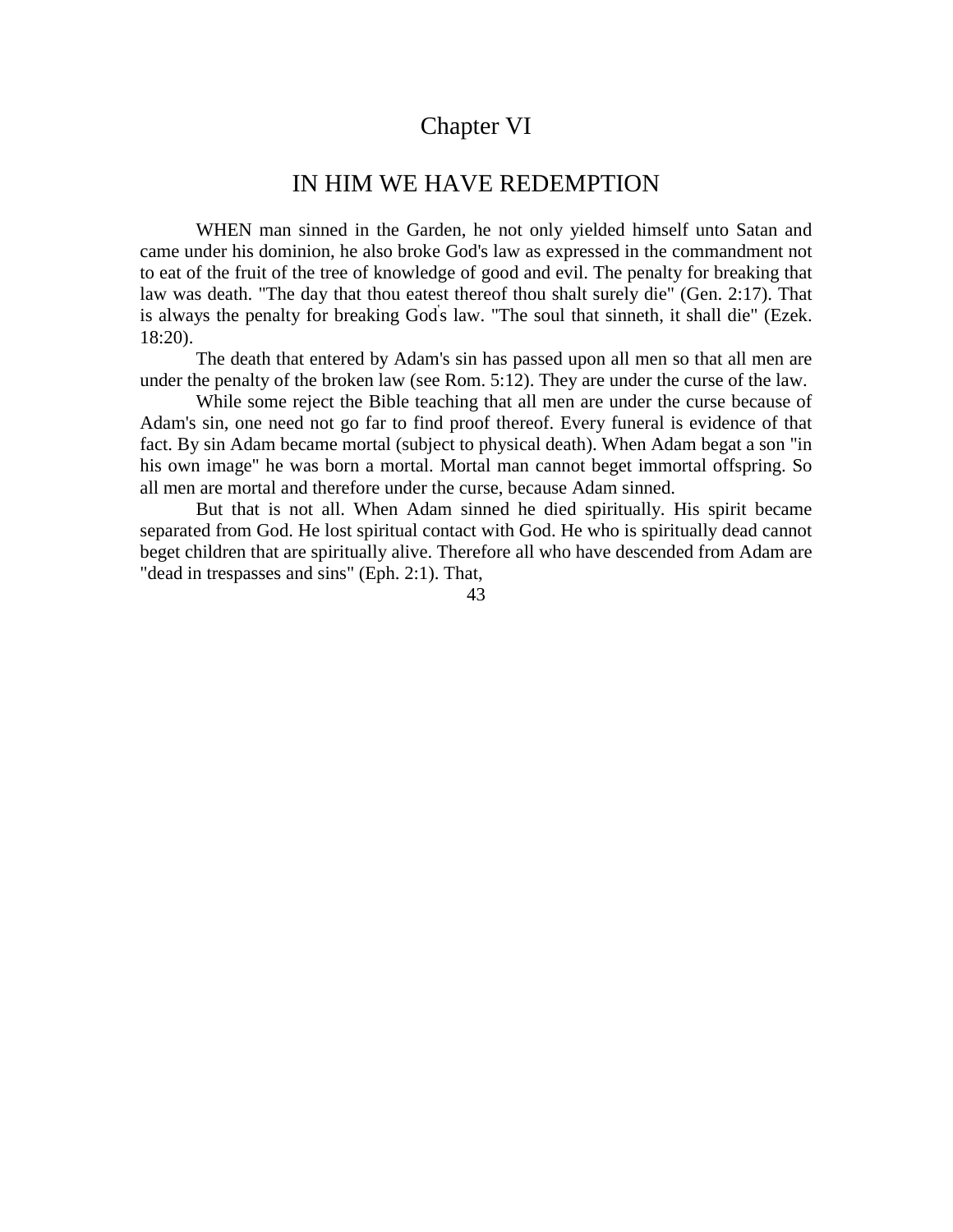# Chapter VI

# IN HIM WE HAVE REDEMPTION

WHEN man sinned in the Garden, he not only yielded himself unto Satan and came under his dominion, he also broke God's law as expressed in the commandment not to eat of the fruit of the tree of knowledge of good and evil. The penalty for breaking that law was death. "The day that thou eatest thereof thou shalt surely die" (Gen. 2:17). That is always the penalty for breaking God' s law. "The soul that sinneth, it shall die" (Ezek. 18:20).

The death that entered by Adam's sin has passed upon all men so that all men are under the penalty of the broken law (see Rom. 5:12). They are under the curse of the law.

While some reject the Bible teaching that all men are under the curse because of Adam's sin, one need not go far to find proof thereof. Every funeral is evidence of that fact. By sin Adam became mortal (subject to physical death). When Adam begat a son "in his own image" he was born a mortal. Mortal man cannot beget immortal offspring. So all men are mortal and therefore under the curse, because Adam sinned.

But that is not all. When Adam sinned he died spiritually. His spirit became separated from God. He lost spiritual contact with God. He who is spiritually dead cannot beget children that are spiritually alive. Therefore all who have descended from Adam are "dead in trespasses and sins" (Eph. 2:1). That,

43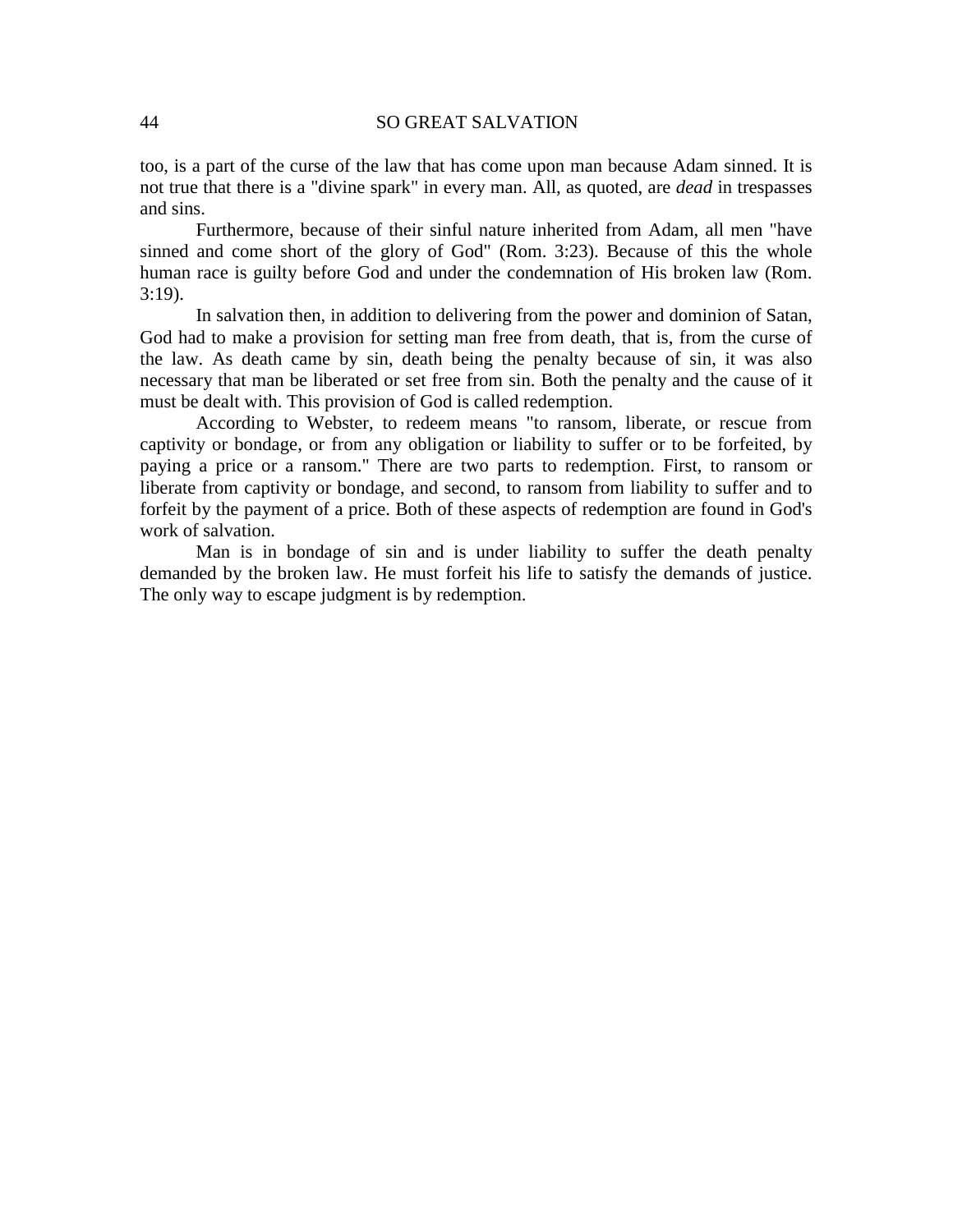too, is a part of the curse of the law that has come upon man because Adam sinned. It is not true that there is a "divine spark" in every man. All, as quoted, are *dead* in trespasses and sins.

Furthermore, because of their sinful nature inherited from Adam, all men "have sinned and come short of the glory of God" (Rom. 3:23). Because of this the whole human race is guilty before God and under the condemnation of His broken law (Rom. 3:19).

In salvation then, in addition to delivering from the power and dominion of Satan, God had to make a provision for setting man free from death, that is, from the curse of the law. As death came by sin, death being the penalty because of sin, it was also necessary that man be liberated or set free from sin. Both the penalty and the cause of it must be dealt with. This provision of God is called redemption.

According to Webster, to redeem means "to ransom, liberate, or rescue from captivity or bondage, or from any obligation or liability to suffer or to be forfeited, by paying a price or a ransom." There are two parts to redemption. First, to ransom or liberate from captivity or bondage, and second, to ransom from liability to suffer and to forfeit by the payment of a price. Both of these aspects of redemption are found in God's work of salvation.

Man is in bondage of sin and is under liability to suffer the death penalty demanded by the broken law. He must forfeit his life to satisfy the demands of justice. The only way to escape judgment is by redemption.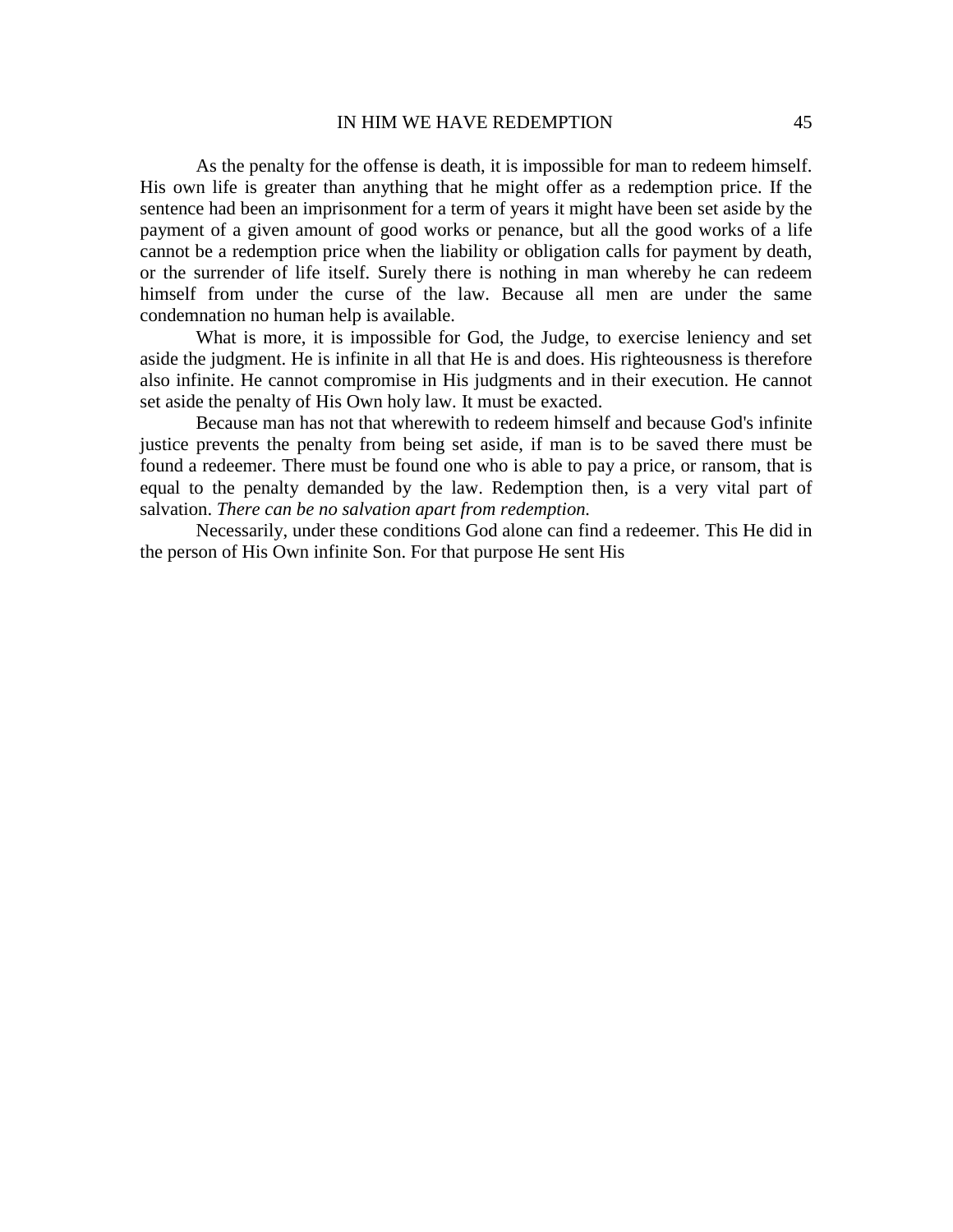#### IN HIM WE HAVE REDEMPTION 45

As the penalty for the offense is death, it is impossible for man to redeem himself. His own life is greater than anything that he might offer as a redemption price. If the sentence had been an imprisonment for a term of years it might have been set aside by the payment of a given amount of good works or penance, but all the good works of a life cannot be a redemption price when the liability or obligation calls for payment by death, or the surrender of life itself. Surely there is nothing in man whereby he can redeem himself from under the curse of the law. Because all men are under the same condemnation no human help is available.

What is more, it is impossible for God, the Judge, to exercise leniency and set aside the judgment. He is infinite in all that He is and does. His righteousness is therefore also infinite. He cannot compromise in His judgments and in their execution. He cannot set aside the penalty of His Own holy law. It must be exacted.

Because man has not that wherewith to redeem himself and because God's infinite justice prevents the penalty from being set aside, if man is to be saved there must be found a redeemer. There must be found one who is able to pay a price, or ransom, that is equal to the penalty demanded by the law. Redemption then, is a very vital part of salvation. *There can be no salvation apart from redemption.*

Necessarily, under these conditions God alone can find a redeemer. This He did in the person of His Own infinite Son. For that purpose He sent His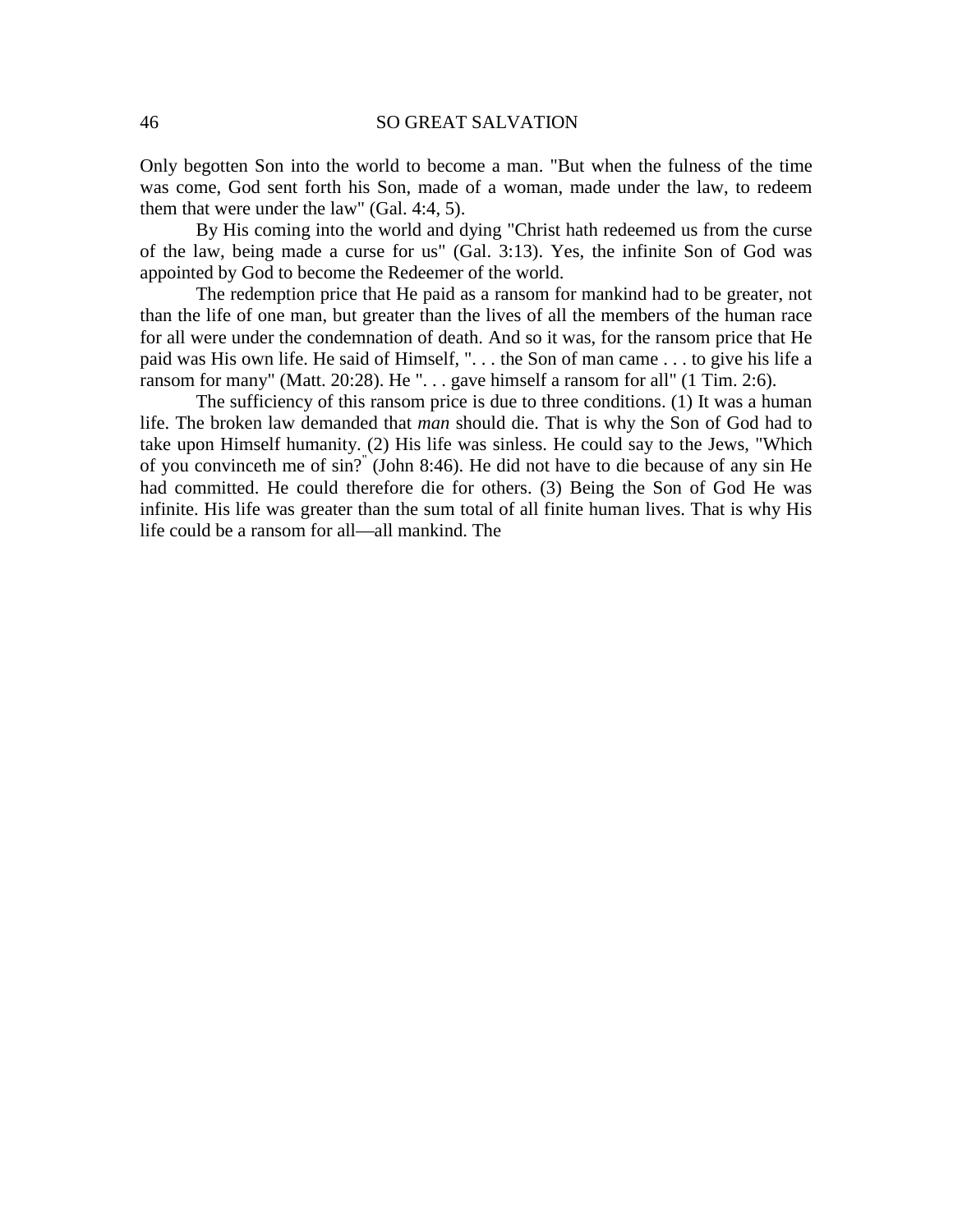Only begotten Son into the world to become a man. "But when the fulness of the time was come, God sent forth his Son, made of a woman, made under the law, to redeem them that were under the law" (Gal. 4:4, 5).

By His coming into the world and dying "Christ hath redeemed us from the curse of the law, being made a curse for us" (Gal. 3:13). Yes, the infinite Son of God was appointed by God to become the Redeemer of the world.

The redemption price that He paid as a ransom for mankind had to be greater, not than the life of one man, but greater than the lives of all the members of the human race for all were under the condemnation of death. And so it was, for the ransom price that He paid was His own life. He said of Himself, ". . . the Son of man came . . . to give his life a ransom for many" (Matt. 20:28). He " $\ldots$  gave himself a ransom for all" (1 Tim. 2:6).

The sufficiency of this ransom price is due to three conditions. (1) It was a human life. The broken law demanded that *man* should die. That is why the Son of God had to take upon Himself humanity. (2) His life was sinless. He could say to the Jews, "Which of you convinceth me of sin?" (John 8:46). He did not have to die because of any sin He had committed. He could therefore die for others. (3) Being the Son of God He was infinite. His life was greater than the sum total of all finite human lives. That is why His life could be a ransom for all—all mankind. The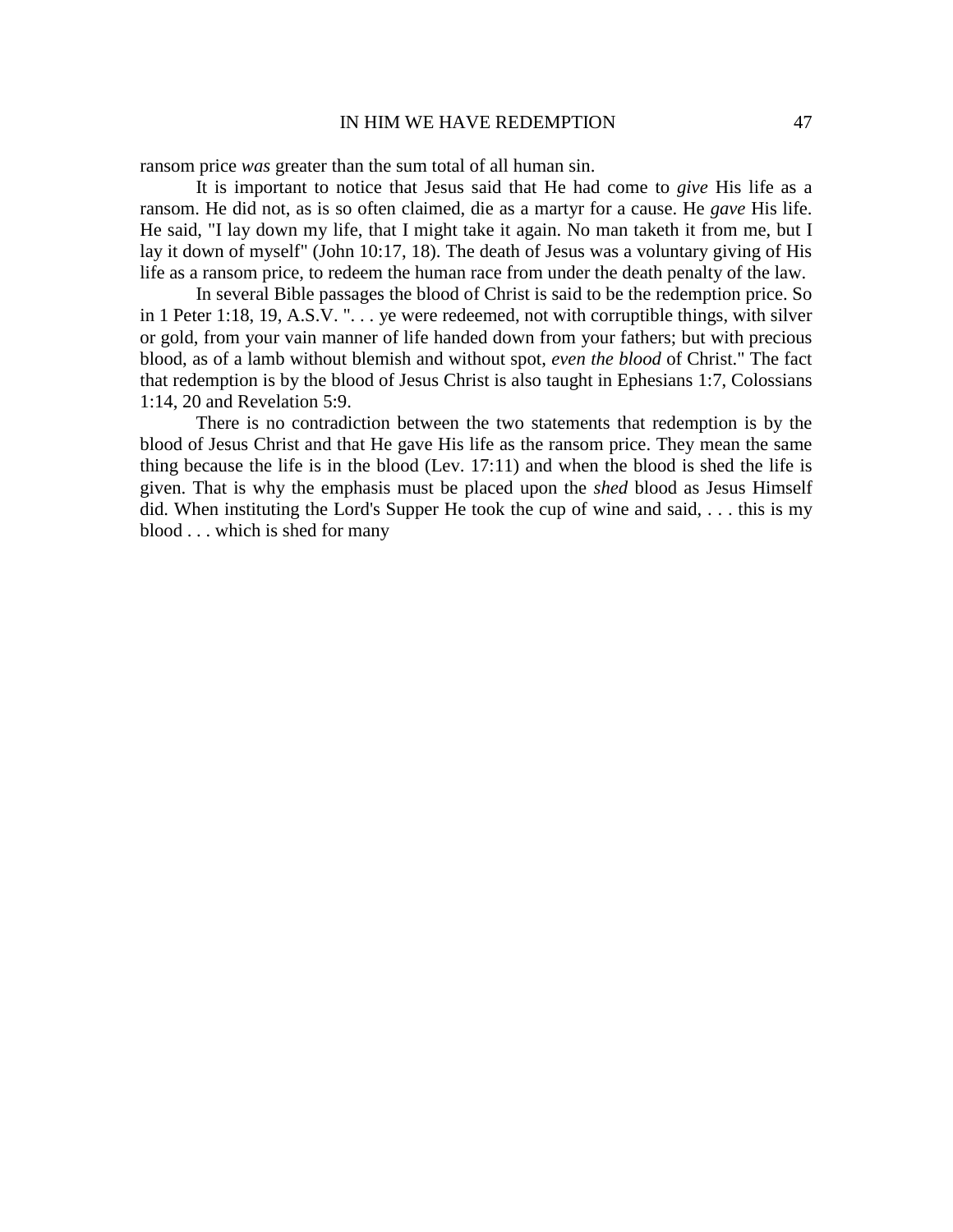### IN HIM WE HAVE REDEMPTION 47

ransom price *was* greater than the sum total of all human sin.

It is important to notice that Jesus said that He had come to *give* His life as a ransom. He did not, as is so often claimed, die as a martyr for a cause. He *gave* His life. He said, "I lay down my life, that I might take it again. No man taketh it from me, but I lay it down of myself" (John 10:17, 18). The death of Jesus was a voluntary giving of His life as a ransom price, to redeem the human race from under the death penalty of the law.

In several Bible passages the blood of Christ is said to be the redemption price. So in 1 Peter 1:18, 19, A.S.V. ". . . ye were redeemed, not with corruptible things, with silver or gold, from your vain manner of life handed down from your fathers; but with precious blood, as of a lamb without blemish and without spot, *even the blood* of Christ." The fact that redemption is by the blood of Jesus Christ is also taught in Ephesians 1:7, Colossians 1:14, 20 and Revelation 5:9.

There is no contradiction between the two statements that redemption is by the blood of Jesus Christ and that He gave His life as the ransom price. They mean the same thing because the life is in the blood (Lev. 17:11) and when the blood is shed the life is given. That is why the emphasis must be placed upon the *shed* blood as Jesus Himself did. When instituting the Lord's Supper He took the cup of wine and said, . . . this is my blood . . . which is shed for many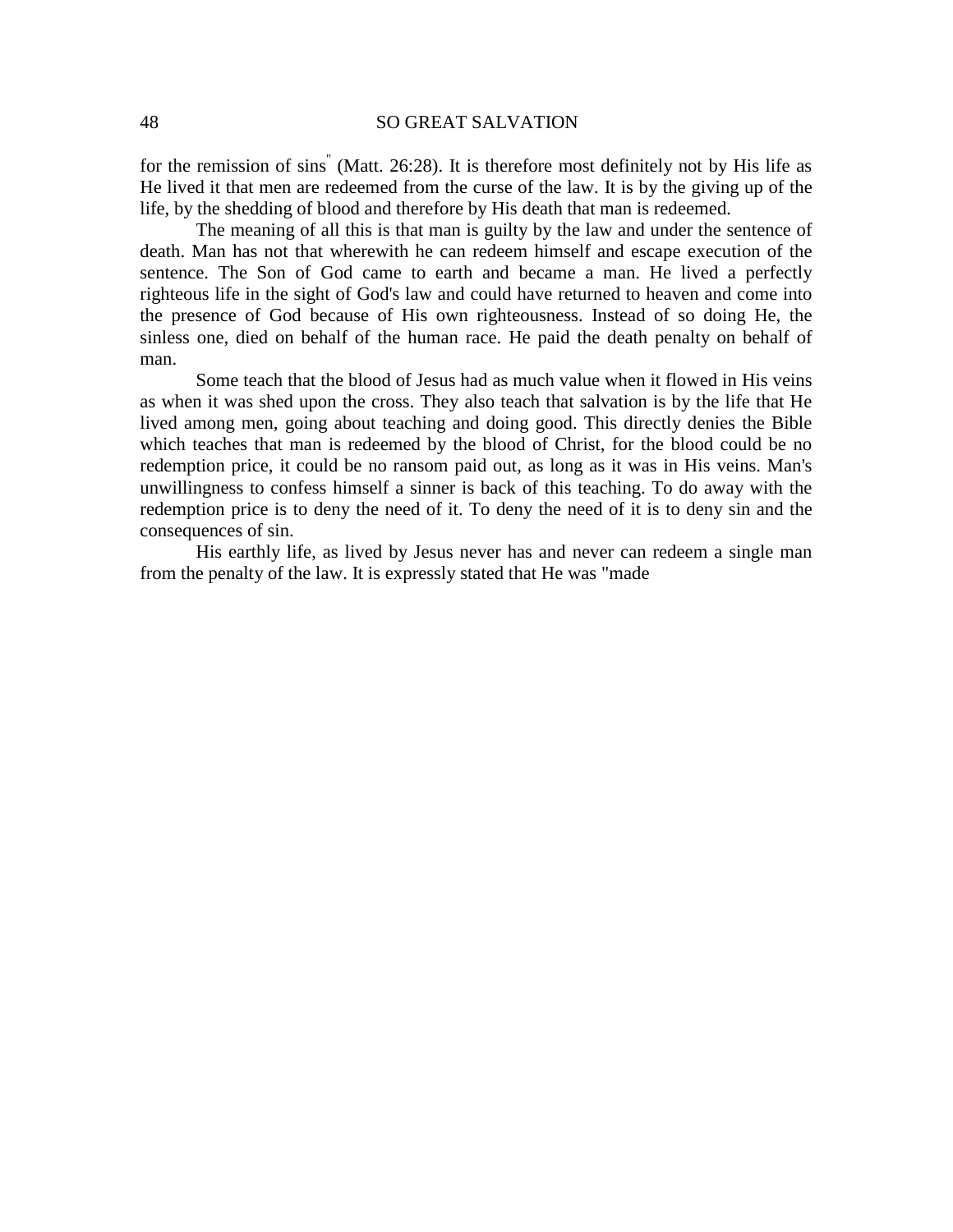for the remission of sins" (Matt. 26:28). It is therefore most definitely not by His life as He lived it that men are redeemed from the curse of the law. It is by the giving up of the life, by the shedding of blood and therefore by His death that man is redeemed.

The meaning of all this is that man is guilty by the law and under the sentence of death. Man has not that wherewith he can redeem himself and escape execution of the sentence. The Son of God came to earth and became a man. He lived a perfectly righteous life in the sight of God's law and could have returned to heaven and come into the presence of God because of His own righteousness. Instead of so doing He, the sinless one, died on behalf of the human race. He paid the death penalty on behalf of man.

Some teach that the blood of Jesus had as much value when it flowed in His veins as when it was shed upon the cross. They also teach that salvation is by the life that He lived among men, going about teaching and doing good. This directly denies the Bible which teaches that man is redeemed by the blood of Christ, for the blood could be no redemption price, it could be no ransom paid out, as long as it was in His veins. Man's unwillingness to confess himself a sinner is back of this teaching. To do away with the redemption price is to deny the need of it. To deny the need of it is to deny sin and the consequences of sin.

His earthly life, as lived by Jesus never has and never can redeem a single man from the penalty of the law. It is expressly stated that He was "made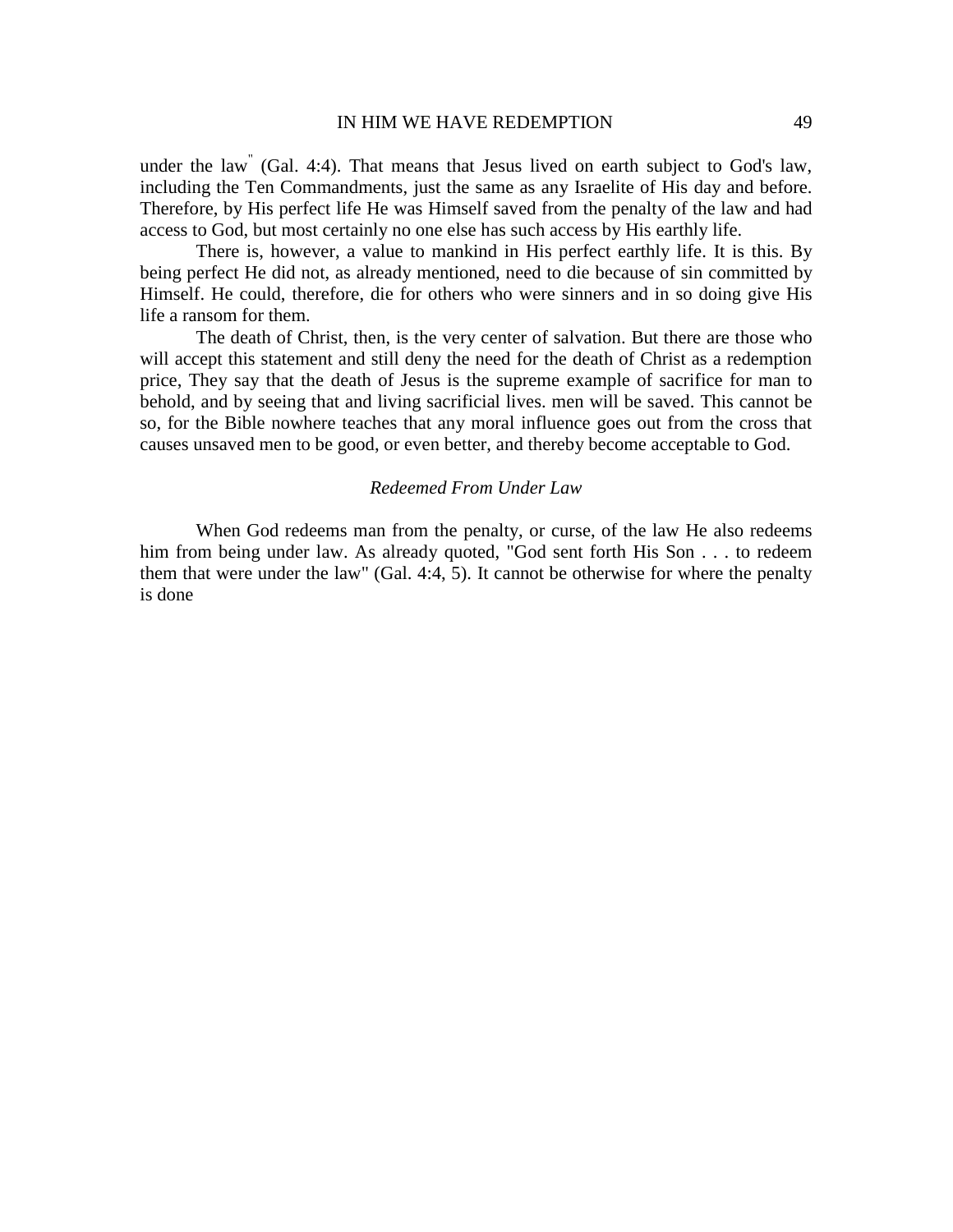### IN HIM WE HAVE REDEMPTION 49

under the law" (Gal. 4:4). That means that Jesus lived on earth subject to God's law, including the Ten Commandments, just the same as any Israelite of His day and before. Therefore, by His perfect life He was Himself saved from the penalty of the law and had access to God, but most certainly no one else has such access by His earthly life.

There is, however, a value to mankind in His perfect earthly life. It is this. By being perfect He did not, as already mentioned, need to die because of sin committed by Himself. He could, therefore, die for others who were sinners and in so doing give His life a ransom for them.

The death of Christ, then, is the very center of salvation. But there are those who will accept this statement and still deny the need for the death of Christ as a redemption price, They say that the death of Jesus is the supreme example of sacrifice for man to behold, and by seeing that and living sacrificial lives. men will be saved. This cannot be so, for the Bible nowhere teaches that any moral influence goes out from the cross that causes unsaved men to be good, or even better, and thereby become acceptable to God.

# *Redeemed From Under Law*

When God redeems man from the penalty, or curse, of the law He also redeems him from being under law. As already quoted, "God sent forth His Son . . . to redeem them that were under the law" (Gal. 4:4, 5). It cannot be otherwise for where the penalty is done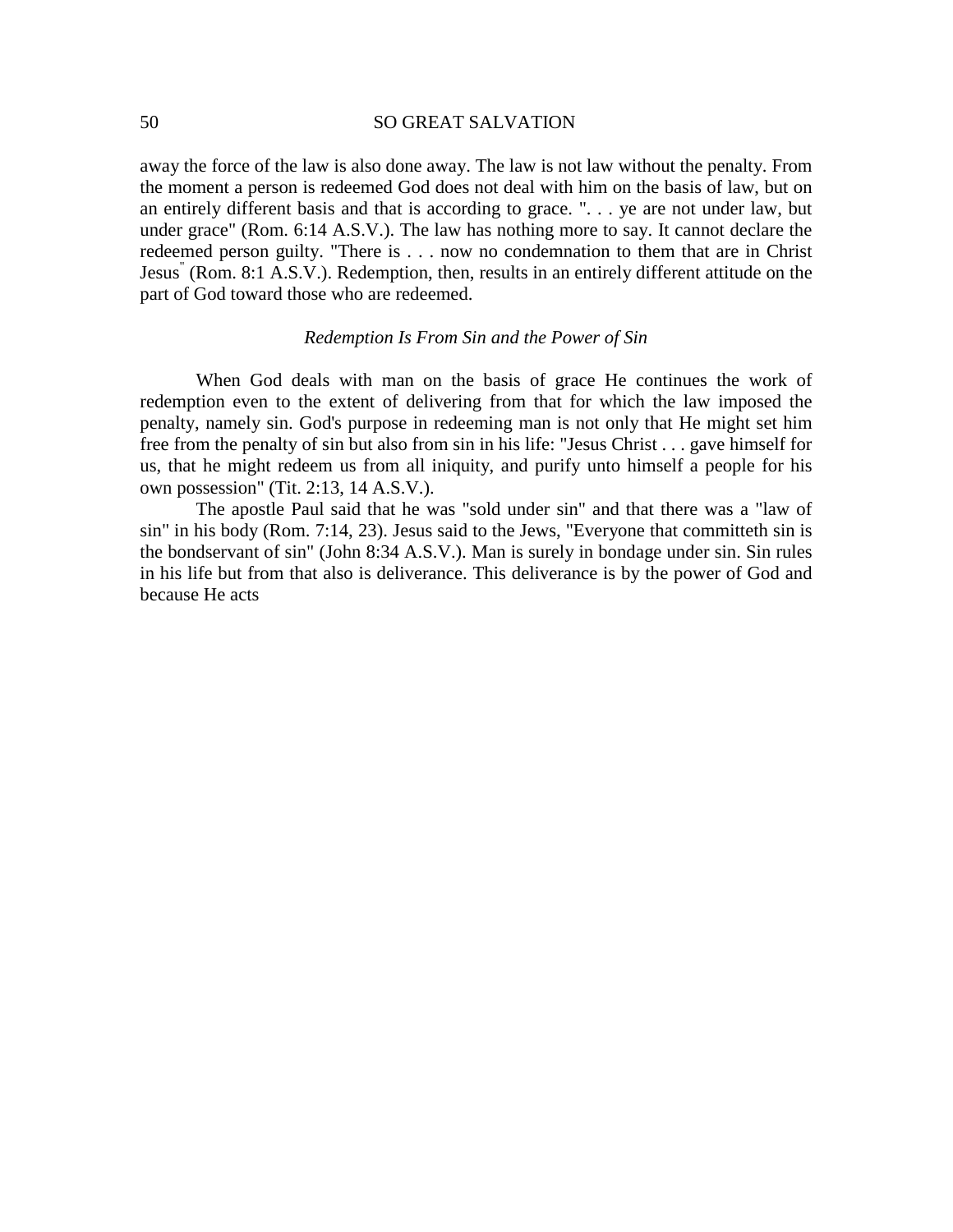away the force of the law is also done away. The law is not law without the penalty. From the moment a person is redeemed God does not deal with him on the basis of law, but on an entirely different basis and that is according to grace. ". . . ye are not under law, but under grace" (Rom. 6:14 A.S.V.). The law has nothing more to say. It cannot declare the redeemed person guilty. "There is . . . now no condemnation to them that are in Christ Jesus" (Rom. 8:1 A.S.V.). Redemption, then, results in an entirely different attitude on the part of God toward those who are redeemed.

# *Redemption Is From Sin and the Power of Sin*

When God deals with man on the basis of grace He continues the work of redemption even to the extent of delivering from that for which the law imposed the penalty, namely sin. God's purpose in redeeming man is not only that He might set him free from the penalty of sin but also from sin in his life: "Jesus Christ . . . gave himself for us, that he might redeem us from all iniquity, and purify unto himself a people for his own possession" (Tit. 2:13, 14 A.S.V.).

The apostle Paul said that he was "sold under sin" and that there was a "law of sin" in his body (Rom. 7:14, 23). Jesus said to the Jews, "Everyone that committeth sin is the bondservant of sin" (John 8:34 A.S.V.). Man is surely in bondage under sin. Sin rules in his life but from that also is deliverance. This deliverance is by the power of God and because He acts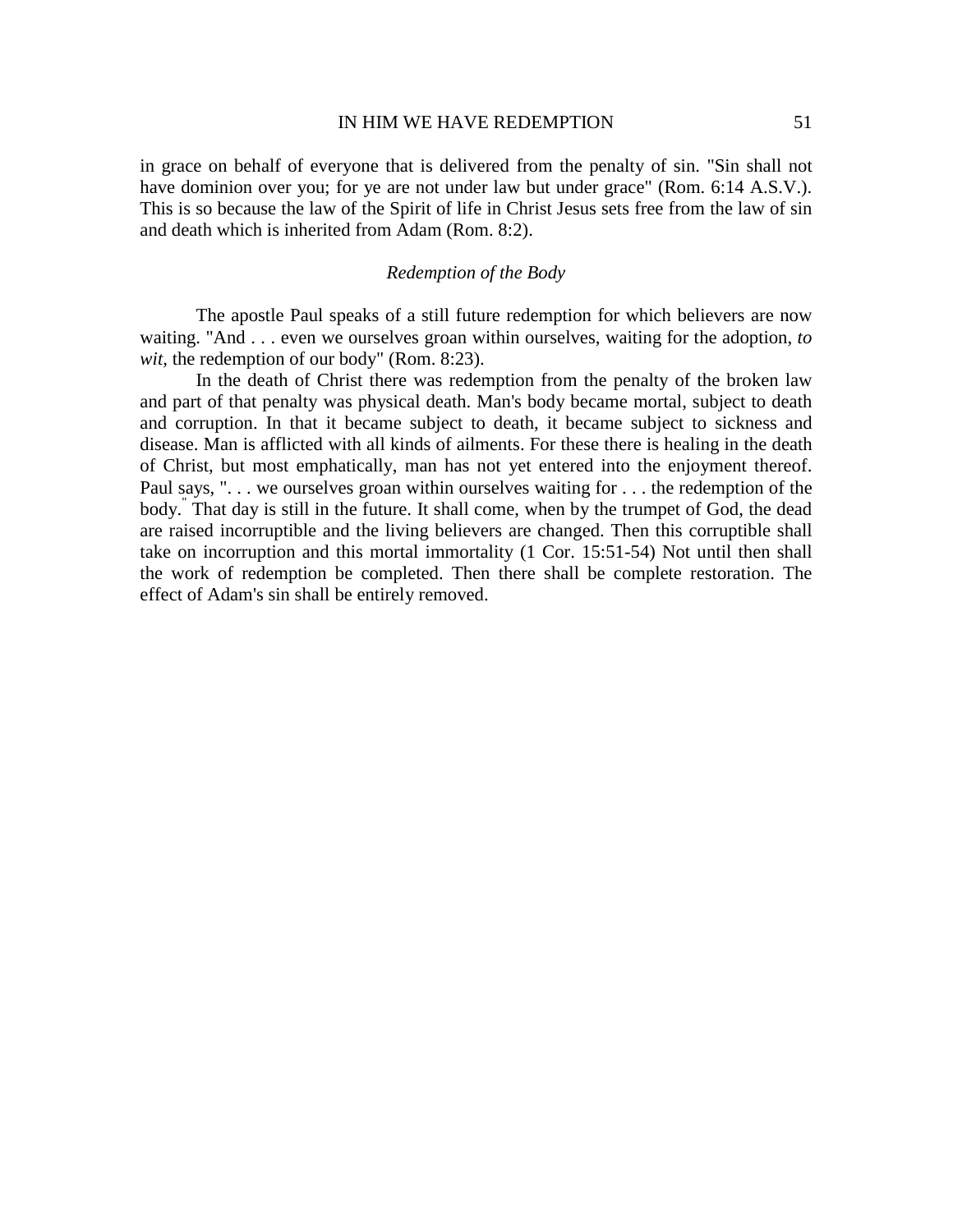in grace on behalf of everyone that is delivered from the penalty of sin. "Sin shall not have dominion over you; for ye are not under law but under grace" (Rom. 6:14 A.S.V.). This is so because the law of the Spirit of life in Christ Jesus sets free from the law of sin and death which is inherited from Adam (Rom. 8:2).

### *Redemption of the Body*

The apostle Paul speaks of a still future redemption for which believers are now waiting. "And . . . even we ourselves groan within ourselves, waiting for the adoption, *to wit,* the redemption of our body" (Rom. 8:23).

In the death of Christ there was redemption from the penalty of the broken law and part of that penalty was physical death. Man's body became mortal, subject to death and corruption. In that it became subject to death, it became subject to sickness and disease. Man is afflicted with all kinds of ailments. For these there is healing in the death of Christ, but most emphatically, man has not yet entered into the enjoyment thereof. Paul says, "... we ourselves groan within ourselves waiting for ... the redemption of the body." That day is still in the future. It shall come, when by the trumpet of God, the dead are raised incorruptible and the living believers are changed. Then this corruptible shall take on incorruption and this mortal immortality (1 Cor. 15:51-54) Not until then shall the work of redemption be completed. Then there shall be complete restoration. The effect of Adam's sin shall be entirely removed.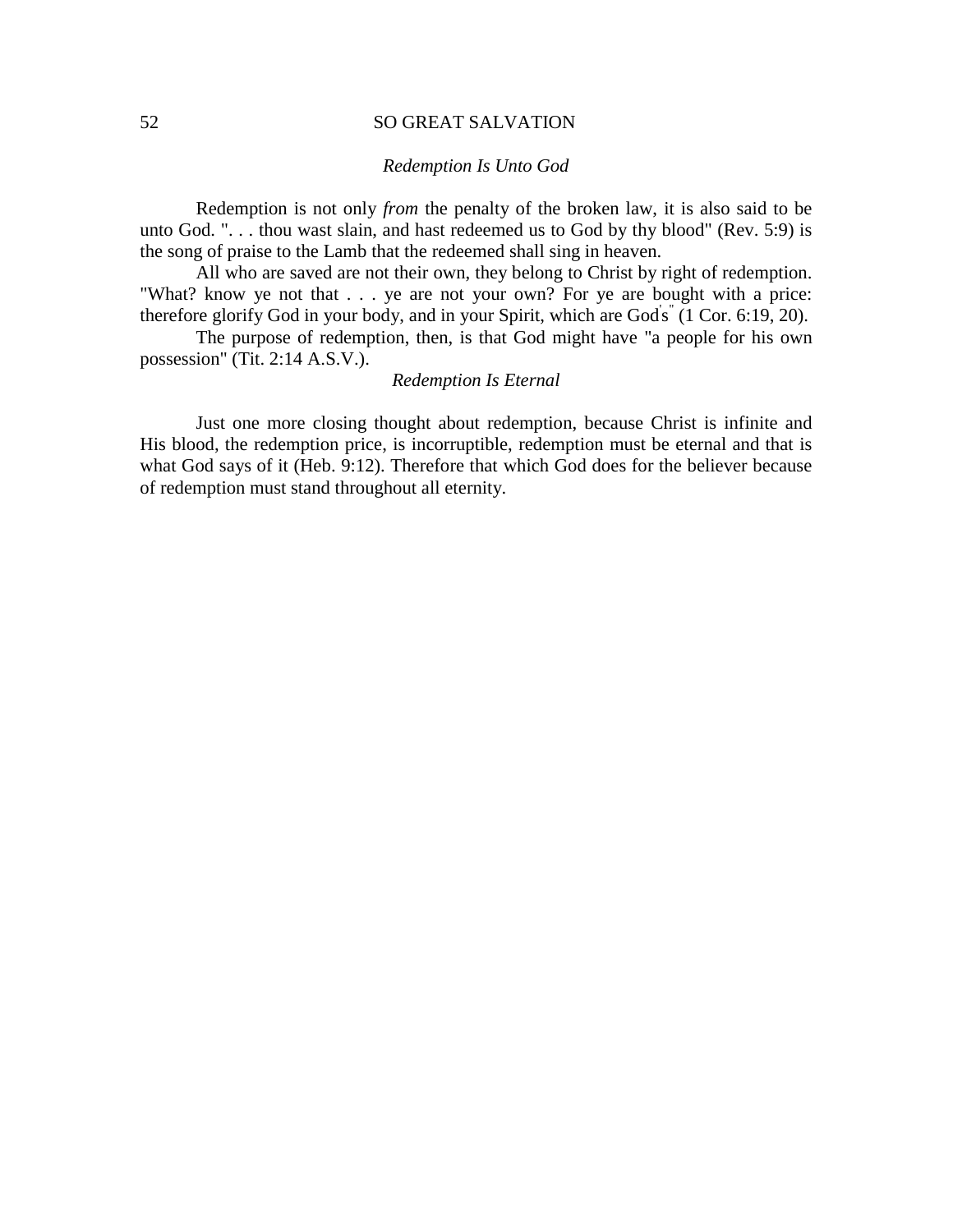#### *Redemption Is Unto God*

Redemption is not only *from* the penalty of the broken law, it is also said to be unto God. ". . . thou wast slain, and hast redeemed us to God by thy blood" (Rev. 5:9) is the song of praise to the Lamb that the redeemed shall sing in heaven.

All who are saved are not their own, they belong to Christ by right of redemption. "What? know ye not that . . . ye are not your own? For ye are bought with a price: therefore glorify God in your body, and in your Spirit, which are God's (1 Cor. 6:19, 20).

The purpose of redemption, then, is that God might have "a people for his own possession" (Tit. 2:14 A.S.V.).

#### *Redemption Is Eternal*

Just one more closing thought about redemption, because Christ is infinite and His blood, the redemption price, is incorruptible, redemption must be eternal and that is what God says of it (Heb. 9:12). Therefore that which God does for the believer because of redemption must stand throughout all eternity.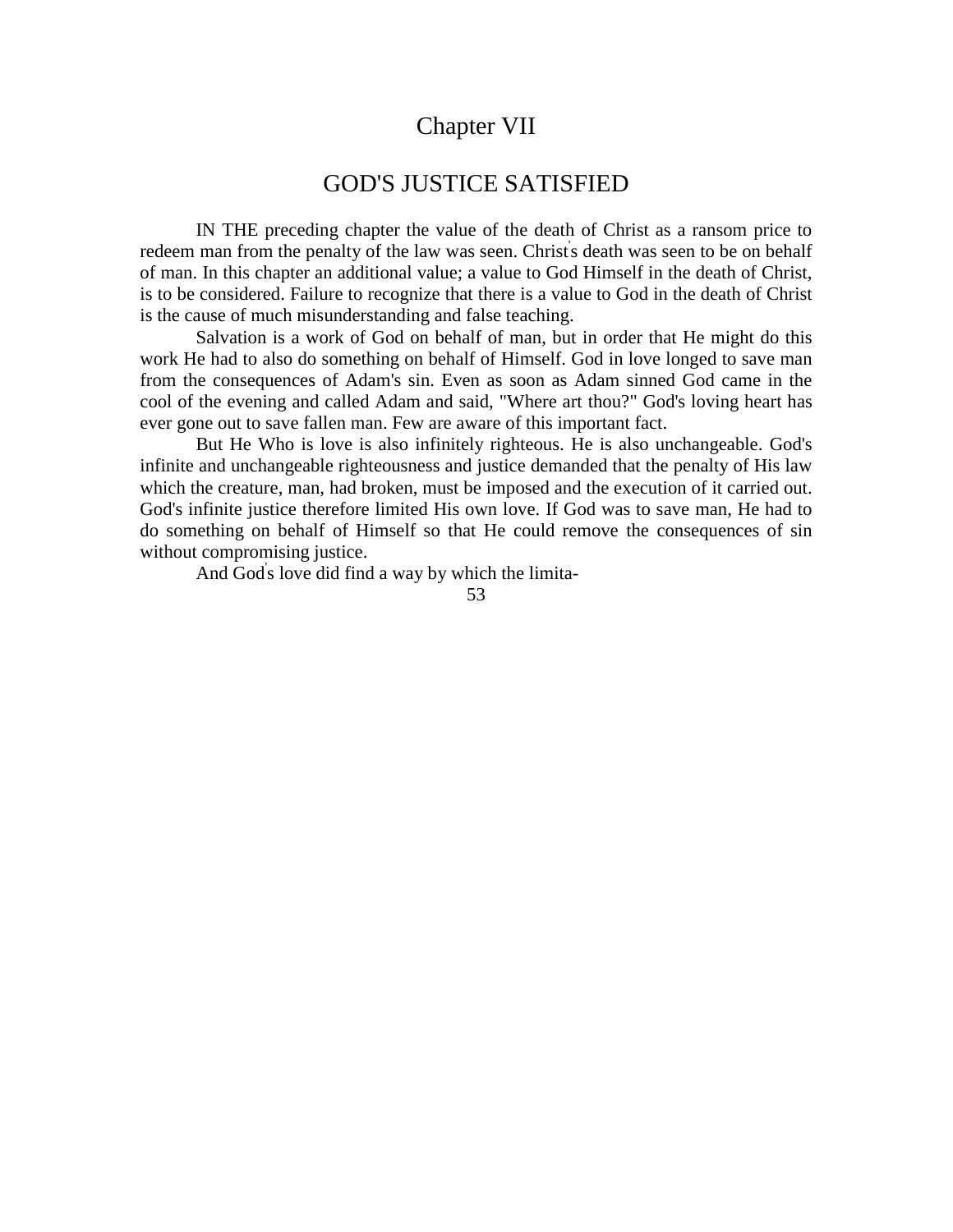# Chapter VII

# GOD'S JUSTICE SATISFIED

IN THE preceding chapter the value of the death of Christ as a ransom price to redeem man from the penalty of the law was seen. Christ' s death was seen to be on behalf of man. In this chapter an additional value; a value to God Himself in the death of Christ, is to be considered. Failure to recognize that there is a value to God in the death of Christ is the cause of much misunderstanding and false teaching.

Salvation is a work of God on behalf of man, but in order that He might do this work He had to also do something on behalf of Himself. God in love longed to save man from the consequences of Adam's sin. Even as soon as Adam sinned God came in the cool of the evening and called Adam and said, "Where art thou?" God's loving heart has ever gone out to save fallen man. Few are aware of this important fact.

But He Who is love is also infinitely righteous. He is also unchangeable. God's infinite and unchangeable righteousness and justice demanded that the penalty of His law which the creature, man, had broken, must be imposed and the execution of it carried out. God's infinite justice therefore limited His own love. If God was to save man, He had to do something on behalf of Himself so that He could remove the consequences of sin without compromising justice.

And God' s love did find a way by which the limita-

<sup>53</sup>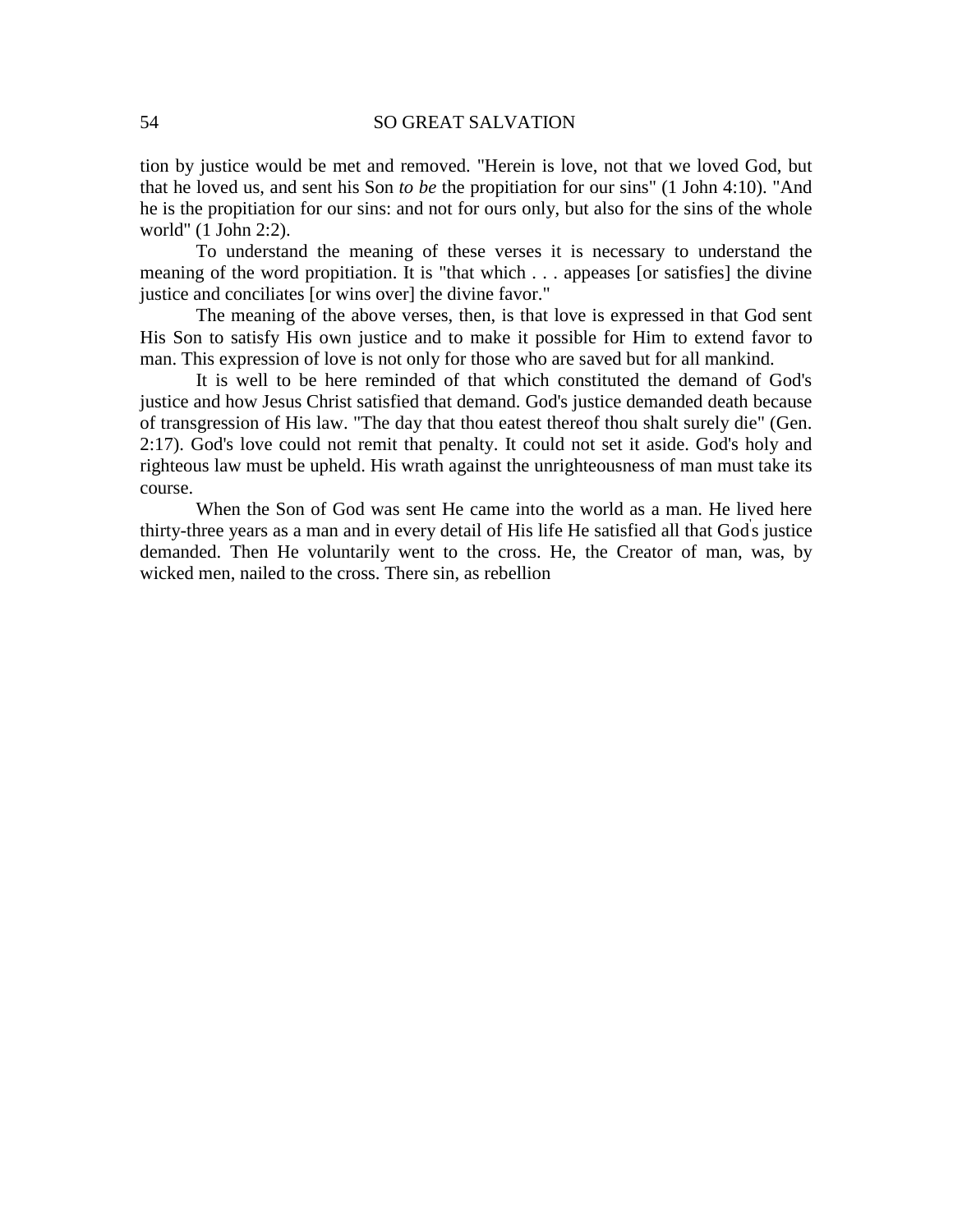tion by justice would be met and removed. "Herein is love, not that we loved God, but that he loved us, and sent his Son *to be* the propitiation for our sins" (1 John 4:10). "And he is the propitiation for our sins: and not for ours only, but also for the sins of the whole world" (1 John 2:2).

To understand the meaning of these verses it is necessary to understand the meaning of the word propitiation. It is "that which . . . appeases [or satisfies] the divine justice and conciliates [or wins over] the divine favor."

The meaning of the above verses, then, is that love is expressed in that God sent His Son to satisfy His own justice and to make it possible for Him to extend favor to man. This expression of love is not only for those who are saved but for all mankind.

It is well to be here reminded of that which constituted the demand of God's justice and how Jesus Christ satisfied that demand. God's justice demanded death because of transgression of His law. "The day that thou eatest thereof thou shalt surely die" (Gen. 2:17). God's love could not remit that penalty. It could not set it aside. God's holy and righteous law must be upheld. His wrath against the unrighteousness of man must take its course.

When the Son of God was sent He came into the world as a man. He lived here thirty-three years as a man and in every detail of His life He satisfied all that God' s justice demanded. Then He voluntarily went to the cross. He, the Creator of man, was, by wicked men, nailed to the cross. There sin, as rebellion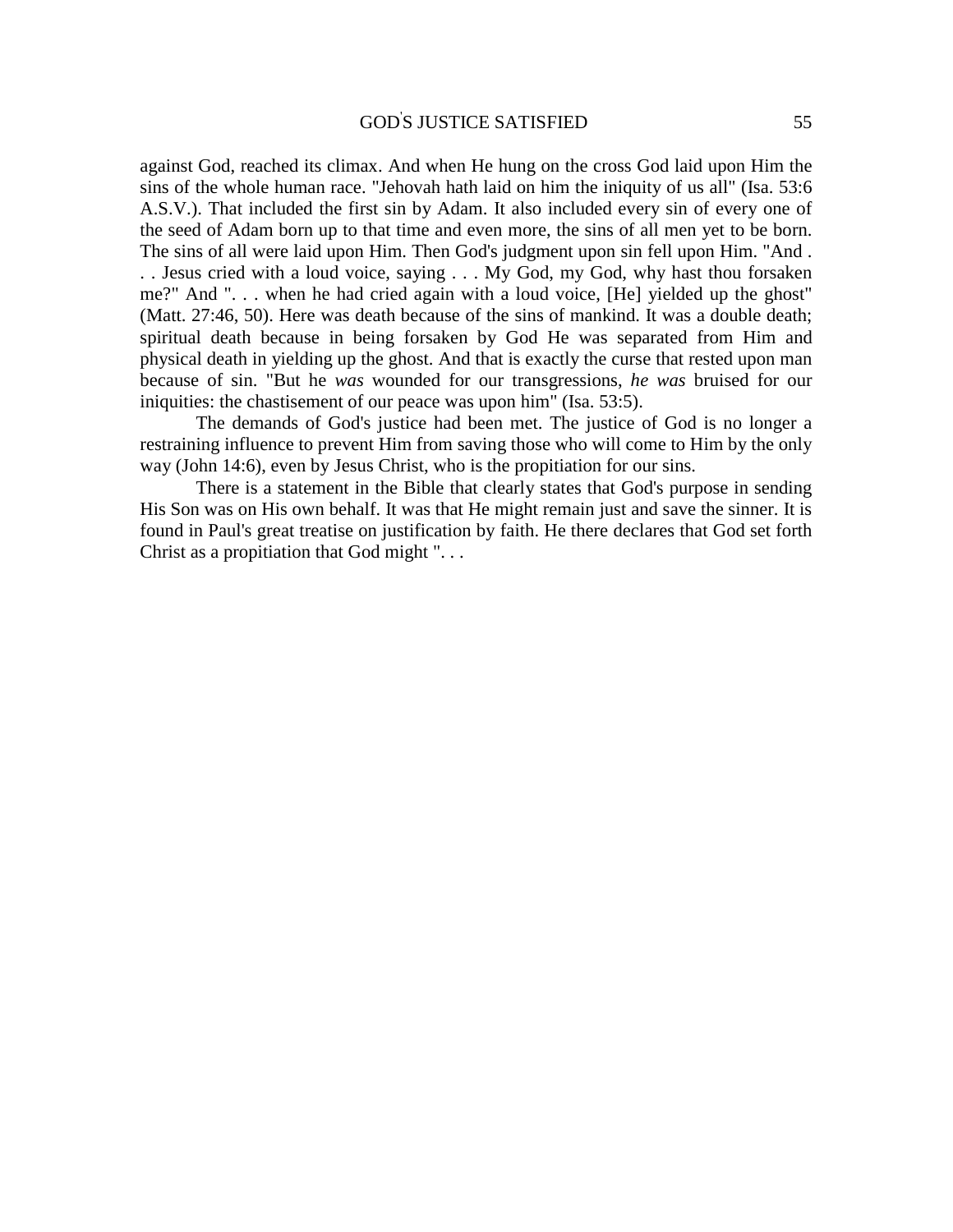against God, reached its climax. And when He hung on the cross God laid upon Him the sins of the whole human race. "Jehovah hath laid on him the iniquity of us all" (Isa. 53:6 A.S.V.). That included the first sin by Adam. It also included every sin of every one of the seed of Adam born up to that time and even more, the sins of all men yet to be born. The sins of all were laid upon Him. Then God's judgment upon sin fell upon Him. "And . . . Jesus cried with a loud voice, saying . . . My God, my God, why hast thou forsaken me?" And ". . . when he had cried again with a loud voice, [He] yielded up the ghost" (Matt. 27:46, 50). Here was death because of the sins of mankind. It was a double death; spiritual death because in being forsaken by God He was separated from Him and physical death in yielding up the ghost. And that is exactly the curse that rested upon man because of sin. "But he *was* wounded for our transgressions, *he was* bruised for our iniquities: the chastisement of our peace was upon him" (Isa. 53:5).

The demands of God's justice had been met. The justice of God is no longer a restraining influence to prevent Him from saving those who will come to Him by the only way (John 14:6), even by Jesus Christ, who is the propitiation for our sins.

There is a statement in the Bible that clearly states that God's purpose in sending His Son was on His own behalf. It was that He might remain just and save the sinner. It is found in Paul's great treatise on justification by faith. He there declares that God set forth Christ as a propitiation that God might ". . .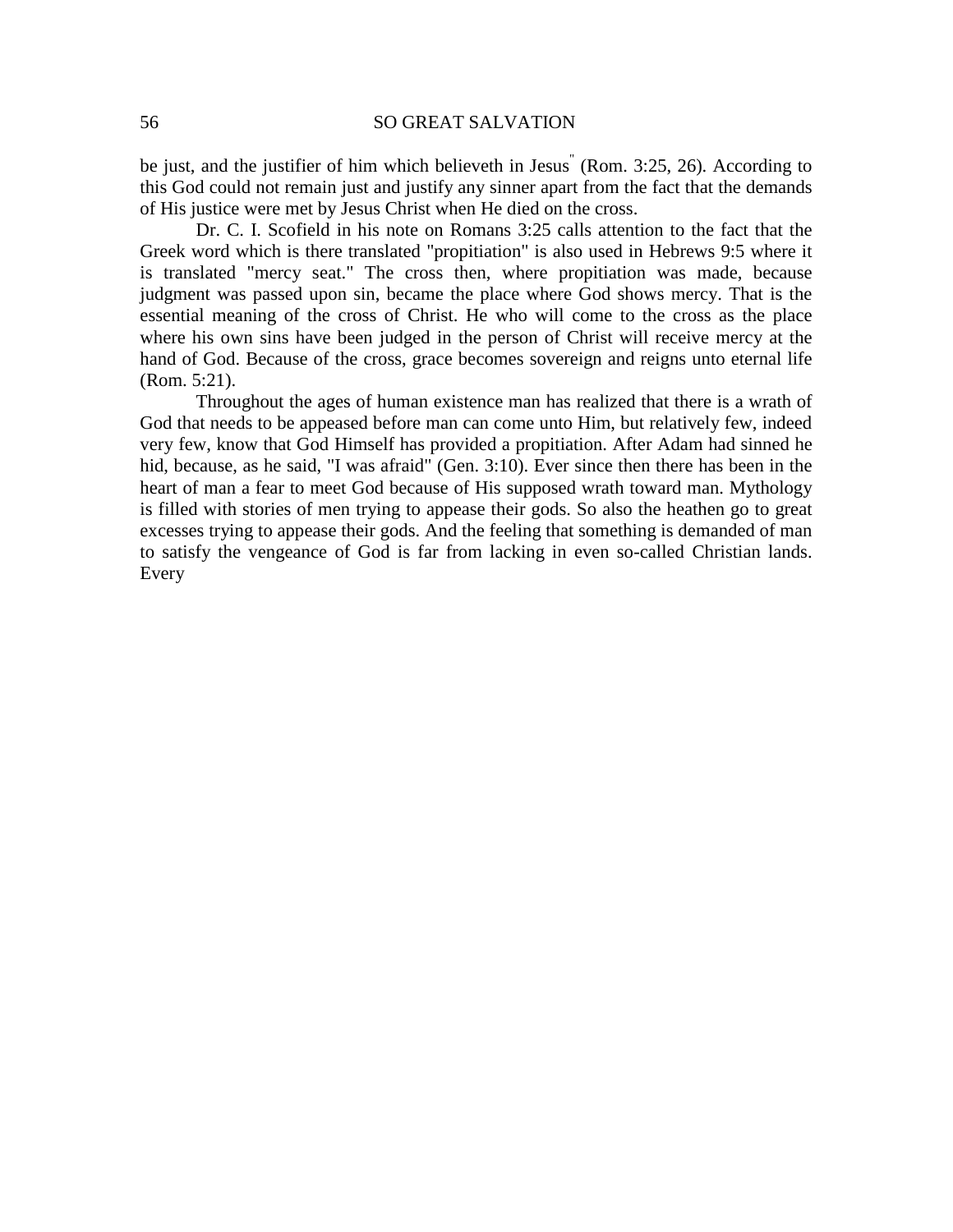be just, and the justifier of him which believeth in Jesus" (Rom. 3:25, 26). According to this God could not remain just and justify any sinner apart from the fact that the demands of His justice were met by Jesus Christ when He died on the cross.

Dr. C. I. Scofield in his note on Romans 3:25 calls attention to the fact that the Greek word which is there translated "propitiation" is also used in Hebrews 9:5 where it is translated "mercy seat." The cross then, where propitiation was made, because judgment was passed upon sin, became the place where God shows mercy. That is the essential meaning of the cross of Christ. He who will come to the cross as the place where his own sins have been judged in the person of Christ will receive mercy at the hand of God. Because of the cross, grace becomes sovereign and reigns unto eternal life (Rom. 5:21).

Throughout the ages of human existence man has realized that there is a wrath of God that needs to be appeased before man can come unto Him, but relatively few, indeed very few, know that God Himself has provided a propitiation. After Adam had sinned he hid, because, as he said, "I was afraid" (Gen. 3:10). Ever since then there has been in the heart of man a fear to meet God because of His supposed wrath toward man. Mythology is filled with stories of men trying to appease their gods. So also the heathen go to great excesses trying to appease their gods. And the feeling that something is demanded of man to satisfy the vengeance of God is far from lacking in even so-called Christian lands. Every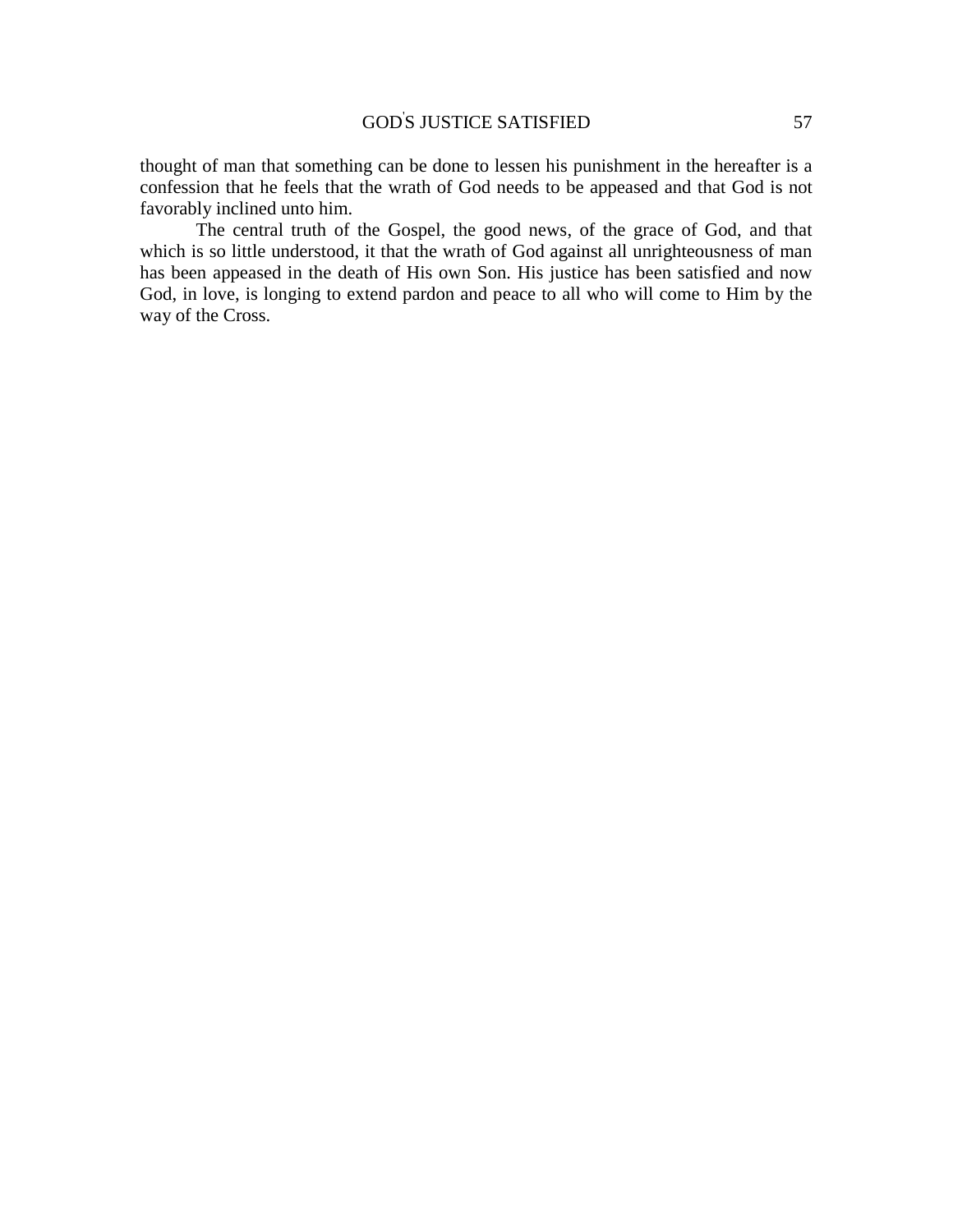thought of man that something can be done to lessen his punishment in the hereafter is a confession that he feels that the wrath of God needs to be appeased and that God is not favorably inclined unto him.

The central truth of the Gospel, the good news, of the grace of God, and that which is so little understood, it that the wrath of God against all unrighteousness of man has been appeased in the death of His own Son. His justice has been satisfied and now God, in love, is longing to extend pardon and peace to all who will come to Him by the way of the Cross.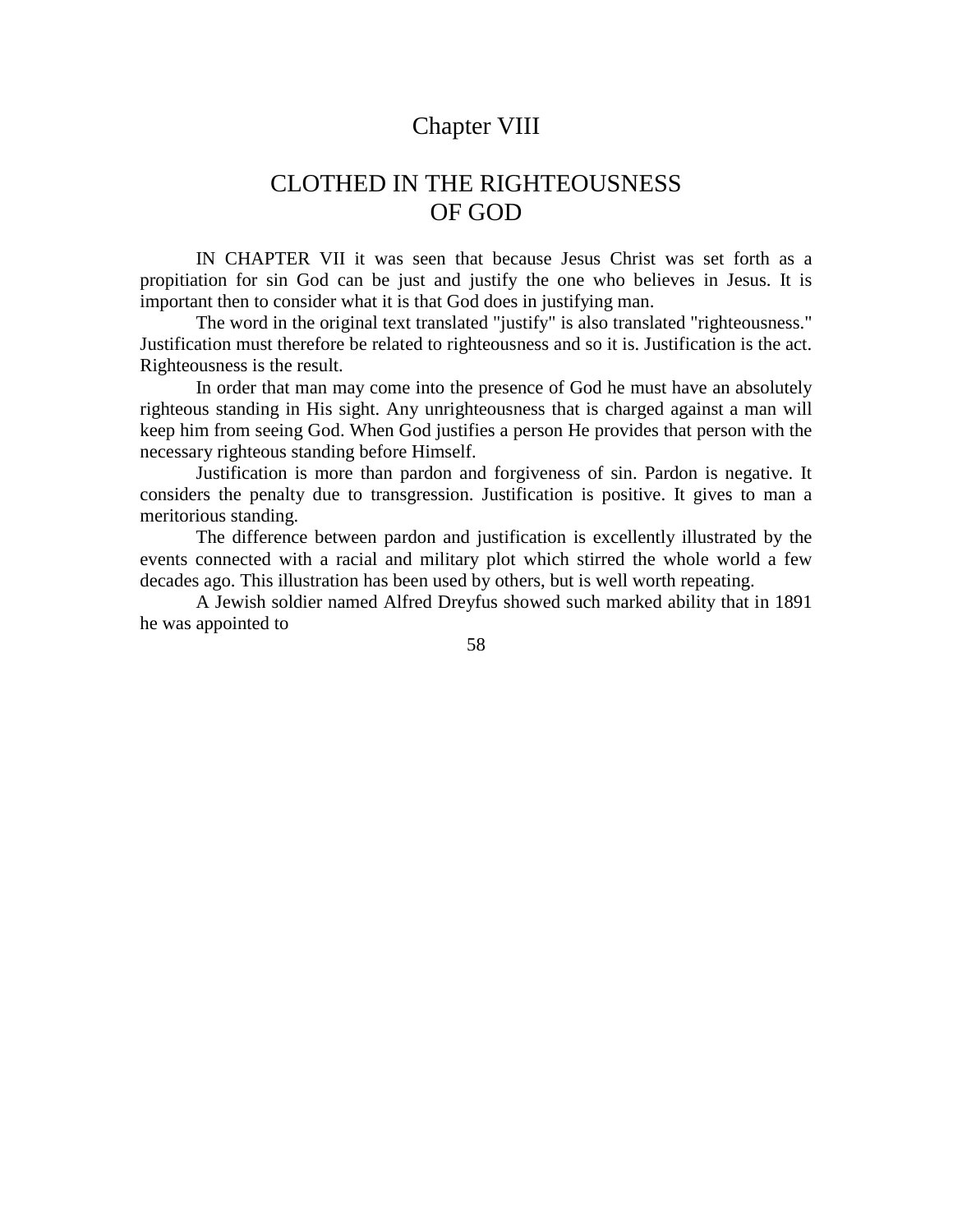# Chapter VIII

# CLOTHED IN THE RIGHTEOUSNESS OF GOD

IN CHAPTER VII it was seen that because Jesus Christ was set forth as a propitiation for sin God can be just and justify the one who believes in Jesus. It is important then to consider what it is that God does in justifying man.

The word in the original text translated "justify" is also translated "righteousness." Justification must therefore be related to righteousness and so it is. Justification is the act. Righteousness is the result.

In order that man may come into the presence of God he must have an absolutely righteous standing in His sight. Any unrighteousness that is charged against a man will keep him from seeing God. When God justifies a person He provides that person with the necessary righteous standing before Himself.

Justification is more than pardon and forgiveness of sin. Pardon is negative. It considers the penalty due to transgression. Justification is positive. It gives to man a meritorious standing.

The difference between pardon and justification is excellently illustrated by the events connected with a racial and military plot which stirred the whole world a few decades ago. This illustration has been used by others, but is well worth repeating.

A Jewish soldier named Alfred Dreyfus showed such marked ability that in 1891 he was appointed to

58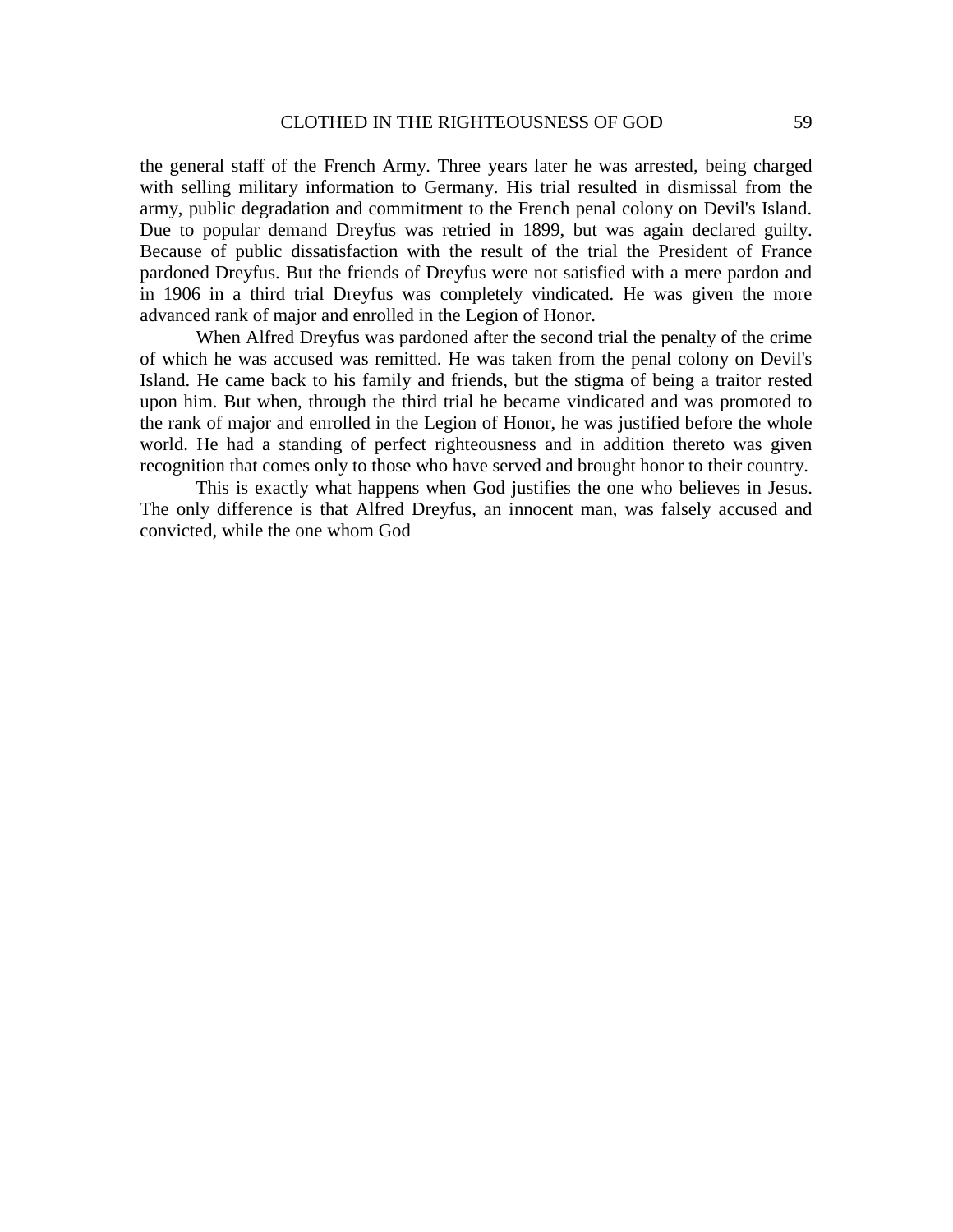the general staff of the French Army. Three years later he was arrested, being charged with selling military information to Germany. His trial resulted in dismissal from the army, public degradation and commitment to the French penal colony on Devil's Island. Due to popular demand Dreyfus was retried in 1899, but was again declared guilty. Because of public dissatisfaction with the result of the trial the President of France pardoned Dreyfus. But the friends of Dreyfus were not satisfied with a mere pardon and in 1906 in a third trial Dreyfus was completely vindicated. He was given the more advanced rank of major and enrolled in the Legion of Honor.

When Alfred Dreyfus was pardoned after the second trial the penalty of the crime of which he was accused was remitted. He was taken from the penal colony on Devil's Island. He came back to his family and friends, but the stigma of being a traitor rested upon him. But when, through the third trial he became vindicated and was promoted to the rank of major and enrolled in the Legion of Honor, he was justified before the whole world. He had a standing of perfect righteousness and in addition thereto was given recognition that comes only to those who have served and brought honor to their country.

This is exactly what happens when God justifies the one who believes in Jesus. The only difference is that Alfred Dreyfus, an innocent man, was falsely accused and convicted, while the one whom God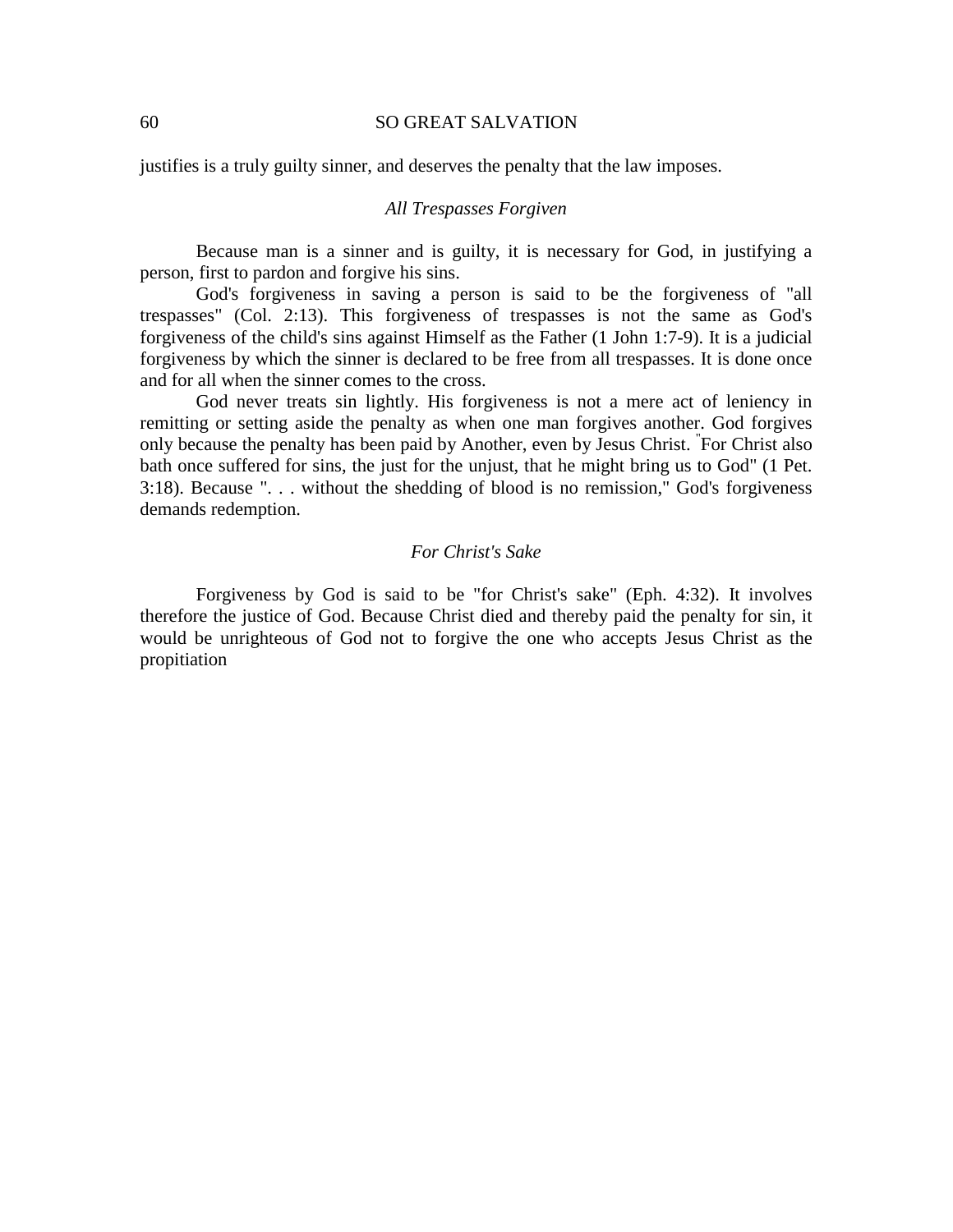justifies is a truly guilty sinner, and deserves the penalty that the law imposes.

### *All Trespasses Forgiven*

Because man is a sinner and is guilty, it is necessary for God, in justifying a person, first to pardon and forgive his sins.

God's forgiveness in saving a person is said to be the forgiveness of "all trespasses" (Col. 2:13). This forgiveness of trespasses is not the same as God's forgiveness of the child's sins against Himself as the Father (1 John 1:7-9). It is a judicial forgiveness by which the sinner is declared to be free from all trespasses. It is done once and for all when the sinner comes to the cross.

God never treats sin lightly. His forgiveness is not a mere act of leniency in remitting or setting aside the penalty as when one man forgives another. God forgives only because the penalty has been paid by Another, even by Jesus Christ. " For Christ also bath once suffered for sins, the just for the unjust, that he might bring us to God" (1 Pet. 3:18). Because ". . . without the shedding of blood is no remission," God's forgiveness demands redemption.

#### *For Christ's Sake*

Forgiveness by God is said to be "for Christ's sake" (Eph. 4:32). It involves therefore the justice of God. Because Christ died and thereby paid the penalty for sin, it would be unrighteous of God not to forgive the one who accepts Jesus Christ as the propitiation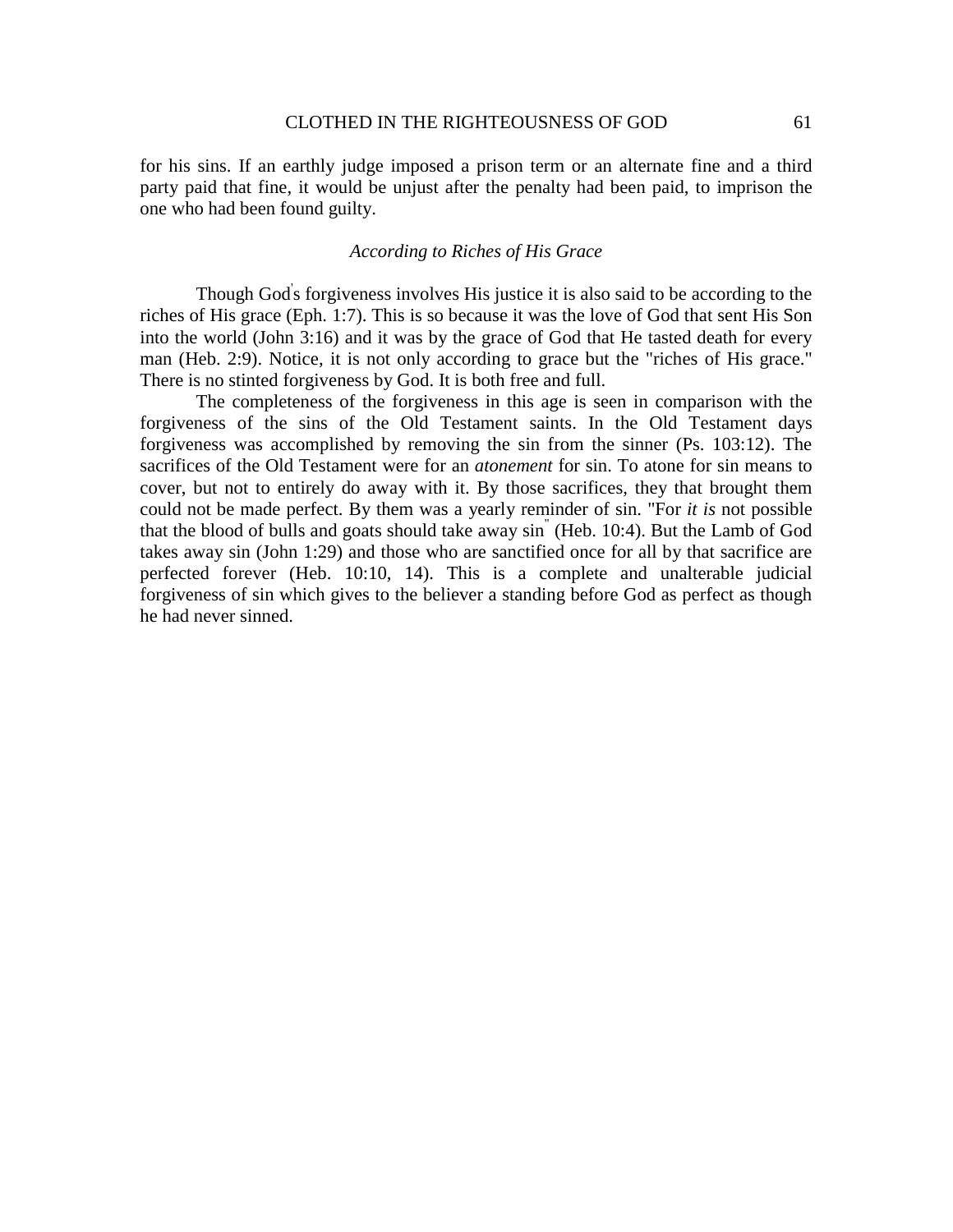for his sins. If an earthly judge imposed a prison term or an alternate fine and a third party paid that fine, it would be unjust after the penalty had been paid, to imprison the one who had been found guilty.

# *According to Riches of His Grace*

Though God' s forgiveness involves His justice it is also said to be according to the riches of His grace (Eph. 1:7). This is so because it was the love of God that sent His Son into the world (John 3:16) and it was by the grace of God that He tasted death for every man (Heb. 2:9). Notice, it is not only according to grace but the "riches of His grace." There is no stinted forgiveness by God. It is both free and full.

The completeness of the forgiveness in this age is seen in comparison with the forgiveness of the sins of the Old Testament saints. In the Old Testament days forgiveness was accomplished by removing the sin from the sinner (Ps. 103:12). The sacrifices of the Old Testament were for an *atonement* for sin. To atone for sin means to cover, but not to entirely do away with it. By those sacrifices, they that brought them could not be made perfect. By them was a yearly reminder of sin. "For *it is* not possible that the blood of bulls and goats should take away sin" (Heb. 10:4). But the Lamb of God takes away sin (John 1:29) and those who are sanctified once for all by that sacrifice are perfected forever (Heb. 10:10, 14). This is a complete and unalterable judicial forgiveness of sin which gives to the believer a standing before God as perfect as though he had never sinned.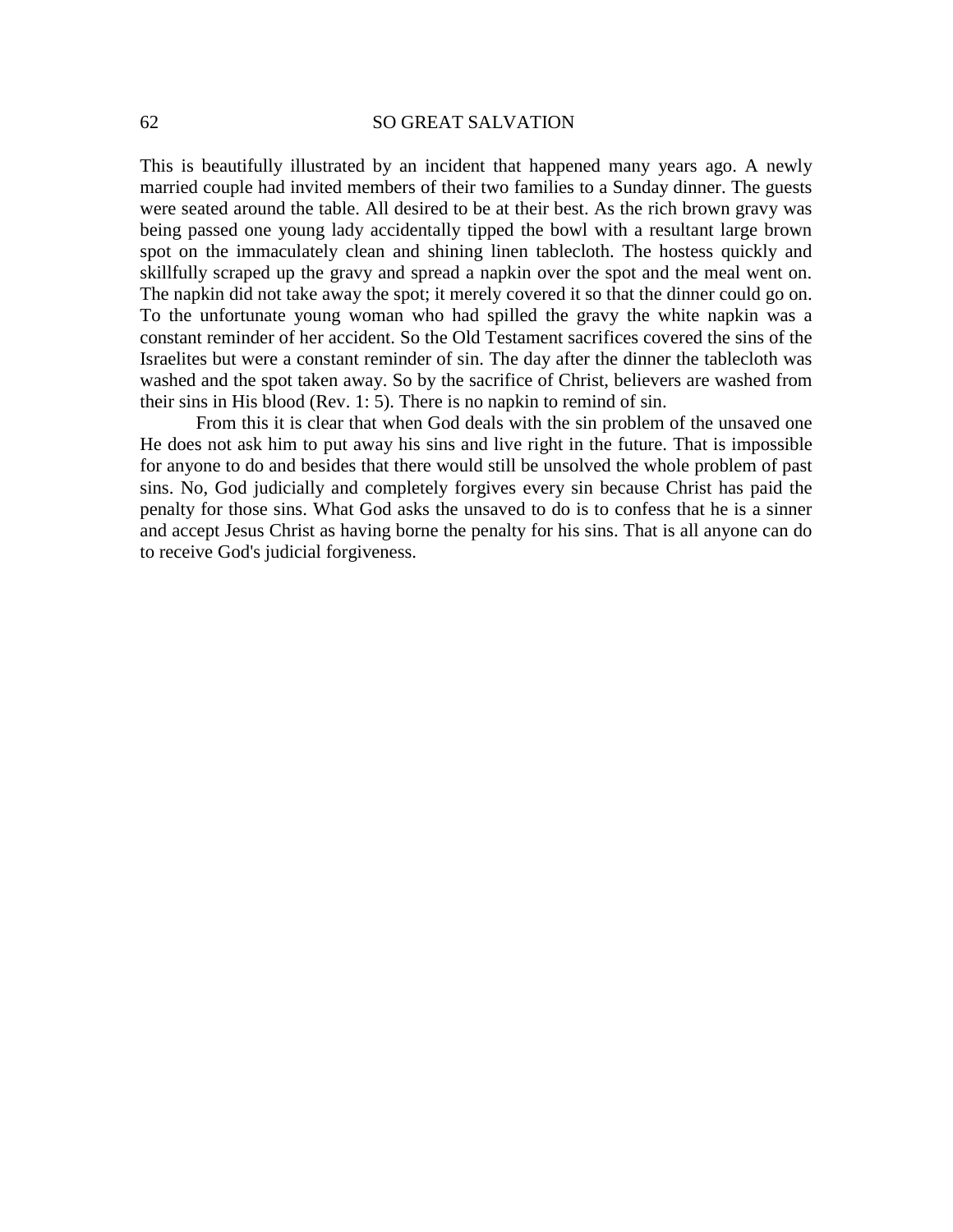This is beautifully illustrated by an incident that happened many years ago. A newly married couple had invited members of their two families to a Sunday dinner. The guests were seated around the table. All desired to be at their best. As the rich brown gravy was being passed one young lady accidentally tipped the bowl with a resultant large brown spot on the immaculately clean and shining linen tablecloth. The hostess quickly and skillfully scraped up the gravy and spread a napkin over the spot and the meal went on. The napkin did not take away the spot; it merely covered it so that the dinner could go on. To the unfortunate young woman who had spilled the gravy the white napkin was a constant reminder of her accident. So the Old Testament sacrifices covered the sins of the Israelites but were a constant reminder of sin. The day after the dinner the tablecloth was washed and the spot taken away. So by the sacrifice of Christ, believers are washed from their sins in His blood (Rev. 1: 5). There is no napkin to remind of sin.

From this it is clear that when God deals with the sin problem of the unsaved one He does not ask him to put away his sins and live right in the future. That is impossible for anyone to do and besides that there would still be unsolved the whole problem of past sins. No, God judicially and completely forgives every sin because Christ has paid the penalty for those sins. What God asks the unsaved to do is to confess that he is a sinner and accept Jesus Christ as having borne the penalty for his sins. That is all anyone can do to receive God's judicial forgiveness.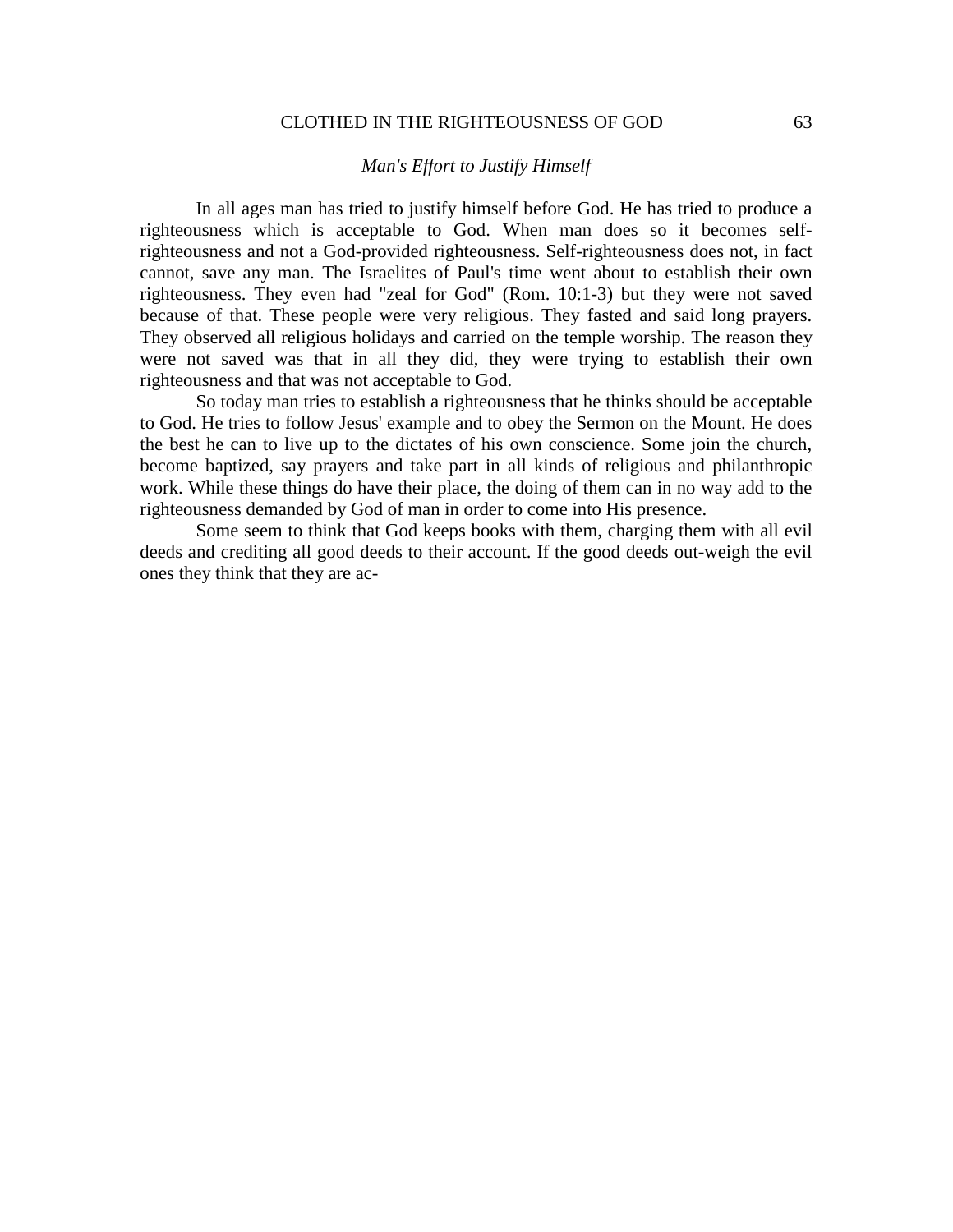# CLOTHED IN THE RIGHTEOUSNESS OF GOD 63

#### *Man's Effort to Justify Himself*

In all ages man has tried to justify himself before God. He has tried to produce a righteousness which is acceptable to God. When man does so it becomes selfrighteousness and not a God-provided righteousness. Self-righteousness does not, in fact cannot, save any man. The Israelites of Paul's time went about to establish their own righteousness. They even had "zeal for God" (Rom. 10:1-3) but they were not saved because of that. These people were very religious. They fasted and said long prayers. They observed all religious holidays and carried on the temple worship. The reason they were not saved was that in all they did, they were trying to establish their own righteousness and that was not acceptable to God.

So today man tries to establish a righteousness that he thinks should be acceptable to God. He tries to follow Jesus' example and to obey the Sermon on the Mount. He does the best he can to live up to the dictates of his own conscience. Some join the church, become baptized, say prayers and take part in all kinds of religious and philanthropic work. While these things do have their place, the doing of them can in no way add to the righteousness demanded by God of man in order to come into His presence.

Some seem to think that God keeps books with them, charging them with all evil deeds and crediting all good deeds to their account. If the good deeds out-weigh the evil ones they think that they are ac-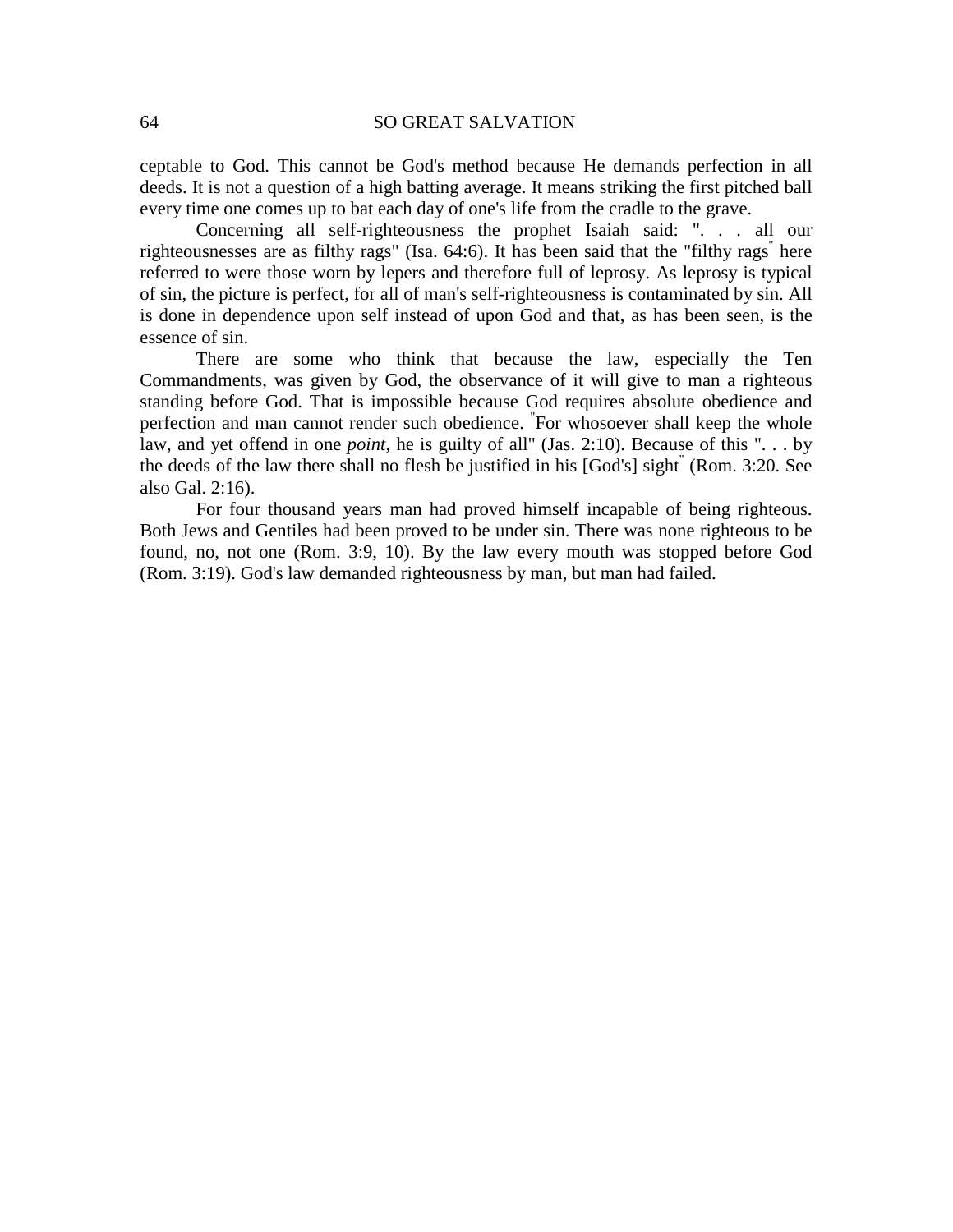ceptable to God. This cannot be God's method because He demands perfection in all deeds. It is not a question of a high batting average. It means striking the first pitched ball every time one comes up to bat each day of one's life from the cradle to the grave.

Concerning all self-righteousness the prophet Isaiah said: ". . . all our righteousnesses are as filthy rags" (Isa. 64:6). It has been said that the "filthy rags" here referred to were those worn by lepers and therefore full of leprosy. As leprosy is typical of sin, the picture is perfect, for all of man's self-righteousness is contaminated by sin. All is done in dependence upon self instead of upon God and that, as has been seen, is the essence of sin.

There are some who think that because the law, especially the Ten Commandments, was given by God, the observance of it will give to man a righteous standing before God. That is impossible because God requires absolute obedience and perfection and man cannot render such obedience. " For whosoever shall keep the whole law, and yet offend in one *point,* he is guilty of all" (Jas. 2:10). Because of this ". . . by the deeds of the law there shall no flesh be justified in his [God's] sight" (Rom. 3:20. See also Gal. 2:16).

For four thousand years man had proved himself incapable of being righteous. Both Jews and Gentiles had been proved to be under sin. There was none righteous to be found, no, not one (Rom. 3:9, 10). By the law every mouth was stopped before God (Rom. 3:19). God's law demanded righteousness by man, but man had failed.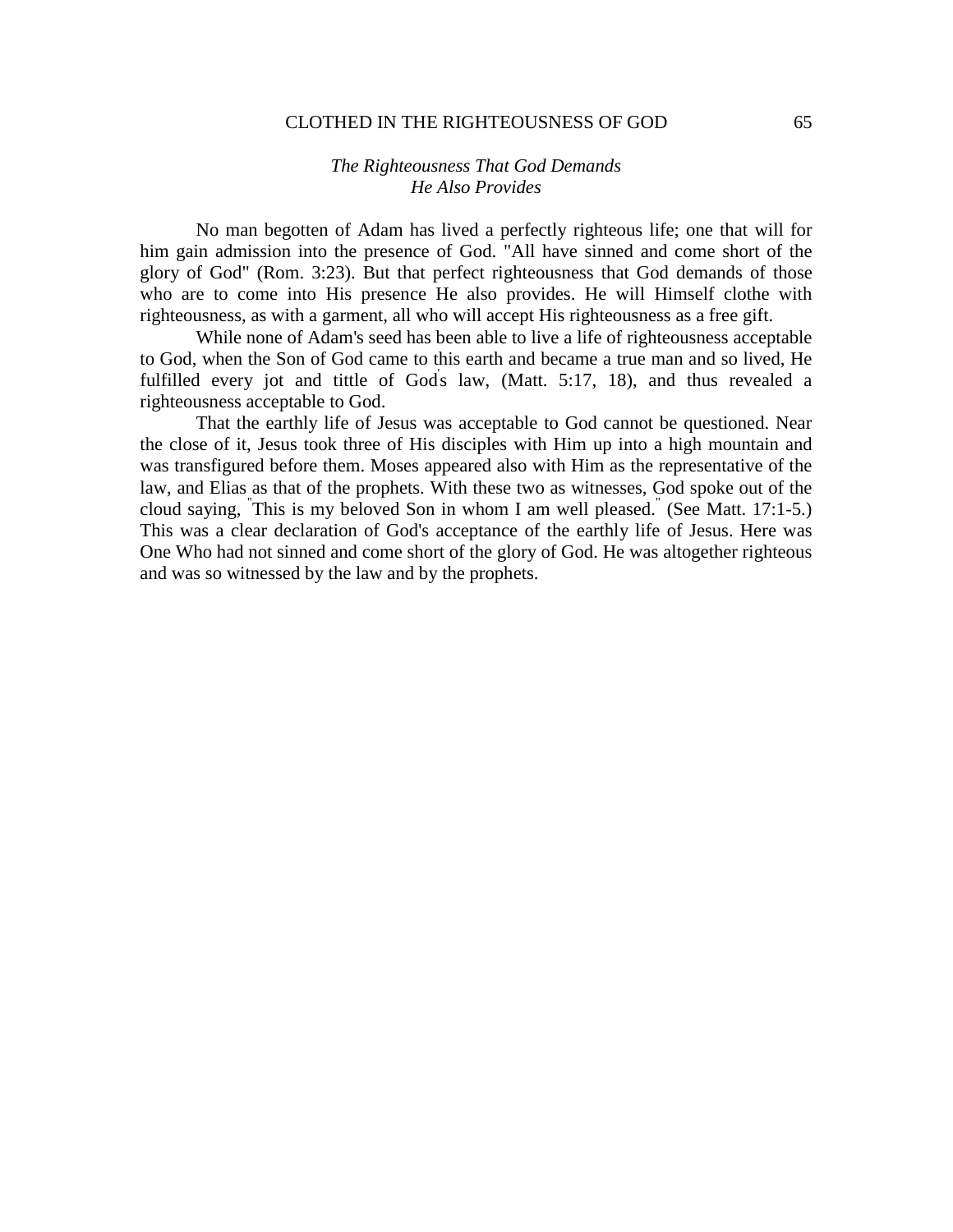#### CLOTHED IN THE RIGHTEOUSNESS OF GOD 65

# *The Righteousness That God Demands He Also Provides*

No man begotten of Adam has lived a perfectly righteous life; one that will for him gain admission into the presence of God. "All have sinned and come short of the glory of God" (Rom. 3:23). But that perfect righteousness that God demands of those who are to come into His presence He also provides. He will Himself clothe with righteousness, as with a garment, all who will accept His righteousness as a free gift.

While none of Adam's seed has been able to live a life of righteousness acceptable to God, when the Son of God came to this earth and became a true man and so lived, He fulfilled every jot and tittle of God's law, (Matt. 5:17, 18), and thus revealed a righteousness acceptable to God.

That the earthly life of Jesus was acceptable to God cannot be questioned. Near the close of it, Jesus took three of His disciples with Him up into a high mountain and was transfigured before them. Moses appeared also with Him as the representative of the law, and Elias as that of the prophets. With these two as witnesses, God spoke out of the cloud saying, " This is my beloved Son in whom I am well pleased." (See Matt. 17:1-5.) This was a clear declaration of God's acceptance of the earthly life of Jesus. Here was One Who had not sinned and come short of the glory of God. He was altogether righteous and was so witnessed by the law and by the prophets.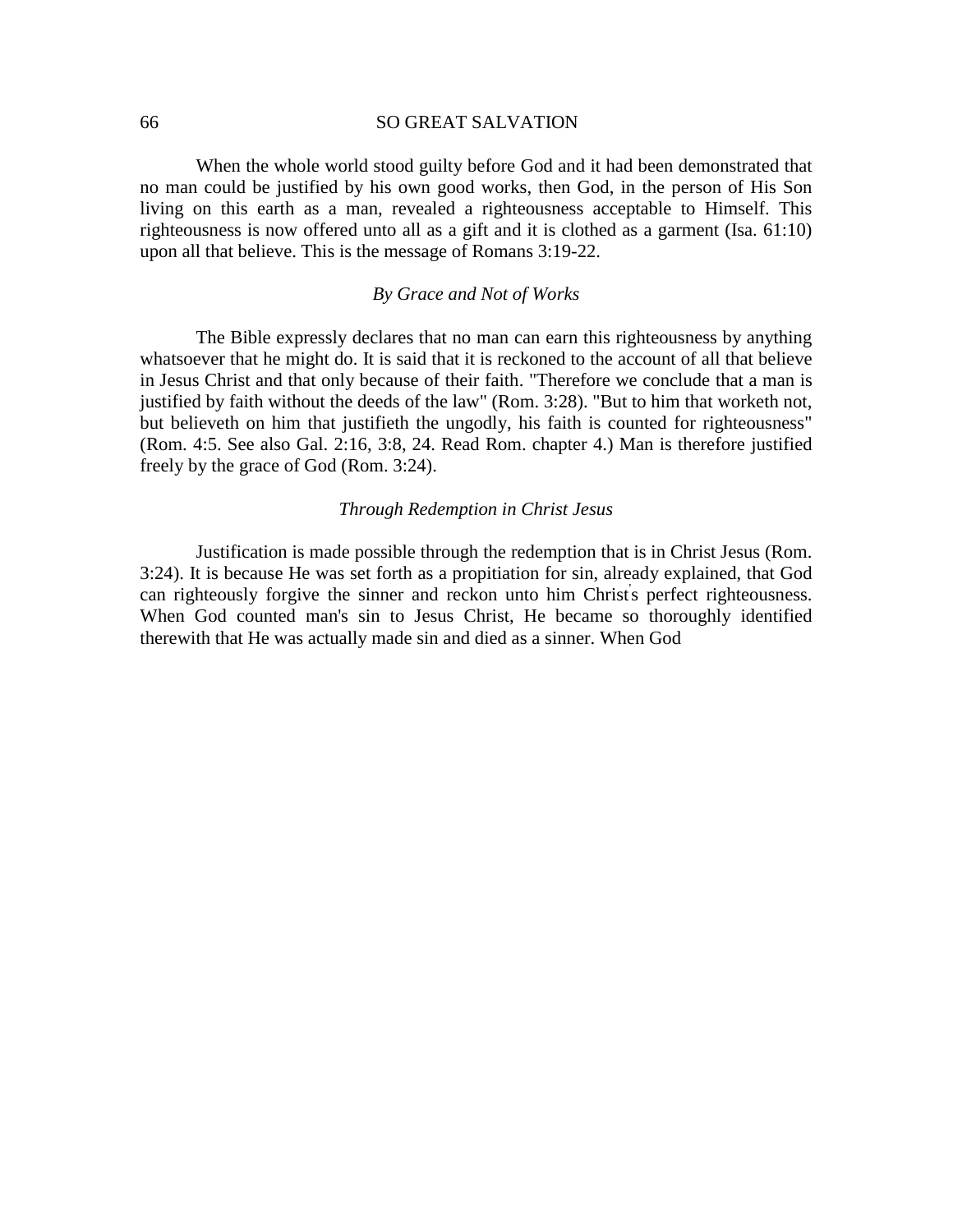When the whole world stood guilty before God and it had been demonstrated that no man could be justified by his own good works, then God, in the person of His Son living on this earth as a man, revealed a righteousness acceptable to Himself. This righteousness is now offered unto all as a gift and it is clothed as a garment (Isa. 61:10) upon all that believe. This is the message of Romans 3:19-22.

# *By Grace and Not of Works*

The Bible expressly declares that no man can earn this righteousness by anything whatsoever that he might do. It is said that it is reckoned to the account of all that believe in Jesus Christ and that only because of their faith. "Therefore we conclude that a man is justified by faith without the deeds of the law" (Rom. 3:28). "But to him that worketh not, but believeth on him that justifieth the ungodly, his faith is counted for righteousness" (Rom. 4:5. See also Gal. 2:16, 3:8, 24. Read Rom. chapter 4.) Man is therefore justified freely by the grace of God (Rom. 3:24).

#### *Through Redemption in Christ Jesus*

Justification is made possible through the redemption that is in Christ Jesus (Rom. 3:24). It is because He was set forth as a propitiation for sin, already explained, that God can righteously forgive the sinner and reckon unto him Christ' s perfect righteousness. When God counted man's sin to Jesus Christ, He became so thoroughly identified therewith that He was actually made sin and died as a sinner. When God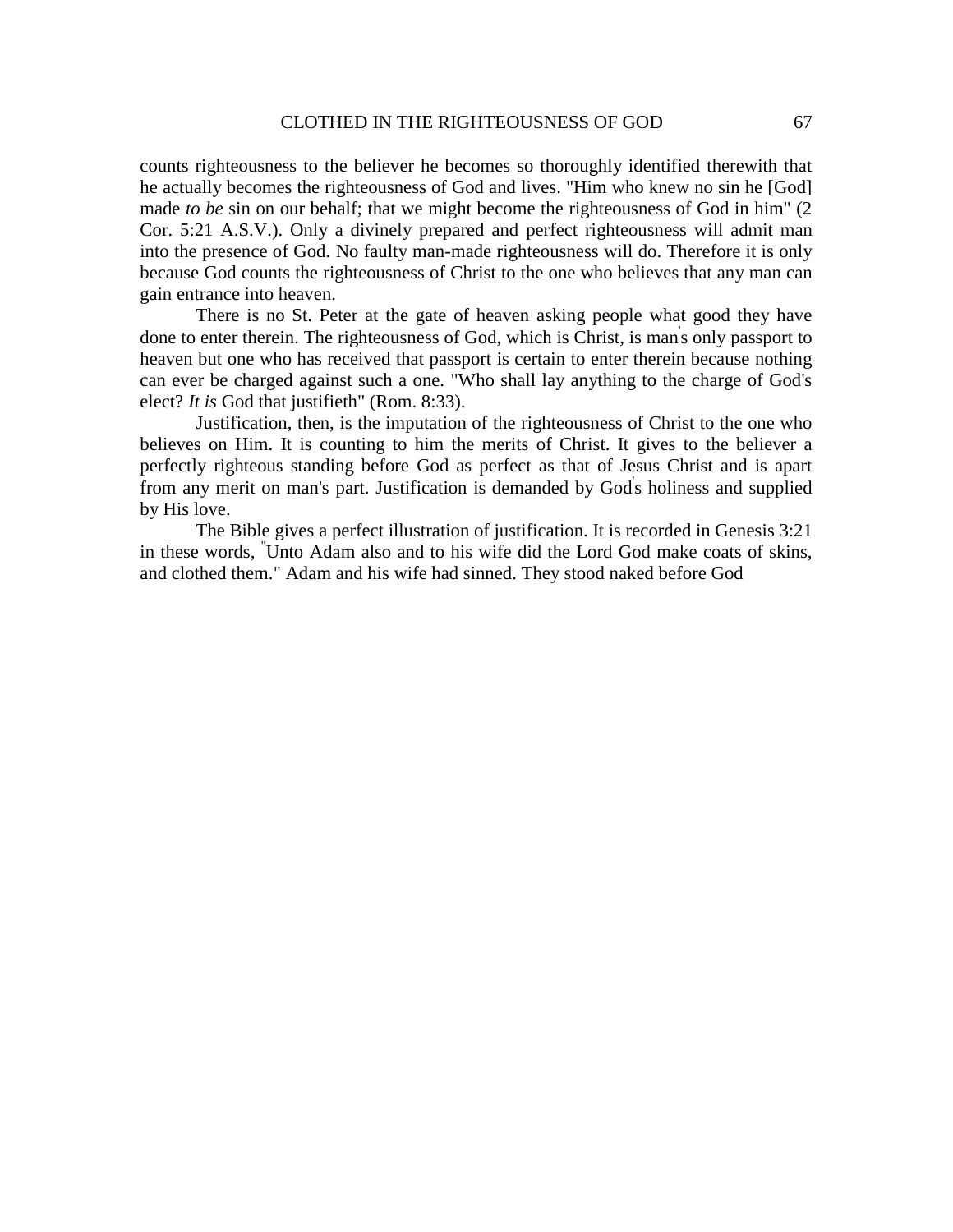counts righteousness to the believer he becomes so thoroughly identified therewith that he actually becomes the righteousness of God and lives. "Him who knew no sin he [God] made *to be* sin on our behalf; that we might become the righteousness of God in him" (2 Cor. 5:21 A.S.V.). Only a divinely prepared and perfect righteousness will admit man into the presence of God. No faulty man-made righteousness will do. Therefore it is only because God counts the righteousness of Christ to the one who believes that any man can gain entrance into heaven.

There is no St. Peter at the gate of heaven asking people what good they have done to enter therein. The righteousness of God, which is Christ, is man's only passport to heaven but one who has received that passport is certain to enter therein because nothing can ever be charged against such a one. "Who shall lay anything to the charge of God's elect? *It is* God that justifieth" (Rom. 8:33).

Justification, then, is the imputation of the righteousness of Christ to the one who believes on Him. It is counting to him the merits of Christ. It gives to the believer a perfectly righteous standing before God as perfect as that of Jesus Christ and is apart from any merit on man's part. Justification is demanded by God' s holiness and supplied by His love.

The Bible gives a perfect illustration of justification. It is recorded in Genesis 3:21 in these words, " Unto Adam also and to his wife did the Lord God make coats of skins, and clothed them." Adam and his wife had sinned. They stood naked before God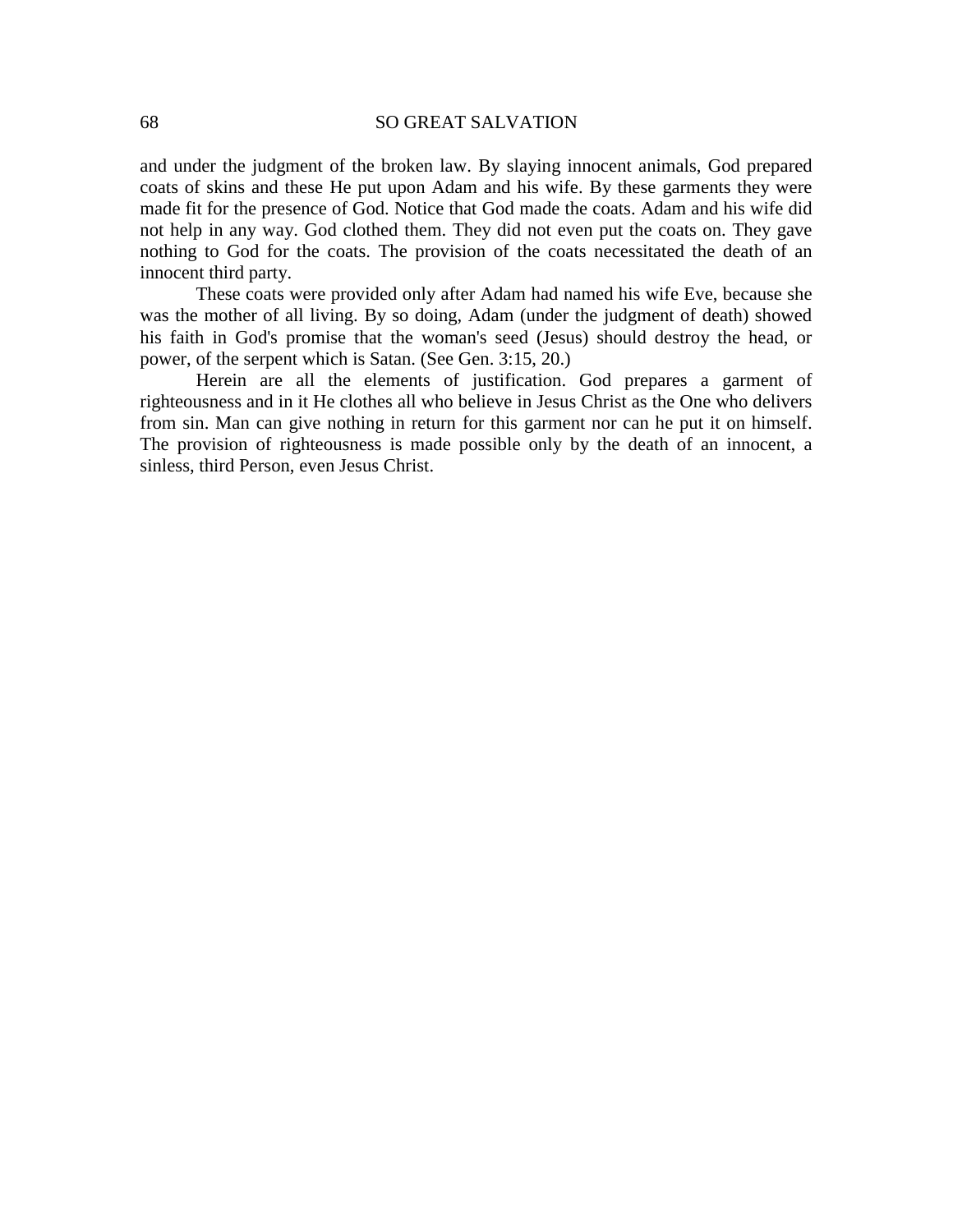and under the judgment of the broken law. By slaying innocent animals, God prepared coats of skins and these He put upon Adam and his wife. By these garments they were made fit for the presence of God. Notice that God made the coats. Adam and his wife did not help in any way. God clothed them. They did not even put the coats on. They gave nothing to God for the coats. The provision of the coats necessitated the death of an innocent third party.

These coats were provided only after Adam had named his wife Eve, because she was the mother of all living. By so doing, Adam (under the judgment of death) showed his faith in God's promise that the woman's seed (Jesus) should destroy the head, or power, of the serpent which is Satan. (See Gen. 3:15, 20.)

Herein are all the elements of justification. God prepares a garment of righteousness and in it He clothes all who believe in Jesus Christ as the One who delivers from sin. Man can give nothing in return for this garment nor can he put it on himself. The provision of righteousness is made possible only by the death of an innocent, a sinless, third Person, even Jesus Christ.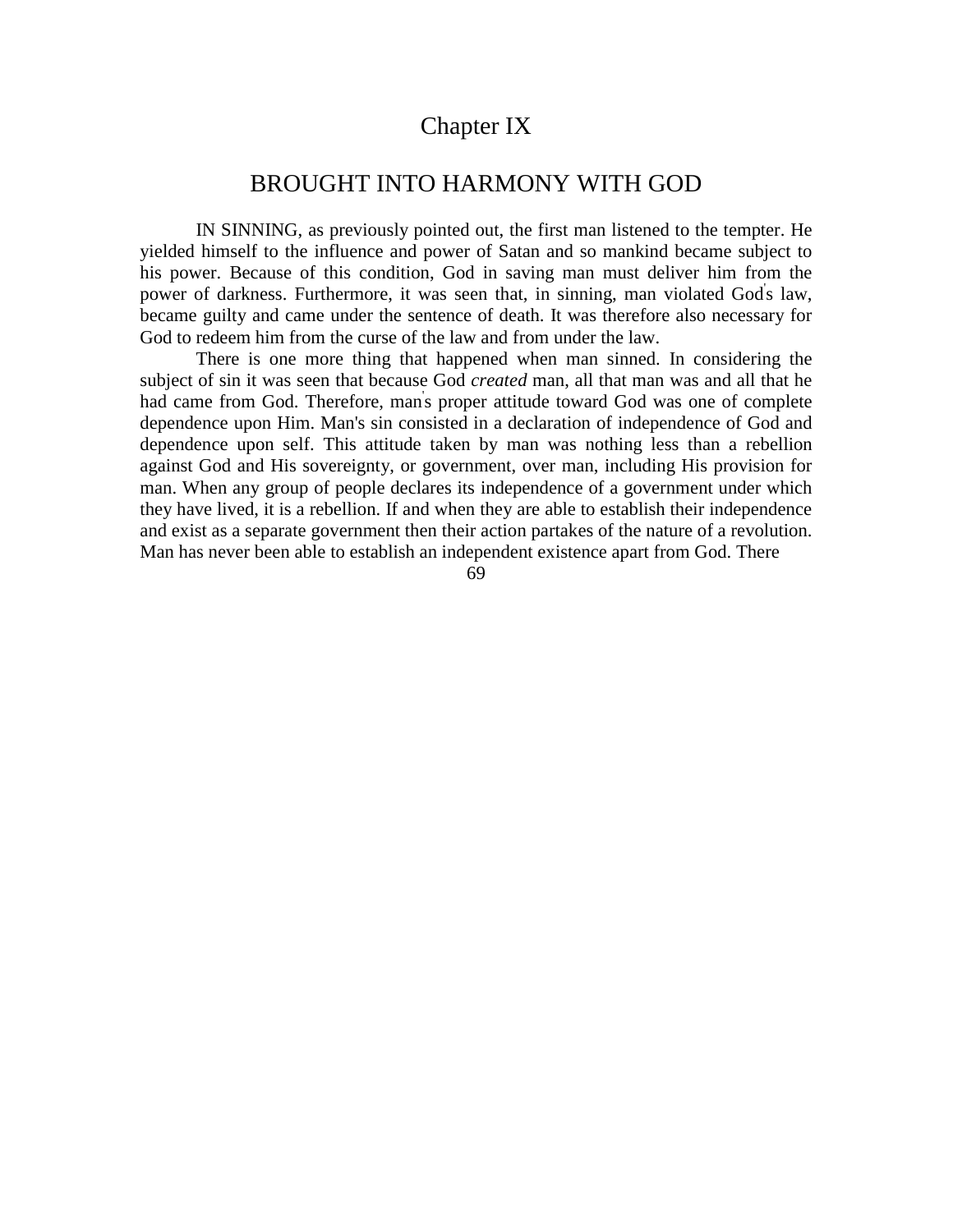# Chapter IX

# BROUGHT INTO HARMONY WITH GOD

IN SINNING, as previously pointed out, the first man listened to the tempter. He yielded himself to the influence and power of Satan and so mankind became subject to his power. Because of this condition, God in saving man must deliver him from the power of darkness. Furthermore, it was seen that, in sinning, man violated God's law, became guilty and came under the sentence of death. It was therefore also necessary for God to redeem him from the curse of the law and from under the law.

There is one more thing that happened when man sinned. In considering the subject of sin it was seen that because God *created* man, all that man was and all that he had came from God. Therefore, man' s proper attitude toward God was one of complete dependence upon Him. Man's sin consisted in a declaration of independence of God and dependence upon self. This attitude taken by man was nothing less than a rebellion against God and His sovereignty, or government, over man, including His provision for man. When any group of people declares its independence of a government under which they have lived, it is a rebellion. If and when they are able to establish their independence and exist as a separate government then their action partakes of the nature of a revolution. Man has never been able to establish an independent existence apart from God. There

69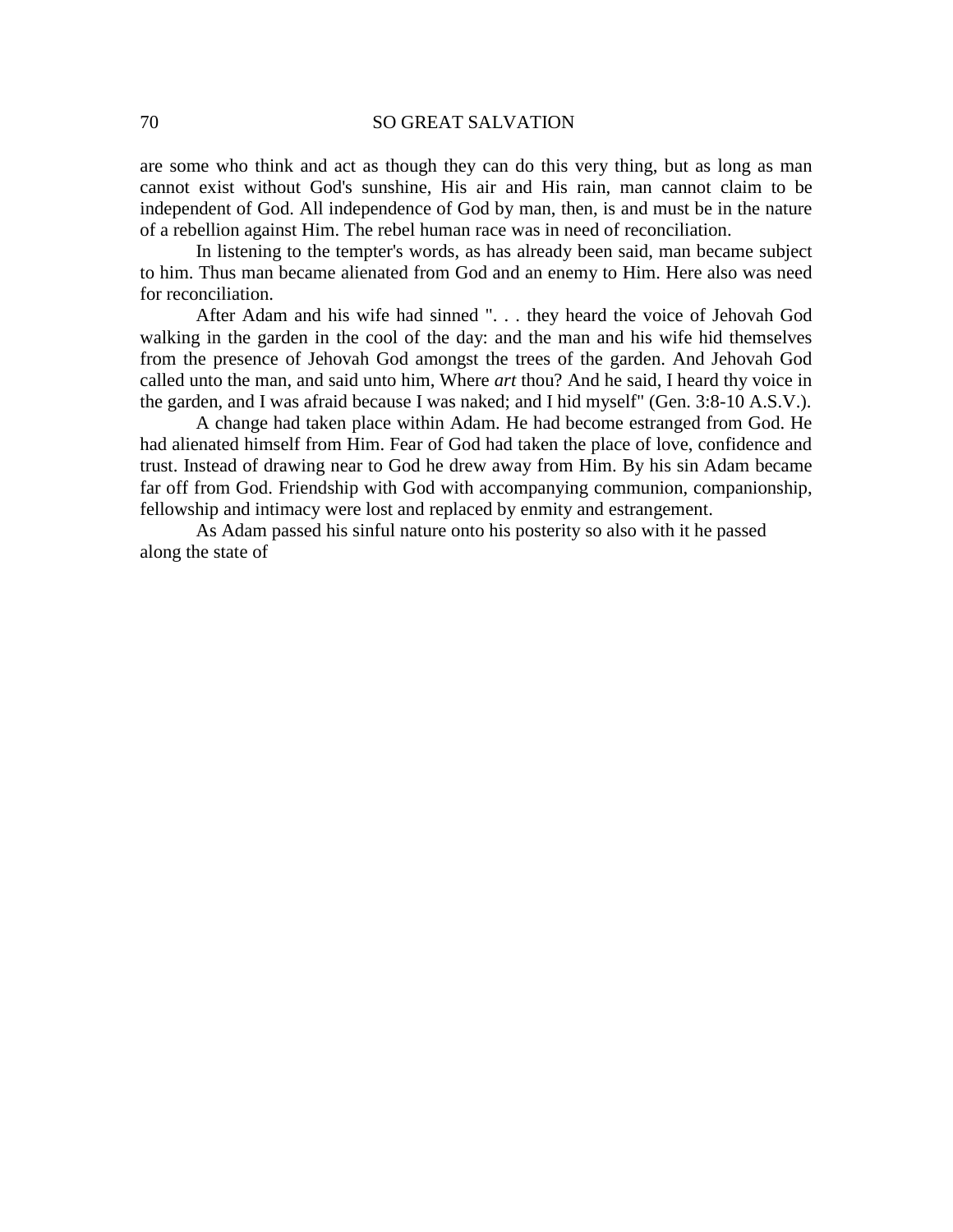are some who think and act as though they can do this very thing, but as long as man cannot exist without God's sunshine, His air and His rain, man cannot claim to be independent of God. All independence of God by man, then, is and must be in the nature of a rebellion against Him. The rebel human race was in need of reconciliation.

In listening to the tempter's words, as has already been said, man became subject to him. Thus man became alienated from God and an enemy to Him. Here also was need for reconciliation.

After Adam and his wife had sinned ". . . they heard the voice of Jehovah God walking in the garden in the cool of the day: and the man and his wife hid themselves from the presence of Jehovah God amongst the trees of the garden. And Jehovah God called unto the man, and said unto him, Where *art* thou? And he said, I heard thy voice in the garden, and I was afraid because I was naked; and I hid myself" (Gen. 3:8-10 A.S.V.).

A change had taken place within Adam. He had become estranged from God. He had alienated himself from Him. Fear of God had taken the place of love, confidence and trust. Instead of drawing near to God he drew away from Him. By his sin Adam became far off from God. Friendship with God with accompanying communion, companionship, fellowship and intimacy were lost and replaced by enmity and estrangement.

As Adam passed his sinful nature onto his posterity so also with it he passed along the state of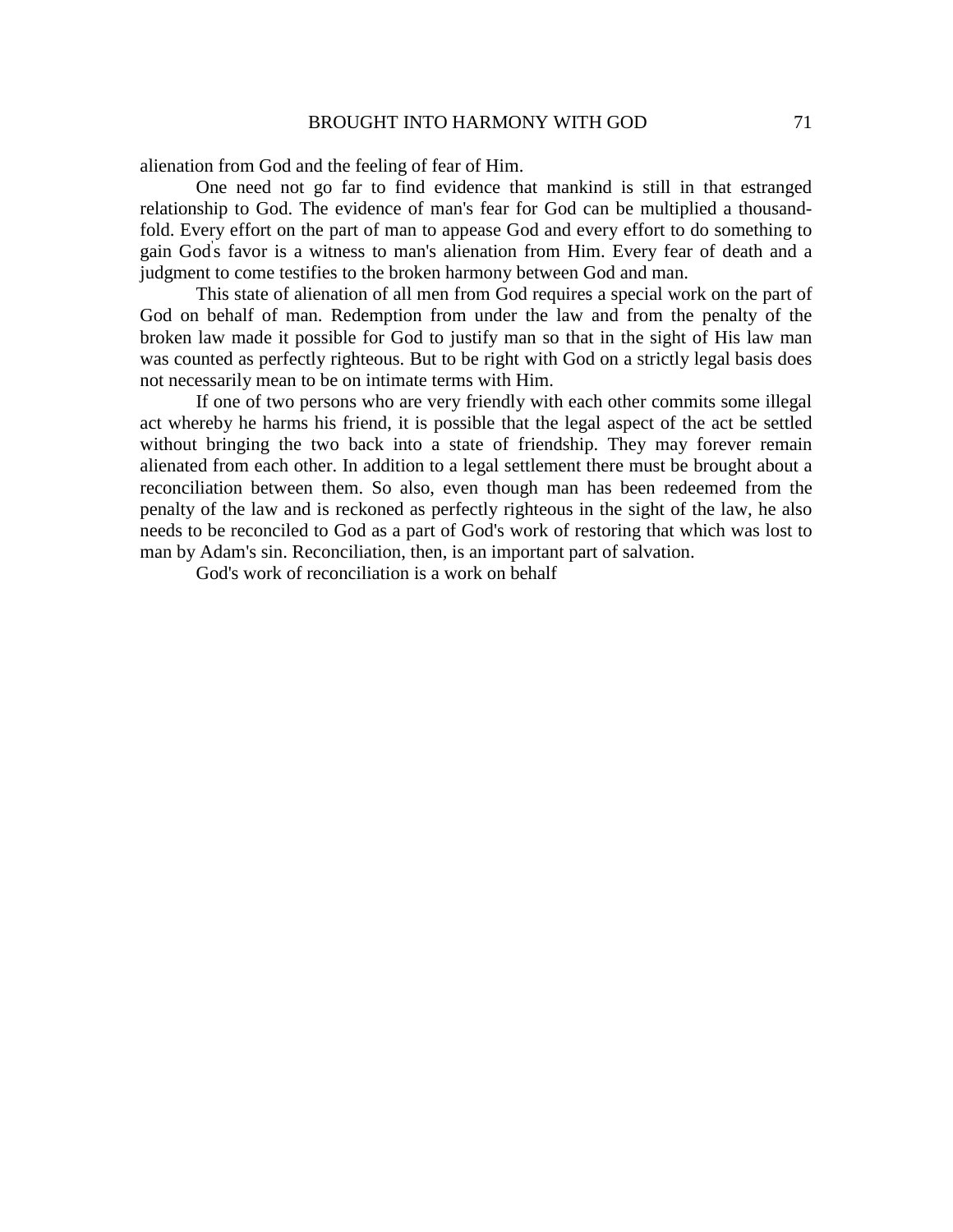alienation from God and the feeling of fear of Him.

One need not go far to find evidence that mankind is still in that estranged relationship to God. The evidence of man's fear for God can be multiplied a thousandfold. Every effort on the part of man to appease God and every effort to do something to gain God' s favor is a witness to man's alienation from Him. Every fear of death and a judgment to come testifies to the broken harmony between God and man.

This state of alienation of all men from God requires a special work on the part of God on behalf of man. Redemption from under the law and from the penalty of the broken law made it possible for God to justify man so that in the sight of His law man was counted as perfectly righteous. But to be right with God on a strictly legal basis does not necessarily mean to be on intimate terms with Him.

If one of two persons who are very friendly with each other commits some illegal act whereby he harms his friend, it is possible that the legal aspect of the act be settled without bringing the two back into a state of friendship. They may forever remain alienated from each other. In addition to a legal settlement there must be brought about a reconciliation between them. So also, even though man has been redeemed from the penalty of the law and is reckoned as perfectly righteous in the sight of the law, he also needs to be reconciled to God as a part of God's work of restoring that which was lost to man by Adam's sin. Reconciliation, then, is an important part of salvation.

God's work of reconciliation is a work on behalf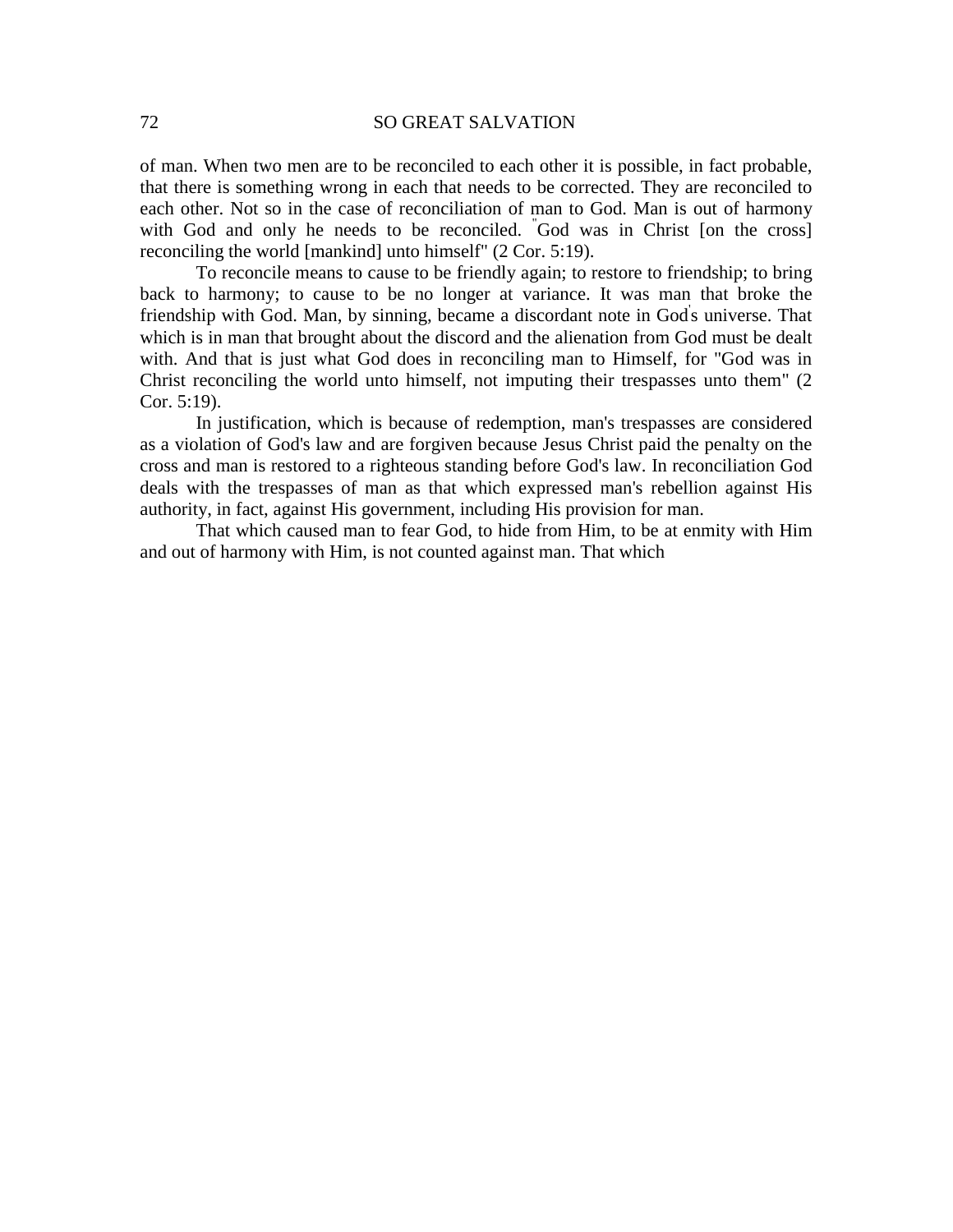of man. When two men are to be reconciled to each other it is possible, in fact probable, that there is something wrong in each that needs to be corrected. They are reconciled to each other. Not so in the case of reconciliation of man to God. Man is out of harmony with God and only he needs to be reconciled. " God was in Christ [on the cross] reconciling the world [mankind] unto himself" (2 Cor. 5:19).

To reconcile means to cause to be friendly again; to restore to friendship; to bring back to harmony; to cause to be no longer at variance. It was man that broke the friendship with God. Man, by sinning, became a discordant note in God's universe. That which is in man that brought about the discord and the alienation from God must be dealt with. And that is just what God does in reconciling man to Himself, for "God was in Christ reconciling the world unto himself, not imputing their trespasses unto them" (2 Cor. 5:19).

In justification, which is because of redemption, man's trespasses are considered as a violation of God's law and are forgiven because Jesus Christ paid the penalty on the cross and man is restored to a righteous standing before God's law. In reconciliation God deals with the trespasses of man as that which expressed man's rebellion against His authority, in fact, against His government, including His provision for man.

That which caused man to fear God, to hide from Him, to be at enmity with Him and out of harmony with Him, is not counted against man. That which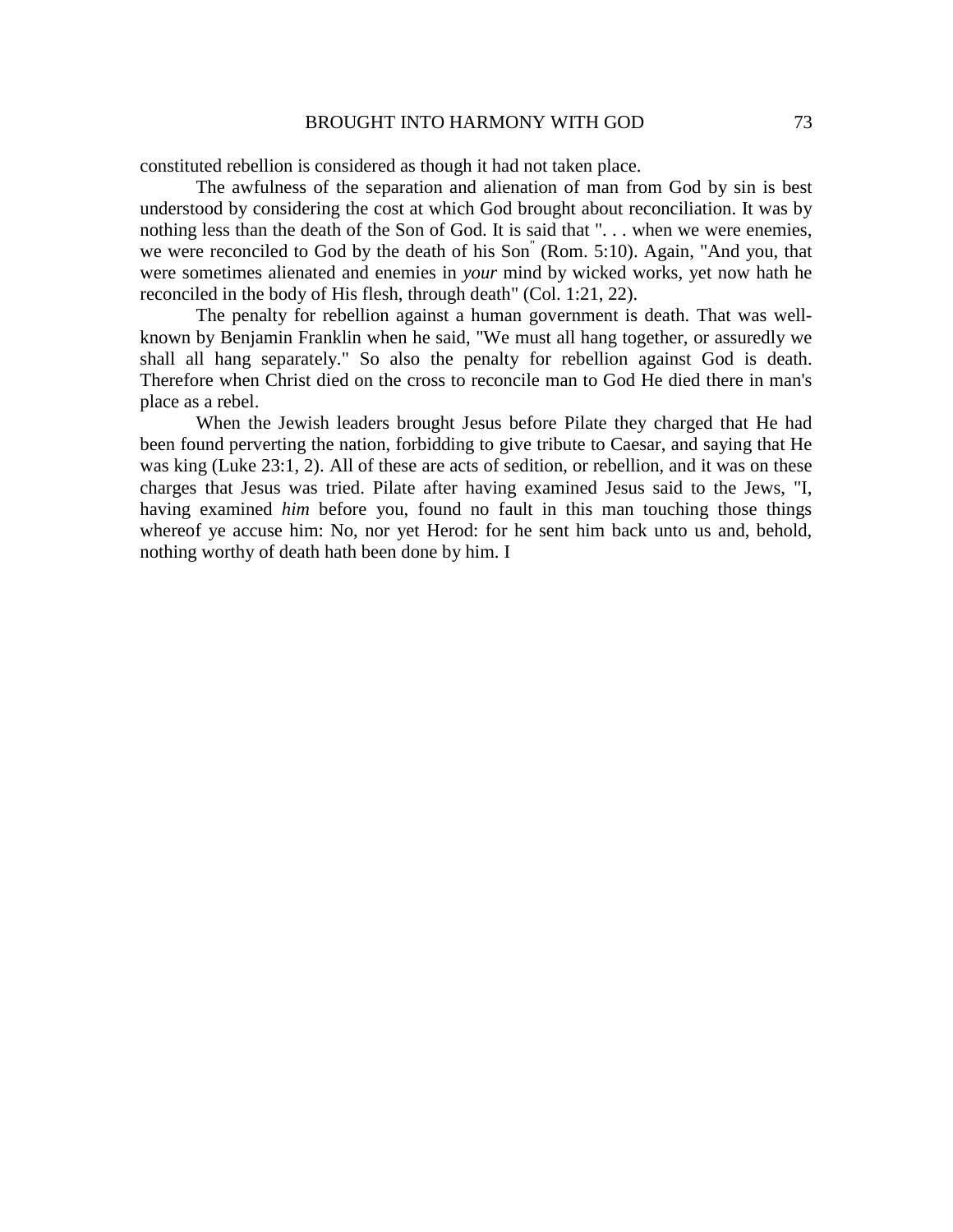# BROUGHT INTO HARMONY WITH GOD 73

constituted rebellion is considered as though it had not taken place.

The awfulness of the separation and alienation of man from God by sin is best understood by considering the cost at which God brought about reconciliation. It was by nothing less than the death of the Son of God. It is said that ". . . when we were enemies, we were reconciled to God by the death of his Son" (Rom. 5:10). Again, "And you, that were sometimes alienated and enemies in *your* mind by wicked works, yet now hath he reconciled in the body of His flesh, through death" (Col. 1:21, 22).

The penalty for rebellion against a human government is death. That was wellknown by Benjamin Franklin when he said, "We must all hang together, or assuredly we shall all hang separately." So also the penalty for rebellion against God is death. Therefore when Christ died on the cross to reconcile man to God He died there in man's place as a rebel.

When the Jewish leaders brought Jesus before Pilate they charged that He had been found perverting the nation, forbidding to give tribute to Caesar, and saying that He was king (Luke 23:1, 2). All of these are acts of sedition, or rebellion, and it was on these charges that Jesus was tried. Pilate after having examined Jesus said to the Jews, "I, having examined *him* before you, found no fault in this man touching those things whereof ye accuse him: No, nor yet Herod: for he sent him back unto us and, behold, nothing worthy of death hath been done by him. I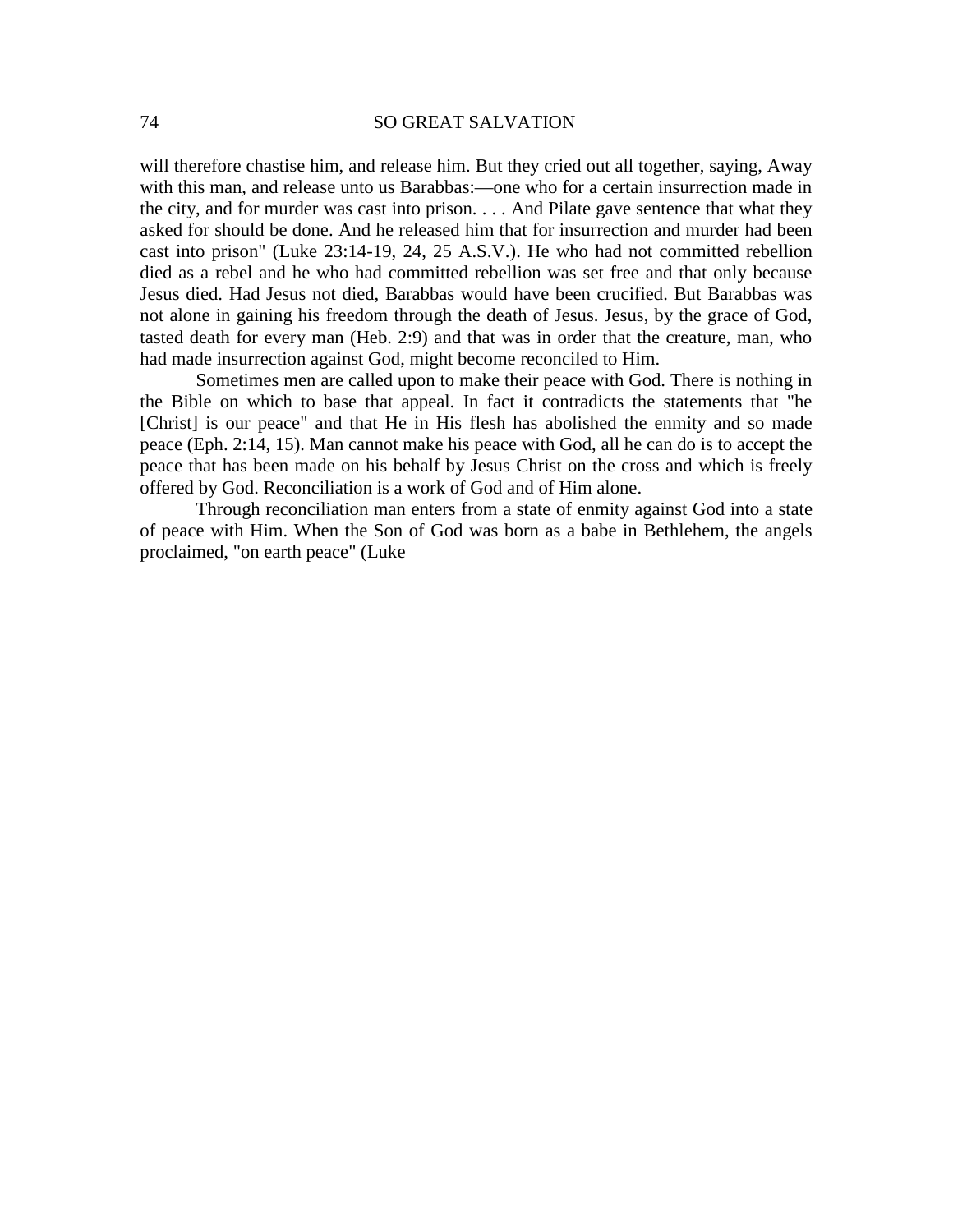will therefore chastise him, and release him. But they cried out all together, saying, Away with this man, and release unto us Barabbas:—one who for a certain insurrection made in the city, and for murder was cast into prison. . . . And Pilate gave sentence that what they asked for should be done. And he released him that for insurrection and murder had been cast into prison" (Luke 23:14-19, 24, 25 A.S.V.). He who had not committed rebellion died as a rebel and he who had committed rebellion was set free and that only because Jesus died. Had Jesus not died, Barabbas would have been crucified. But Barabbas was not alone in gaining his freedom through the death of Jesus. Jesus, by the grace of God, tasted death for every man (Heb. 2:9) and that was in order that the creature, man, who had made insurrection against God, might become reconciled to Him.

Sometimes men are called upon to make their peace with God. There is nothing in the Bible on which to base that appeal. In fact it contradicts the statements that "he [Christ] is our peace" and that He in His flesh has abolished the enmity and so made peace (Eph. 2:14, 15). Man cannot make his peace with God, all he can do is to accept the peace that has been made on his behalf by Jesus Christ on the cross and which is freely offered by God. Reconciliation is a work of God and of Him alone.

Through reconciliation man enters from a state of enmity against God into a state of peace with Him. When the Son of God was born as a babe in Bethlehem, the angels proclaimed, "on earth peace" (Luke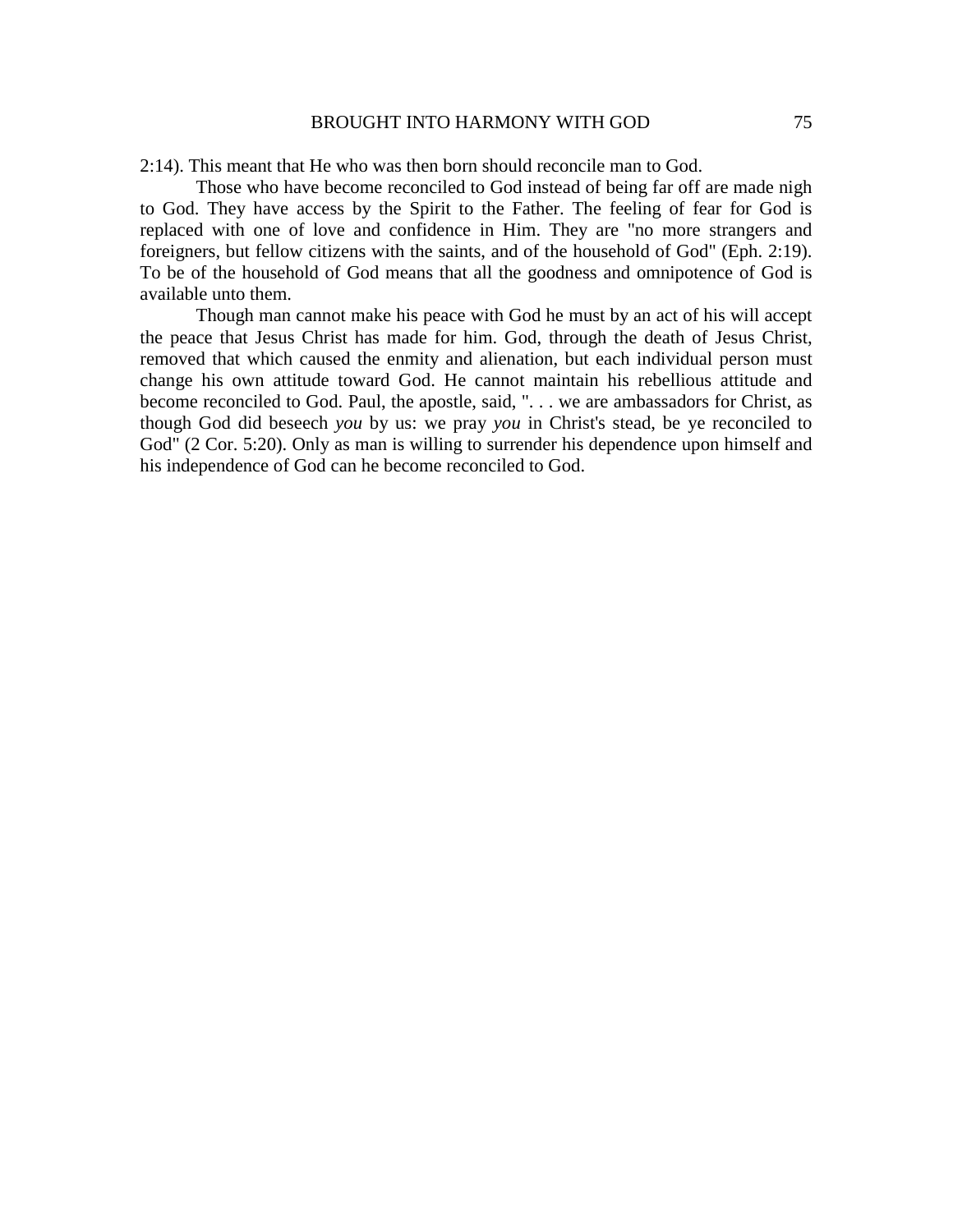# BROUGHT INTO HARMONY WITH GOD 75

2:14). This meant that He who was then born should reconcile man to God.

Those who have become reconciled to God instead of being far off are made nigh to God. They have access by the Spirit to the Father. The feeling of fear for God is replaced with one of love and confidence in Him. They are "no more strangers and foreigners, but fellow citizens with the saints, and of the household of God" (Eph. 2:19). To be of the household of God means that all the goodness and omnipotence of God is available unto them.

Though man cannot make his peace with God he must by an act of his will accept the peace that Jesus Christ has made for him. God, through the death of Jesus Christ, removed that which caused the enmity and alienation, but each individual person must change his own attitude toward God. He cannot maintain his rebellious attitude and become reconciled to God. Paul, the apostle, said, ". . . we are ambassadors for Christ, as though God did beseech *you* by us: we pray *you* in Christ's stead, be ye reconciled to God" (2 Cor. 5:20). Only as man is willing to surrender his dependence upon himself and his independence of God can he become reconciled to God.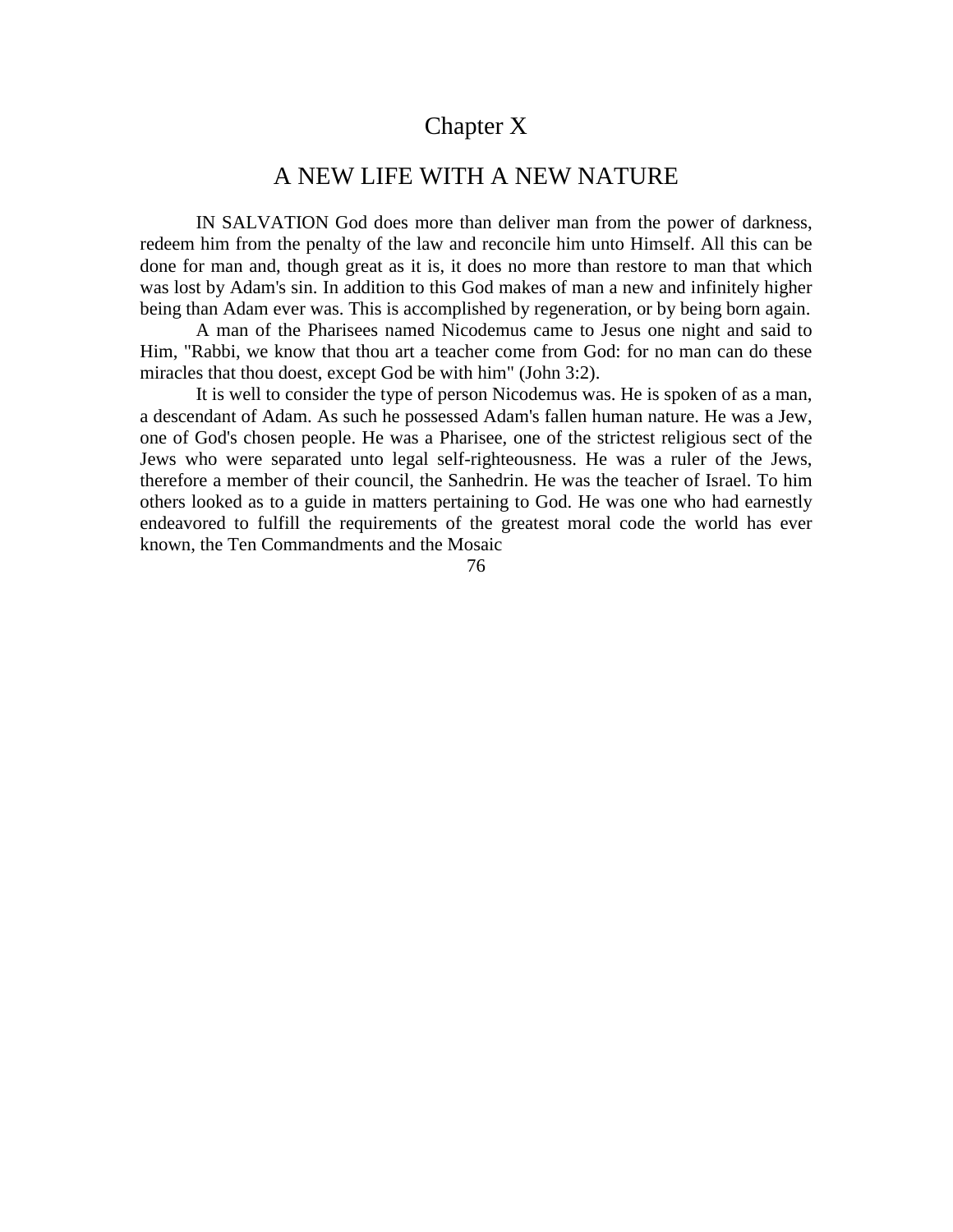# Chapter X

# A NEW LIFE WITH A NEW NATURE

IN SALVATION God does more than deliver man from the power of darkness, redeem him from the penalty of the law and reconcile him unto Himself. All this can be done for man and, though great as it is, it does no more than restore to man that which was lost by Adam's sin. In addition to this God makes of man a new and infinitely higher being than Adam ever was. This is accomplished by regeneration, or by being born again.

A man of the Pharisees named Nicodemus came to Jesus one night and said to Him, "Rabbi, we know that thou art a teacher come from God: for no man can do these miracles that thou doest, except God be with him" (John 3:2).

It is well to consider the type of person Nicodemus was. He is spoken of as a man, a descendant of Adam. As such he possessed Adam's fallen human nature. He was a Jew, one of God's chosen people. He was a Pharisee, one of the strictest religious sect of the Jews who were separated unto legal self-righteousness. He was a ruler of the Jews, therefore a member of their council, the Sanhedrin. He was the teacher of Israel. To him others looked as to a guide in matters pertaining to God. He was one who had earnestly endeavored to fulfill the requirements of the greatest moral code the world has ever known, the Ten Commandments and the Mosaic

76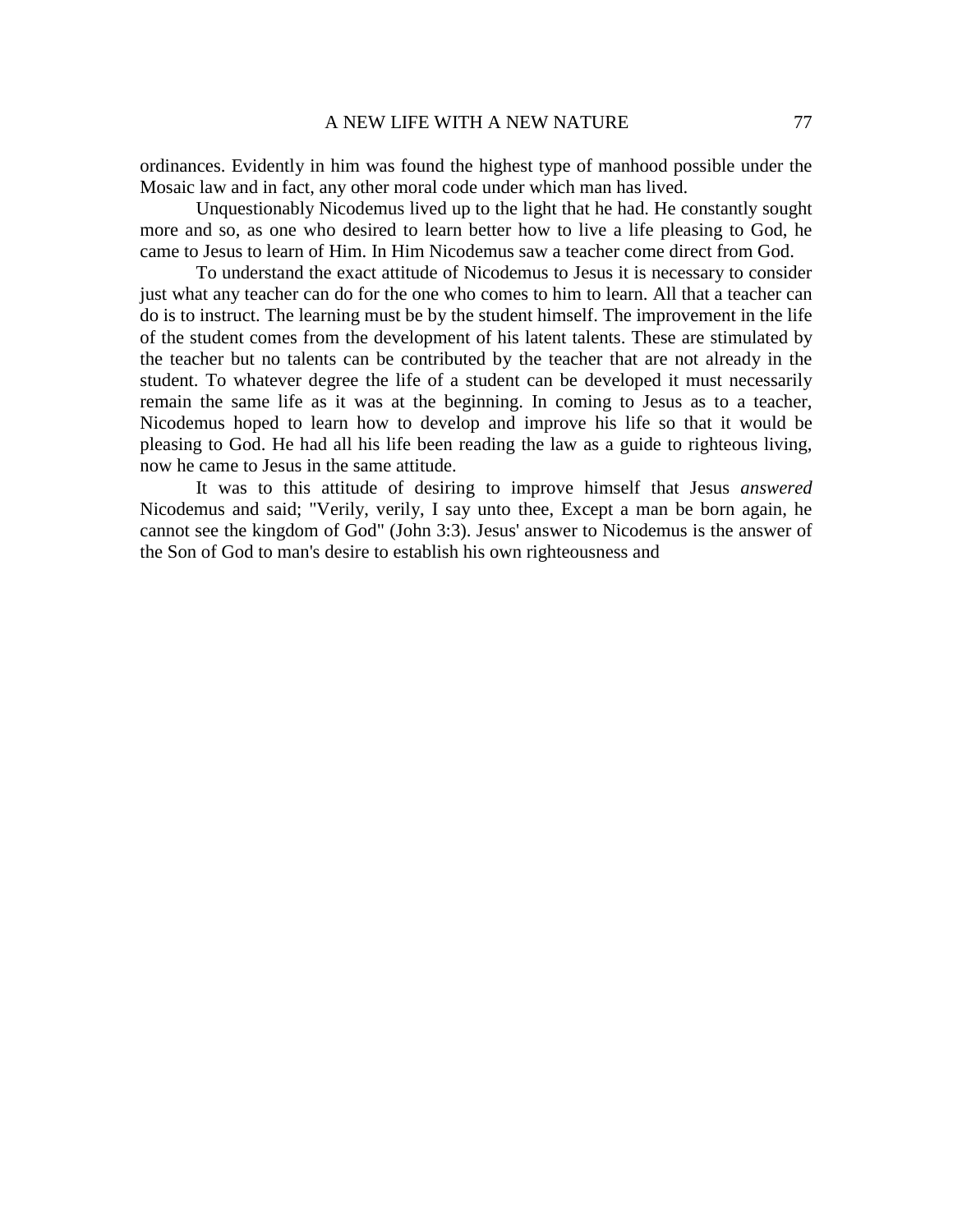#### A NEW LIFE WITH A NEW NATURE 77

ordinances. Evidently in him was found the highest type of manhood possible under the Mosaic law and in fact, any other moral code under which man has lived.

Unquestionably Nicodemus lived up to the light that he had. He constantly sought more and so, as one who desired to learn better how to live a life pleasing to God, he came to Jesus to learn of Him. In Him Nicodemus saw a teacher come direct from God.

To understand the exact attitude of Nicodemus to Jesus it is necessary to consider just what any teacher can do for the one who comes to him to learn. All that a teacher can do is to instruct. The learning must be by the student himself. The improvement in the life of the student comes from the development of his latent talents. These are stimulated by the teacher but no talents can be contributed by the teacher that are not already in the student. To whatever degree the life of a student can be developed it must necessarily remain the same life as it was at the beginning. In coming to Jesus as to a teacher, Nicodemus hoped to learn how to develop and improve his life so that it would be pleasing to God. He had all his life been reading the law as a guide to righteous living, now he came to Jesus in the same attitude.

It was to this attitude of desiring to improve himself that Jesus *answered*  Nicodemus and said; "Verily, verily, I say unto thee, Except a man be born again, he cannot see the kingdom of God" (John 3:3). Jesus' answer to Nicodemus is the answer of the Son of God to man's desire to establish his own righteousness and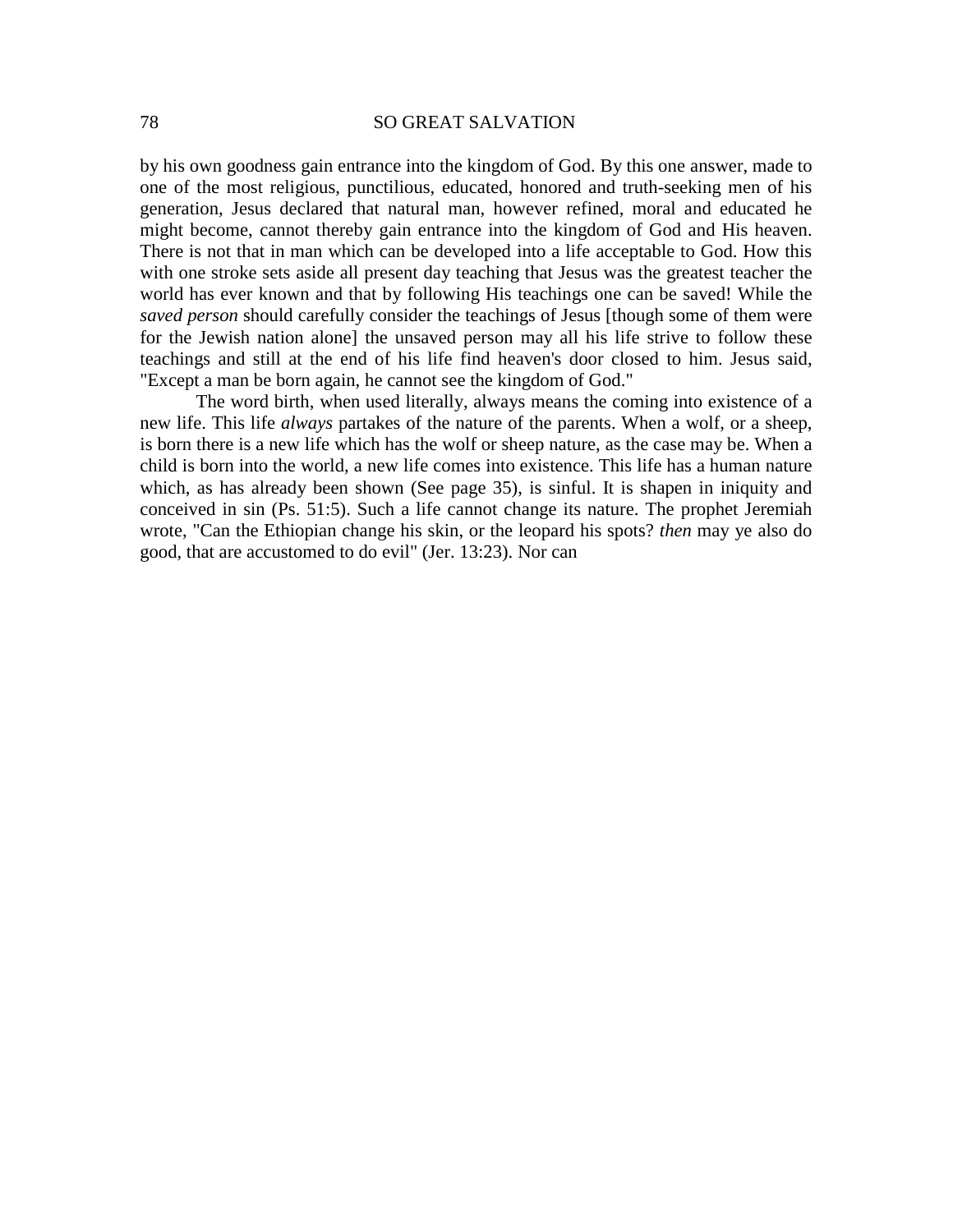by his own goodness gain entrance into the kingdom of God. By this one answer, made to one of the most religious, punctilious, educated, honored and truth-seeking men of his generation, Jesus declared that natural man, however refined, moral and educated he might become, cannot thereby gain entrance into the kingdom of God and His heaven. There is not that in man which can be developed into a life acceptable to God. How this with one stroke sets aside all present day teaching that Jesus was the greatest teacher the world has ever known and that by following His teachings one can be saved! While the *saved person* should carefully consider the teachings of Jesus [though some of them were for the Jewish nation alone] the unsaved person may all his life strive to follow these teachings and still at the end of his life find heaven's door closed to him. Jesus said, "Except a man be born again, he cannot see the kingdom of God."

The word birth, when used literally, always means the coming into existence of a new life. This life *always* partakes of the nature of the parents. When a wolf, or a sheep, is born there is a new life which has the wolf or sheep nature, as the case may be. When a child is born into the world, a new life comes into existence. This life has a human nature which, as has already been shown (See page 35), is sinful. It is shapen in iniquity and conceived in sin (Ps. 51:5). Such a life cannot change its nature. The prophet Jeremiah wrote, "Can the Ethiopian change his skin, or the leopard his spots? *then* may ye also do good, that are accustomed to do evil" (Jer. 13:23). Nor can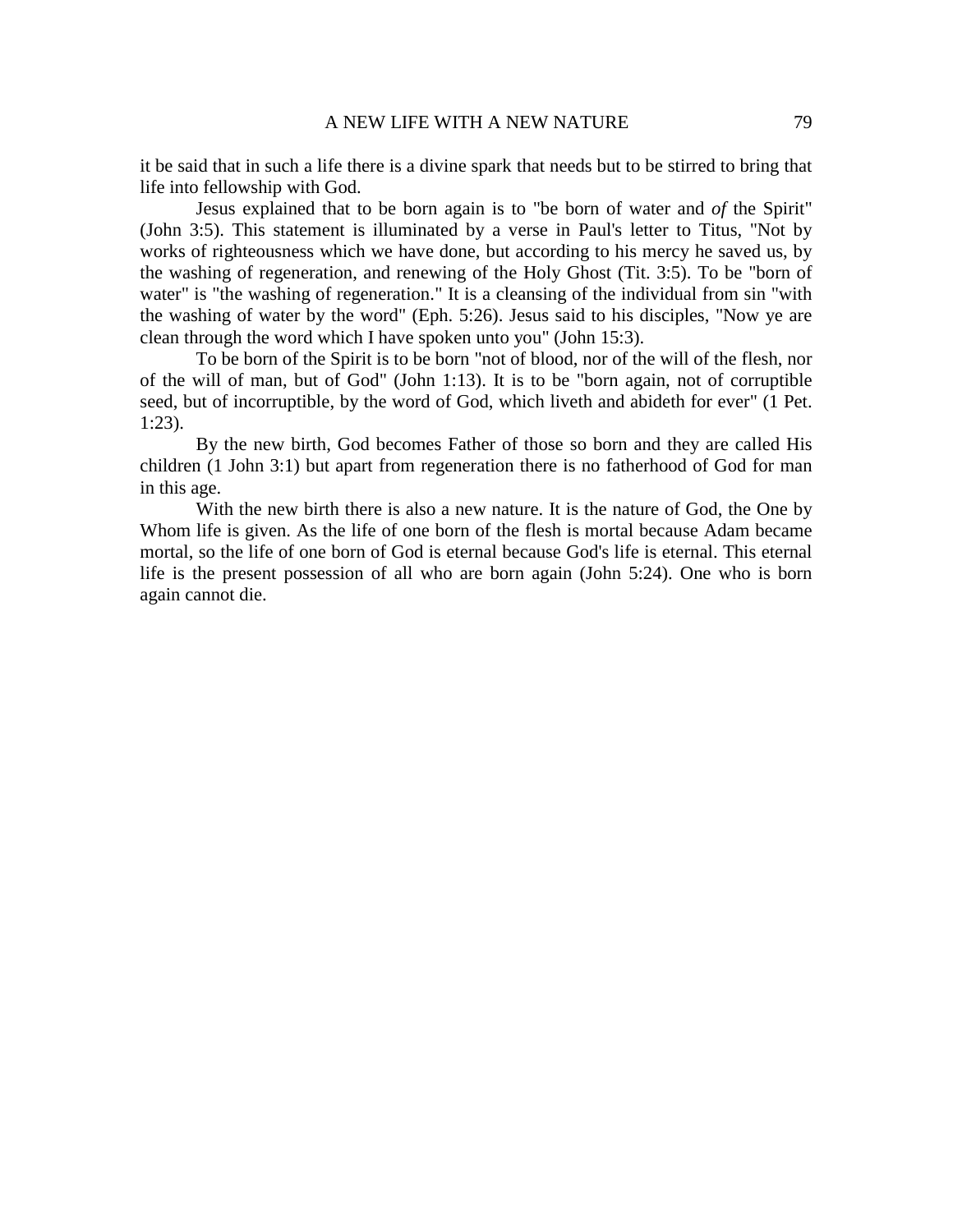it be said that in such a life there is a divine spark that needs but to be stirred to bring that life into fellowship with God.

Jesus explained that to be born again is to "be born of water and *of* the Spirit" (John 3:5). This statement is illuminated by a verse in Paul's letter to Titus, "Not by works of righteousness which we have done, but according to his mercy he saved us, by the washing of regeneration, and renewing of the Holy Ghost (Tit. 3:5). To be "born of water" is "the washing of regeneration." It is a cleansing of the individual from sin "with the washing of water by the word" (Eph. 5:26). Jesus said to his disciples, "Now ye are clean through the word which I have spoken unto you" (John 15:3).

To be born of the Spirit is to be born "not of blood, nor of the will of the flesh, nor of the will of man, but of God" (John 1:13). It is to be "born again, not of corruptible seed, but of incorruptible, by the word of God, which liveth and abideth for ever" (1 Pet. 1:23).

By the new birth, God becomes Father of those so born and they are called His children (1 John 3:1) but apart from regeneration there is no fatherhood of God for man in this age.

With the new birth there is also a new nature. It is the nature of God, the One by Whom life is given. As the life of one born of the flesh is mortal because Adam became mortal, so the life of one born of God is eternal because God's life is eternal. This eternal life is the present possession of all who are born again (John 5:24). One who is born again cannot die.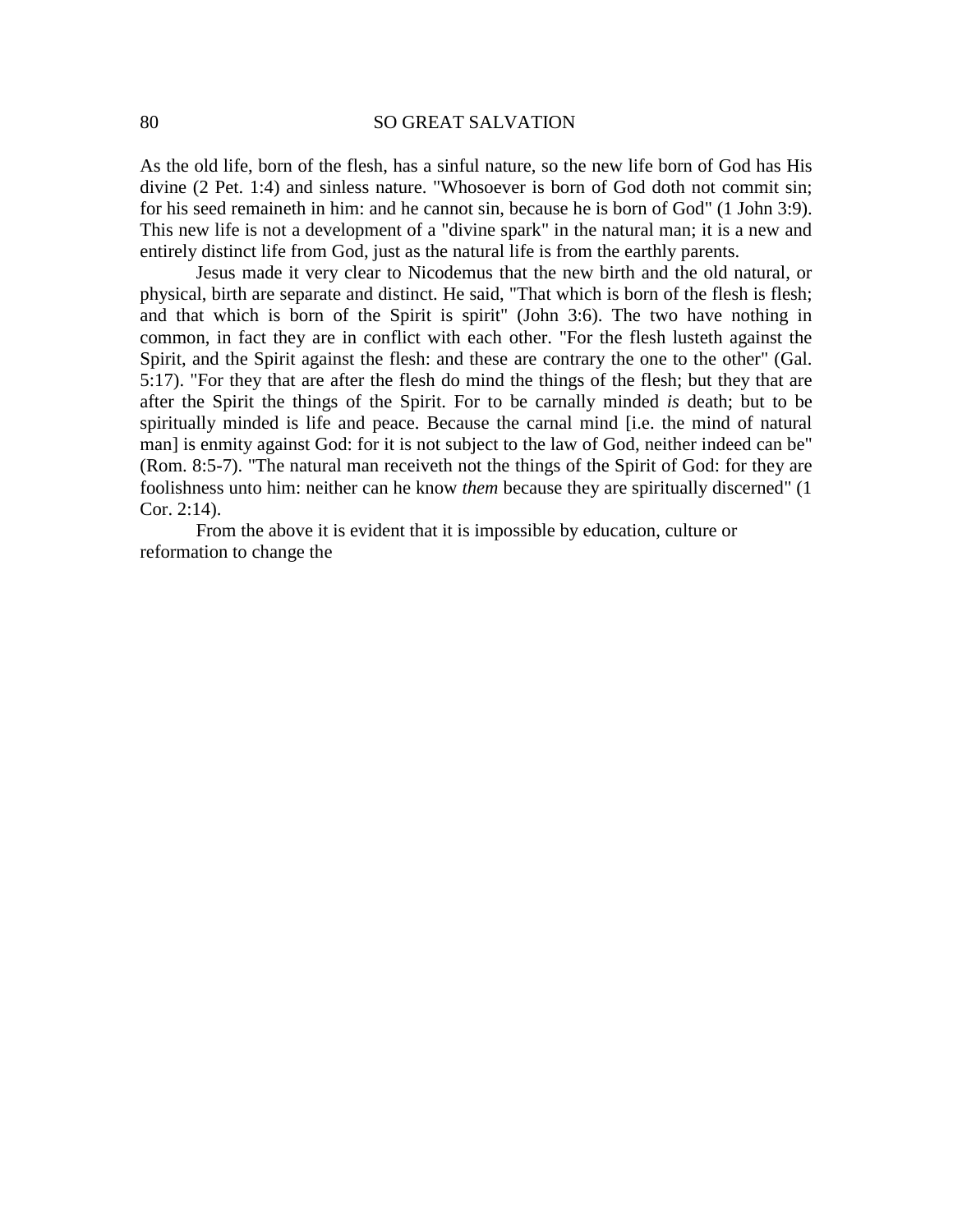As the old life, born of the flesh, has a sinful nature, so the new life born of God has His divine (2 Pet. 1:4) and sinless nature. "Whosoever is born of God doth not commit sin; for his seed remaineth in him: and he cannot sin, because he is born of God" (1 John 3:9). This new life is not a development of a "divine spark" in the natural man; it is a new and entirely distinct life from God, just as the natural life is from the earthly parents.

Jesus made it very clear to Nicodemus that the new birth and the old natural, or physical, birth are separate and distinct. He said, "That which is born of the flesh is flesh; and that which is born of the Spirit is spirit" (John 3:6). The two have nothing in common, in fact they are in conflict with each other. "For the flesh lusteth against the Spirit, and the Spirit against the flesh: and these are contrary the one to the other" (Gal. 5:17). "For they that are after the flesh do mind the things of the flesh; but they that are after the Spirit the things of the Spirit. For to be carnally minded *is* death; but to be spiritually minded is life and peace. Because the carnal mind [i.e. the mind of natural man] is enmity against God: for it is not subject to the law of God, neither indeed can be" (Rom. 8:5-7). "The natural man receiveth not the things of the Spirit of God: for they are foolishness unto him: neither can he know *them* because they are spiritually discerned" (1 Cor. 2:14).

From the above it is evident that it is impossible by education, culture or reformation to change the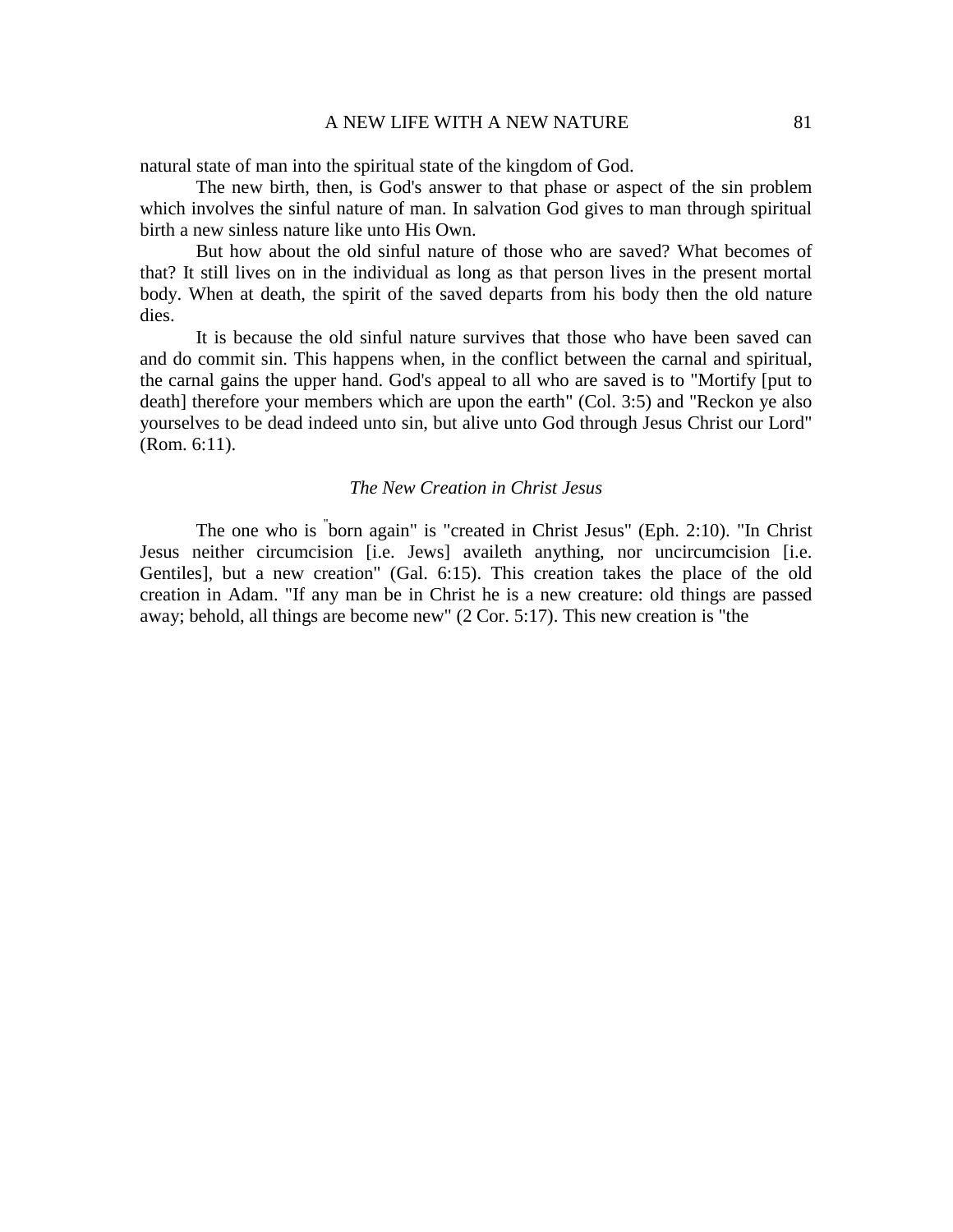#### A NEW LIFE WITH A NEW NATURE 81

natural state of man into the spiritual state of the kingdom of God.

The new birth, then, is God's answer to that phase or aspect of the sin problem which involves the sinful nature of man. In salvation God gives to man through spiritual birth a new sinless nature like unto His Own.

But how about the old sinful nature of those who are saved? What becomes of that? It still lives on in the individual as long as that person lives in the present mortal body. When at death, the spirit of the saved departs from his body then the old nature dies.

It is because the old sinful nature survives that those who have been saved can and do commit sin. This happens when, in the conflict between the carnal and spiritual, the carnal gains the upper hand. God's appeal to all who are saved is to "Mortify [put to death] therefore your members which are upon the earth" (Col. 3:5) and "Reckon ye also yourselves to be dead indeed unto sin, but alive unto God through Jesus Christ our Lord" (Rom. 6:11).

#### *The New Creation in Christ Jesus*

The one who is " born again" is "created in Christ Jesus" (Eph. 2:10). "In Christ Jesus neither circumcision [i.e. Jews] availeth anything, nor uncircumcision [i.e. Gentiles], but a new creation" (Gal. 6:15). This creation takes the place of the old creation in Adam. "If any man be in Christ he is a new creature: old things are passed away; behold, all things are become new" (2 Cor. 5:17). This new creation is "the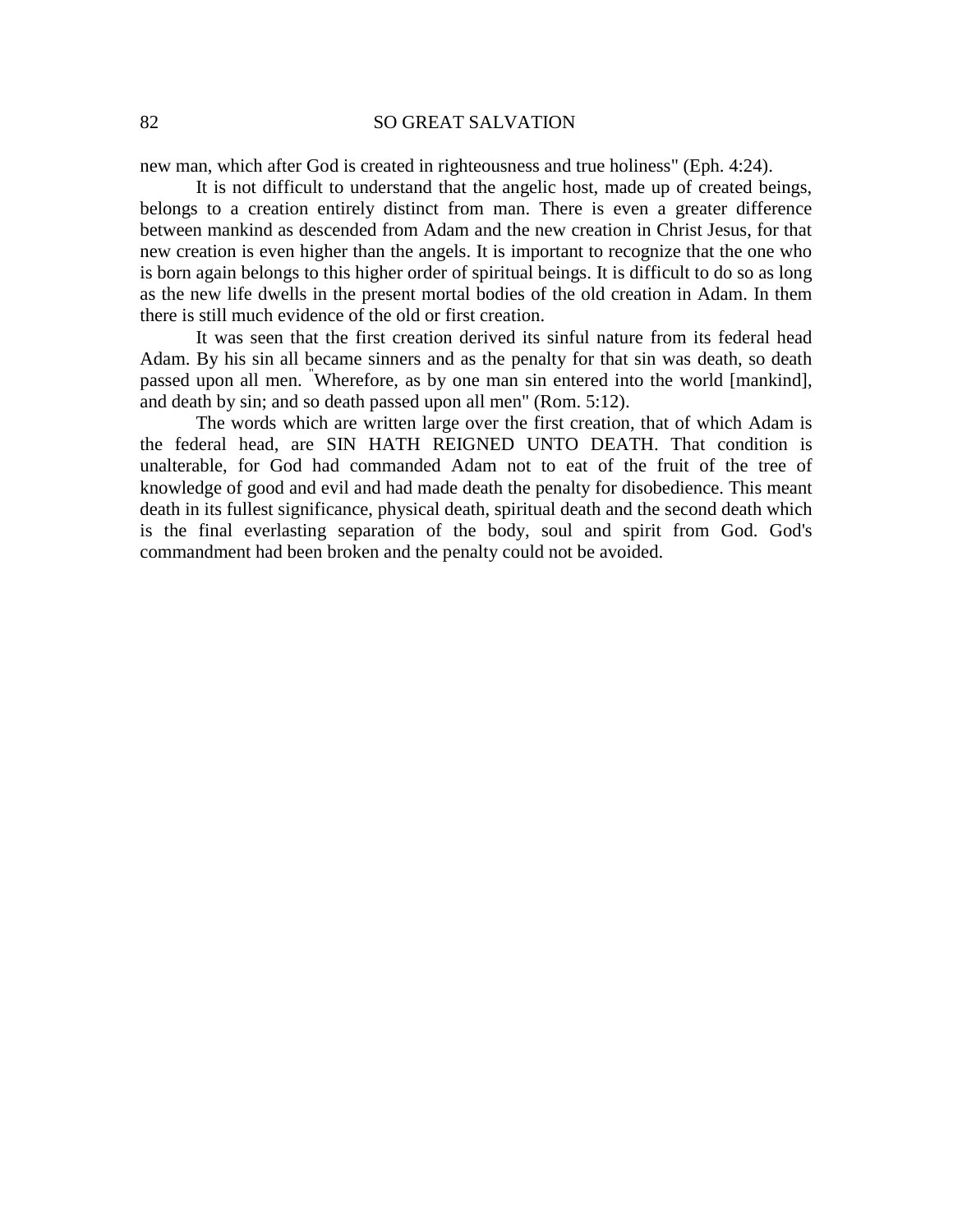new man, which after God is created in righteousness and true holiness" (Eph. 4:24).

It is not difficult to understand that the angelic host, made up of created beings, belongs to a creation entirely distinct from man. There is even a greater difference between mankind as descended from Adam and the new creation in Christ Jesus, for that new creation is even higher than the angels. It is important to recognize that the one who is born again belongs to this higher order of spiritual beings. It is difficult to do so as long as the new life dwells in the present mortal bodies of the old creation in Adam. In them there is still much evidence of the old or first creation.

It was seen that the first creation derived its sinful nature from its federal head Adam. By his sin all became sinners and as the penalty for that sin was death, so death passed upon all men. " Wherefore, as by one man sin entered into the world [mankind], and death by sin; and so death passed upon all men" (Rom. 5:12).

The words which are written large over the first creation, that of which Adam is the federal head, are SIN HATH REIGNED UNTO DEATH. That condition is unalterable, for God had commanded Adam not to eat of the fruit of the tree of knowledge of good and evil and had made death the penalty for disobedience. This meant death in its fullest significance, physical death, spiritual death and the second death which is the final everlasting separation of the body, soul and spirit from God. God's commandment had been broken and the penalty could not be avoided.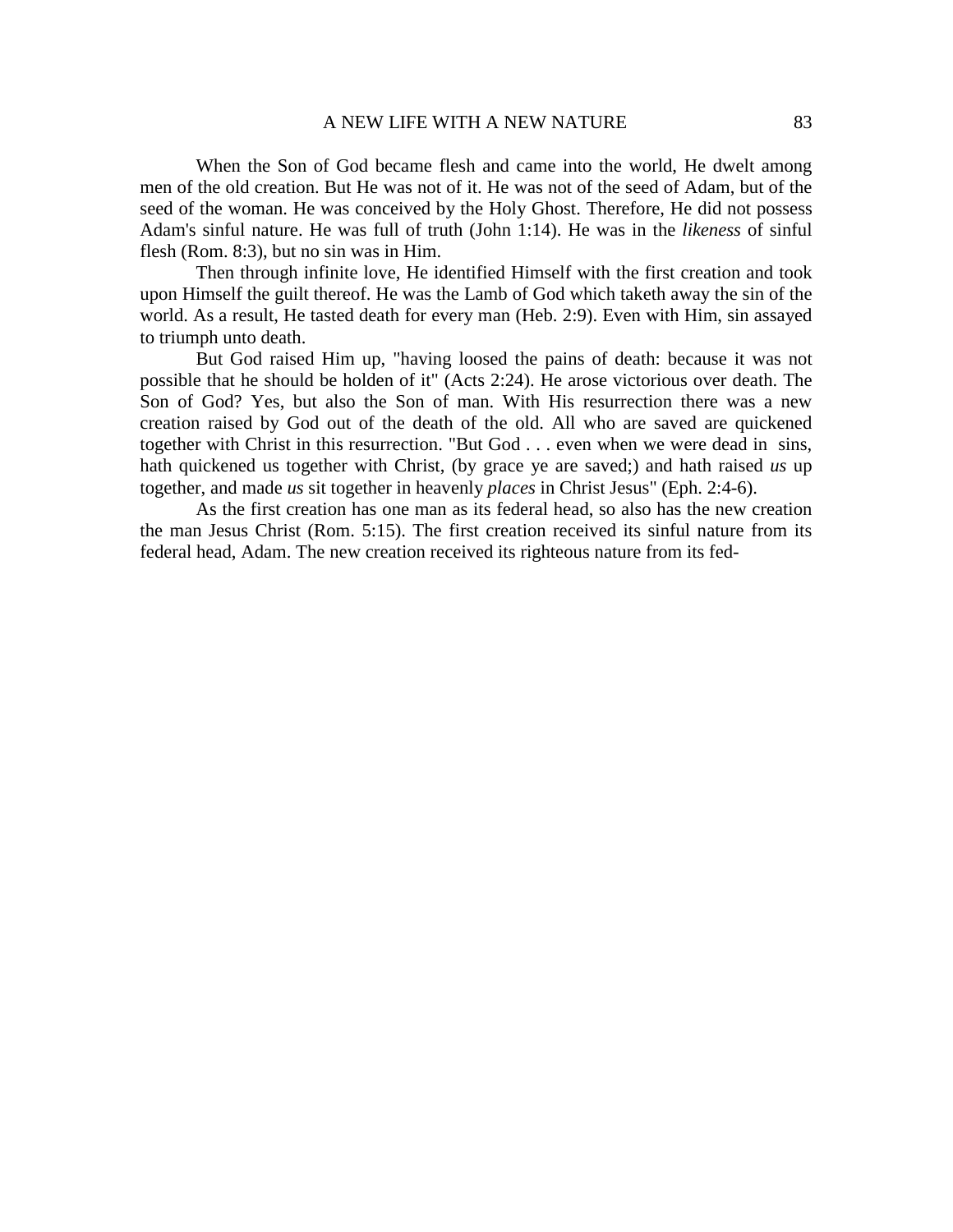#### A NEW LIFE WITH A NEW NATURE 83

When the Son of God became flesh and came into the world, He dwelt among men of the old creation. But He was not of it. He was not of the seed of Adam, but of the seed of the woman. He was conceived by the Holy Ghost. Therefore, He did not possess Adam's sinful nature. He was full of truth (John 1:14). He was in the *likeness* of sinful flesh (Rom. 8:3), but no sin was in Him.

Then through infinite love, He identified Himself with the first creation and took upon Himself the guilt thereof. He was the Lamb of God which taketh away the sin of the world. As a result, He tasted death for every man (Heb. 2:9). Even with Him, sin assayed to triumph unto death.

But God raised Him up, "having loosed the pains of death: because it was not possible that he should be holden of it" (Acts 2:24). He arose victorious over death. The Son of God? Yes, but also the Son of man. With His resurrection there was a new creation raised by God out of the death of the old. All who are saved are quickened together with Christ in this resurrection. "But God . . . even when we were dead in sins, hath quickened us together with Christ, (by grace ye are saved;) and hath raised *us* up together, and made *us* sit together in heavenly *places* in Christ Jesus" (Eph. 2:4-6).

As the first creation has one man as its federal head, so also has the new creation the man Jesus Christ (Rom. 5:15). The first creation received its sinful nature from its federal head, Adam. The new creation received its righteous nature from its fed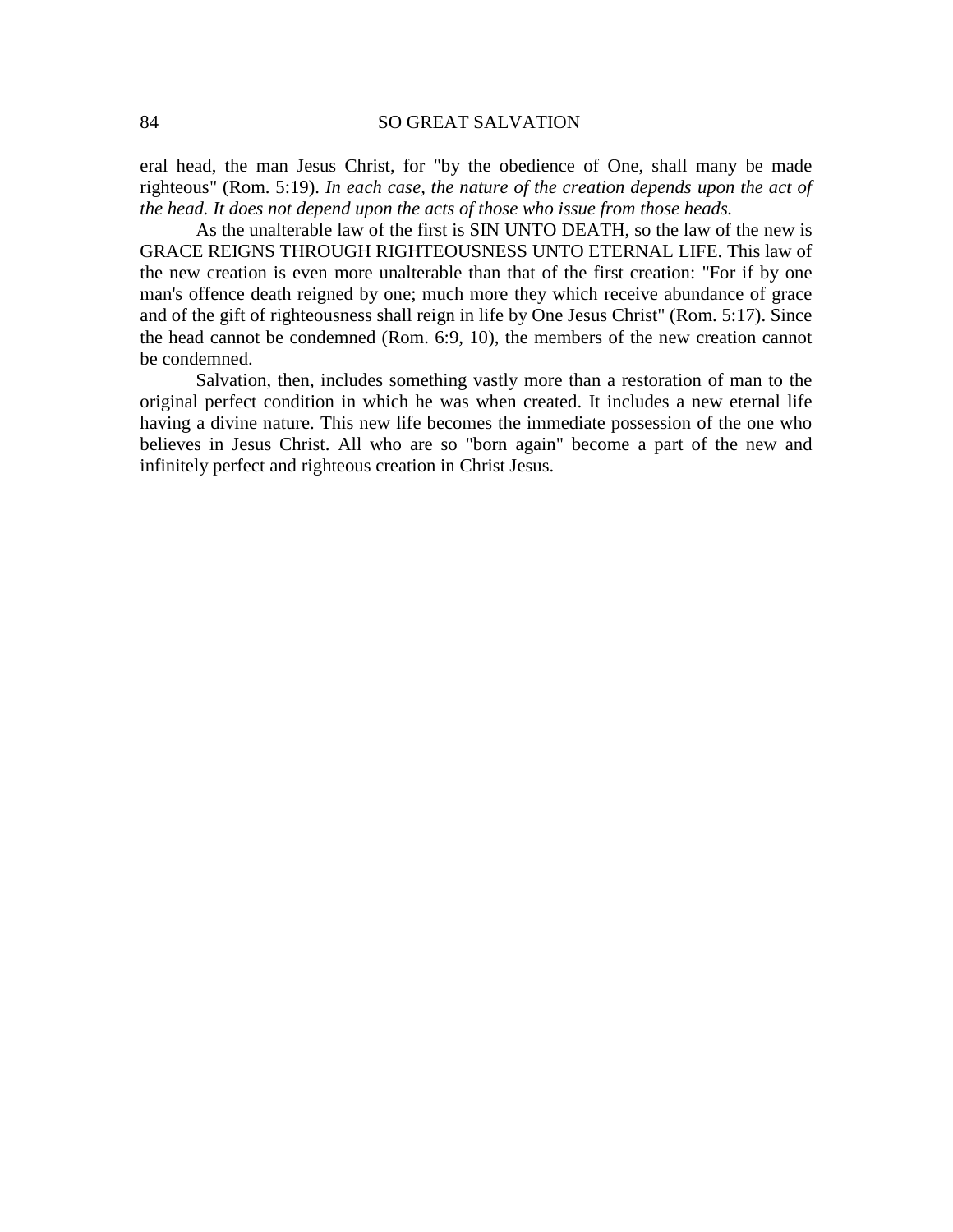eral head, the man Jesus Christ, for "by the obedience of One, shall many be made righteous" (Rom. 5:19). *In each case, the nature of the creation depends upon the act of the head. It does not depend upon the acts of those who issue from those heads.*

As the unalterable law of the first is SIN UNTO DEATH, so the law of the new is GRACE REIGNS THROUGH RIGHTEOUSNESS UNTO ETERNAL LIFE. This law of the new creation is even more unalterable than that of the first creation: "For if by one man's offence death reigned by one; much more they which receive abundance of grace and of the gift of righteousness shall reign in life by One Jesus Christ" (Rom. 5:17). Since the head cannot be condemned (Rom. 6:9, 10), the members of the new creation cannot be condemned.

Salvation, then, includes something vastly more than a restoration of man to the original perfect condition in which he was when created. It includes a new eternal life having a divine nature. This new life becomes the immediate possession of the one who believes in Jesus Christ. All who are so "born again" become a part of the new and infinitely perfect and righteous creation in Christ Jesus.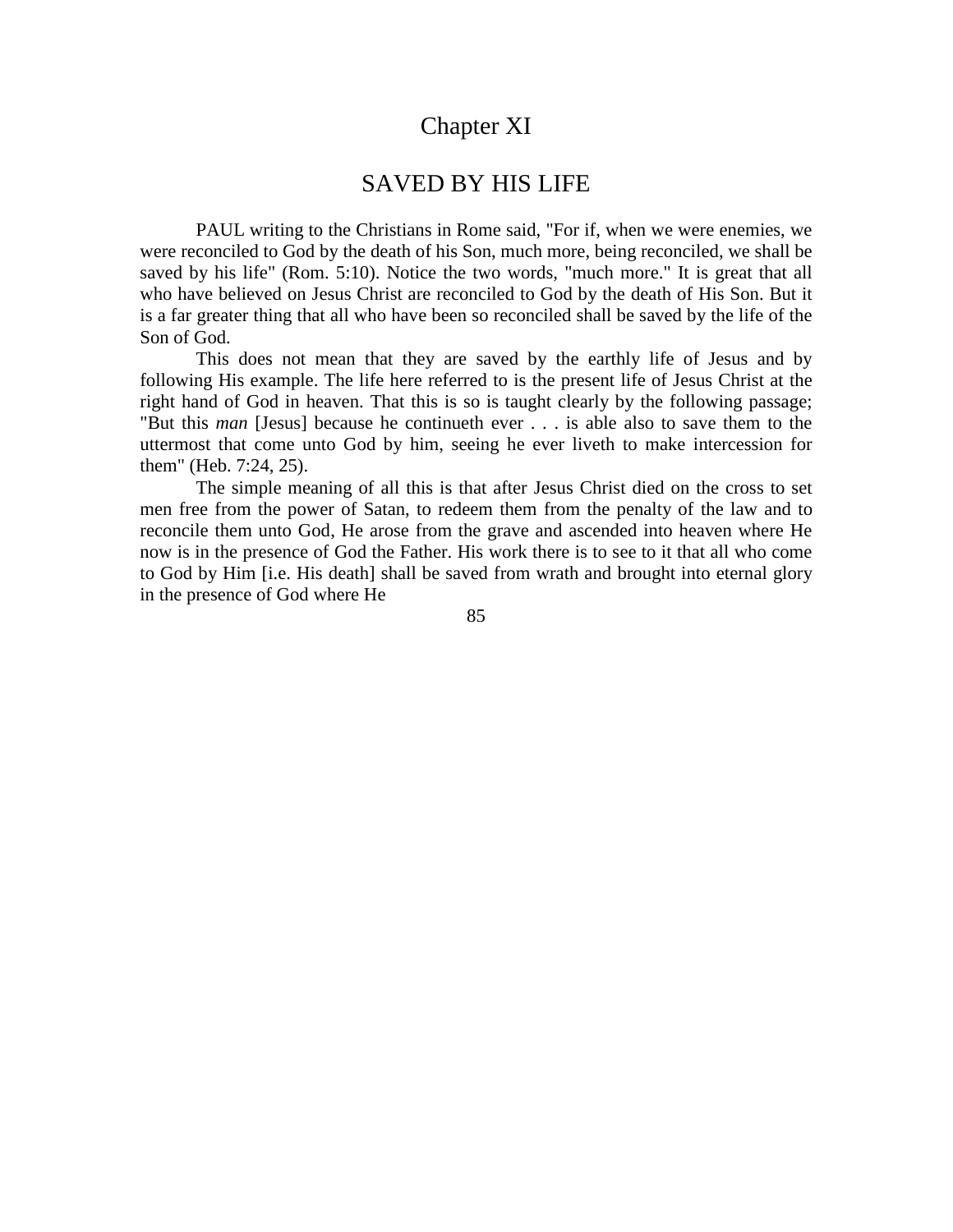## Chapter XI

## SAVED BY HIS LIFE

PAUL writing to the Christians in Rome said, "For if, when we were enemies, we were reconciled to God by the death of his Son, much more, being reconciled, we shall be saved by his life" (Rom. 5:10). Notice the two words, "much more." It is great that all who have believed on Jesus Christ are reconciled to God by the death of His Son. But it is a far greater thing that all who have been so reconciled shall be saved by the life of the Son of God.

This does not mean that they are saved by the earthly life of Jesus and by following His example. The life here referred to is the present life of Jesus Christ at the right hand of God in heaven. That this is so is taught clearly by the following passage; "But this *man* [Jesus] because he continueth ever . . . is able also to save them to the uttermost that come unto God by him, seeing he ever liveth to make intercession for them" (Heb. 7:24, 25).

The simple meaning of all this is that after Jesus Christ died on the cross to set men free from the power of Satan, to redeem them from the penalty of the law and to reconcile them unto God, He arose from the grave and ascended into heaven where He now is in the presence of God the Father. His work there is to see to it that all who come to God by Him [i.e. His death] shall be saved from wrath and brought into eternal glory in the presence of God where He

85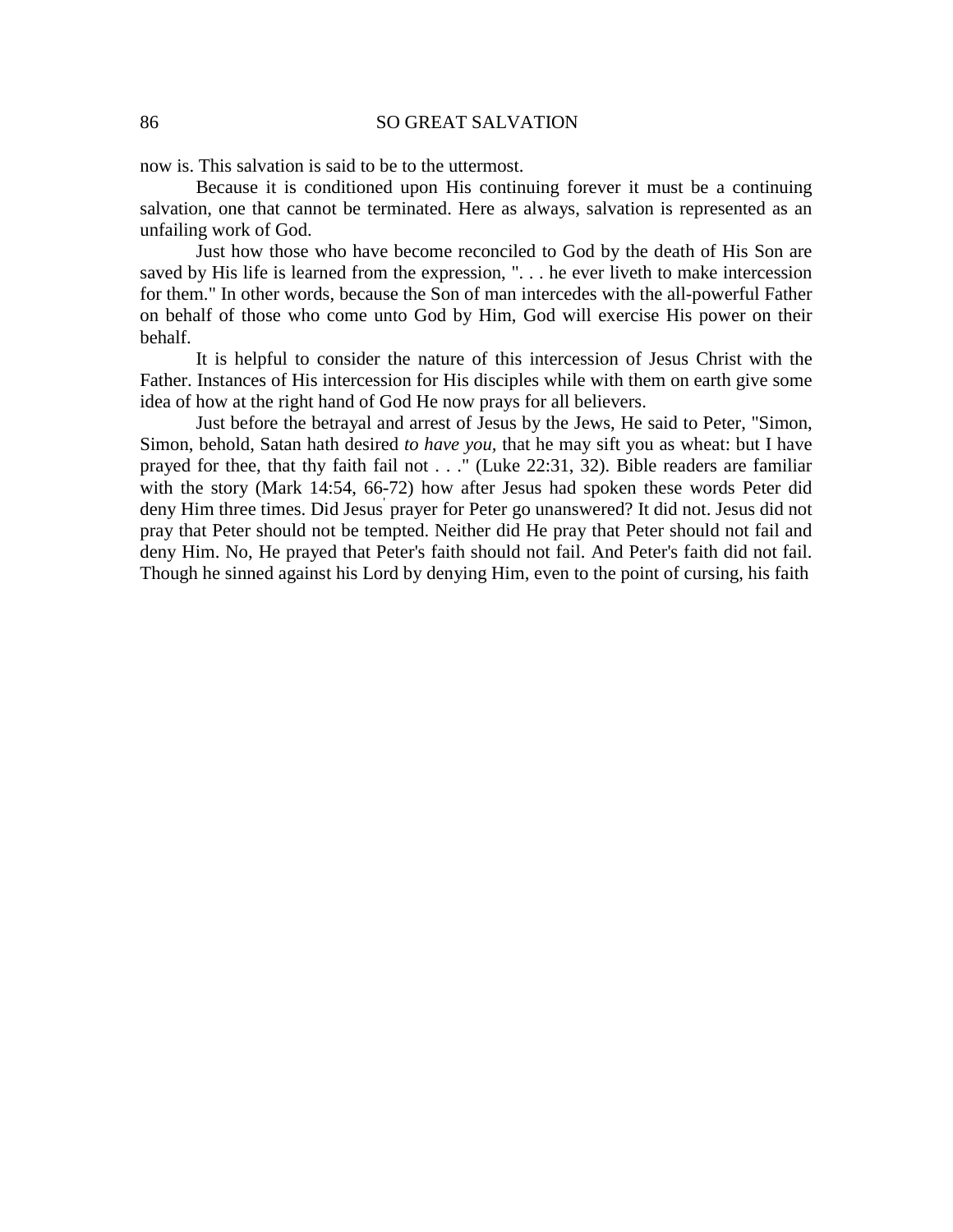now is. This salvation is said to be to the uttermost.

Because it is conditioned upon His continuing forever it must be a continuing salvation, one that cannot be terminated. Here as always, salvation is represented as an unfailing work of God.

Just how those who have become reconciled to God by the death of His Son are saved by His life is learned from the expression, ". . . he ever liveth to make intercession for them." In other words, because the Son of man intercedes with the all-powerful Father on behalf of those who come unto God by Him, God will exercise His power on their behalf.

It is helpful to consider the nature of this intercession of Jesus Christ with the Father. Instances of His intercession for His disciples while with them on earth give some idea of how at the right hand of God He now prays for all believers.

Just before the betrayal and arrest of Jesus by the Jews, He said to Peter, "Simon, Simon, behold, Satan hath desired *to have you,* that he may sift you as wheat: but I have prayed for thee, that thy faith fail not . . ." (Luke 22:31, 32). Bible readers are familiar with the story (Mark 14:54, 66-72) how after Jesus had spoken these words Peter did deny Him three times. Did Jesus prayer for Peter go unanswered? It did not. Jesus did not pray that Peter should not be tempted. Neither did He pray that Peter should not fail and deny Him. No, He prayed that Peter's faith should not fail. And Peter's faith did not fail. Though he sinned against his Lord by denying Him, even to the point of cursing, his faith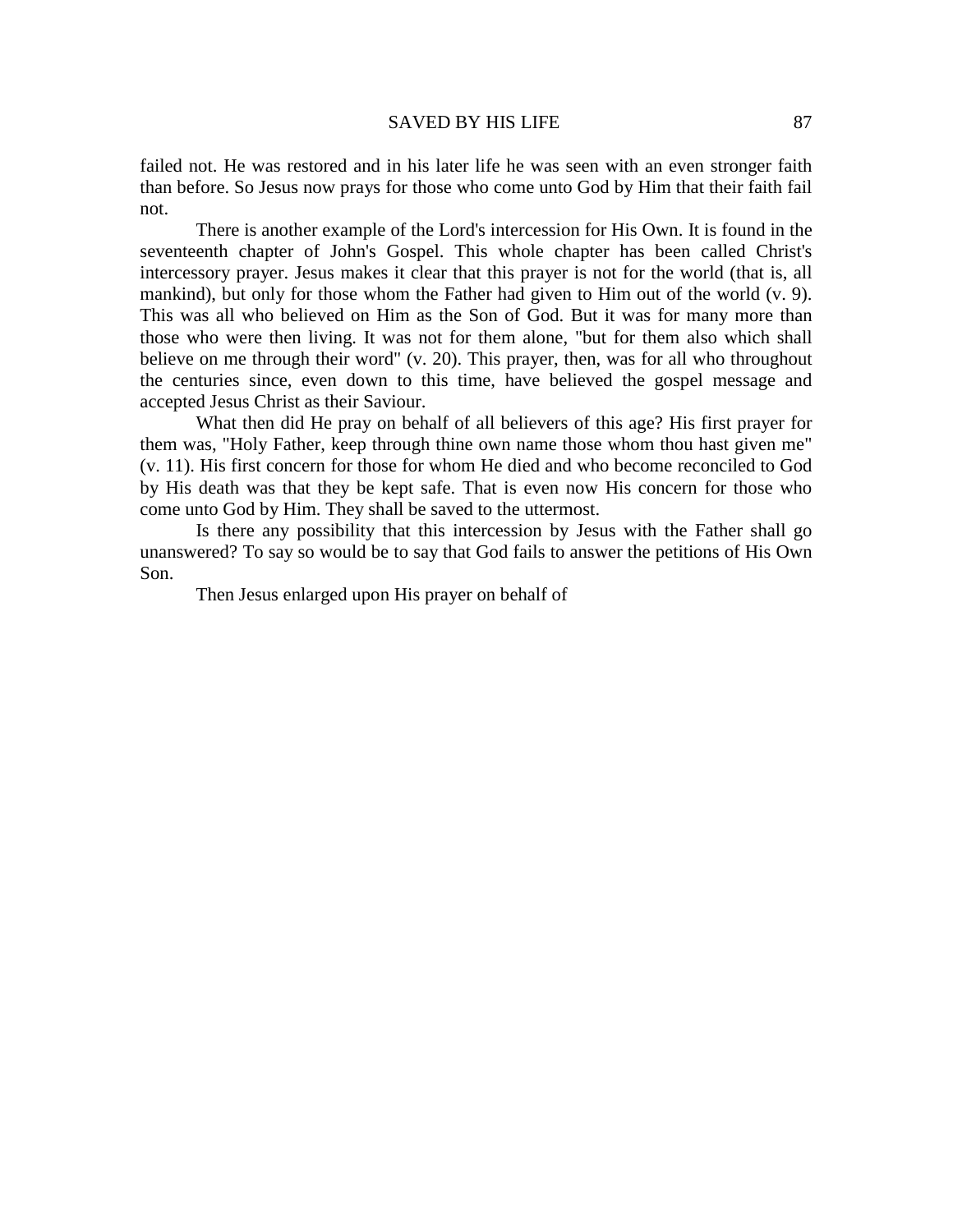#### SAVED BY HIS LIFE 87

failed not. He was restored and in his later life he was seen with an even stronger faith than before. So Jesus now prays for those who come unto God by Him that their faith fail not.

There is another example of the Lord's intercession for His Own. It is found in the seventeenth chapter of John's Gospel. This whole chapter has been called Christ's intercessory prayer. Jesus makes it clear that this prayer is not for the world (that is, all mankind), but only for those whom the Father had given to Him out of the world (v. 9). This was all who believed on Him as the Son of God. But it was for many more than those who were then living. It was not for them alone, "but for them also which shall believe on me through their word" (v. 20). This prayer, then, was for all who throughout the centuries since, even down to this time, have believed the gospel message and accepted Jesus Christ as their Saviour.

What then did He pray on behalf of all believers of this age? His first prayer for them was, "Holy Father, keep through thine own name those whom thou hast given me" (v. 11). His first concern for those for whom He died and who become reconciled to God by His death was that they be kept safe. That is even now His concern for those who come unto God by Him. They shall be saved to the uttermost.

Is there any possibility that this intercession by Jesus with the Father shall go unanswered? To say so would be to say that God fails to answer the petitions of His Own Son.

Then Jesus enlarged upon His prayer on behalf of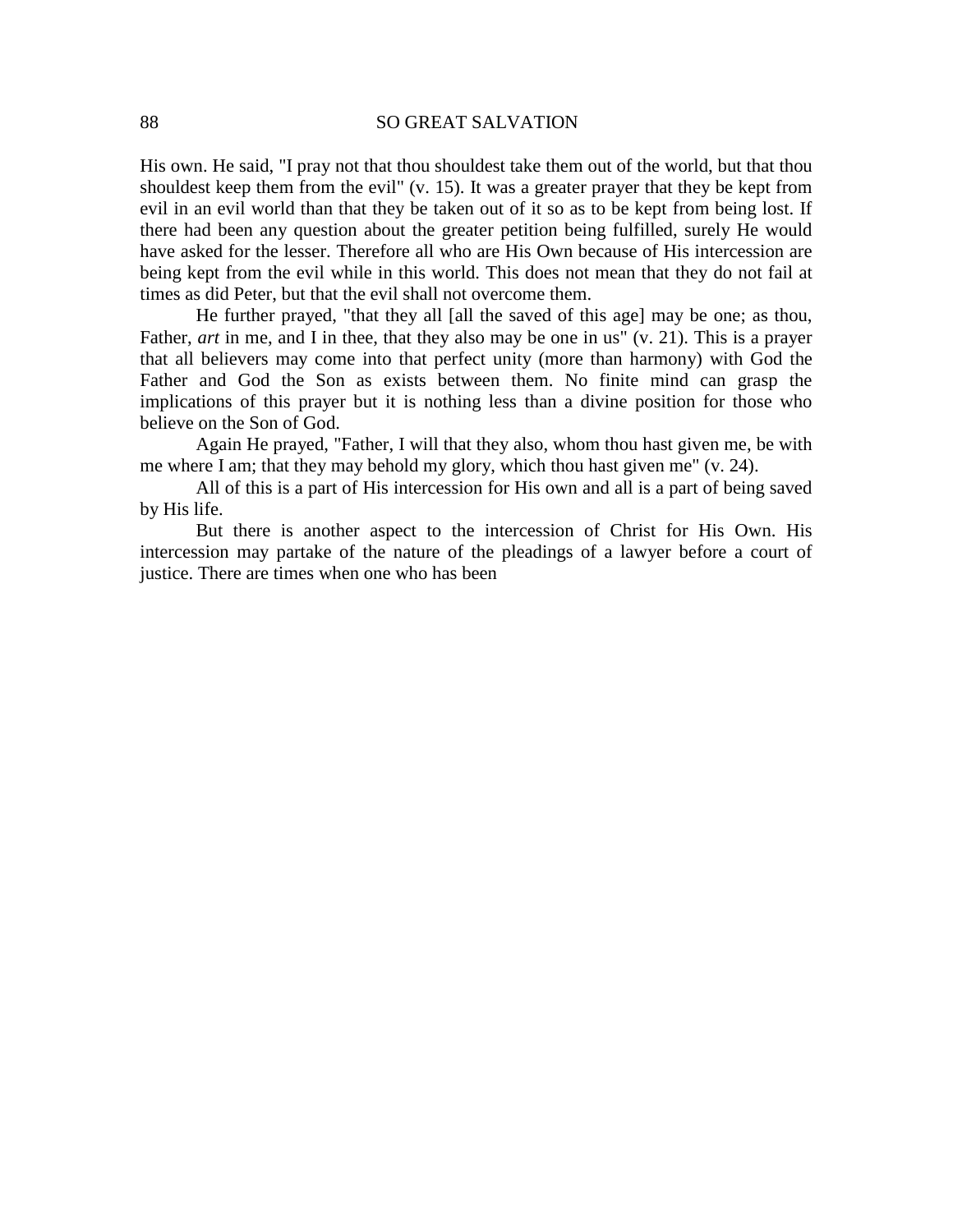His own. He said, "I pray not that thou shouldest take them out of the world, but that thou shouldest keep them from the evil" (v. 15). It was a greater prayer that they be kept from evil in an evil world than that they be taken out of it so as to be kept from being lost. If there had been any question about the greater petition being fulfilled, surely He would have asked for the lesser. Therefore all who are His Own because of His intercession are being kept from the evil while in this world. This does not mean that they do not fail at times as did Peter, but that the evil shall not overcome them.

He further prayed, "that they all [all the saved of this age] may be one; as thou, Father, *art* in me, and I in thee, that they also may be one in us" (v. 21). This is a prayer that all believers may come into that perfect unity (more than harmony) with God the Father and God the Son as exists between them. No finite mind can grasp the implications of this prayer but it is nothing less than a divine position for those who believe on the Son of God.

Again He prayed, "Father, I will that they also, whom thou hast given me, be with me where I am; that they may behold my glory, which thou hast given me" (v. 24).

All of this is a part of His intercession for His own and all is a part of being saved by His life.

But there is another aspect to the intercession of Christ for His Own. His intercession may partake of the nature of the pleadings of a lawyer before a court of justice. There are times when one who has been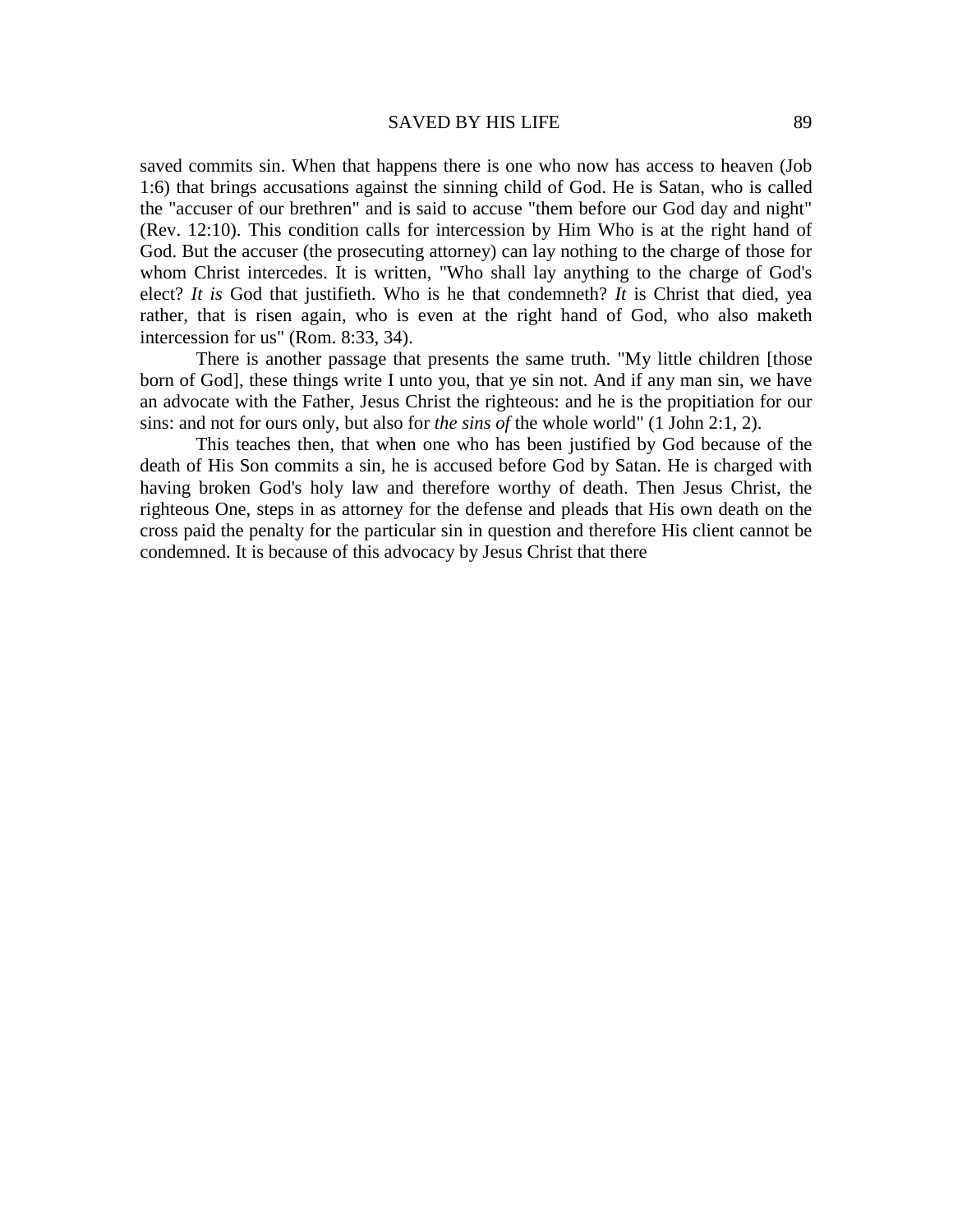#### SAVED BY HIS LIFE 89

saved commits sin. When that happens there is one who now has access to heaven (Job 1:6) that brings accusations against the sinning child of God. He is Satan, who is called the "accuser of our brethren" and is said to accuse "them before our God day and night" (Rev. 12:10). This condition calls for intercession by Him Who is at the right hand of God. But the accuser (the prosecuting attorney) can lay nothing to the charge of those for whom Christ intercedes. It is written, "Who shall lay anything to the charge of God's elect? *It is* God that justifieth. Who is he that condemneth? *It* is Christ that died, yea rather, that is risen again, who is even at the right hand of God, who also maketh intercession for us" (Rom. 8:33, 34).

There is another passage that presents the same truth. "My little children [those born of God], these things write I unto you, that ye sin not. And if any man sin, we have an advocate with the Father, Jesus Christ the righteous: and he is the propitiation for our sins: and not for ours only, but also for *the sins of* the whole world" (1 John 2:1, 2).

This teaches then, that when one who has been justified by God because of the death of His Son commits a sin, he is accused before God by Satan. He is charged with having broken God's holy law and therefore worthy of death. Then Jesus Christ, the righteous One, steps in as attorney for the defense and pleads that His own death on the cross paid the penalty for the particular sin in question and therefore His client cannot be condemned. It is because of this advocacy by Jesus Christ that there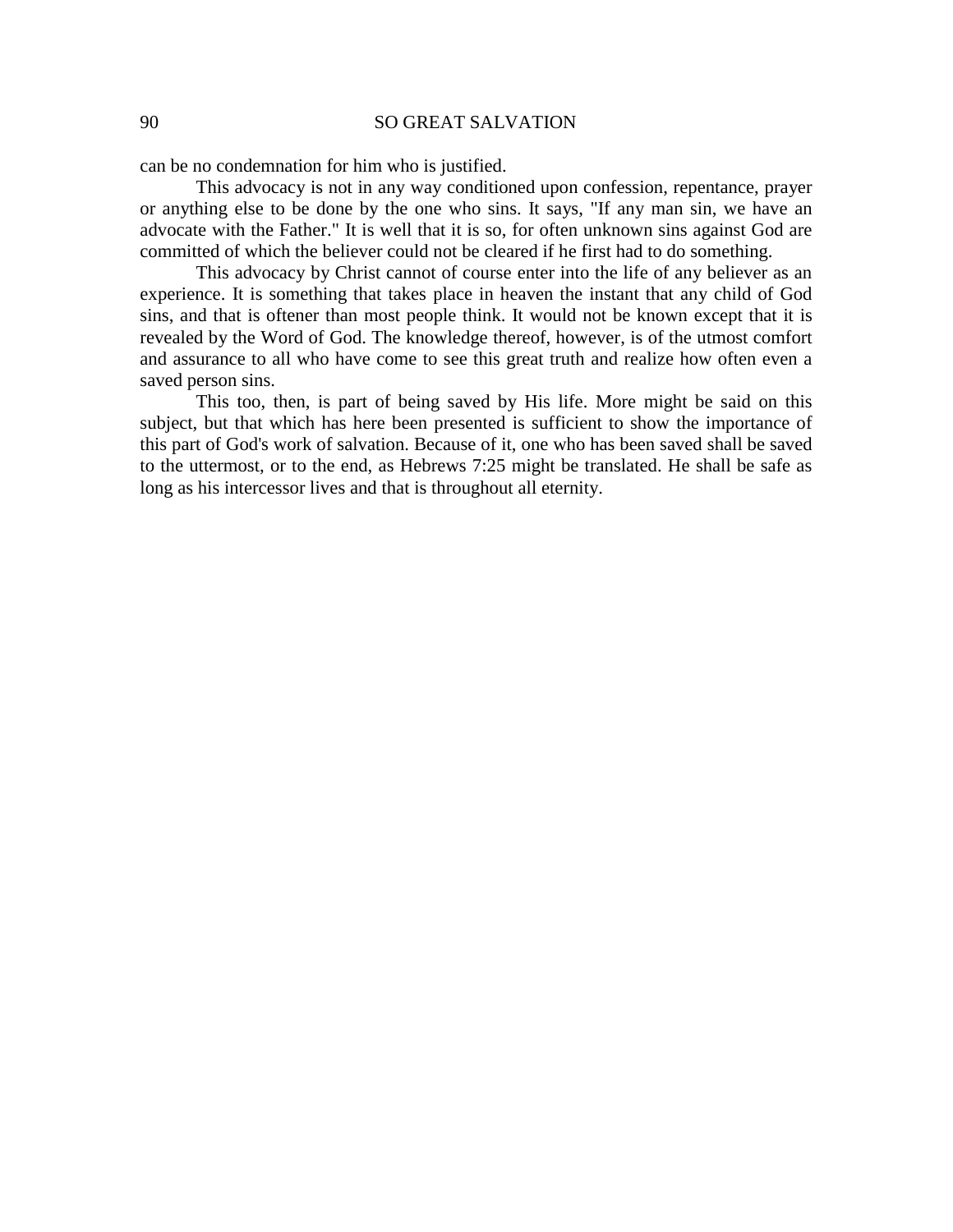can be no condemnation for him who is justified.

This advocacy is not in any way conditioned upon confession, repentance, prayer or anything else to be done by the one who sins. It says, "If any man sin, we have an advocate with the Father." It is well that it is so, for often unknown sins against God are committed of which the believer could not be cleared if he first had to do something.

This advocacy by Christ cannot of course enter into the life of any believer as an experience. It is something that takes place in heaven the instant that any child of God sins, and that is oftener than most people think. It would not be known except that it is revealed by the Word of God. The knowledge thereof, however, is of the utmost comfort and assurance to all who have come to see this great truth and realize how often even a saved person sins.

This too, then, is part of being saved by His life. More might be said on this subject, but that which has here been presented is sufficient to show the importance of this part of God's work of salvation. Because of it, one who has been saved shall be saved to the uttermost, or to the end, as Hebrews 7:25 might be translated. He shall be safe as long as his intercessor lives and that is throughout all eternity.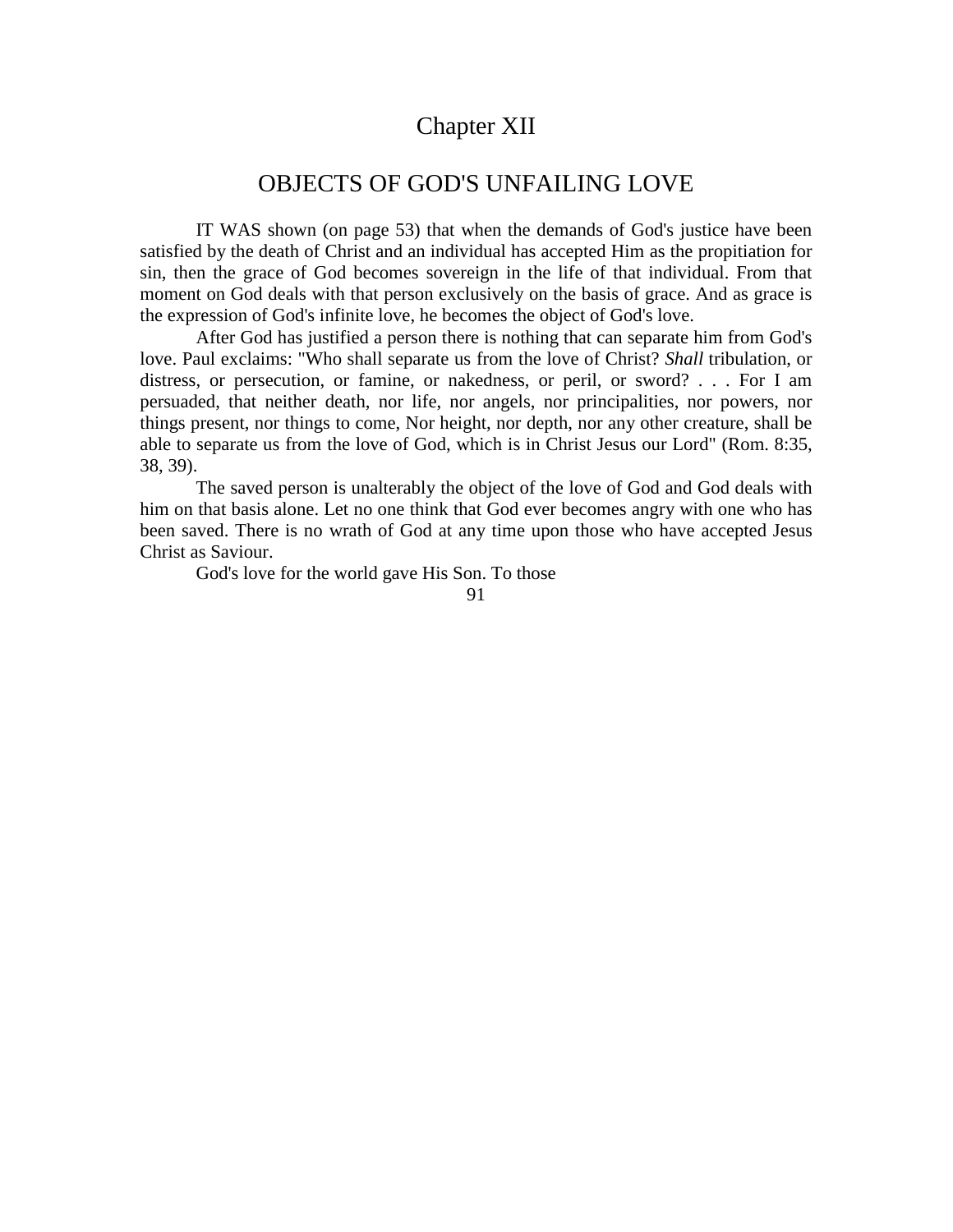## Chapter XII

## OBJECTS OF GOD'S UNFAILING LOVE

IT WAS shown (on page 53) that when the demands of God's justice have been satisfied by the death of Christ and an individual has accepted Him as the propitiation for sin, then the grace of God becomes sovereign in the life of that individual. From that moment on God deals with that person exclusively on the basis of grace. And as grace is the expression of God's infinite love, he becomes the object of God's love.

After God has justified a person there is nothing that can separate him from God's love. Paul exclaims: "Who shall separate us from the love of Christ? *Shall* tribulation, or distress, or persecution, or famine, or nakedness, or peril, or sword? . . . For I am persuaded, that neither death, nor life, nor angels, nor principalities, nor powers, nor things present, nor things to come, Nor height, nor depth, nor any other creature, shall be able to separate us from the love of God, which is in Christ Jesus our Lord" (Rom. 8:35, 38, 39).

The saved person is unalterably the object of the love of God and God deals with him on that basis alone. Let no one think that God ever becomes angry with one who has been saved. There is no wrath of God at any time upon those who have accepted Jesus Christ as Saviour.

God's love for the world gave His Son. To those

<sup>91</sup>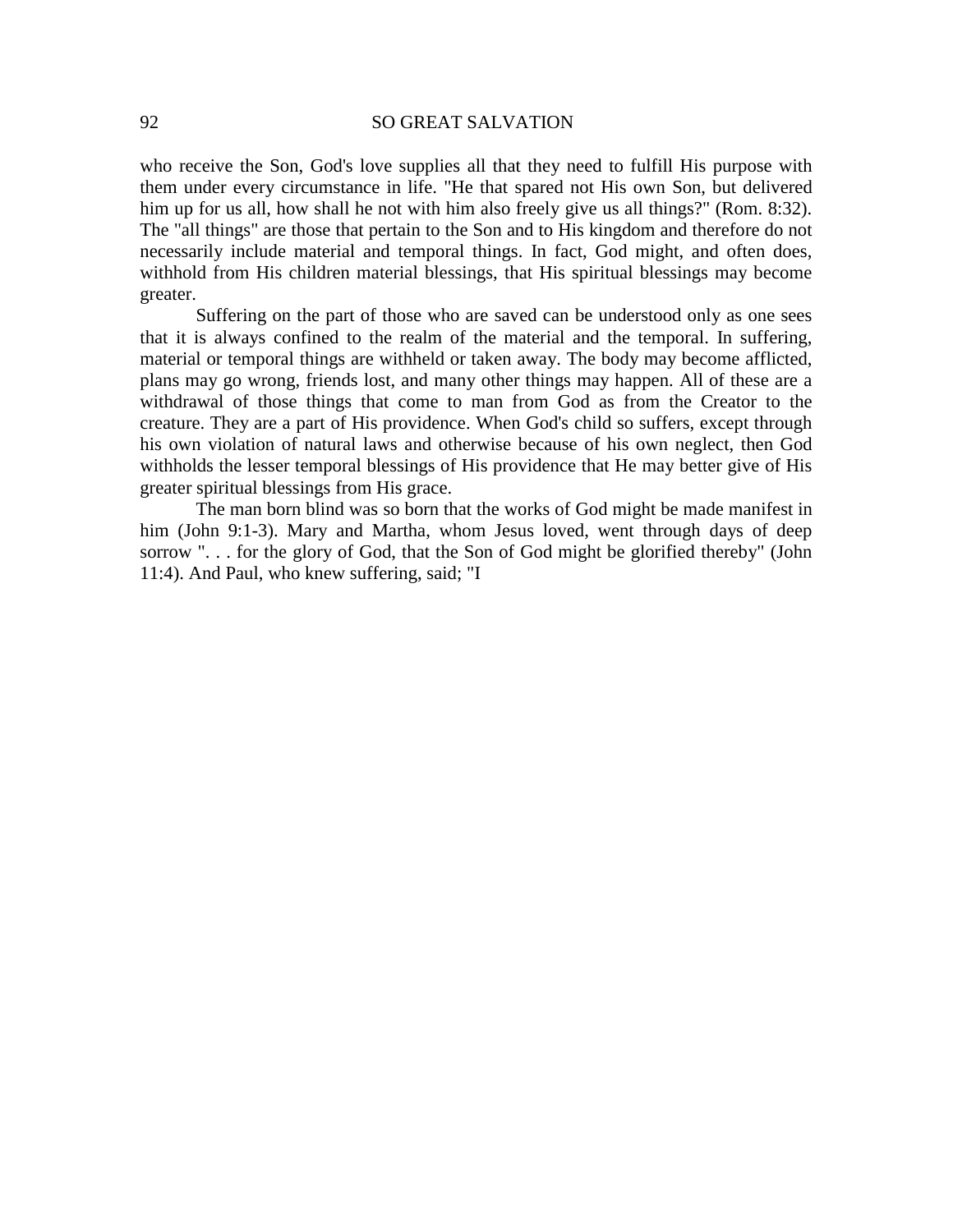who receive the Son, God's love supplies all that they need to fulfill His purpose with them under every circumstance in life. "He that spared not His own Son, but delivered him up for us all, how shall he not with him also freely give us all things?" (Rom. 8:32). The "all things" are those that pertain to the Son and to His kingdom and therefore do not necessarily include material and temporal things. In fact, God might, and often does, withhold from His children material blessings, that His spiritual blessings may become greater.

Suffering on the part of those who are saved can be understood only as one sees that it is always confined to the realm of the material and the temporal. In suffering, material or temporal things are withheld or taken away. The body may become afflicted, plans may go wrong, friends lost, and many other things may happen. All of these are a withdrawal of those things that come to man from God as from the Creator to the creature. They are a part of His providence. When God's child so suffers, except through his own violation of natural laws and otherwise because of his own neglect, then God withholds the lesser temporal blessings of His providence that He may better give of His greater spiritual blessings from His grace.

The man born blind was so born that the works of God might be made manifest in him (John 9:1-3). Mary and Martha, whom Jesus loved, went through days of deep sorrow ". . . for the glory of God, that the Son of God might be glorified thereby" (John 11:4). And Paul, who knew suffering, said; "I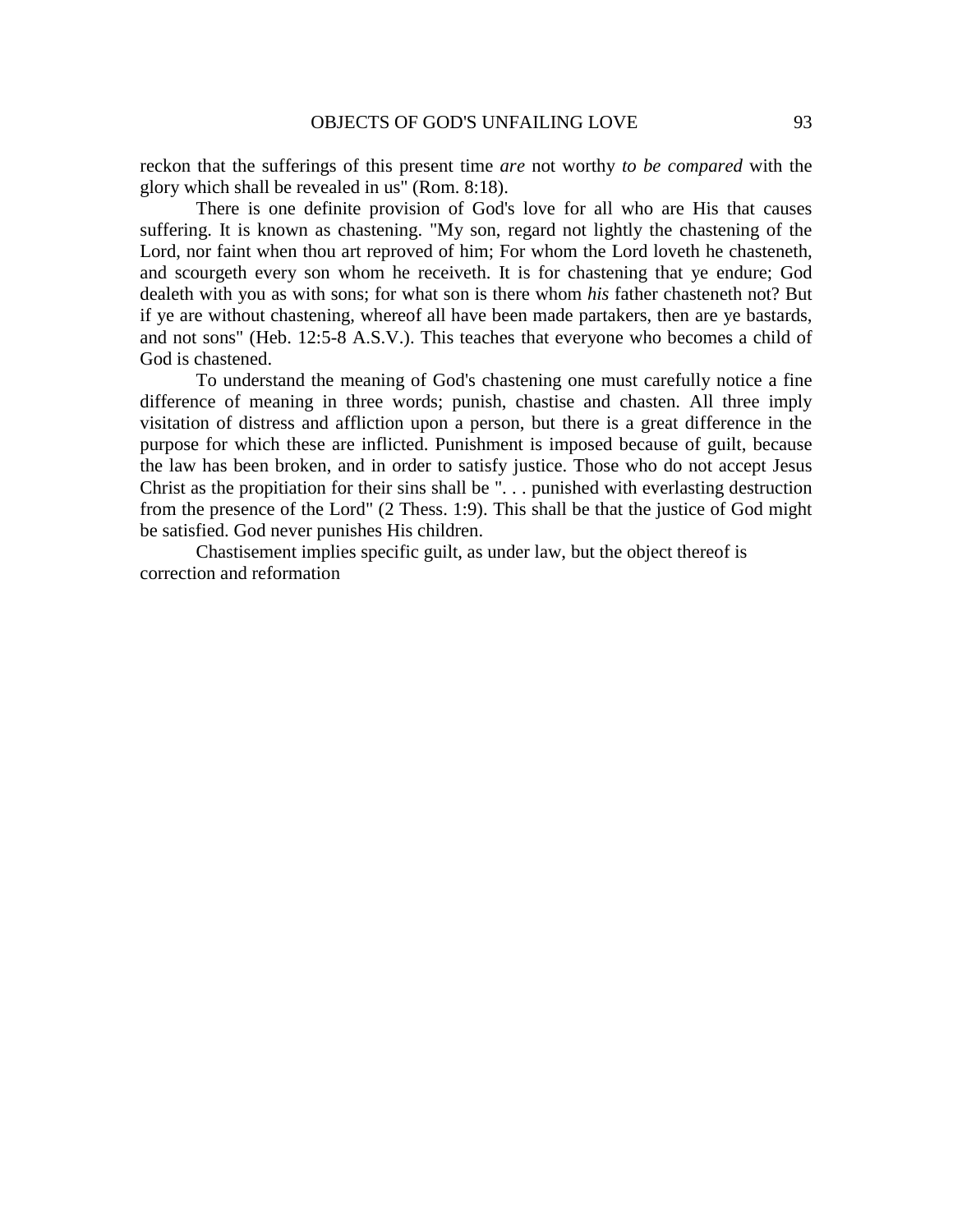reckon that the sufferings of this present time *are* not worthy *to be compared* with the glory which shall be revealed in us" (Rom. 8:18).

There is one definite provision of God's love for all who are His that causes suffering. It is known as chastening. "My son, regard not lightly the chastening of the Lord, nor faint when thou art reproved of him; For whom the Lord loveth he chasteneth, and scourgeth every son whom he receiveth. It is for chastening that ye endure; God dealeth with you as with sons; for what son is there whom *his* father chasteneth not? But if ye are without chastening, whereof all have been made partakers, then are ye bastards, and not sons" (Heb. 12:5-8 A.S.V.). This teaches that everyone who becomes a child of God is chastened.

To understand the meaning of God's chastening one must carefully notice a fine difference of meaning in three words; punish, chastise and chasten. All three imply visitation of distress and affliction upon a person, but there is a great difference in the purpose for which these are inflicted. Punishment is imposed because of guilt, because the law has been broken, and in order to satisfy justice. Those who do not accept Jesus Christ as the propitiation for their sins shall be ". . . punished with everlasting destruction from the presence of the Lord" (2 Thess. 1:9). This shall be that the justice of God might be satisfied. God never punishes His children.

Chastisement implies specific guilt, as under law, but the object thereof is correction and reformation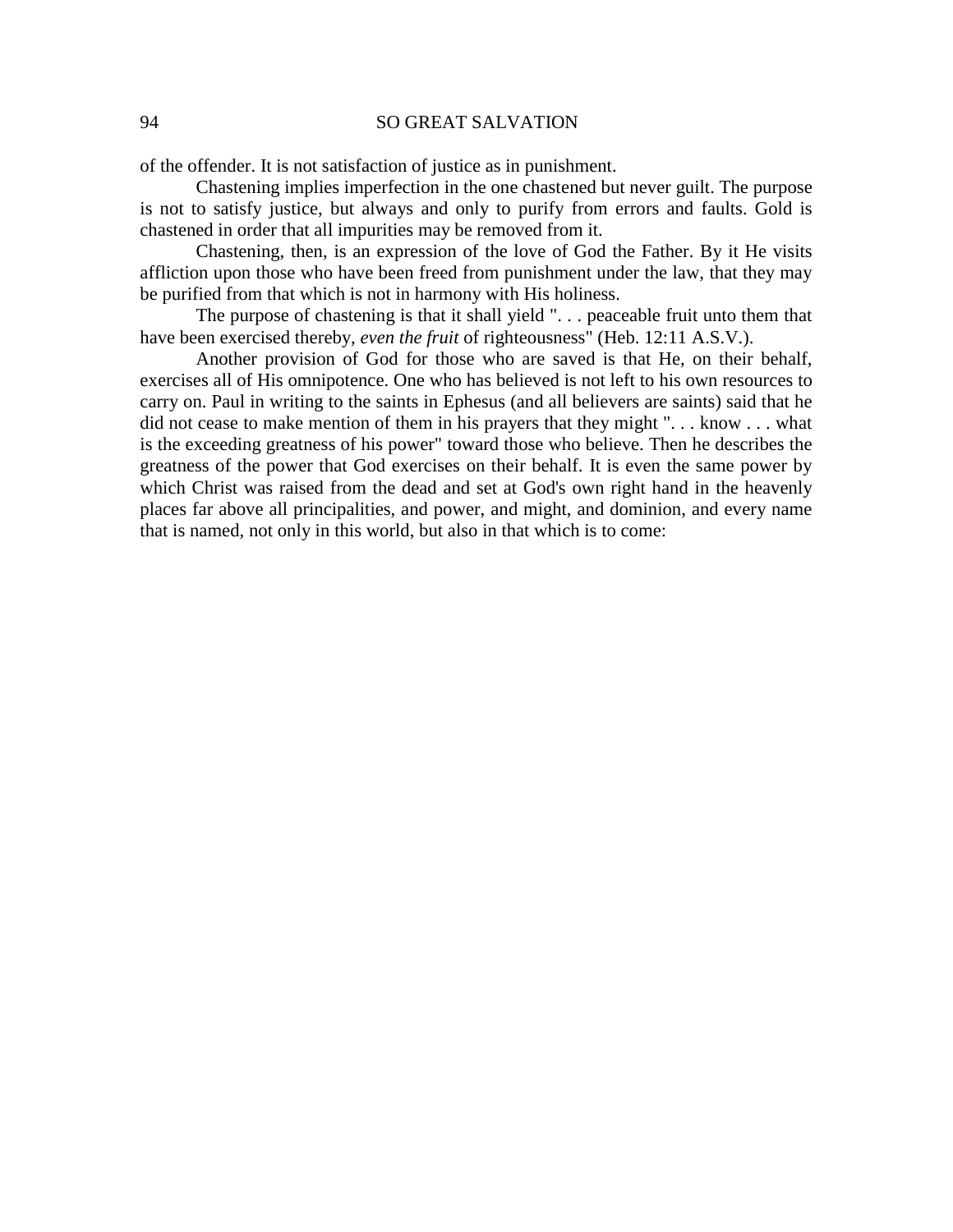of the offender. It is not satisfaction of justice as in punishment.

Chastening implies imperfection in the one chastened but never guilt. The purpose is not to satisfy justice, but always and only to purify from errors and faults. Gold is chastened in order that all impurities may be removed from it.

Chastening, then, is an expression of the love of God the Father. By it He visits affliction upon those who have been freed from punishment under the law, that they may be purified from that which is not in harmony with His holiness.

The purpose of chastening is that it shall yield ". . . peaceable fruit unto them that have been exercised thereby, *even the fruit* of righteousness" (Heb. 12:11 A.S.V.).

Another provision of God for those who are saved is that He, on their behalf, exercises all of His omnipotence. One who has believed is not left to his own resources to carry on. Paul in writing to the saints in Ephesus (and all believers are saints) said that he did not cease to make mention of them in his prayers that they might ". . . know . . . what is the exceeding greatness of his power" toward those who believe. Then he describes the greatness of the power that God exercises on their behalf. It is even the same power by which Christ was raised from the dead and set at God's own right hand in the heavenly places far above all principalities, and power, and might, and dominion, and every name that is named, not only in this world, but also in that which is to come: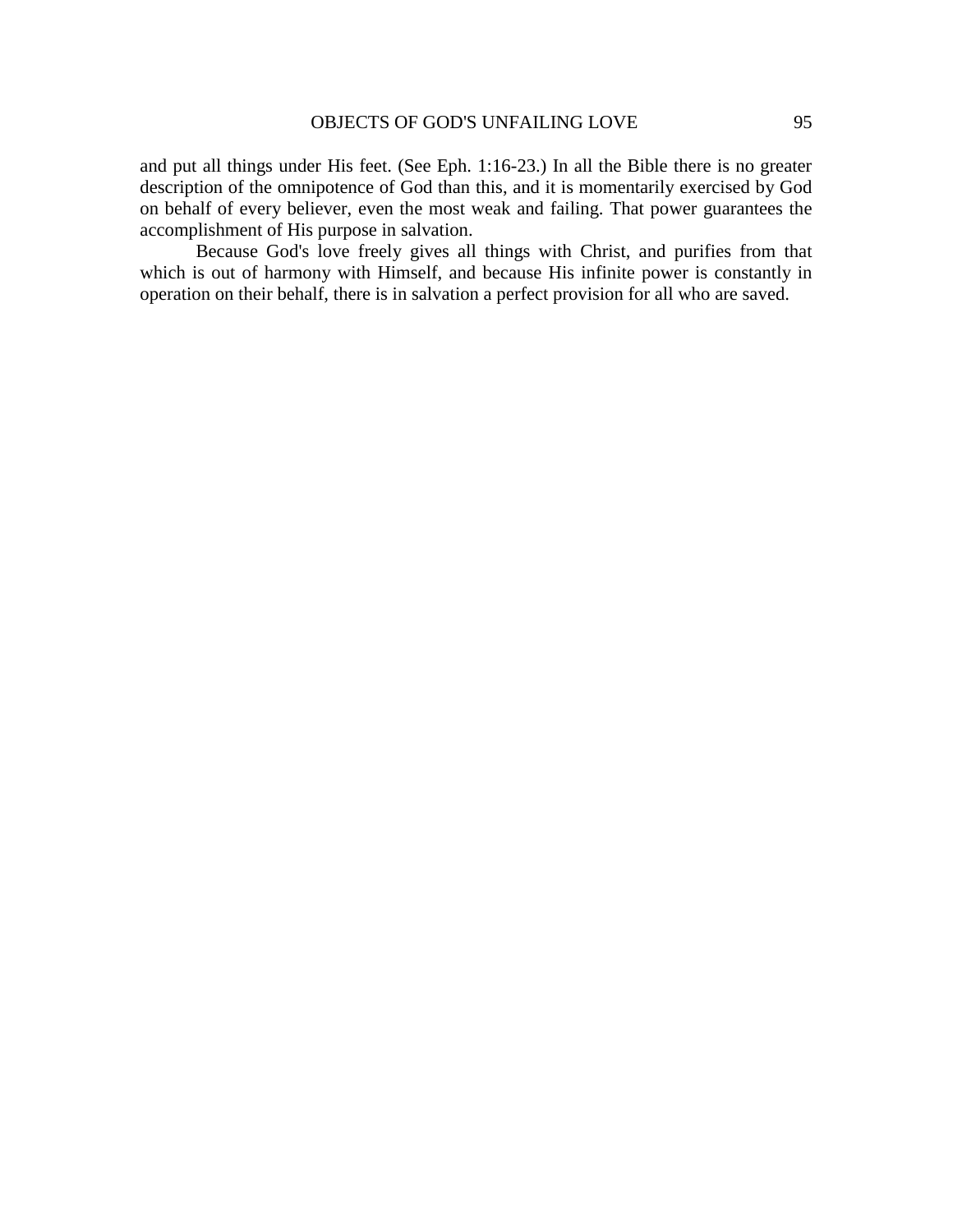and put all things under His feet. (See Eph. 1:16-23.) In all the Bible there is no greater description of the omnipotence of God than this, and it is momentarily exercised by God on behalf of every believer, even the most weak and failing. That power guarantees the accomplishment of His purpose in salvation.

Because God's love freely gives all things with Christ, and purifies from that which is out of harmony with Himself, and because His infinite power is constantly in operation on their behalf, there is in salvation a perfect provision for all who are saved.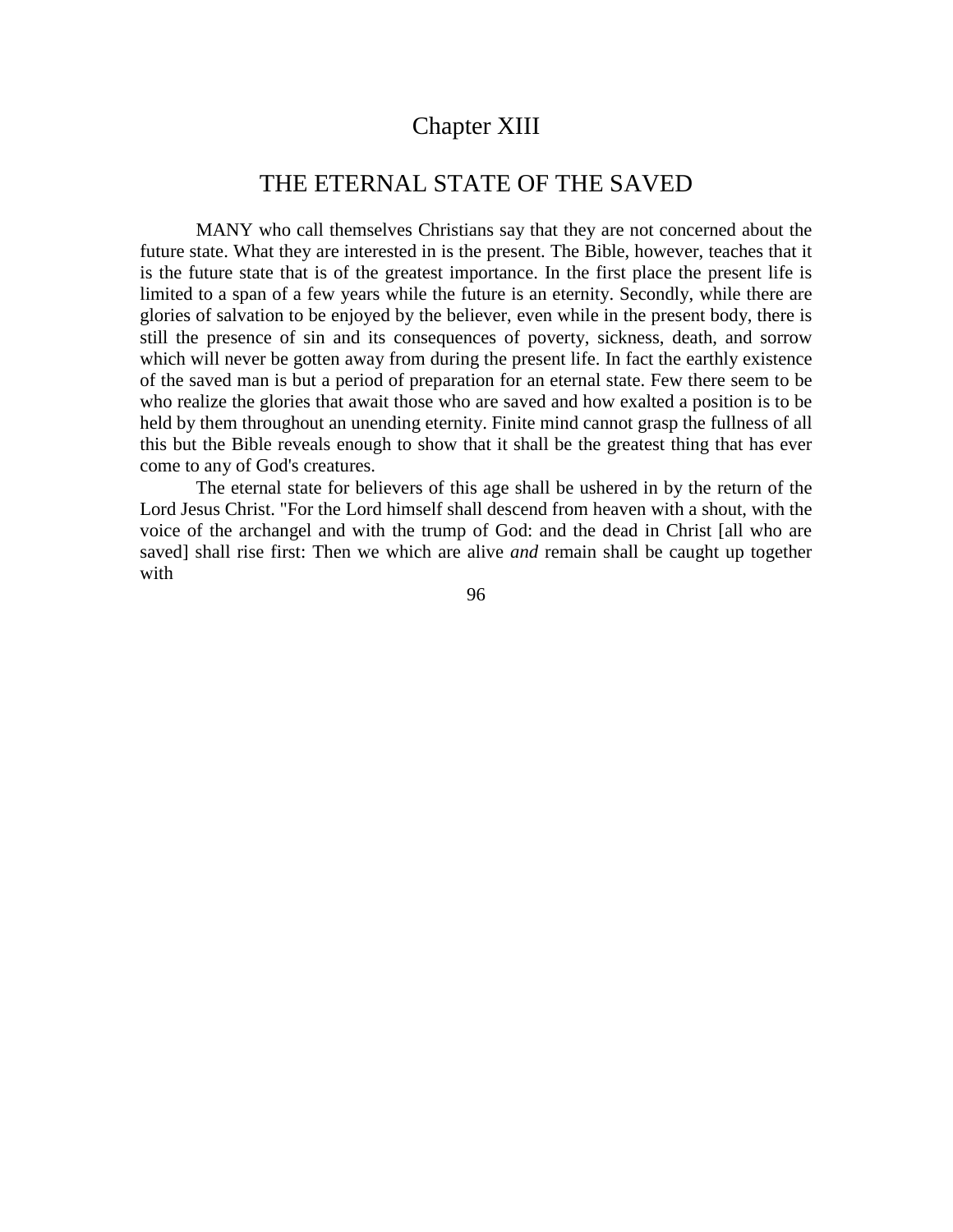## Chapter XIII

## THE ETERNAL STATE OF THE SAVED

MANY who call themselves Christians say that they are not concerned about the future state. What they are interested in is the present. The Bible, however, teaches that it is the future state that is of the greatest importance. In the first place the present life is limited to a span of a few years while the future is an eternity. Secondly, while there are glories of salvation to be enjoyed by the believer, even while in the present body, there is still the presence of sin and its consequences of poverty, sickness, death, and sorrow which will never be gotten away from during the present life. In fact the earthly existence of the saved man is but a period of preparation for an eternal state. Few there seem to be who realize the glories that await those who are saved and how exalted a position is to be held by them throughout an unending eternity. Finite mind cannot grasp the fullness of all this but the Bible reveals enough to show that it shall be the greatest thing that has ever come to any of God's creatures.

The eternal state for believers of this age shall be ushered in by the return of the Lord Jesus Christ. "For the Lord himself shall descend from heaven with a shout, with the voice of the archangel and with the trump of God: and the dead in Christ [all who are saved] shall rise first: Then we which are alive *and* remain shall be caught up together with

96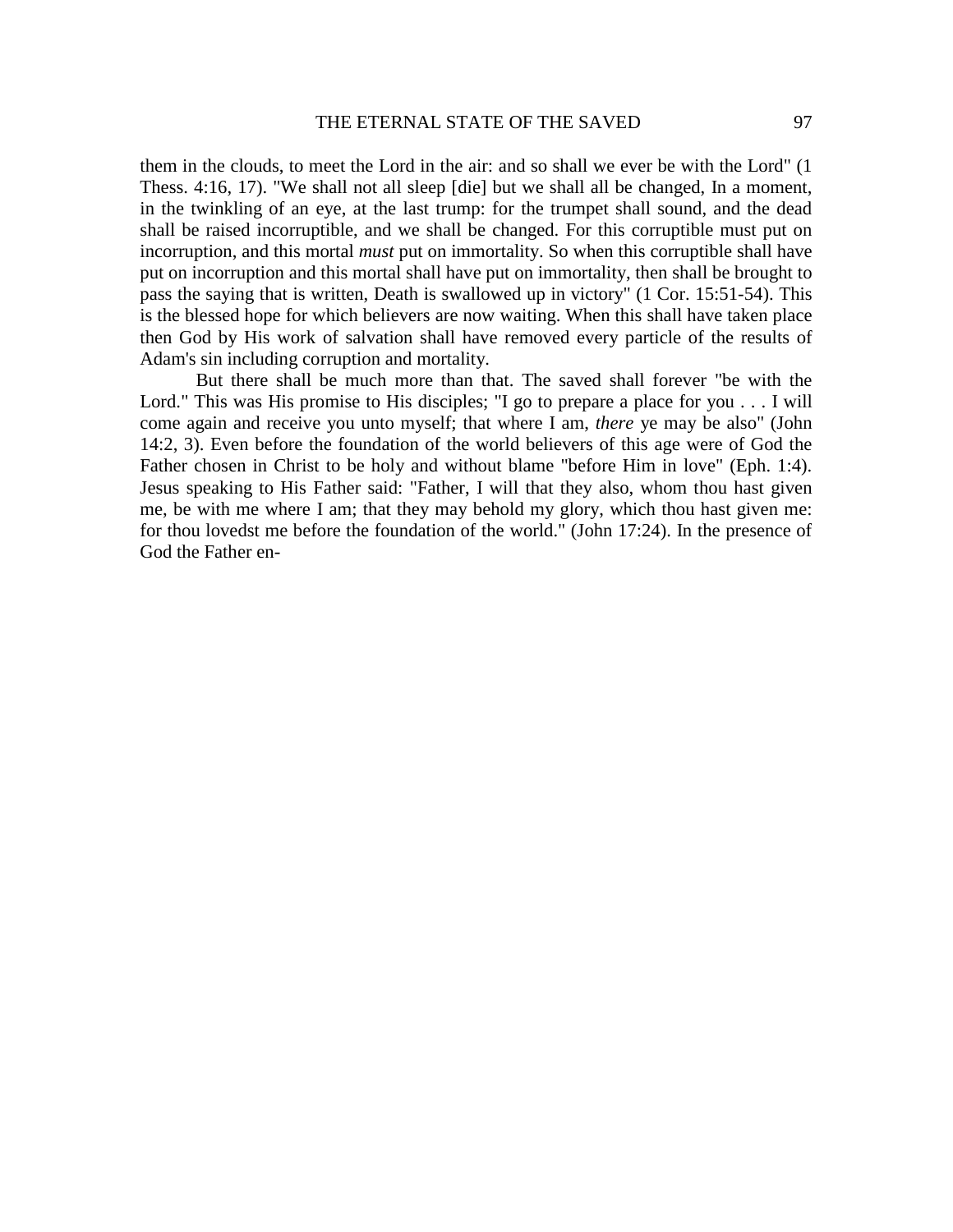them in the clouds, to meet the Lord in the air: and so shall we ever be with the Lord" (1 Thess. 4:16, 17). "We shall not all sleep [die] but we shall all be changed, In a moment, in the twinkling of an eye, at the last trump: for the trumpet shall sound, and the dead shall be raised incorruptible, and we shall be changed. For this corruptible must put on incorruption, and this mortal *must* put on immortality. So when this corruptible shall have put on incorruption and this mortal shall have put on immortality, then shall be brought to pass the saying that is written, Death is swallowed up in victory" (1 Cor. 15:51-54). This is the blessed hope for which believers are now waiting. When this shall have taken place then God by His work of salvation shall have removed every particle of the results of Adam's sin including corruption and mortality.

But there shall be much more than that. The saved shall forever "be with the Lord." This was His promise to His disciples; "I go to prepare a place for you . . . I will come again and receive you unto myself; that where I am, *there* ye may be also" (John 14:2, 3). Even before the foundation of the world believers of this age were of God the Father chosen in Christ to be holy and without blame "before Him in love" (Eph. 1:4). Jesus speaking to His Father said: "Father, I will that they also, whom thou hast given me, be with me where I am; that they may behold my glory, which thou hast given me: for thou lovedst me before the foundation of the world." (John 17:24). In the presence of God the Father en-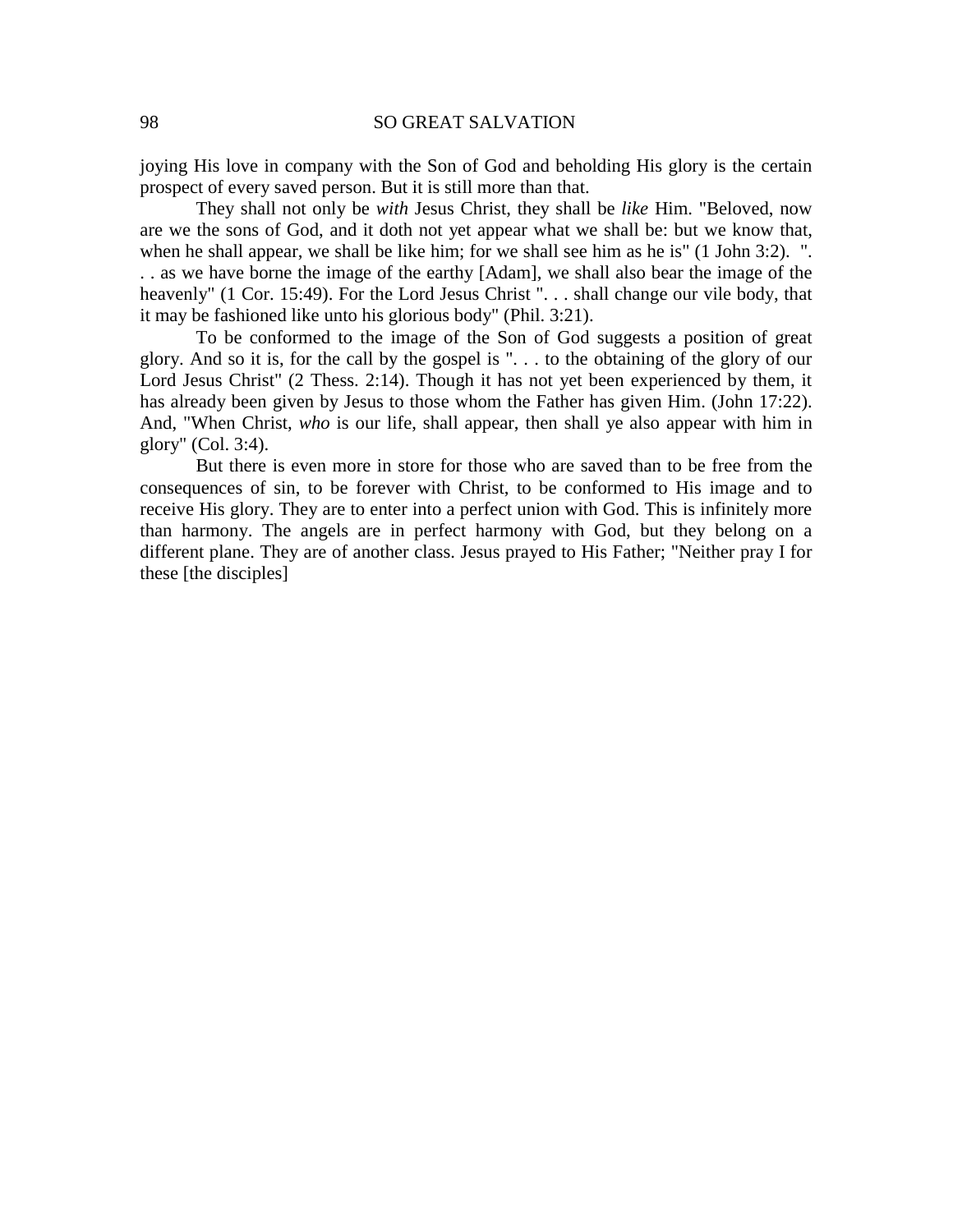joying His love in company with the Son of God and beholding His glory is the certain prospect of every saved person. But it is still more than that.

They shall not only be *with* Jesus Christ, they shall be *like* Him. "Beloved, now are we the sons of God, and it doth not yet appear what we shall be: but we know that, when he shall appear, we shall be like him; for we shall see him as he is" (1 John 3:2). ". . . as we have borne the image of the earthy [Adam], we shall also bear the image of the heavenly" (1 Cor. 15:49). For the Lord Jesus Christ ". . . shall change our vile body, that it may be fashioned like unto his glorious body" (Phil. 3:21).

To be conformed to the image of the Son of God suggests a position of great glory. And so it is, for the call by the gospel is ". . . to the obtaining of the glory of our Lord Jesus Christ" (2 Thess. 2:14). Though it has not yet been experienced by them, it has already been given by Jesus to those whom the Father has given Him. (John 17:22). And, "When Christ, *who* is our life, shall appear, then shall ye also appear with him in glory" (Col. 3:4).

But there is even more in store for those who are saved than to be free from the consequences of sin, to be forever with Christ, to be conformed to His image and to receive His glory. They are to enter into a perfect union with God. This is infinitely more than harmony. The angels are in perfect harmony with God, but they belong on a different plane. They are of another class. Jesus prayed to His Father; "Neither pray I for these [the disciples]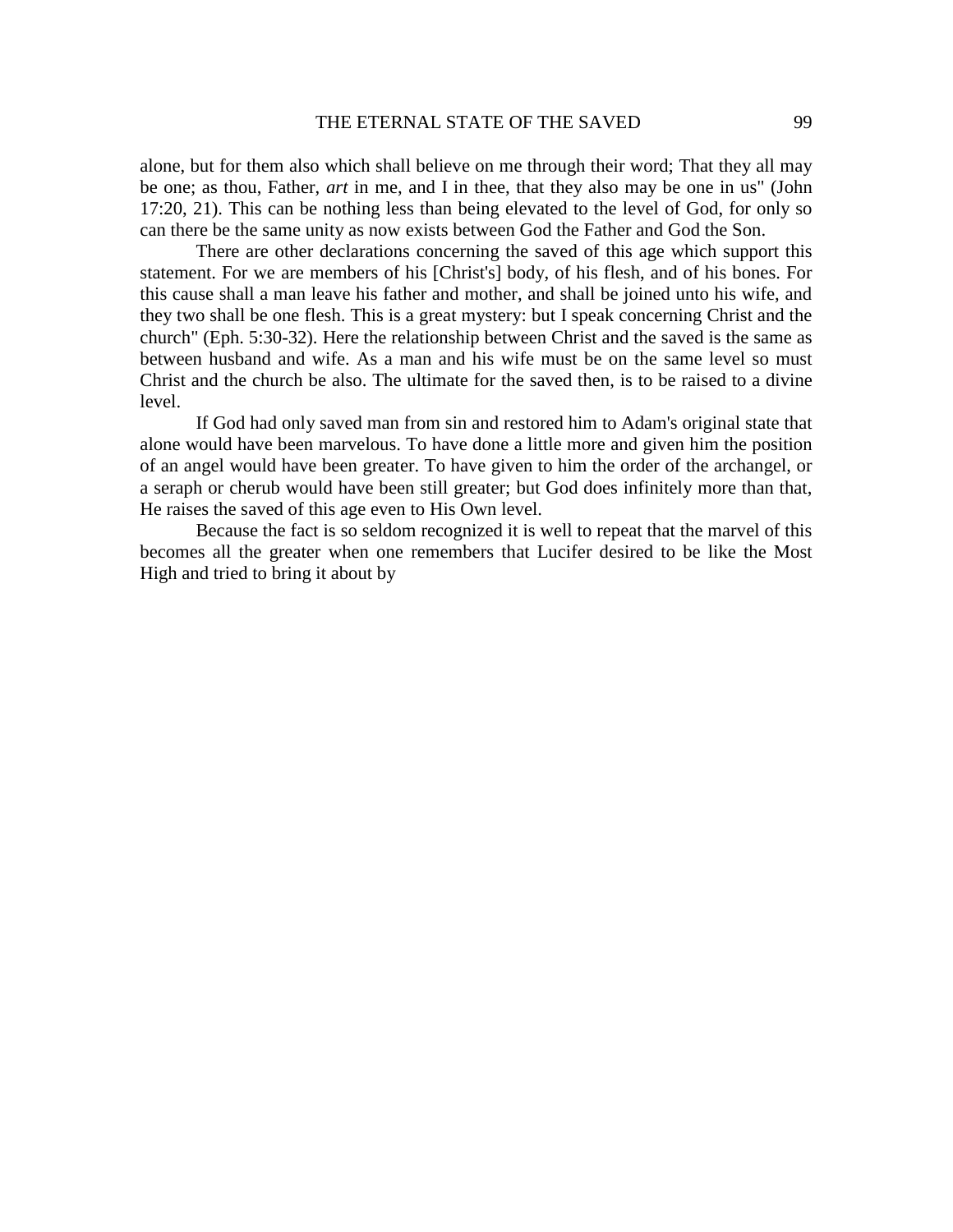#### THE ETERNAL STATE OF THE SAVED 99

alone, but for them also which shall believe on me through their word; That they all may be one; as thou, Father, *art* in me, and I in thee, that they also may be one in us" (John 17:20, 21). This can be nothing less than being elevated to the level of God, for only so can there be the same unity as now exists between God the Father and God the Son.

There are other declarations concerning the saved of this age which support this statement. For we are members of his [Christ's] body, of his flesh, and of his bones. For this cause shall a man leave his father and mother, and shall be joined unto his wife, and they two shall be one flesh. This is a great mystery: but I speak concerning Christ and the church" (Eph. 5:30-32). Here the relationship between Christ and the saved is the same as between husband and wife. As a man and his wife must be on the same level so must Christ and the church be also. The ultimate for the saved then, is to be raised to a divine level.

If God had only saved man from sin and restored him to Adam's original state that alone would have been marvelous. To have done a little more and given him the position of an angel would have been greater. To have given to him the order of the archangel, or a seraph or cherub would have been still greater; but God does infinitely more than that, He raises the saved of this age even to His Own level.

Because the fact is so seldom recognized it is well to repeat that the marvel of this becomes all the greater when one remembers that Lucifer desired to be like the Most High and tried to bring it about by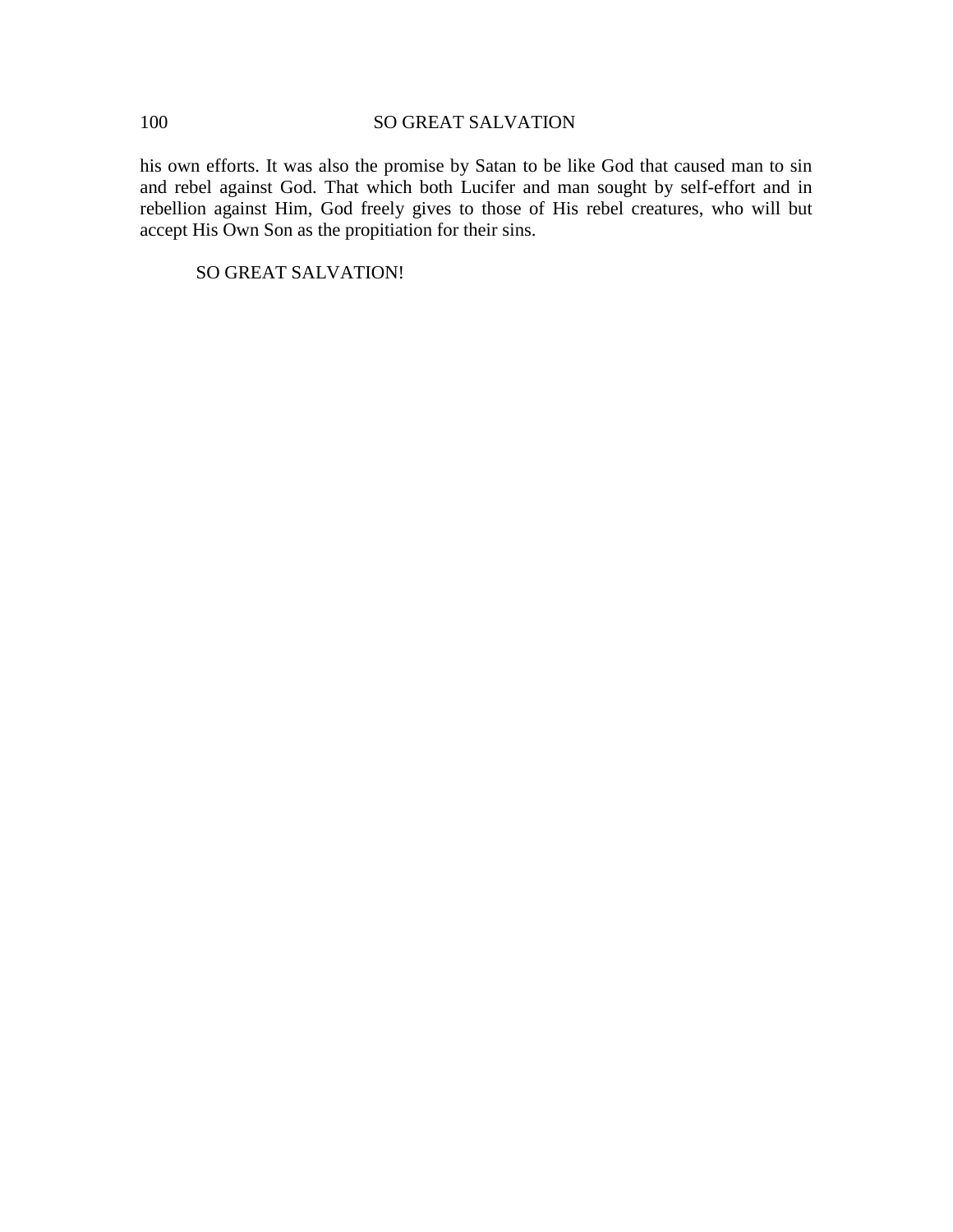his own efforts. It was also the promise by Satan to be like God that caused man to sin and rebel against God. That which both Lucifer and man sought by self-effort and in rebellion against Him, God freely gives to those of His rebel creatures, who will but accept His Own Son as the propitiation for their sins.

SO GREAT SALVATION!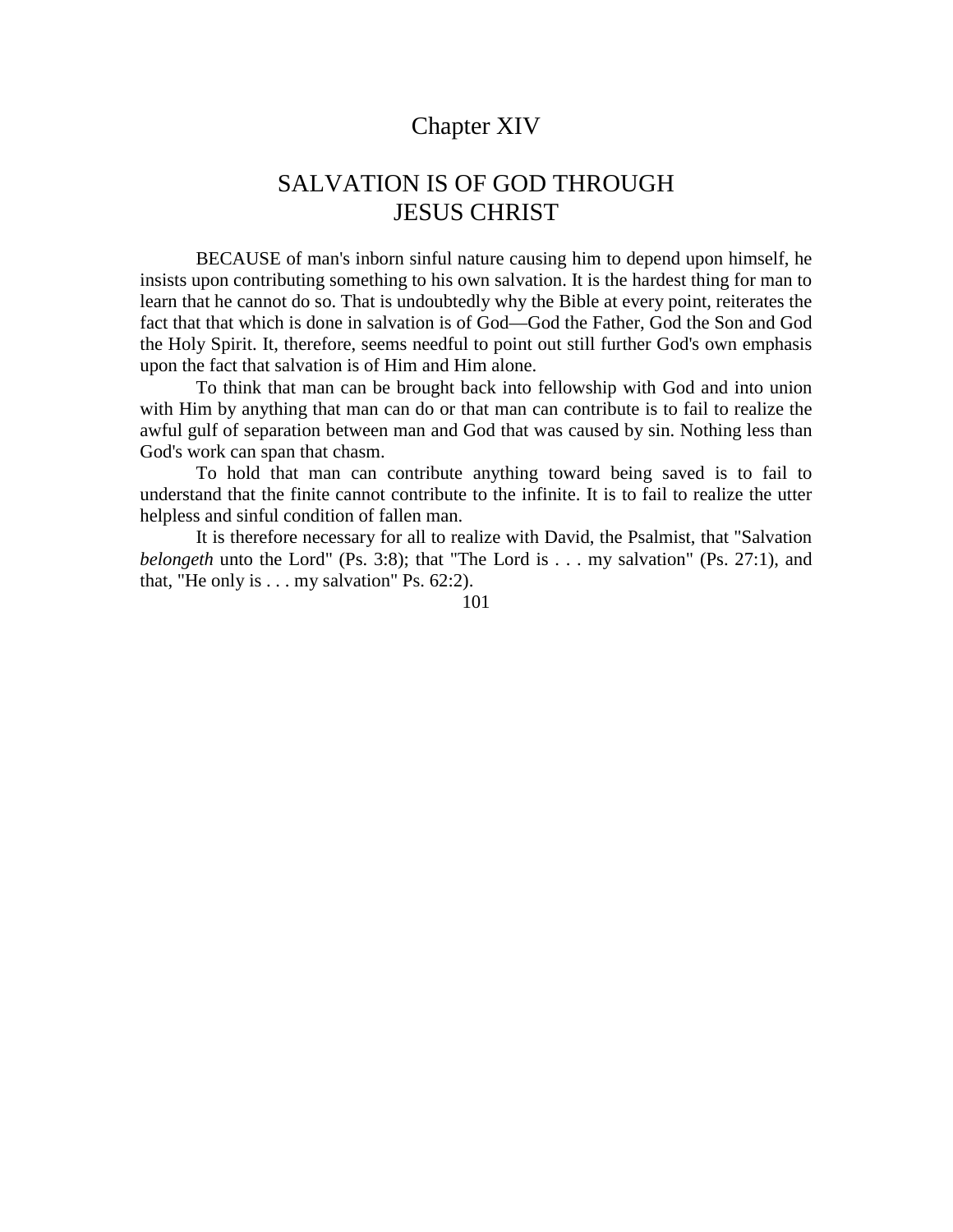## Chapter XIV

# SALVATION IS OF GOD THROUGH JESUS CHRIST

BECAUSE of man's inborn sinful nature causing him to depend upon himself, he insists upon contributing something to his own salvation. It is the hardest thing for man to learn that he cannot do so. That is undoubtedly why the Bible at every point, reiterates the fact that that which is done in salvation is of God—God the Father, God the Son and God the Holy Spirit. It, therefore, seems needful to point out still further God's own emphasis upon the fact that salvation is of Him and Him alone.

To think that man can be brought back into fellowship with God and into union with Him by anything that man can do or that man can contribute is to fail to realize the awful gulf of separation between man and God that was caused by sin. Nothing less than God's work can span that chasm.

To hold that man can contribute anything toward being saved is to fail to understand that the finite cannot contribute to the infinite. It is to fail to realize the utter helpless and sinful condition of fallen man.

It is therefore necessary for all to realize with David, the Psalmist, that "Salvation *belongeth* unto the Lord" (Ps. 3:8); that "The Lord is . . . my salvation" (Ps. 27:1), and that, "He only is  $\dots$  my salvation" Ps. 62:2).

101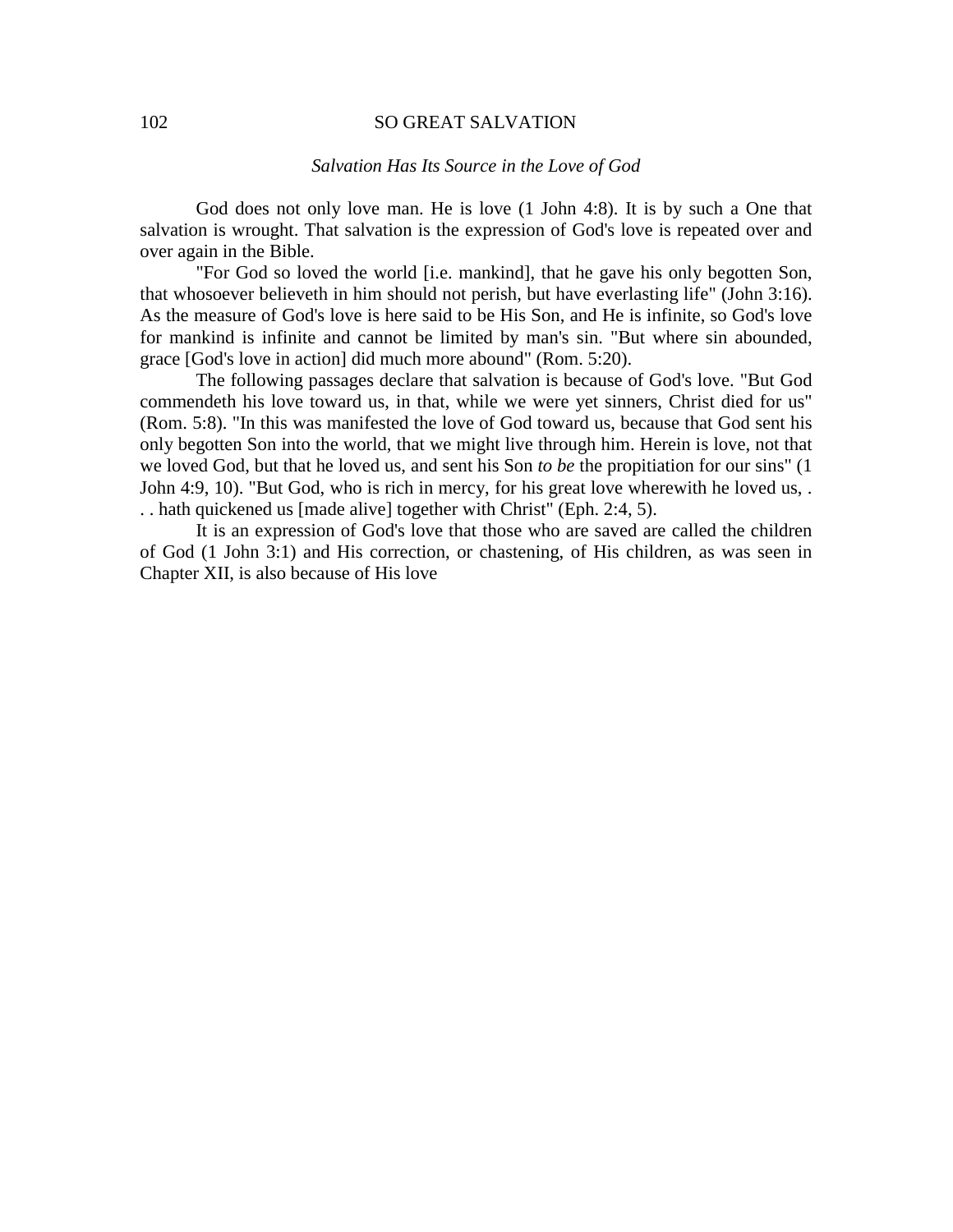#### *Salvation Has Its Source in the Love of God*

God does not only love man. He is love (1 John 4:8). It is by such a One that salvation is wrought. That salvation is the expression of God's love is repeated over and over again in the Bible.

"For God so loved the world [i.e. mankind], that he gave his only begotten Son, that whosoever believeth in him should not perish, but have everlasting life" (John 3:16). As the measure of God's love is here said to be His Son, and He is infinite, so God's love for mankind is infinite and cannot be limited by man's sin. "But where sin abounded, grace [God's love in action] did much more abound" (Rom. 5:20).

The following passages declare that salvation is because of God's love. "But God commendeth his love toward us, in that, while we were yet sinners, Christ died for us" (Rom. 5:8). "In this was manifested the love of God toward us, because that God sent his only begotten Son into the world, that we might live through him. Herein is love, not that we loved God, but that he loved us, and sent his Son *to be* the propitiation for our sins" (1 John 4:9, 10). "But God, who is rich in mercy, for his great love wherewith he loved us, . . . hath quickened us [made alive] together with Christ" (Eph. 2:4, 5).

It is an expression of God's love that those who are saved are called the children of God (1 John 3:1) and His correction, or chastening, of His children, as was seen in Chapter XII, is also because of His love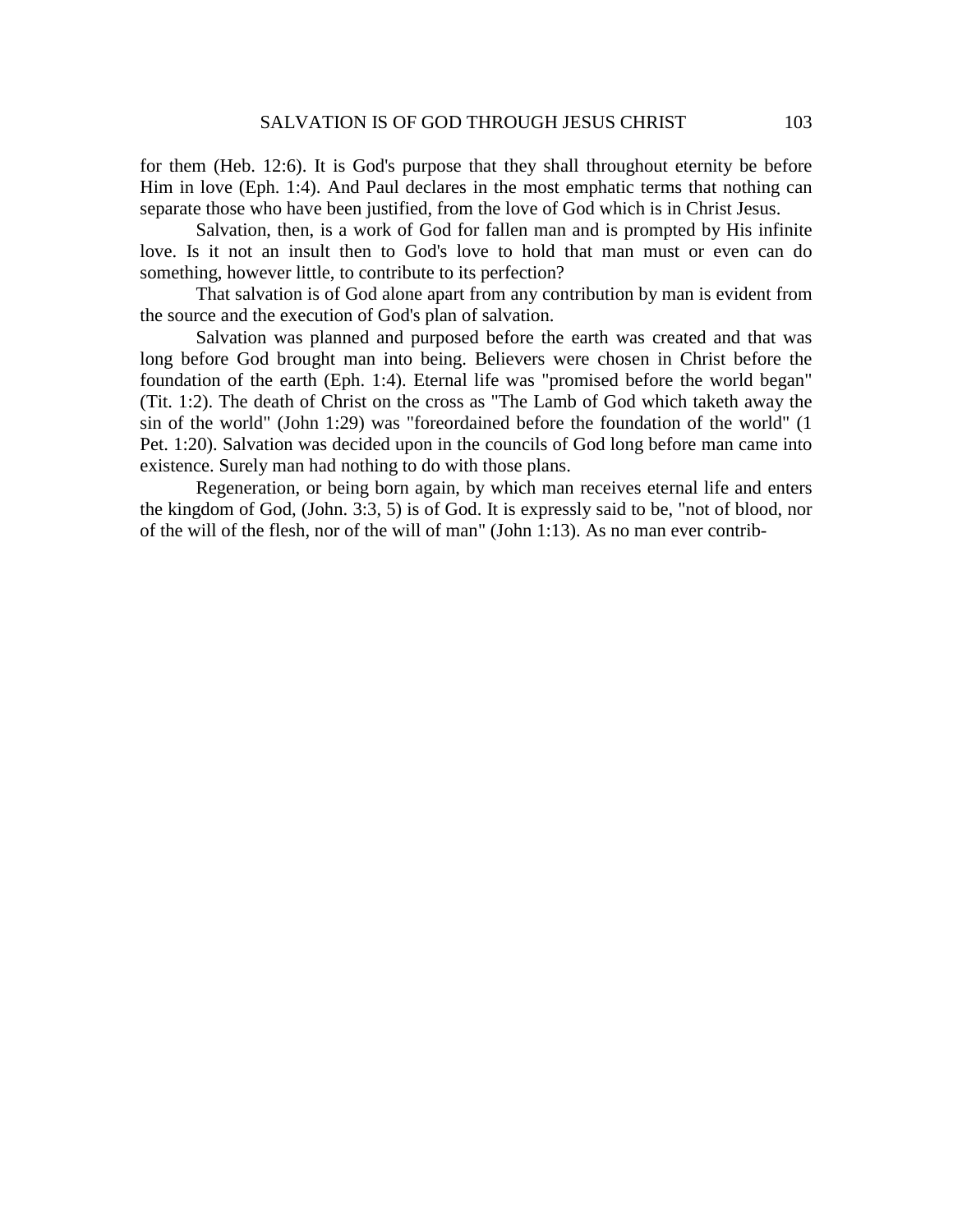for them (Heb. 12:6). It is God's purpose that they shall throughout eternity be before Him in love (Eph. 1:4). And Paul declares in the most emphatic terms that nothing can separate those who have been justified, from the love of God which is in Christ Jesus.

Salvation, then, is a work of God for fallen man and is prompted by His infinite love. Is it not an insult then to God's love to hold that man must or even can do something, however little, to contribute to its perfection?

That salvation is of God alone apart from any contribution by man is evident from the source and the execution of God's plan of salvation.

Salvation was planned and purposed before the earth was created and that was long before God brought man into being. Believers were chosen in Christ before the foundation of the earth (Eph. 1:4). Eternal life was "promised before the world began" (Tit. 1:2). The death of Christ on the cross as "The Lamb of God which taketh away the sin of the world" (John 1:29) was "foreordained before the foundation of the world" (1 Pet. 1:20). Salvation was decided upon in the councils of God long before man came into existence. Surely man had nothing to do with those plans.

Regeneration, or being born again, by which man receives eternal life and enters the kingdom of God, (John. 3:3, 5) is of God. It is expressly said to be, "not of blood, nor of the will of the flesh, nor of the will of man" (John 1:13). As no man ever contrib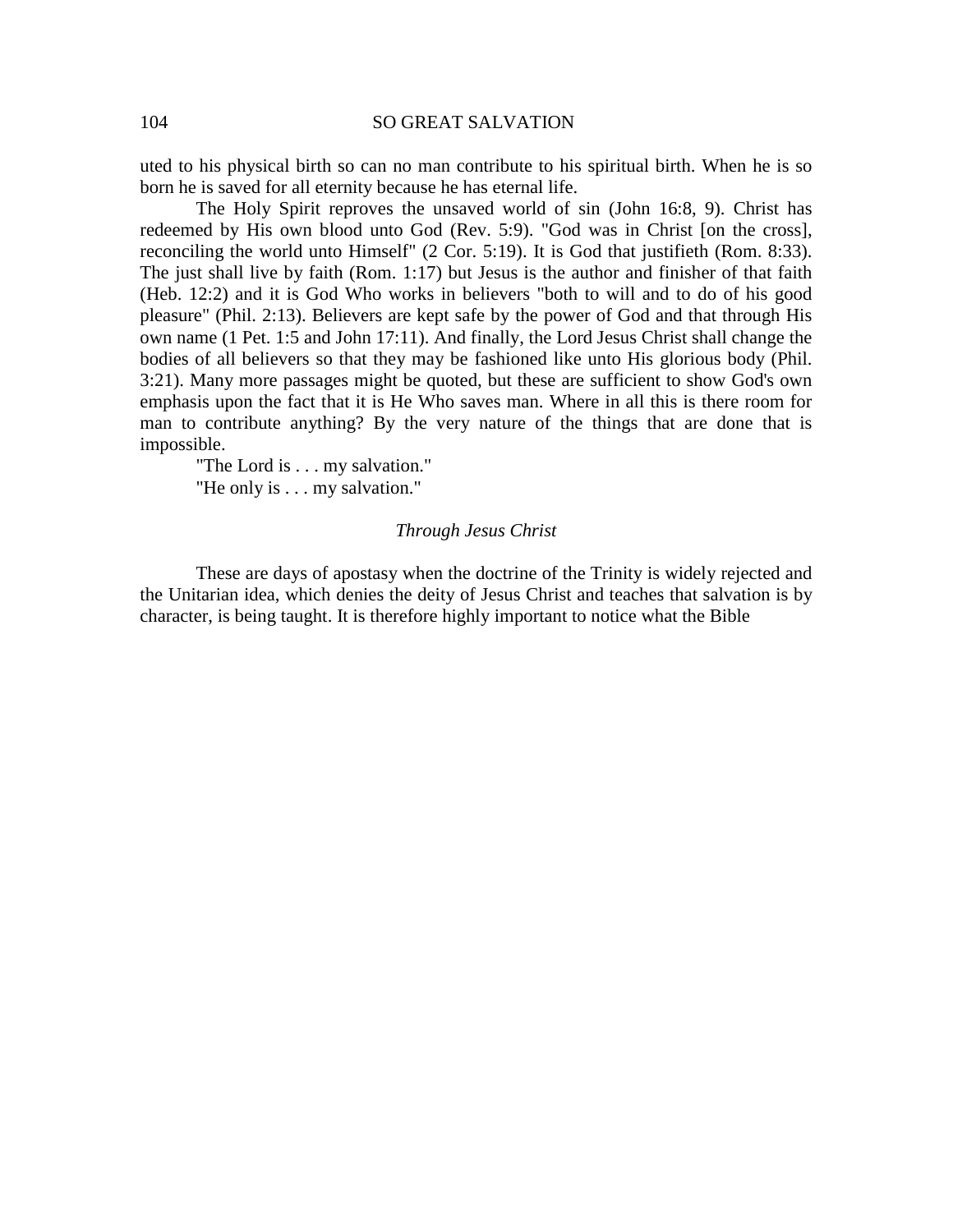uted to his physical birth so can no man contribute to his spiritual birth. When he is so born he is saved for all eternity because he has eternal life.

The Holy Spirit reproves the unsaved world of sin (John 16:8, 9). Christ has redeemed by His own blood unto God (Rev. 5:9). "God was in Christ [on the cross], reconciling the world unto Himself" (2 Cor. 5:19). It is God that justifieth (Rom. 8:33). The just shall live by faith (Rom. 1:17) but Jesus is the author and finisher of that faith (Heb. 12:2) and it is God Who works in believers "both to will and to do of his good pleasure" (Phil. 2:13). Believers are kept safe by the power of God and that through His own name (1 Pet. 1:5 and John 17:11). And finally, the Lord Jesus Christ shall change the bodies of all believers so that they may be fashioned like unto His glorious body (Phil. 3:21). Many more passages might be quoted, but these are sufficient to show God's own emphasis upon the fact that it is He Who saves man. Where in all this is there room for man to contribute anything? By the very nature of the things that are done that is impossible.

"The Lord is . . . my salvation." "He only is . . . my salvation."

#### *Through Jesus Christ*

These are days of apostasy when the doctrine of the Trinity is widely rejected and the Unitarian idea, which denies the deity of Jesus Christ and teaches that salvation is by character, is being taught. It is therefore highly important to notice what the Bible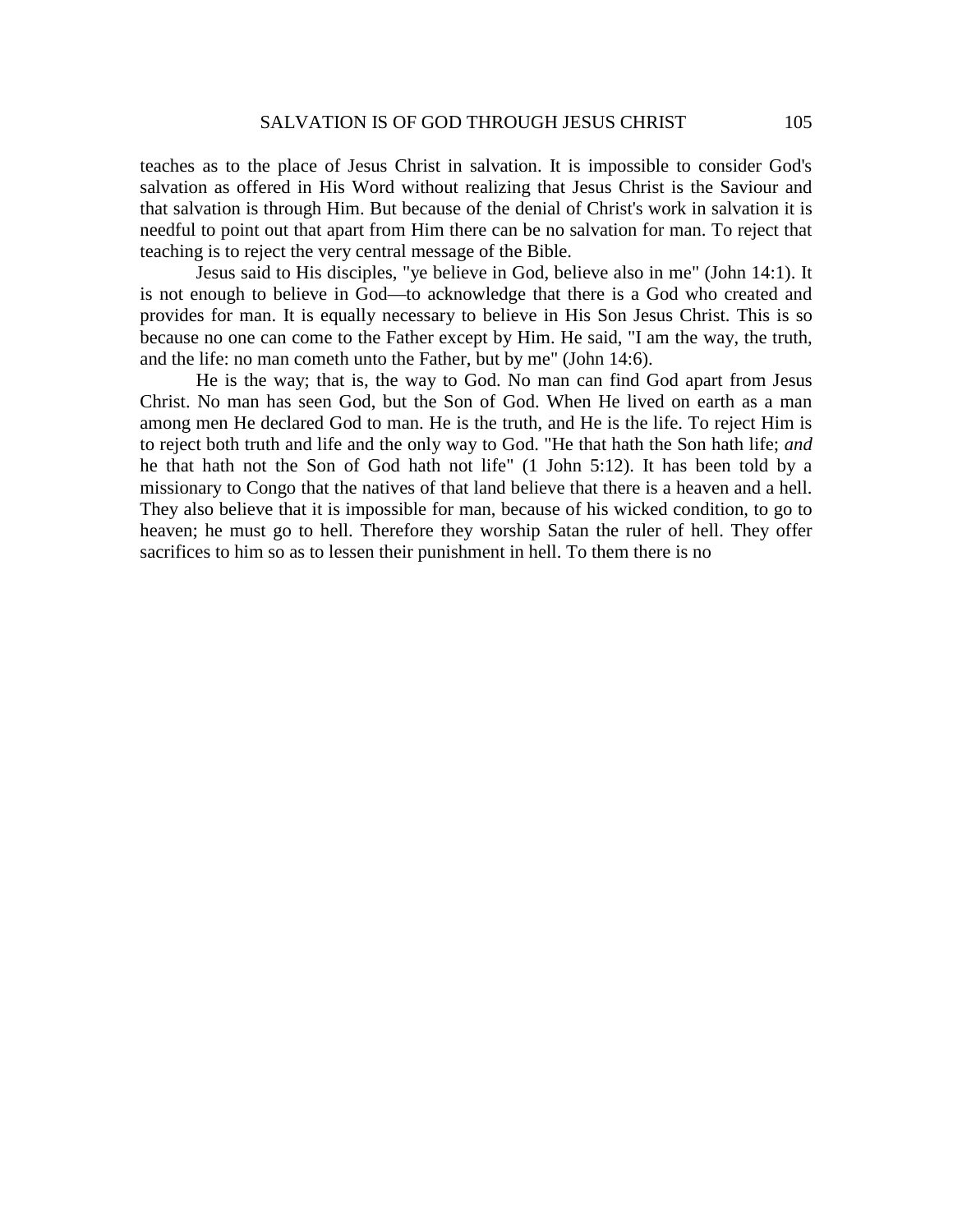teaches as to the place of Jesus Christ in salvation. It is impossible to consider God's salvation as offered in His Word without realizing that Jesus Christ is the Saviour and that salvation is through Him. But because of the denial of Christ's work in salvation it is needful to point out that apart from Him there can be no salvation for man. To reject that teaching is to reject the very central message of the Bible.

Jesus said to His disciples, "ye believe in God, believe also in me" (John 14:1). It is not enough to believe in God—to acknowledge that there is a God who created and provides for man. It is equally necessary to believe in His Son Jesus Christ. This is so because no one can come to the Father except by Him. He said, "I am the way, the truth, and the life: no man cometh unto the Father, but by me" (John 14:6).

He is the way; that is, the way to God. No man can find God apart from Jesus Christ. No man has seen God, but the Son of God. When He lived on earth as a man among men He declared God to man. He is the truth, and He is the life. To reject Him is to reject both truth and life and the only way to God. "He that hath the Son hath life; *and*  he that hath not the Son of God hath not life" (1 John 5:12). It has been told by a missionary to Congo that the natives of that land believe that there is a heaven and a hell. They also believe that it is impossible for man, because of his wicked condition, to go to heaven; he must go to hell. Therefore they worship Satan the ruler of hell. They offer sacrifices to him so as to lessen their punishment in hell. To them there is no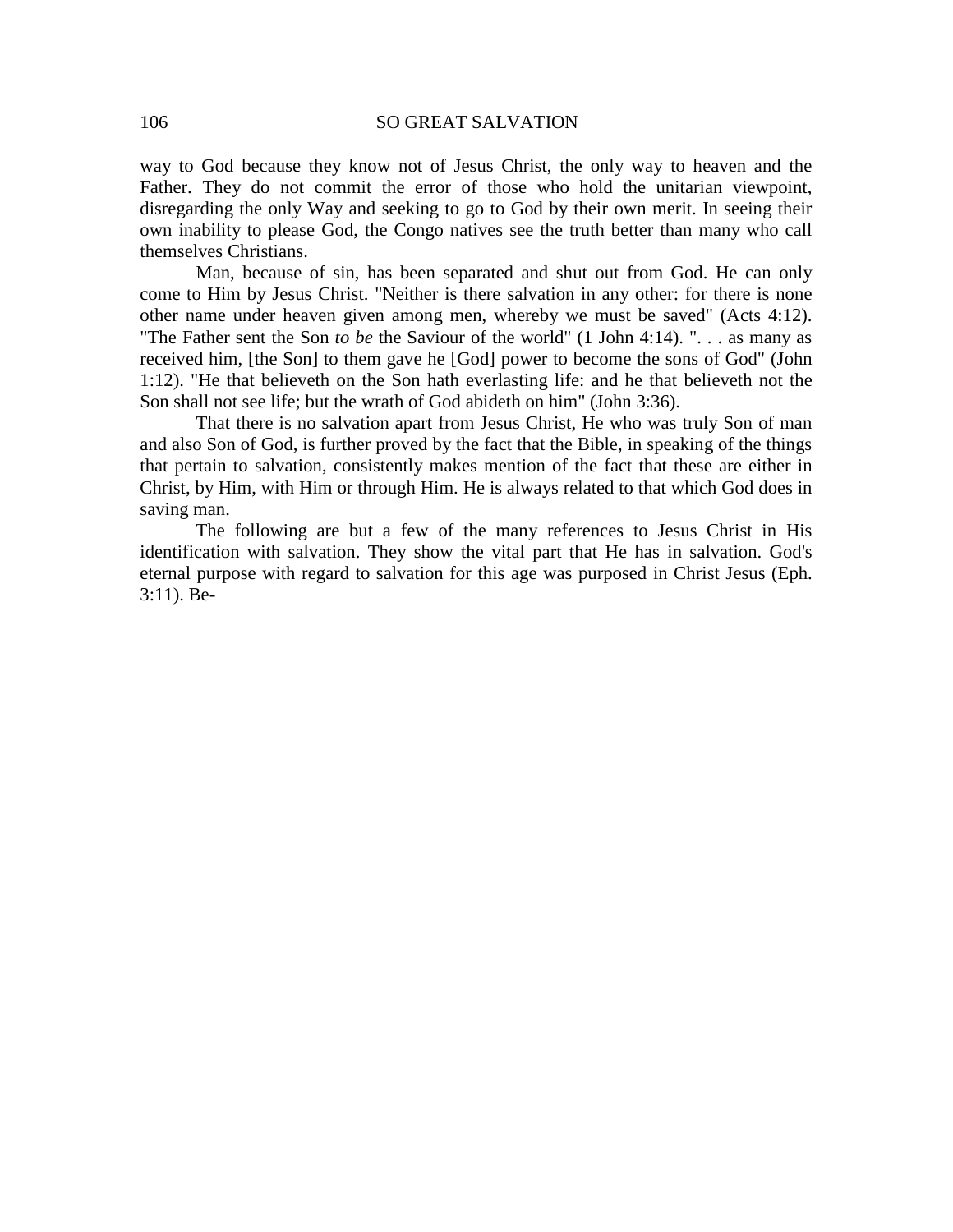way to God because they know not of Jesus Christ, the only way to heaven and the Father. They do not commit the error of those who hold the unitarian viewpoint, disregarding the only Way and seeking to go to God by their own merit. In seeing their own inability to please God, the Congo natives see the truth better than many who call themselves Christians.

Man, because of sin, has been separated and shut out from God. He can only come to Him by Jesus Christ. "Neither is there salvation in any other: for there is none other name under heaven given among men, whereby we must be saved" (Acts 4:12). "The Father sent the Son *to be* the Saviour of the world" (1 John 4:14). ". . . as many as received him, [the Son] to them gave he [God] power to become the sons of God" (John 1:12). "He that believeth on the Son hath everlasting life: and he that believeth not the Son shall not see life; but the wrath of God abideth on him" (John 3:36).

That there is no salvation apart from Jesus Christ, He who was truly Son of man and also Son of God, is further proved by the fact that the Bible, in speaking of the things that pertain to salvation, consistently makes mention of the fact that these are either in Christ, by Him, with Him or through Him. He is always related to that which God does in saving man.

The following are but a few of the many references to Jesus Christ in His identification with salvation. They show the vital part that He has in salvation. God's eternal purpose with regard to salvation for this age was purposed in Christ Jesus (Eph. 3:11). Be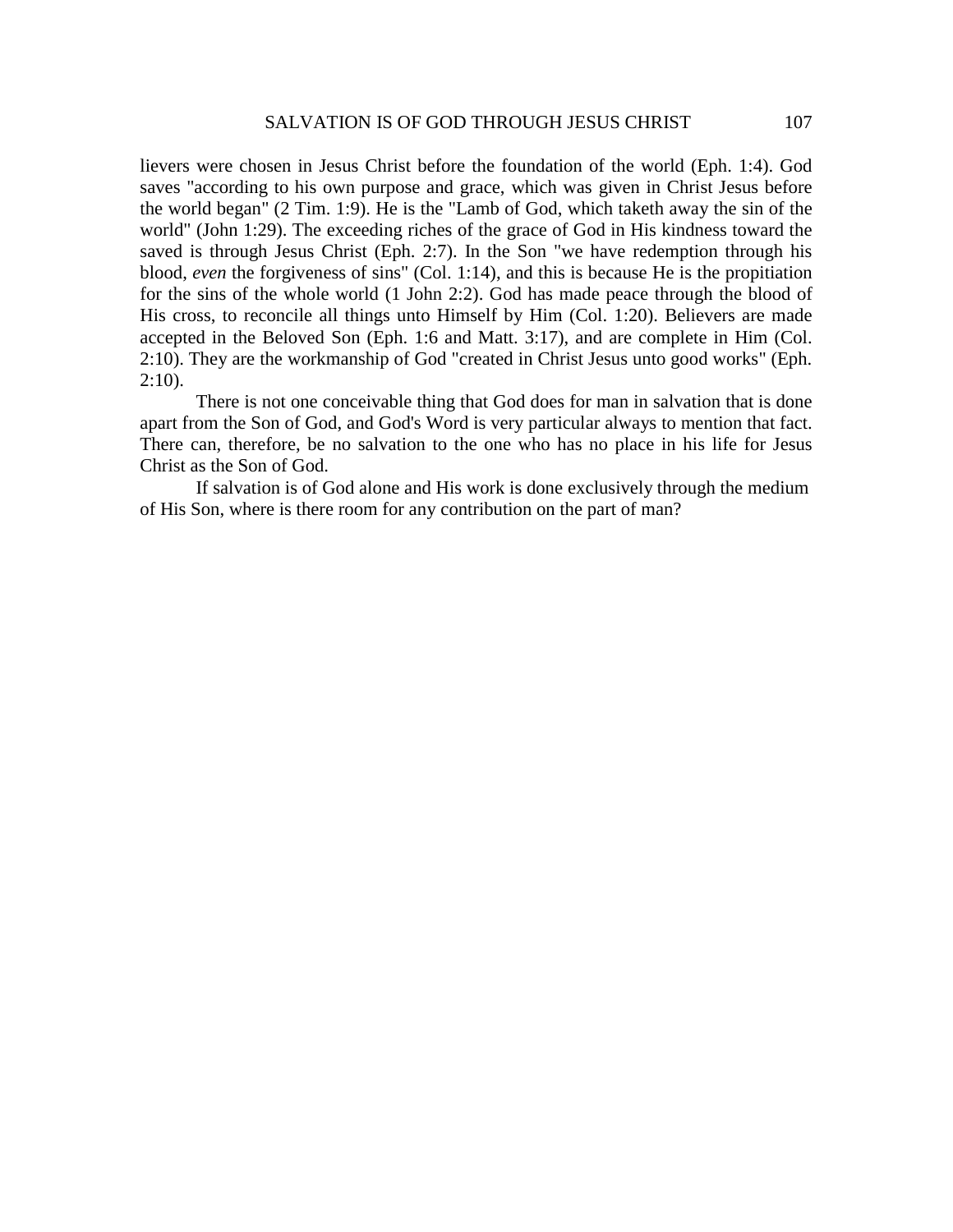lievers were chosen in Jesus Christ before the foundation of the world (Eph. 1:4). God saves "according to his own purpose and grace, which was given in Christ Jesus before the world began" (2 Tim. 1:9). He is the "Lamb of God, which taketh away the sin of the world" (John 1:29). The exceeding riches of the grace of God in His kindness toward the saved is through Jesus Christ (Eph. 2:7). In the Son "we have redemption through his blood, *even* the forgiveness of sins" (Col. 1:14), and this is because He is the propitiation for the sins of the whole world (1 John 2:2). God has made peace through the blood of His cross, to reconcile all things unto Himself by Him (Col. 1:20). Believers are made accepted in the Beloved Son (Eph. 1:6 and Matt. 3:17), and are complete in Him (Col. 2:10). They are the workmanship of God "created in Christ Jesus unto good works" (Eph.  $2:10$ ).

There is not one conceivable thing that God does for man in salvation that is done apart from the Son of God, and God's Word is very particular always to mention that fact. There can, therefore, be no salvation to the one who has no place in his life for Jesus Christ as the Son of God.

If salvation is of God alone and His work is done exclusively through the medium of His Son, where is there room for any contribution on the part of man?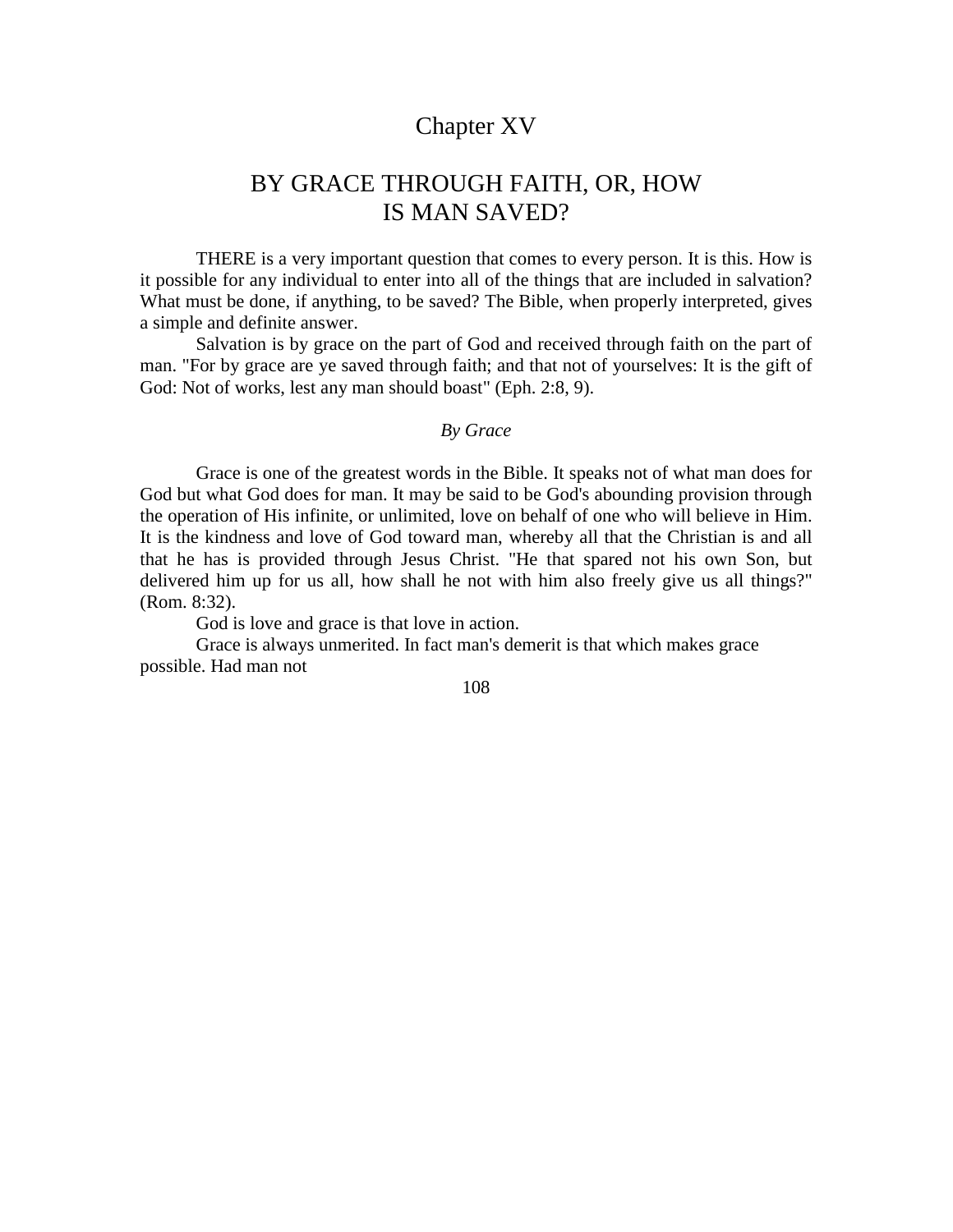## Chapter XV

# BY GRACE THROUGH FAITH, OR, HOW IS MAN SAVED?

THERE is a very important question that comes to every person. It is this. How is it possible for any individual to enter into all of the things that are included in salvation? What must be done, if anything, to be saved? The Bible, when properly interpreted, gives a simple and definite answer.

Salvation is by grace on the part of God and received through faith on the part of man. "For by grace are ye saved through faith; and that not of yourselves: It is the gift of God: Not of works, lest any man should boast" (Eph. 2:8, 9).

#### *By Grace*

Grace is one of the greatest words in the Bible. It speaks not of what man does for God but what God does for man. It may be said to be God's abounding provision through the operation of His infinite, or unlimited, love on behalf of one who will believe in Him. It is the kindness and love of God toward man, whereby all that the Christian is and all that he has is provided through Jesus Christ. "He that spared not his own Son, but delivered him up for us all, how shall he not with him also freely give us all things?" (Rom. 8:32).

God is love and grace is that love in action.

Grace is always unmerited. In fact man's demerit is that which makes grace possible. Had man not

108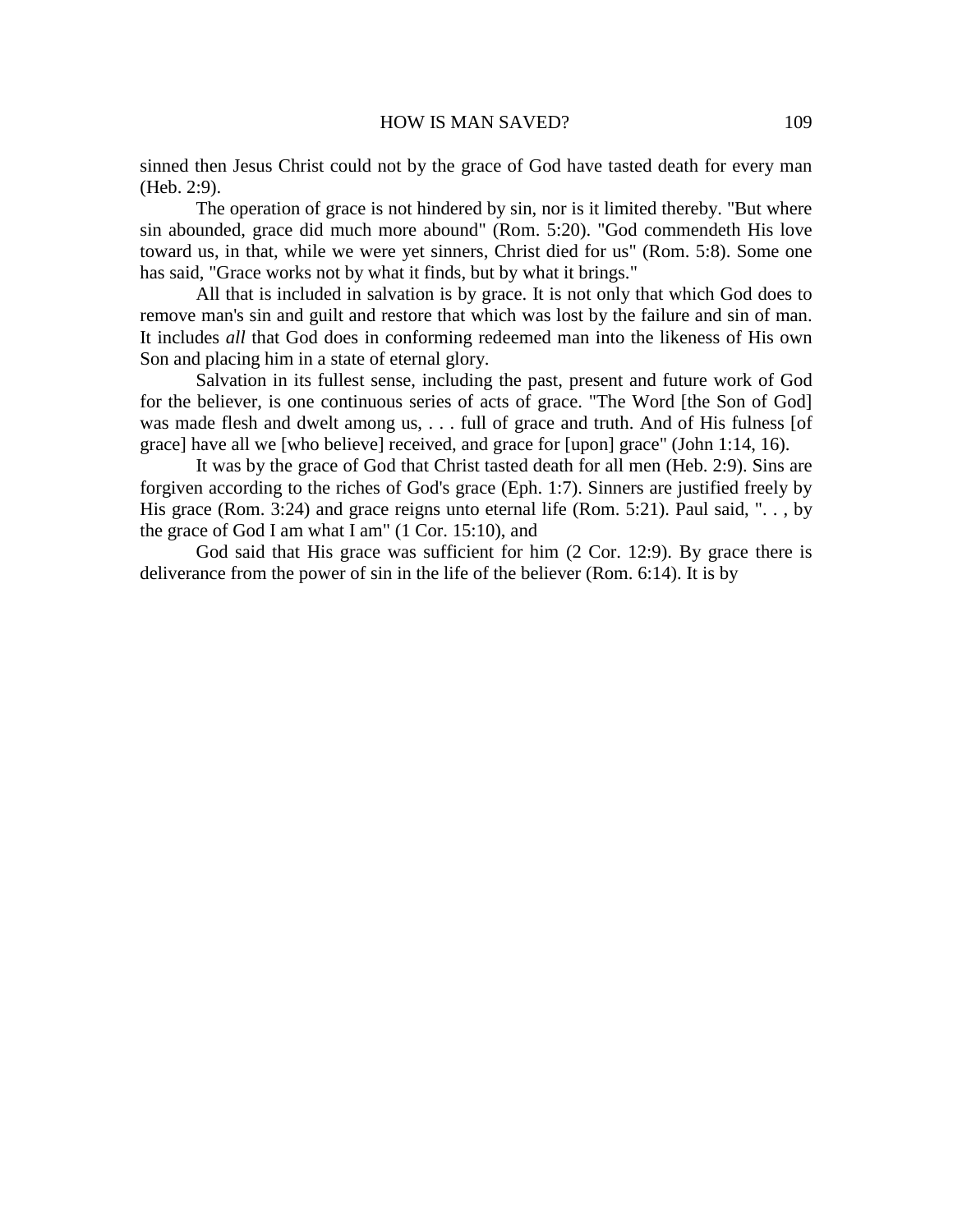sinned then Jesus Christ could not by the grace of God have tasted death for every man (Heb. 2:9).

The operation of grace is not hindered by sin, nor is it limited thereby. "But where sin abounded, grace did much more abound" (Rom. 5:20). "God commendeth His love toward us, in that, while we were yet sinners, Christ died for us" (Rom. 5:8). Some one has said, "Grace works not by what it finds, but by what it brings."

All that is included in salvation is by grace. It is not only that which God does to remove man's sin and guilt and restore that which was lost by the failure and sin of man. It includes *all* that God does in conforming redeemed man into the likeness of His own Son and placing him in a state of eternal glory.

Salvation in its fullest sense, including the past, present and future work of God for the believer, is one continuous series of acts of grace. "The Word [the Son of God] was made flesh and dwelt among us, ... full of grace and truth. And of His fulness [of grace] have all we [who believe] received, and grace for [upon] grace" (John 1:14, 16).

It was by the grace of God that Christ tasted death for all men (Heb. 2:9). Sins are forgiven according to the riches of God's grace (Eph. 1:7). Sinners are justified freely by His grace (Rom. 3:24) and grace reigns unto eternal life (Rom. 5:21). Paul said, "..., by the grace of God I am what I am" (1 Cor. 15:10), and

God said that His grace was sufficient for him (2 Cor. 12:9). By grace there is deliverance from the power of sin in the life of the believer (Rom. 6:14). It is by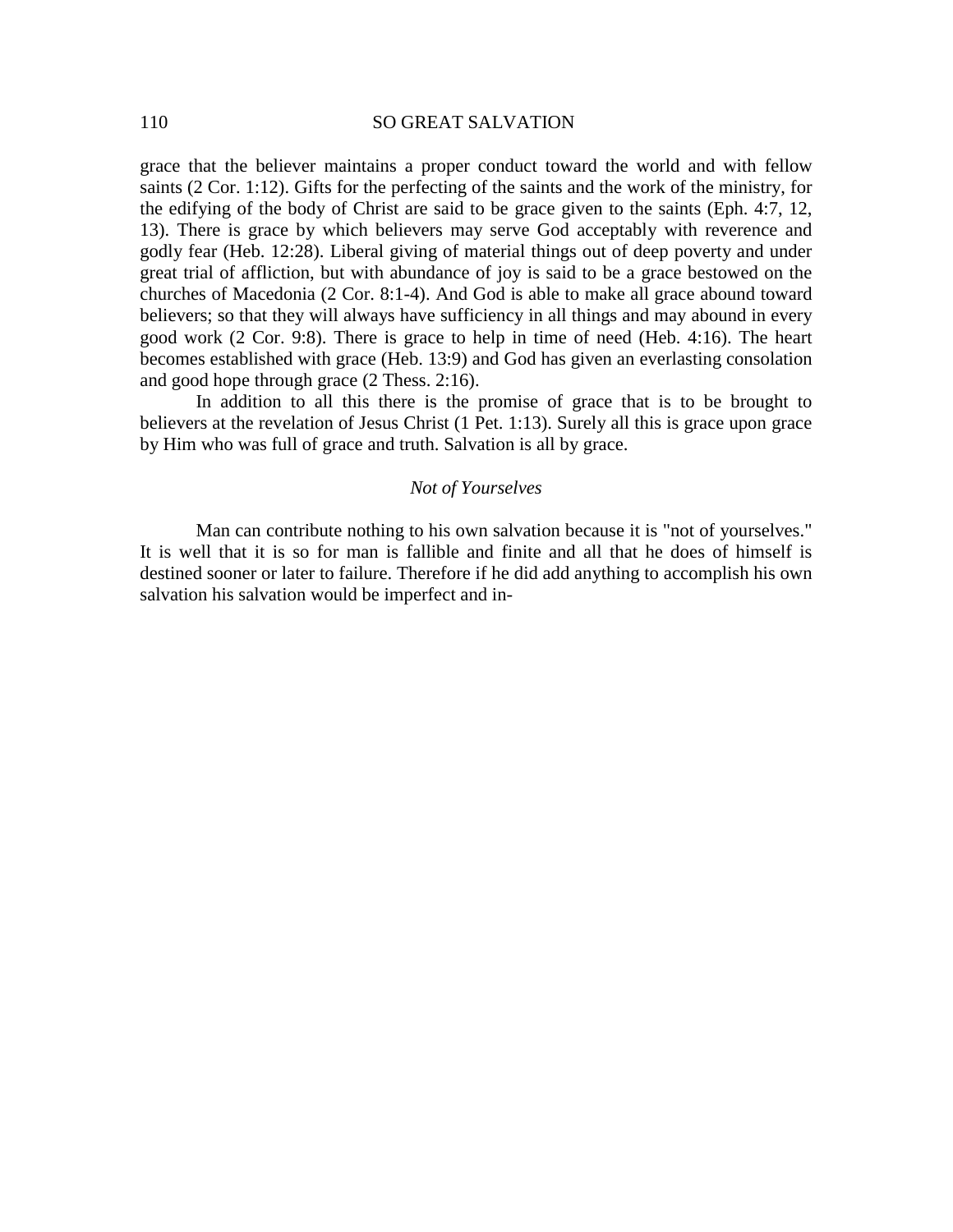grace that the believer maintains a proper conduct toward the world and with fellow saints (2 Cor. 1:12). Gifts for the perfecting of the saints and the work of the ministry, for the edifying of the body of Christ are said to be grace given to the saints (Eph. 4:7, 12, 13). There is grace by which believers may serve God acceptably with reverence and godly fear (Heb. 12:28). Liberal giving of material things out of deep poverty and under great trial of affliction, but with abundance of joy is said to be a grace bestowed on the churches of Macedonia (2 Cor. 8:1-4). And God is able to make all grace abound toward believers; so that they will always have sufficiency in all things and may abound in every good work (2 Cor. 9:8). There is grace to help in time of need (Heb. 4:16). The heart becomes established with grace (Heb. 13:9) and God has given an everlasting consolation and good hope through grace (2 Thess. 2:16).

In addition to all this there is the promise of grace that is to be brought to believers at the revelation of Jesus Christ (1 Pet. 1:13). Surely all this is grace upon grace by Him who was full of grace and truth. Salvation is all by grace.

#### *Not of Yourselves*

Man can contribute nothing to his own salvation because it is "not of yourselves." It is well that it is so for man is fallible and finite and all that he does of himself is destined sooner or later to failure. Therefore if he did add anything to accomplish his own salvation his salvation would be imperfect and in-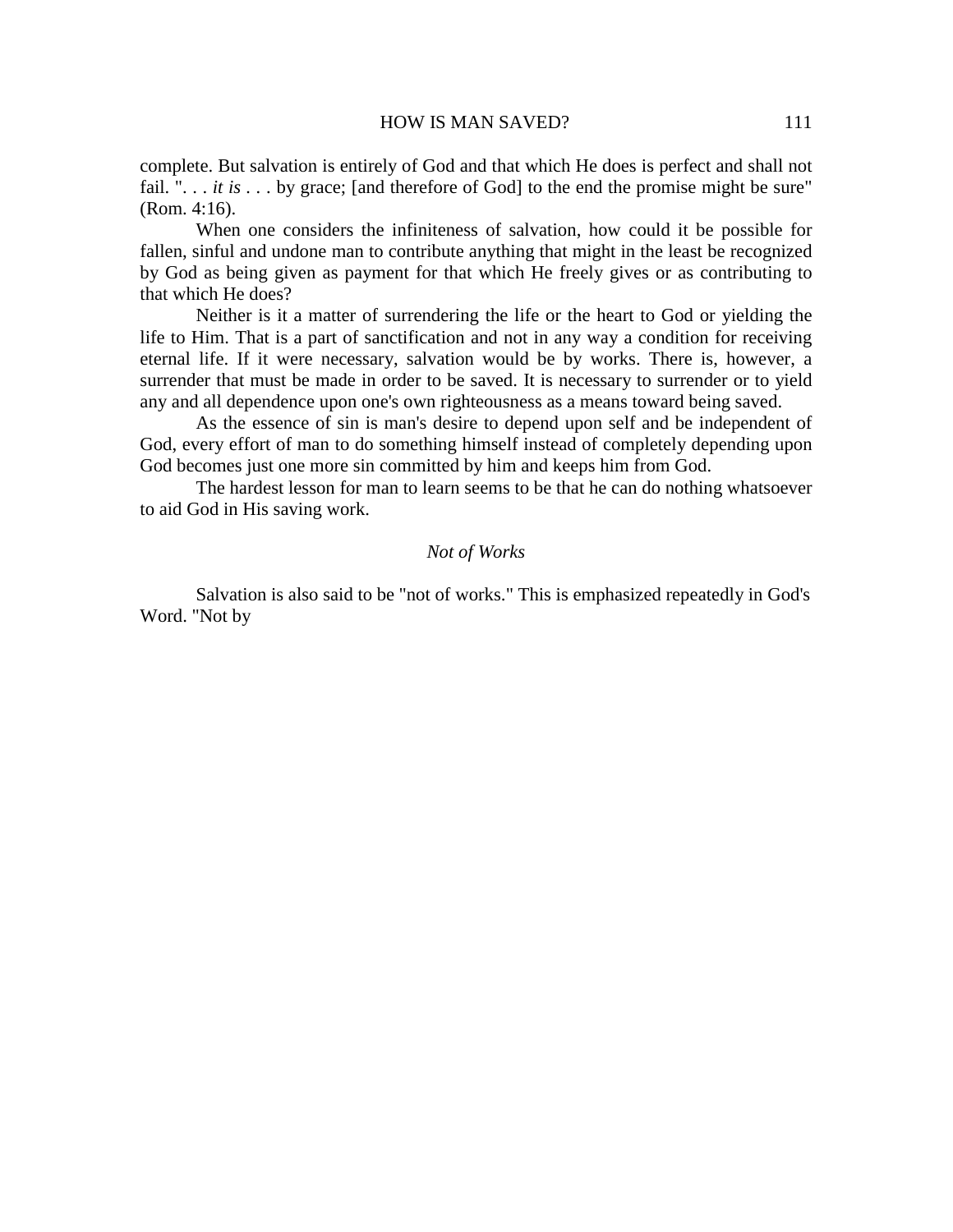complete. But salvation is entirely of God and that which He does is perfect and shall not fail. ". . . *it is . . .* by grace; [and therefore of God] to the end the promise might be sure" (Rom. 4:16).

When one considers the infiniteness of salvation, how could it be possible for fallen, sinful and undone man to contribute anything that might in the least be recognized by God as being given as payment for that which He freely gives or as contributing to that which He does?

Neither is it a matter of surrendering the life or the heart to God or yielding the life to Him. That is a part of sanctification and not in any way a condition for receiving eternal life. If it were necessary, salvation would be by works. There is, however, a surrender that must be made in order to be saved. It is necessary to surrender or to yield any and all dependence upon one's own righteousness as a means toward being saved.

As the essence of sin is man's desire to depend upon self and be independent of God, every effort of man to do something himself instead of completely depending upon God becomes just one more sin committed by him and keeps him from God.

The hardest lesson for man to learn seems to be that he can do nothing whatsoever to aid God in His saving work.

#### *Not of Works*

Salvation is also said to be "not of works." This is emphasized repeatedly in God's Word. "Not by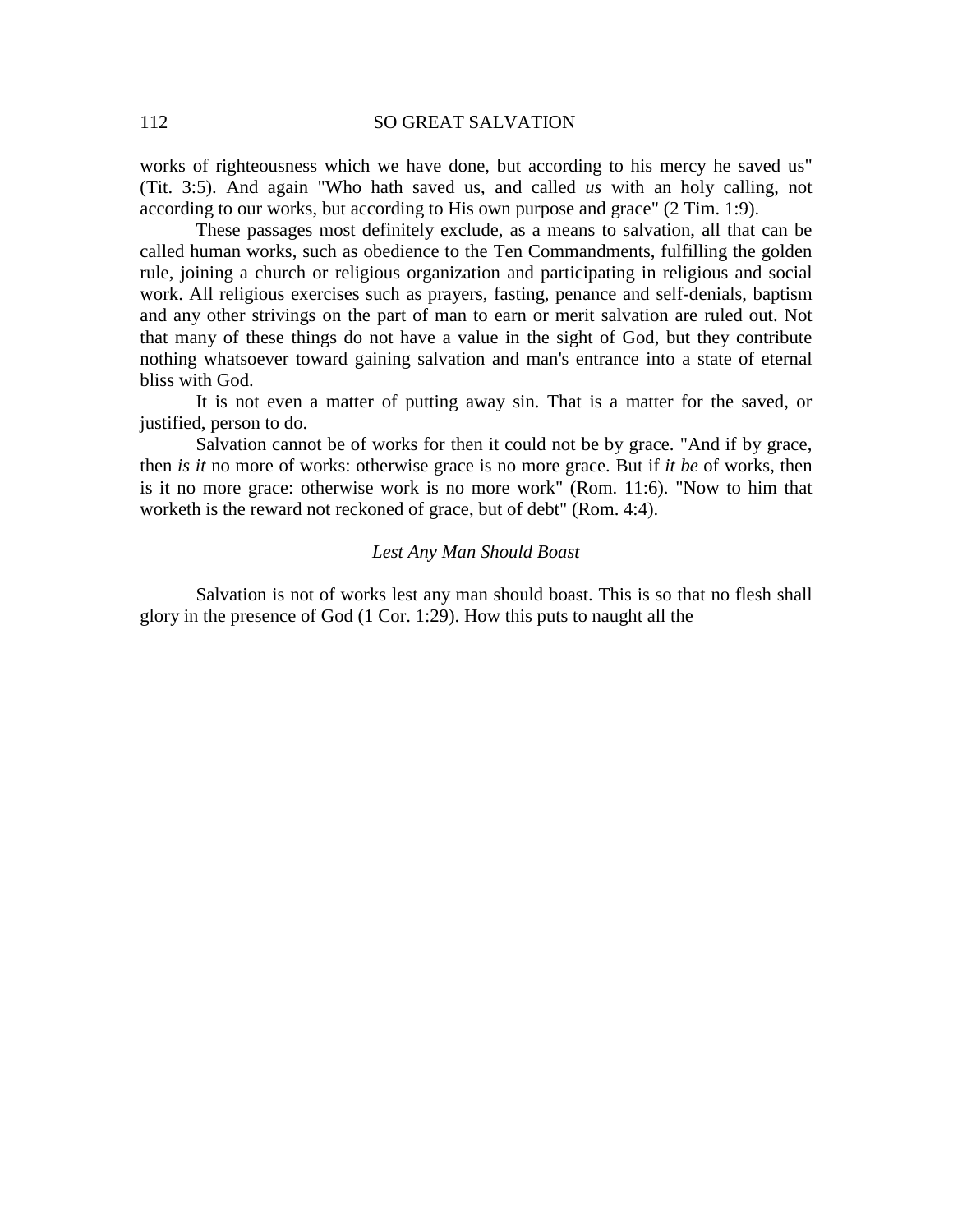works of righteousness which we have done, but according to his mercy he saved us" (Tit. 3:5). And again "Who hath saved us, and called *us* with an holy calling, not according to our works, but according to His own purpose and grace" (2 Tim. 1:9).

These passages most definitely exclude, as a means to salvation, all that can be called human works, such as obedience to the Ten Commandments, fulfilling the golden rule, joining a church or religious organization and participating in religious and social work. All religious exercises such as prayers, fasting, penance and self-denials, baptism and any other strivings on the part of man to earn or merit salvation are ruled out. Not that many of these things do not have a value in the sight of God, but they contribute nothing whatsoever toward gaining salvation and man's entrance into a state of eternal bliss with God.

It is not even a matter of putting away sin. That is a matter for the saved, or justified, person to do.

Salvation cannot be of works for then it could not be by grace. "And if by grace, then *is it* no more of works: otherwise grace is no more grace. But if *it be* of works, then is it no more grace: otherwise work is no more work" (Rom. 11:6). "Now to him that worketh is the reward not reckoned of grace, but of debt" (Rom. 4:4).

#### *Lest Any Man Should Boast*

Salvation is not of works lest any man should boast. This is so that no flesh shall glory in the presence of God (1 Cor. 1:29). How this puts to naught all the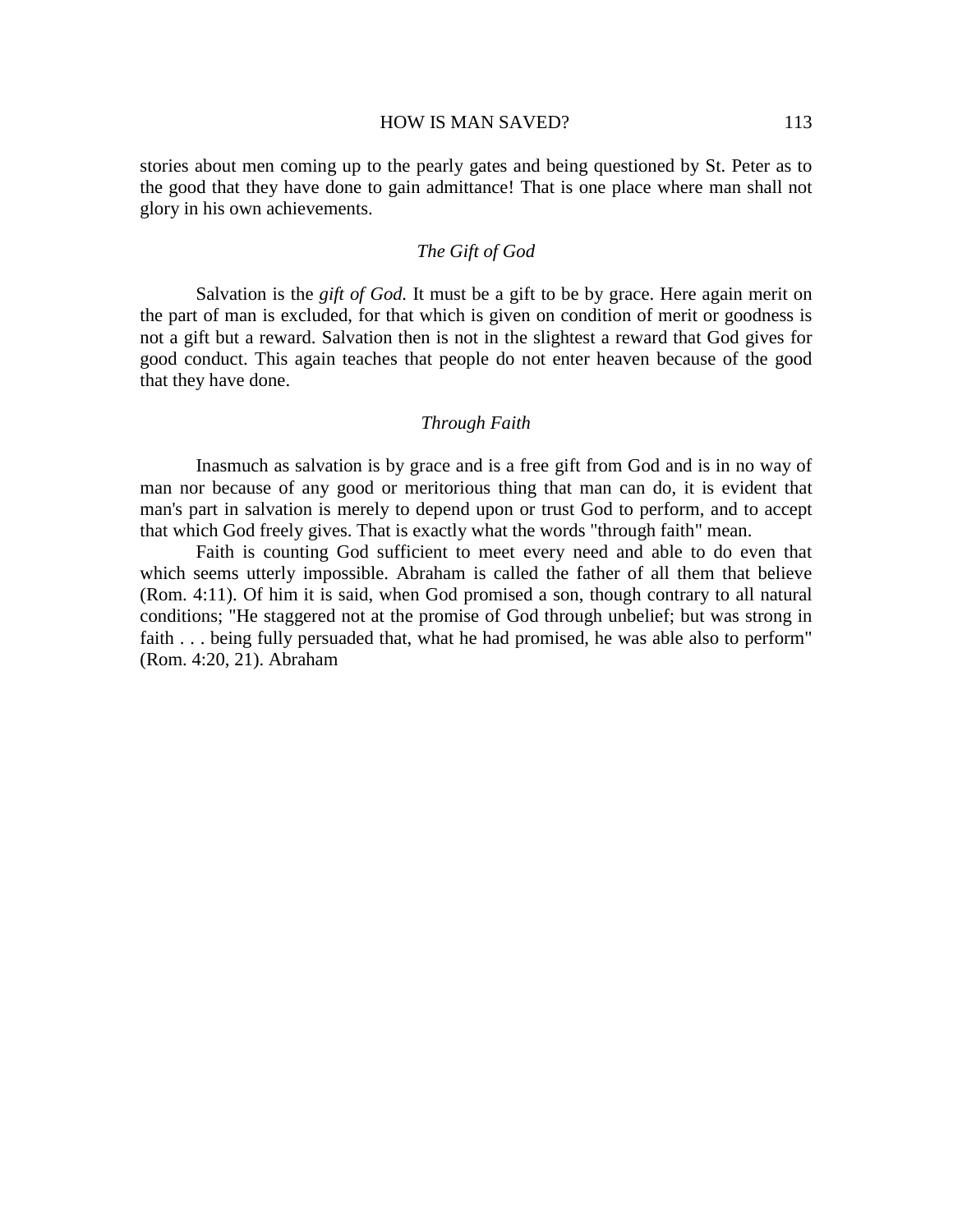#### HOW IS MAN SAVED? 113

stories about men coming up to the pearly gates and being questioned by St. Peter as to the good that they have done to gain admittance! That is one place where man shall not glory in his own achievements.

## *The Gift of God*

Salvation is the *gift of God.* It must be a gift to be by grace. Here again merit on the part of man is excluded, for that which is given on condition of merit or goodness is not a gift but a reward. Salvation then is not in the slightest a reward that God gives for good conduct. This again teaches that people do not enter heaven because of the good that they have done.

### *Through Faith*

Inasmuch as salvation is by grace and is a free gift from God and is in no way of man nor because of any good or meritorious thing that man can do, it is evident that man's part in salvation is merely to depend upon or trust God to perform, and to accept that which God freely gives. That is exactly what the words "through faith" mean.

Faith is counting God sufficient to meet every need and able to do even that which seems utterly impossible. Abraham is called the father of all them that believe (Rom. 4:11). Of him it is said, when God promised a son, though contrary to all natural conditions; "He staggered not at the promise of God through unbelief; but was strong in faith . . . being fully persuaded that, what he had promised, he was able also to perform" (Rom. 4:20, 21). Abraham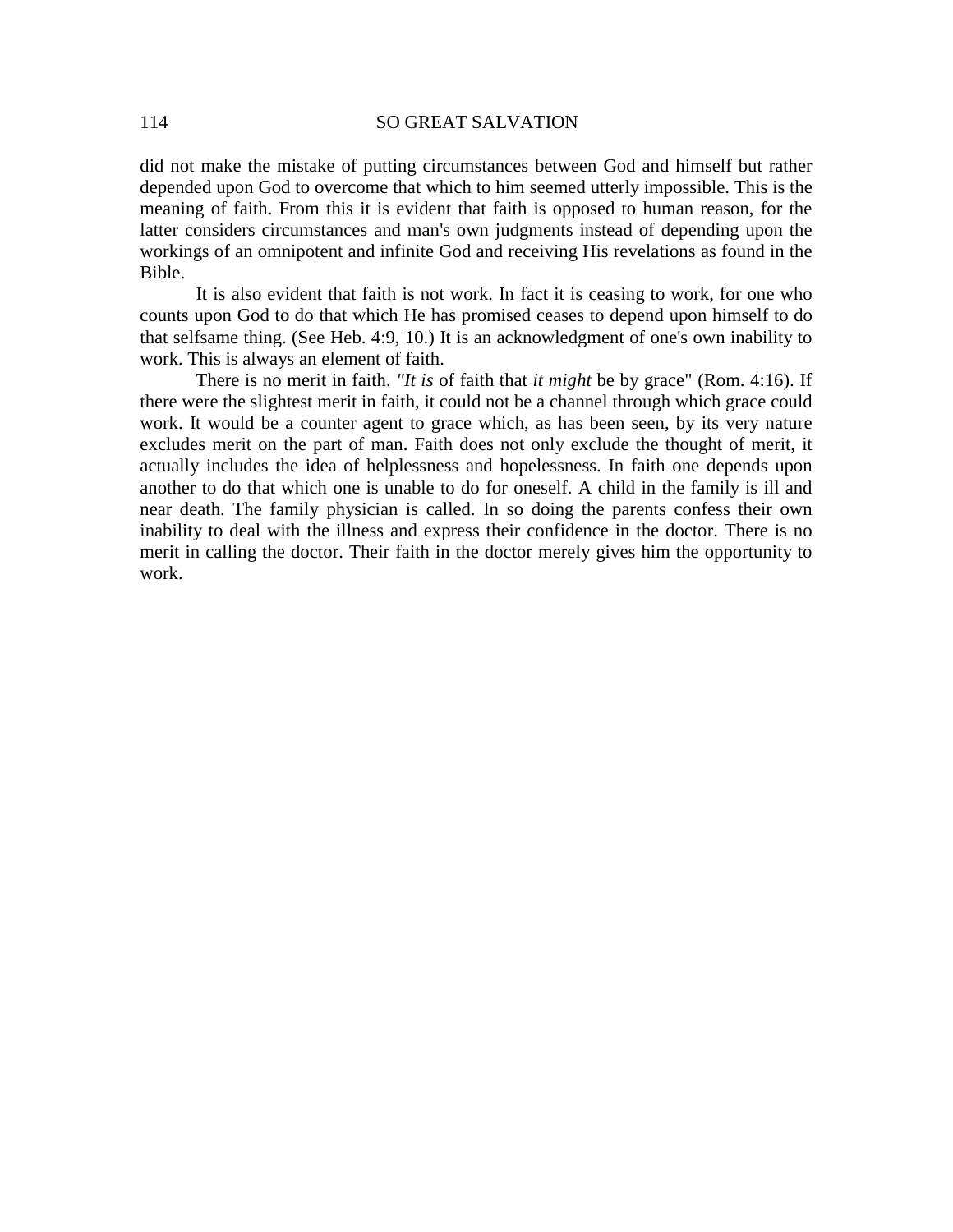did not make the mistake of putting circumstances between God and himself but rather depended upon God to overcome that which to him seemed utterly impossible. This is the meaning of faith. From this it is evident that faith is opposed to human reason, for the latter considers circumstances and man's own judgments instead of depending upon the workings of an omnipotent and infinite God and receiving His revelations as found in the Bible.

It is also evident that faith is not work. In fact it is ceasing to work, for one who counts upon God to do that which He has promised ceases to depend upon himself to do that selfsame thing. (See Heb. 4:9, 10.) It is an acknowledgment of one's own inability to work. This is always an element of faith.

There is no merit in faith. *"It is* of faith that *it might* be by grace" (Rom. 4:16). If there were the slightest merit in faith, it could not be a channel through which grace could work. It would be a counter agent to grace which, as has been seen, by its very nature excludes merit on the part of man. Faith does not only exclude the thought of merit, it actually includes the idea of helplessness and hopelessness. In faith one depends upon another to do that which one is unable to do for oneself. A child in the family is ill and near death. The family physician is called. In so doing the parents confess their own inability to deal with the illness and express their confidence in the doctor. There is no merit in calling the doctor. Their faith in the doctor merely gives him the opportunity to work.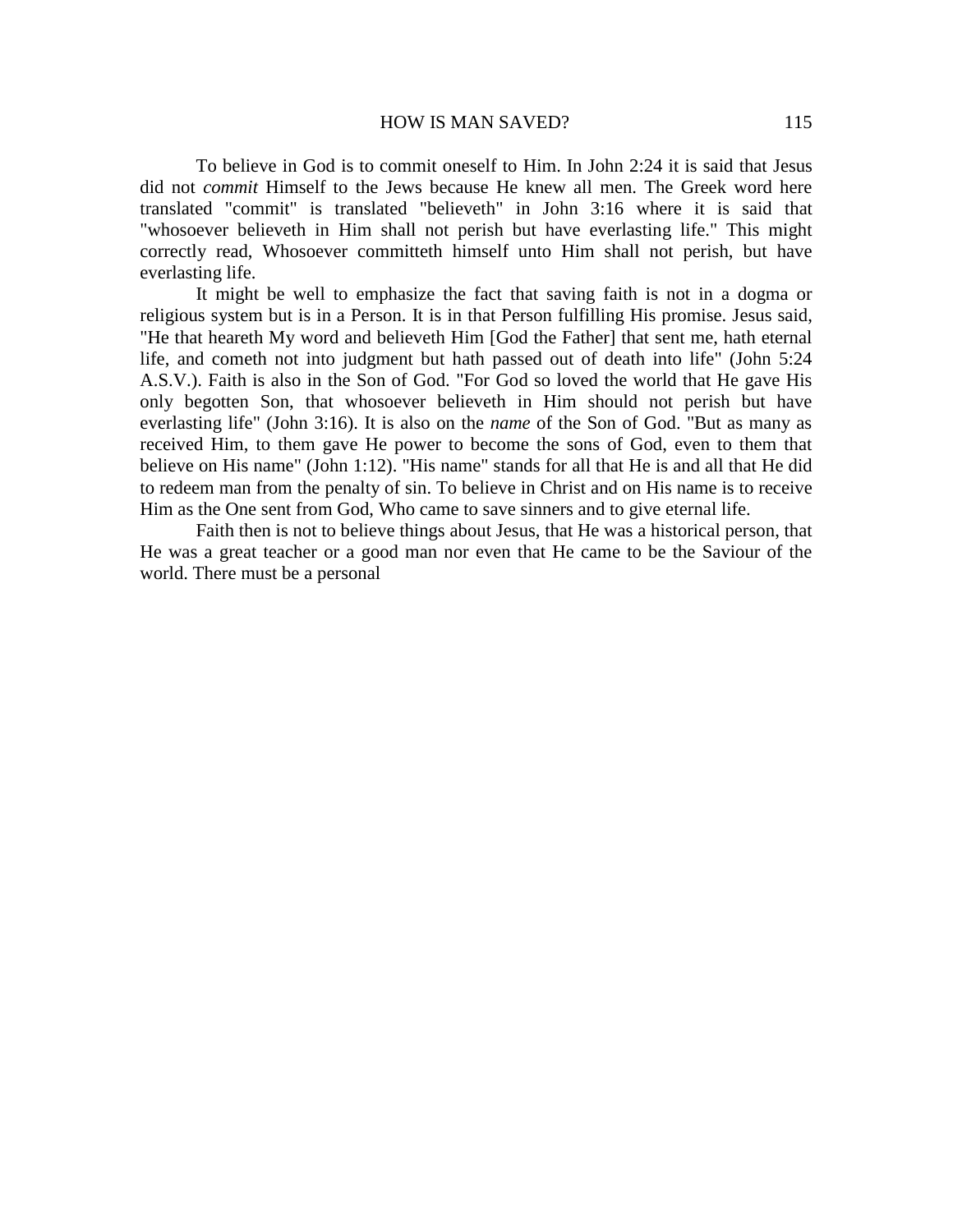#### HOW IS MAN SAVED? 115

To believe in God is to commit oneself to Him. In John 2:24 it is said that Jesus did not *commit* Himself to the Jews because He knew all men. The Greek word here translated "commit" is translated "believeth" in John 3:16 where it is said that "whosoever believeth in Him shall not perish but have everlasting life." This might correctly read, Whosoever committeth himself unto Him shall not perish, but have everlasting life.

It might be well to emphasize the fact that saving faith is not in a dogma or religious system but is in a Person. It is in that Person fulfilling His promise. Jesus said, "He that heareth My word and believeth Him [God the Father] that sent me, hath eternal life, and cometh not into judgment but hath passed out of death into life" (John 5:24 A.S.V.). Faith is also in the Son of God. "For God so loved the world that He gave His only begotten Son, that whosoever believeth in Him should not perish but have everlasting life" (John 3:16). It is also on the *name* of the Son of God. "But as many as received Him, to them gave He power to become the sons of God, even to them that believe on His name" (John 1:12). "His name" stands for all that He is and all that He did to redeem man from the penalty of sin. To believe in Christ and on His name is to receive Him as the One sent from God, Who came to save sinners and to give eternal life.

Faith then is not to believe things about Jesus, that He was a historical person, that He was a great teacher or a good man nor even that He came to be the Saviour of the world. There must be a personal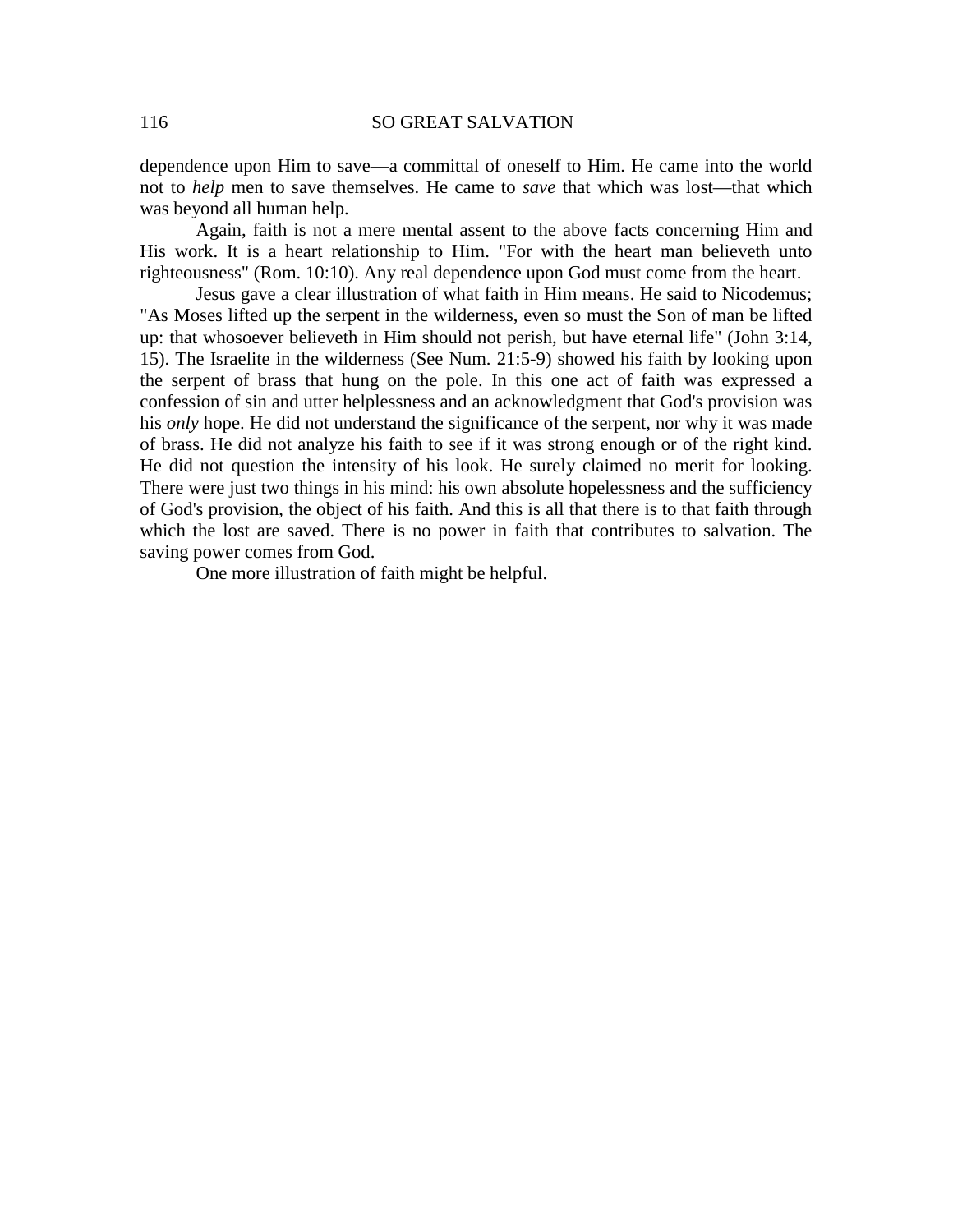dependence upon Him to save—a committal of oneself to Him. He came into the world not to *help* men to save themselves. He came to *save* that which was lost—that which was beyond all human help.

Again, faith is not a mere mental assent to the above facts concerning Him and His work. It is a heart relationship to Him. "For with the heart man believeth unto righteousness" (Rom. 10:10). Any real dependence upon God must come from the heart.

Jesus gave a clear illustration of what faith in Him means. He said to Nicodemus; "As Moses lifted up the serpent in the wilderness, even so must the Son of man be lifted up: that whosoever believeth in Him should not perish, but have eternal life" (John 3:14, 15). The Israelite in the wilderness (See Num. 21:5-9) showed his faith by looking upon the serpent of brass that hung on the pole. In this one act of faith was expressed a confession of sin and utter helplessness and an acknowledgment that God's provision was his *only* hope. He did not understand the significance of the serpent, nor why it was made of brass. He did not analyze his faith to see if it was strong enough or of the right kind. He did not question the intensity of his look. He surely claimed no merit for looking. There were just two things in his mind: his own absolute hopelessness and the sufficiency of God's provision, the object of his faith. And this is all that there is to that faith through which the lost are saved. There is no power in faith that contributes to salvation. The saving power comes from God.

One more illustration of faith might be helpful.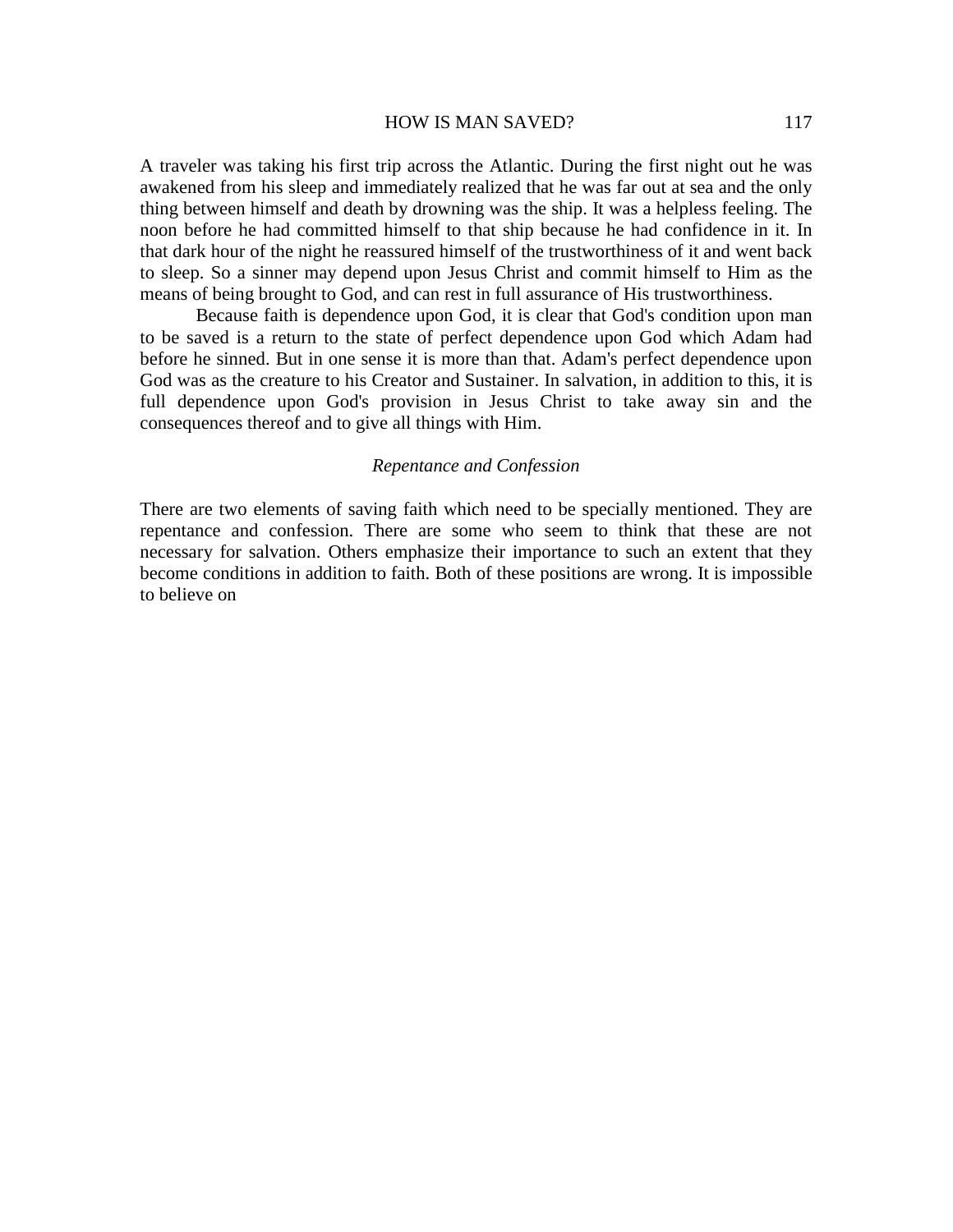#### HOW IS MAN SAVED? 117

A traveler was taking his first trip across the Atlantic. During the first night out he was awakened from his sleep and immediately realized that he was far out at sea and the only thing between himself and death by drowning was the ship. It was a helpless feeling. The noon before he had committed himself to that ship because he had confidence in it. In that dark hour of the night he reassured himself of the trustworthiness of it and went back to sleep. So a sinner may depend upon Jesus Christ and commit himself to Him as the means of being brought to God, and can rest in full assurance of His trustworthiness.

Because faith is dependence upon God, it is clear that God's condition upon man to be saved is a return to the state of perfect dependence upon God which Adam had before he sinned. But in one sense it is more than that. Adam's perfect dependence upon God was as the creature to his Creator and Sustainer. In salvation, in addition to this, it is full dependence upon God's provision in Jesus Christ to take away sin and the consequences thereof and to give all things with Him.

### *Repentance and Confession*

There are two elements of saving faith which need to be specially mentioned. They are repentance and confession. There are some who seem to think that these are not necessary for salvation. Others emphasize their importance to such an extent that they become conditions in addition to faith. Both of these positions are wrong. It is impossible to believe on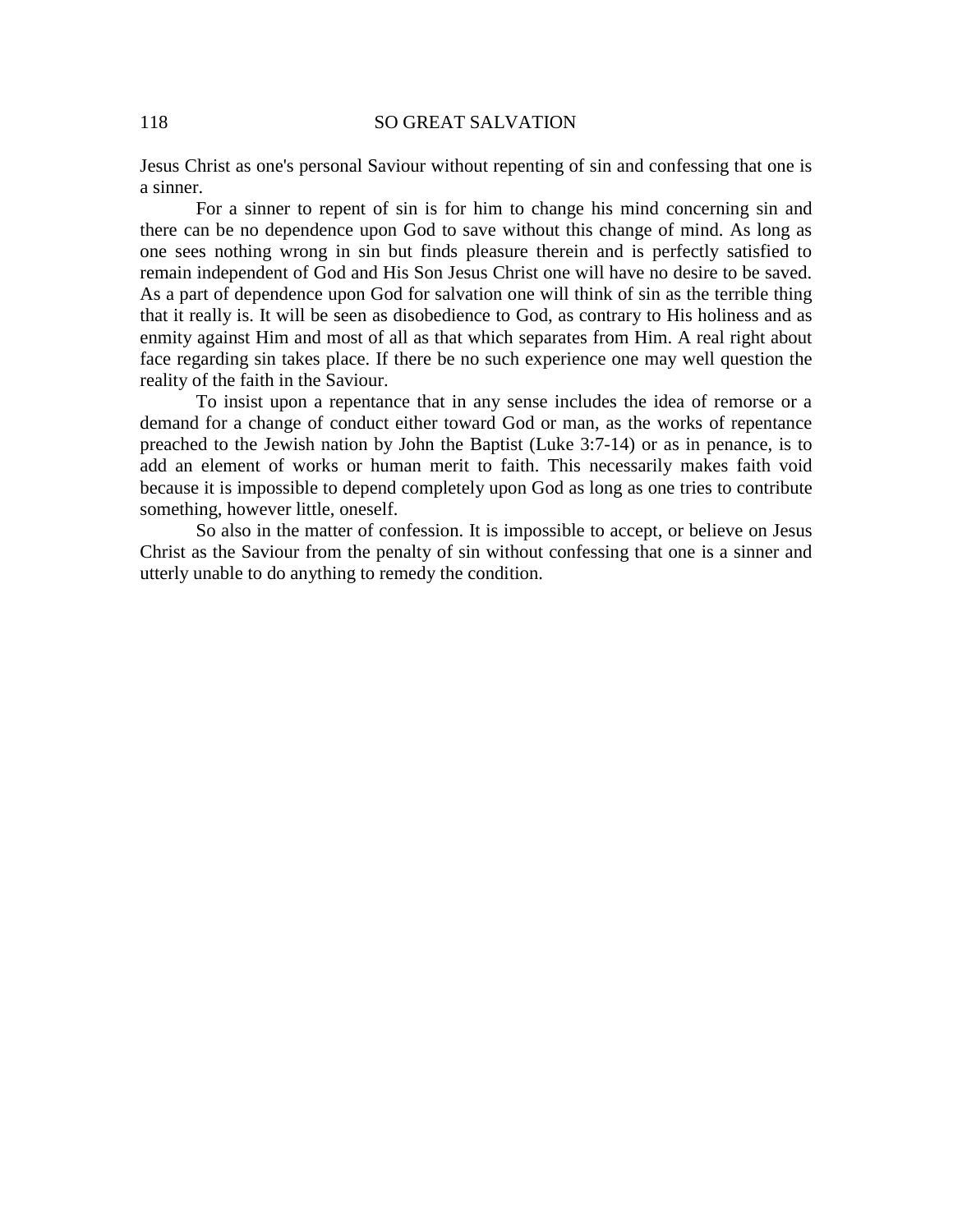Jesus Christ as one's personal Saviour without repenting of sin and confessing that one is a sinner.

For a sinner to repent of sin is for him to change his mind concerning sin and there can be no dependence upon God to save without this change of mind. As long as one sees nothing wrong in sin but finds pleasure therein and is perfectly satisfied to remain independent of God and His Son Jesus Christ one will have no desire to be saved. As a part of dependence upon God for salvation one will think of sin as the terrible thing that it really is. It will be seen as disobedience to God, as contrary to His holiness and as enmity against Him and most of all as that which separates from Him. A real right about face regarding sin takes place. If there be no such experience one may well question the reality of the faith in the Saviour.

To insist upon a repentance that in any sense includes the idea of remorse or a demand for a change of conduct either toward God or man, as the works of repentance preached to the Jewish nation by John the Baptist (Luke 3:7-14) or as in penance, is to add an element of works or human merit to faith. This necessarily makes faith void because it is impossible to depend completely upon God as long as one tries to contribute something, however little, oneself.

So also in the matter of confession. It is impossible to accept, or believe on Jesus Christ as the Saviour from the penalty of sin without confessing that one is a sinner and utterly unable to do anything to remedy the condition.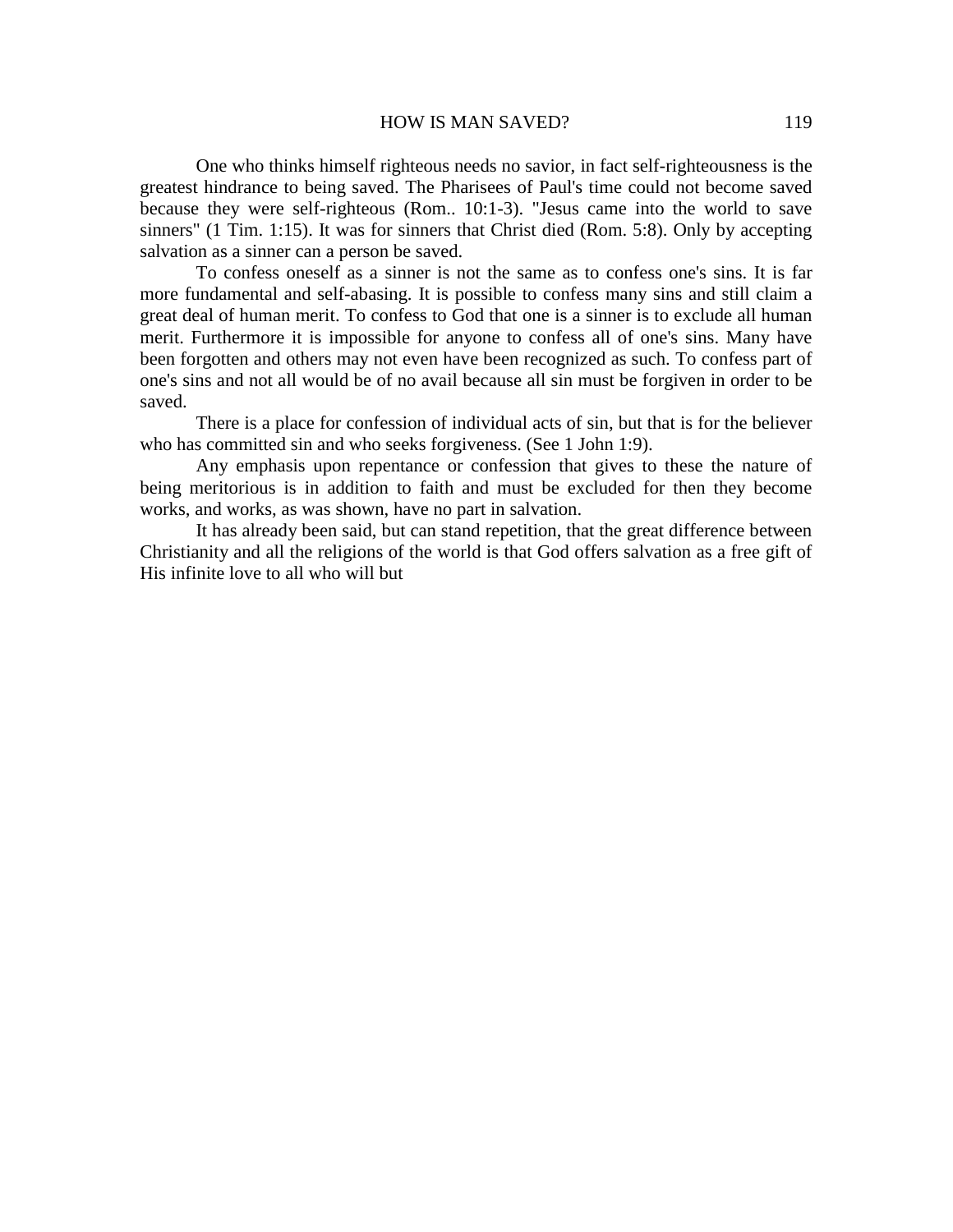#### HOW IS MAN SAVED? 119

One who thinks himself righteous needs no savior, in fact self-righteousness is the greatest hindrance to being saved. The Pharisees of Paul's time could not become saved because they were self-righteous (Rom.. 10:1-3). "Jesus came into the world to save sinners" (1 Tim. 1:15). It was for sinners that Christ died (Rom. 5:8). Only by accepting salvation as a sinner can a person be saved.

To confess oneself as a sinner is not the same as to confess one's sins. It is far more fundamental and self-abasing. It is possible to confess many sins and still claim a great deal of human merit. To confess to God that one is a sinner is to exclude all human merit. Furthermore it is impossible for anyone to confess all of one's sins. Many have been forgotten and others may not even have been recognized as such. To confess part of one's sins and not all would be of no avail because all sin must be forgiven in order to be saved.

There is a place for confession of individual acts of sin, but that is for the believer who has committed sin and who seeks forgiveness. (See 1 John 1:9).

Any emphasis upon repentance or confession that gives to these the nature of being meritorious is in addition to faith and must be excluded for then they become works, and works, as was shown, have no part in salvation.

It has already been said, but can stand repetition, that the great difference between Christianity and all the religions of the world is that God offers salvation as a free gift of His infinite love to all who will but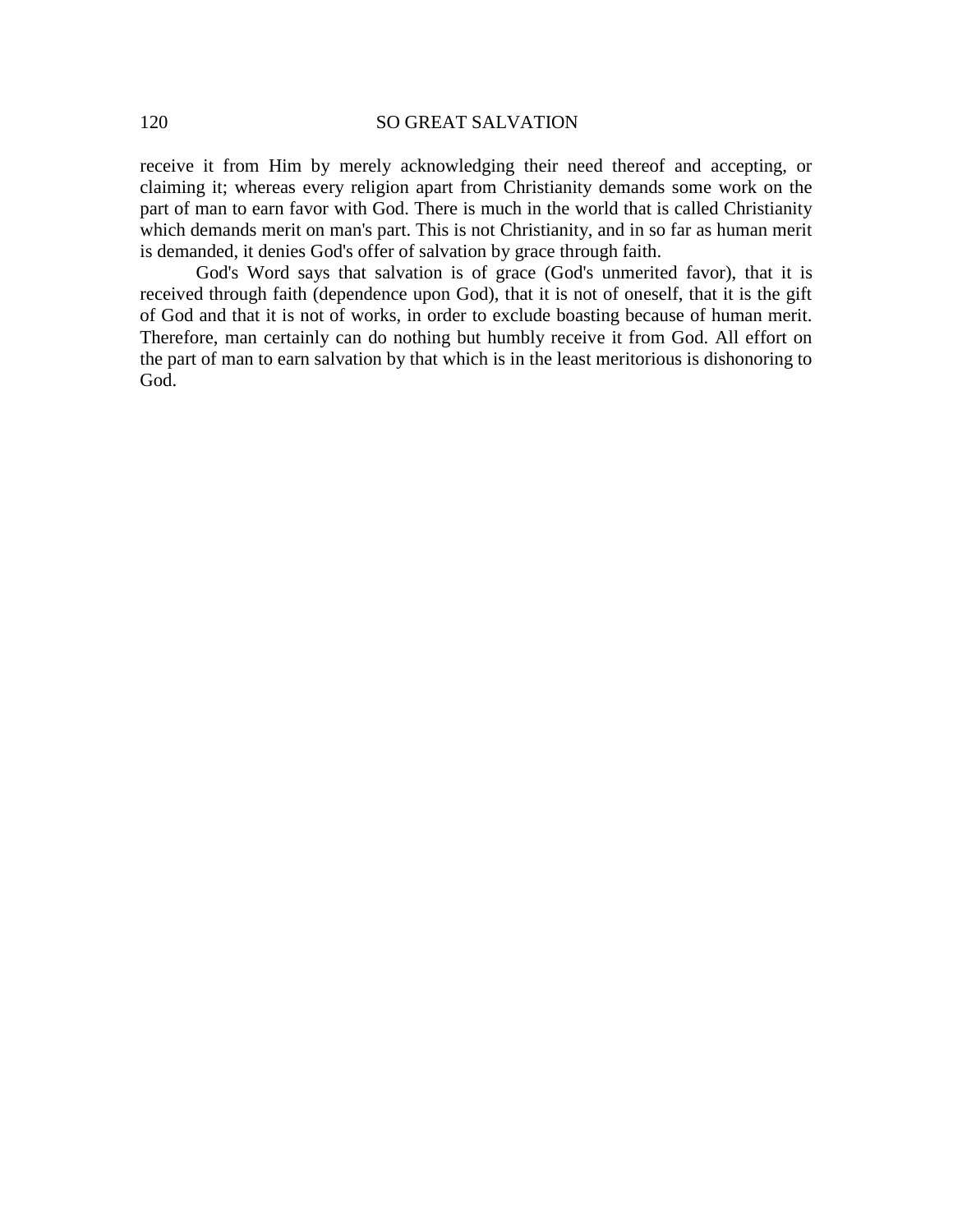receive it from Him by merely acknowledging their need thereof and accepting, or claiming it; whereas every religion apart from Christianity demands some work on the part of man to earn favor with God. There is much in the world that is called Christianity which demands merit on man's part. This is not Christianity, and in so far as human merit is demanded, it denies God's offer of salvation by grace through faith.

God's Word says that salvation is of grace (God's unmerited favor), that it is received through faith (dependence upon God), that it is not of oneself, that it is the gift of God and that it is not of works, in order to exclude boasting because of human merit. Therefore, man certainly can do nothing but humbly receive it from God. All effort on the part of man to earn salvation by that which is in the least meritorious is dishonoring to God.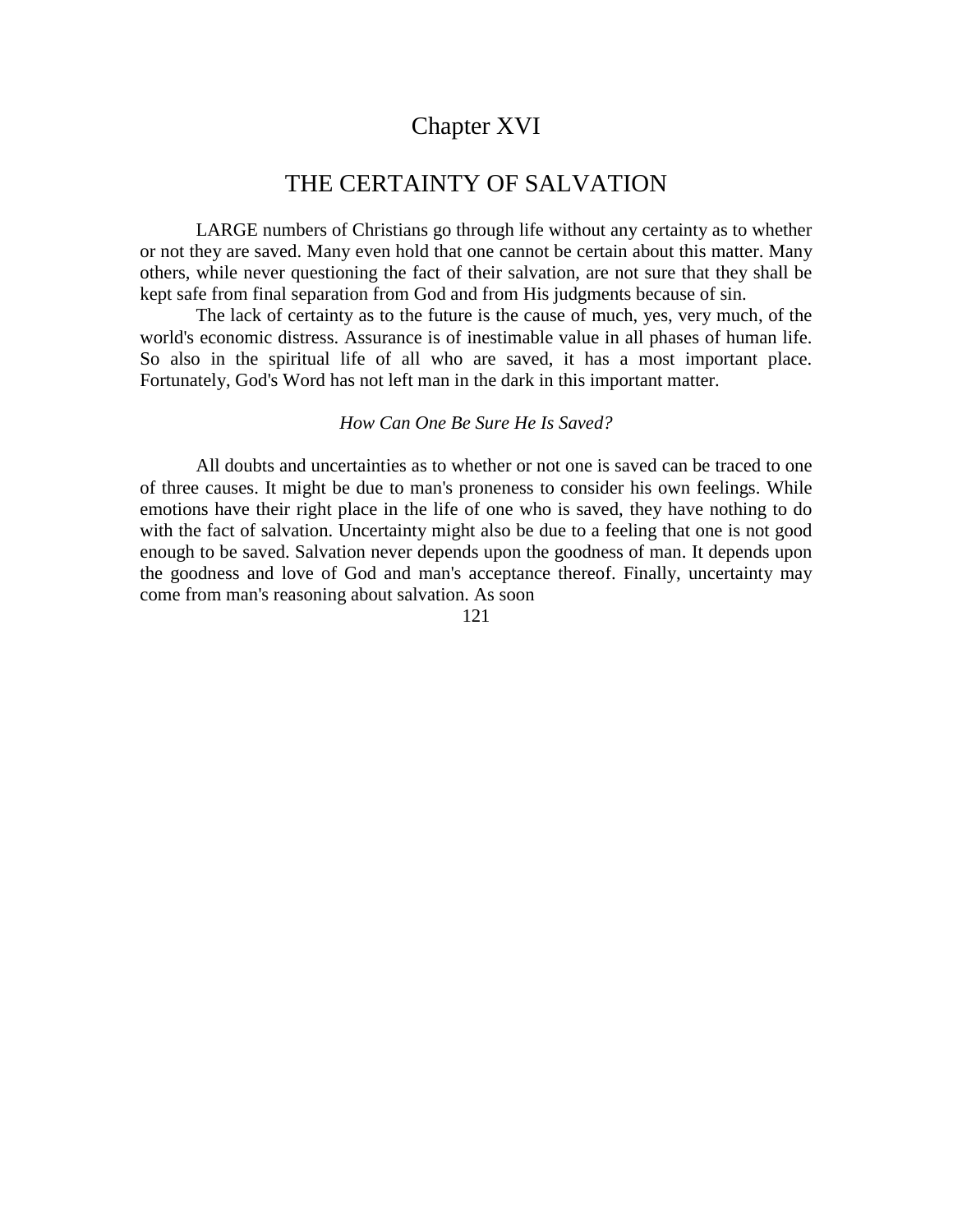# Chapter XVI

## THE CERTAINTY OF SALVATION

LARGE numbers of Christians go through life without any certainty as to whether or not they are saved. Many even hold that one cannot be certain about this matter. Many others, while never questioning the fact of their salvation, are not sure that they shall be kept safe from final separation from God and from His judgments because of sin.

The lack of certainty as to the future is the cause of much, yes, very much, of the world's economic distress. Assurance is of inestimable value in all phases of human life. So also in the spiritual life of all who are saved, it has a most important place. Fortunately, God's Word has not left man in the dark in this important matter.

#### *How Can One Be Sure He Is Saved?*

All doubts and uncertainties as to whether or not one is saved can be traced to one of three causes. It might be due to man's proneness to consider his own feelings. While emotions have their right place in the life of one who is saved, they have nothing to do with the fact of salvation. Uncertainty might also be due to a feeling that one is not good enough to be saved. Salvation never depends upon the goodness of man. It depends upon the goodness and love of God and man's acceptance thereof. Finally, uncertainty may come from man's reasoning about salvation. As soon

121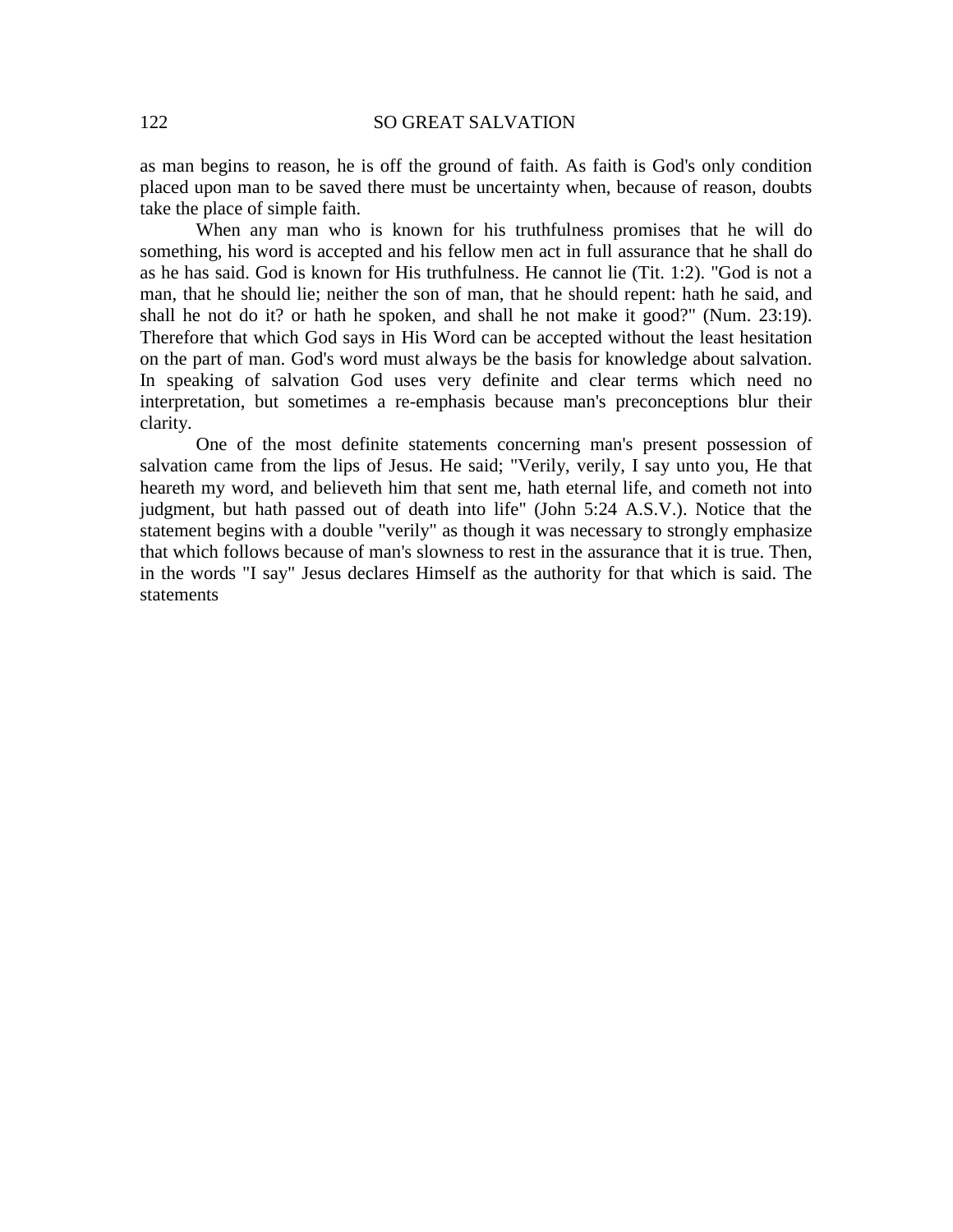as man begins to reason, he is off the ground of faith. As faith is God's only condition placed upon man to be saved there must be uncertainty when, because of reason, doubts take the place of simple faith.

When any man who is known for his truthfulness promises that he will do something, his word is accepted and his fellow men act in full assurance that he shall do as he has said. God is known for His truthfulness. He cannot lie (Tit. 1:2). "God is not a man, that he should lie; neither the son of man, that he should repent: hath he said, and shall he not do it? or hath he spoken, and shall he not make it good?" (Num. 23:19). Therefore that which God says in His Word can be accepted without the least hesitation on the part of man. God's word must always be the basis for knowledge about salvation. In speaking of salvation God uses very definite and clear terms which need no interpretation, but sometimes a re-emphasis because man's preconceptions blur their clarity.

One of the most definite statements concerning man's present possession of salvation came from the lips of Jesus. He said; "Verily, verily, I say unto you, He that heareth my word, and believeth him that sent me, hath eternal life, and cometh not into judgment, but hath passed out of death into life" (John 5:24 A.S.V.). Notice that the statement begins with a double "verily" as though it was necessary to strongly emphasize that which follows because of man's slowness to rest in the assurance that it is true. Then, in the words "I say" Jesus declares Himself as the authority for that which is said. The statements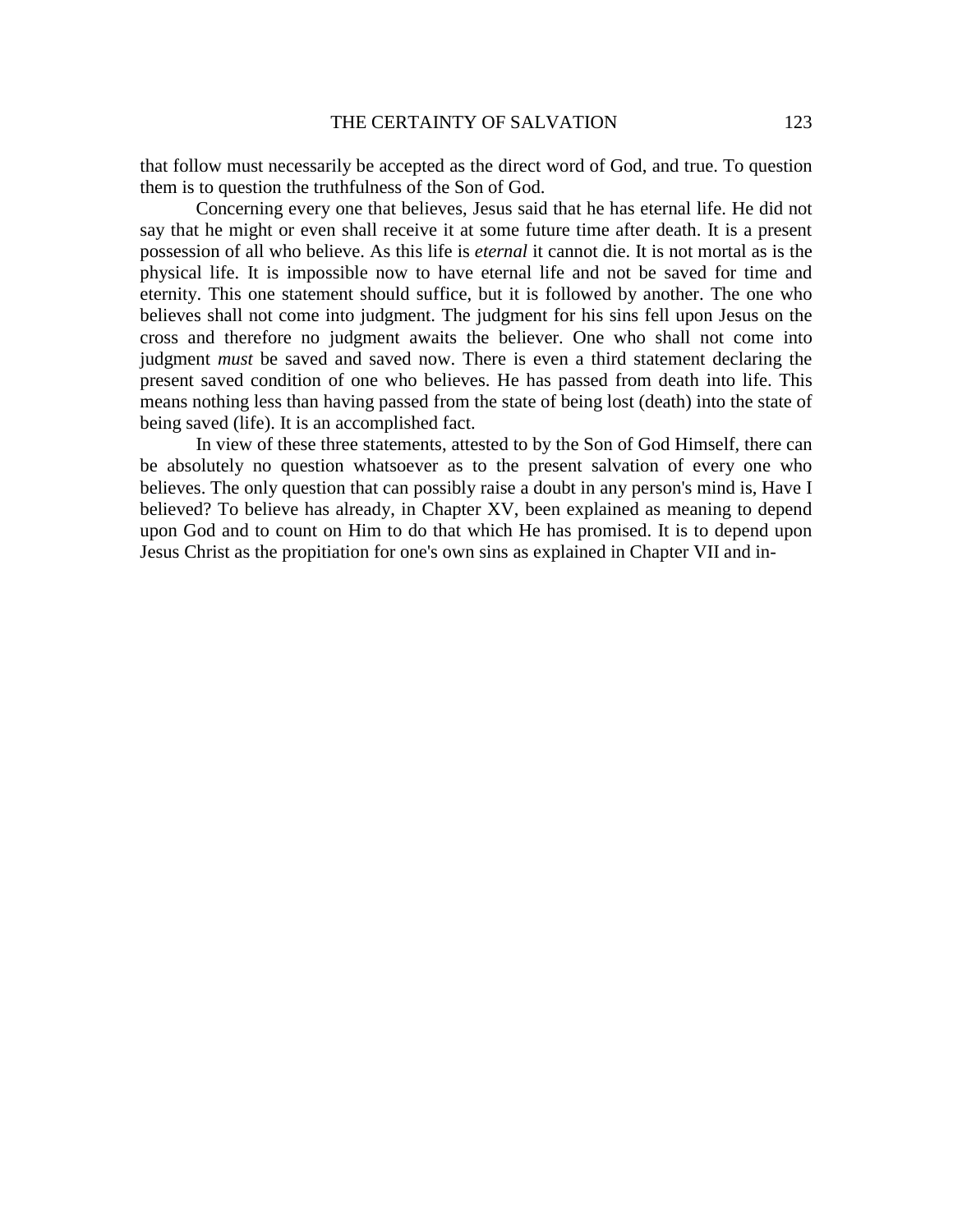that follow must necessarily be accepted as the direct word of God, and true. To question them is to question the truthfulness of the Son of God.

Concerning every one that believes, Jesus said that he has eternal life. He did not say that he might or even shall receive it at some future time after death. It is a present possession of all who believe. As this life is *eternal* it cannot die. It is not mortal as is the physical life. It is impossible now to have eternal life and not be saved for time and eternity. This one statement should suffice, but it is followed by another. The one who believes shall not come into judgment. The judgment for his sins fell upon Jesus on the cross and therefore no judgment awaits the believer. One who shall not come into judgment *must* be saved and saved now. There is even a third statement declaring the present saved condition of one who believes. He has passed from death into life. This means nothing less than having passed from the state of being lost (death) into the state of being saved (life). It is an accomplished fact.

In view of these three statements, attested to by the Son of God Himself, there can be absolutely no question whatsoever as to the present salvation of every one who believes. The only question that can possibly raise a doubt in any person's mind is, Have I believed? To believe has already, in Chapter XV, been explained as meaning to depend upon God and to count on Him to do that which He has promised. It is to depend upon Jesus Christ as the propitiation for one's own sins as explained in Chapter VII and in-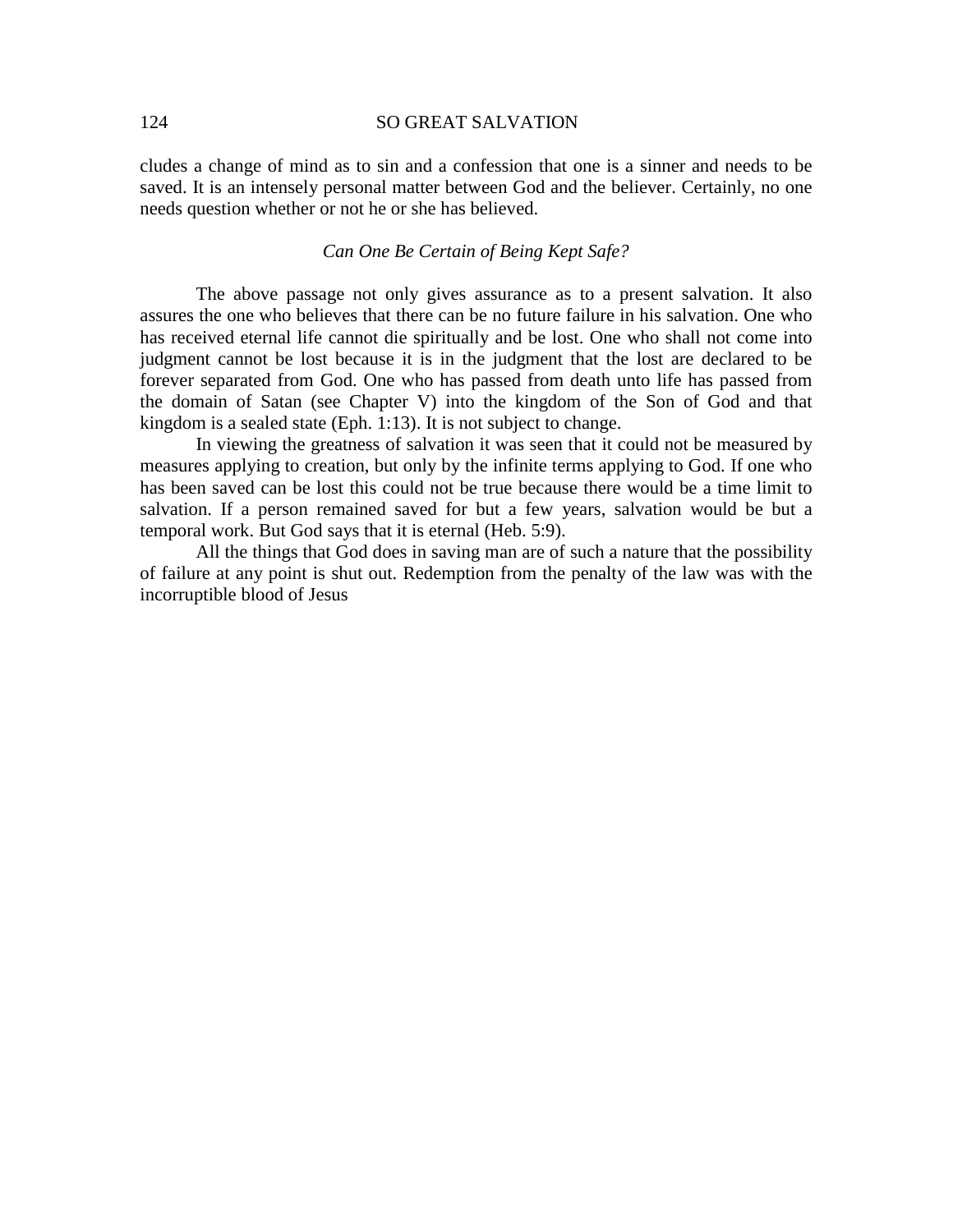cludes a change of mind as to sin and a confession that one is a sinner and needs to be saved. It is an intensely personal matter between God and the believer. Certainly, no one needs question whether or not he or she has believed.

## *Can One Be Certain of Being Kept Safe?*

The above passage not only gives assurance as to a present salvation. It also assures the one who believes that there can be no future failure in his salvation. One who has received eternal life cannot die spiritually and be lost. One who shall not come into judgment cannot be lost because it is in the judgment that the lost are declared to be forever separated from God. One who has passed from death unto life has passed from the domain of Satan (see Chapter V) into the kingdom of the Son of God and that kingdom is a sealed state (Eph. 1:13). It is not subject to change.

In viewing the greatness of salvation it was seen that it could not be measured by measures applying to creation, but only by the infinite terms applying to God. If one who has been saved can be lost this could not be true because there would be a time limit to salvation. If a person remained saved for but a few years, salvation would be but a temporal work. But God says that it is eternal (Heb. 5:9).

All the things that God does in saving man are of such a nature that the possibility of failure at any point is shut out. Redemption from the penalty of the law was with the incorruptible blood of Jesus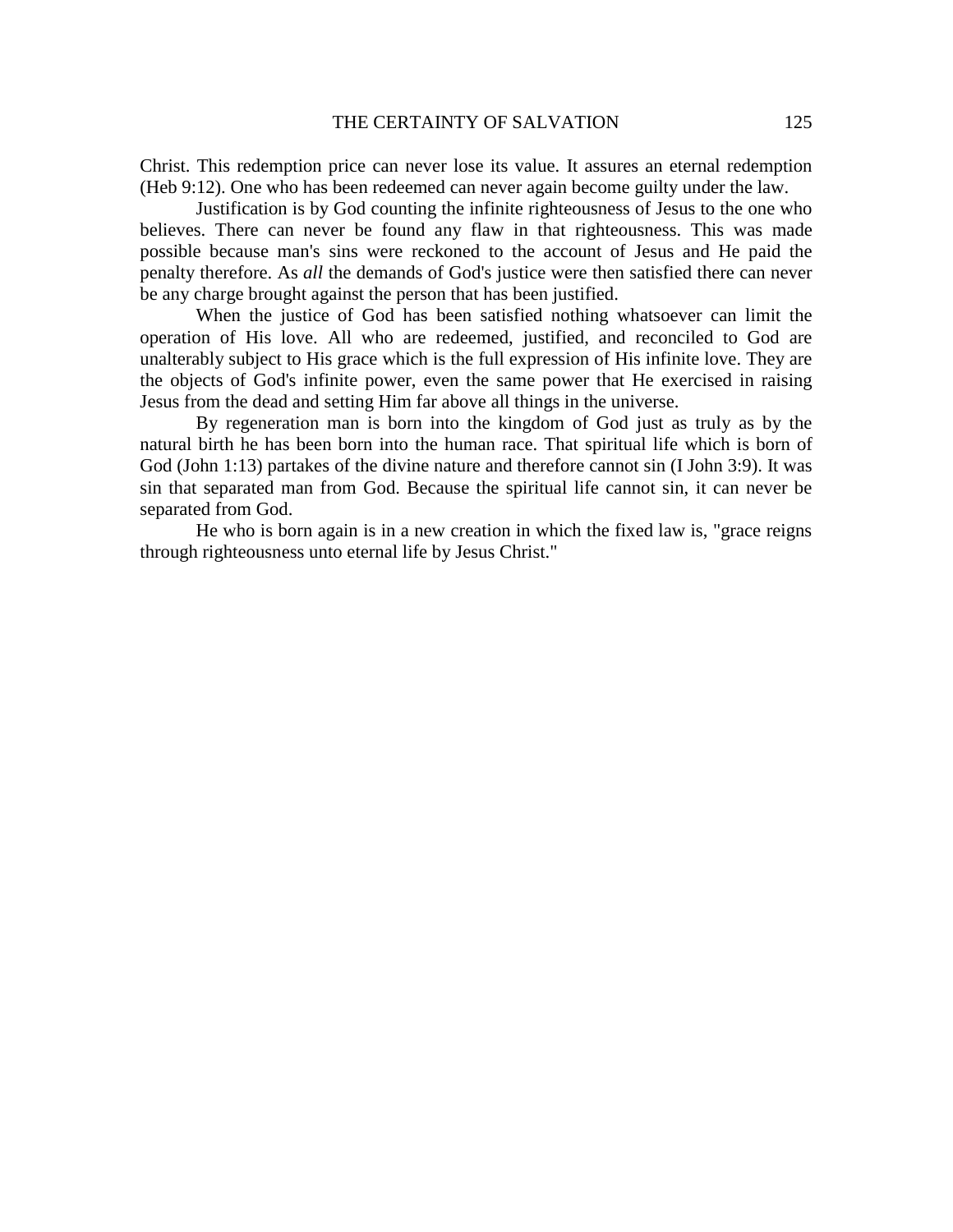## THE CERTAINTY OF SALVATION 125

Christ. This redemption price can never lose its value. It assures an eternal redemption (Heb 9:12). One who has been redeemed can never again become guilty under the law.

Justification is by God counting the infinite righteousness of Jesus to the one who believes. There can never be found any flaw in that righteousness. This was made possible because man's sins were reckoned to the account of Jesus and He paid the penalty therefore. As *all* the demands of God's justice were then satisfied there can never be any charge brought against the person that has been justified.

When the justice of God has been satisfied nothing whatsoever can limit the operation of His love. All who are redeemed, justified, and reconciled to God are unalterably subject to His grace which is the full expression of His infinite love. They are the objects of God's infinite power, even the same power that He exercised in raising Jesus from the dead and setting Him far above all things in the universe.

By regeneration man is born into the kingdom of God just as truly as by the natural birth he has been born into the human race. That spiritual life which is born of God (John 1:13) partakes of the divine nature and therefore cannot sin (I John 3:9). It was sin that separated man from God. Because the spiritual life cannot sin, it can never be separated from God.

He who is born again is in a new creation in which the fixed law is, "grace reigns through righteousness unto eternal life by Jesus Christ."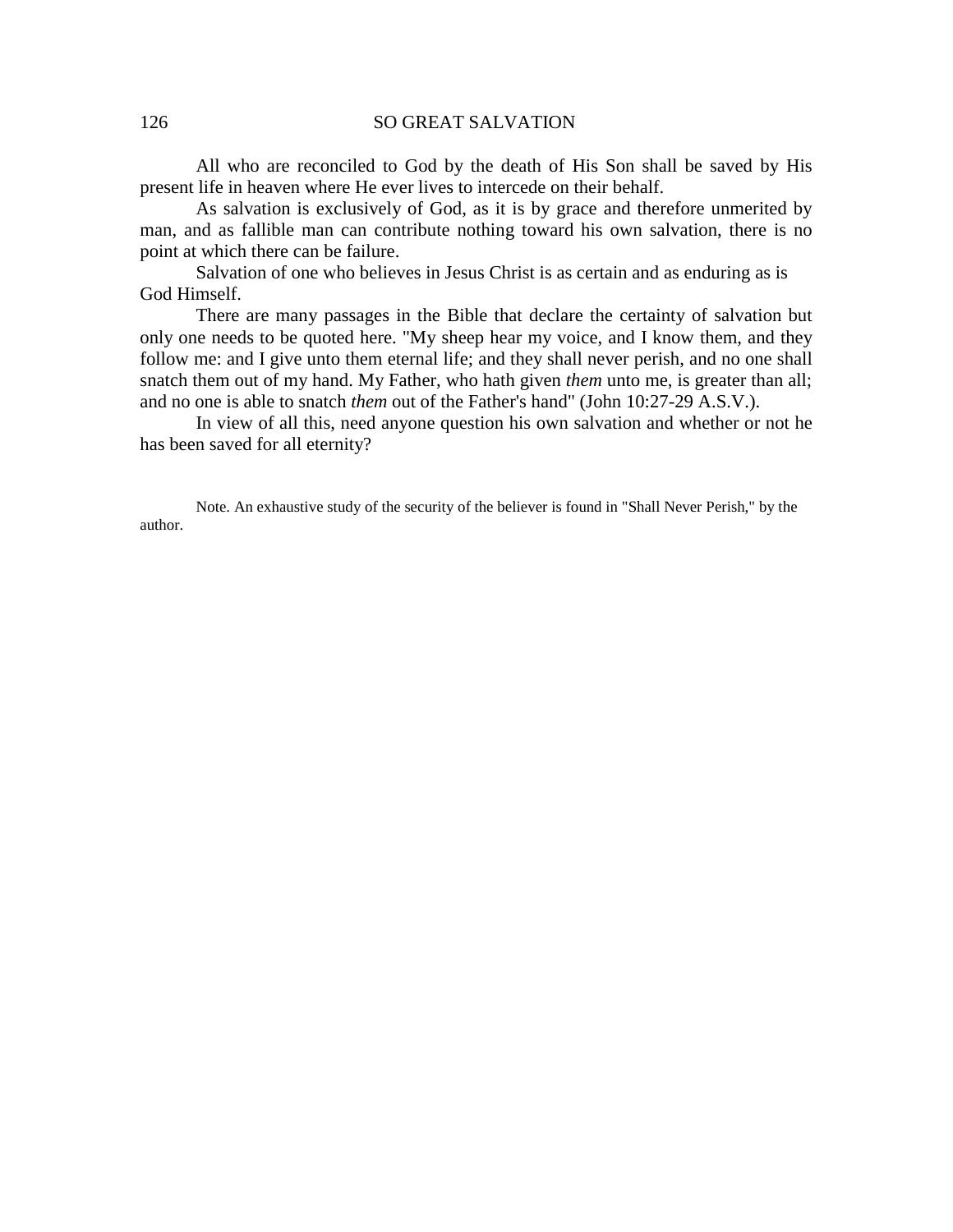All who are reconciled to God by the death of His Son shall be saved by His present life in heaven where He ever lives to intercede on their behalf.

As salvation is exclusively of God, as it is by grace and therefore unmerited by man, and as fallible man can contribute nothing toward his own salvation, there is no point at which there can be failure.

Salvation of one who believes in Jesus Christ is as certain and as enduring as is God Himself.

There are many passages in the Bible that declare the certainty of salvation but only one needs to be quoted here. "My sheep hear my voice, and I know them, and they follow me: and I give unto them eternal life; and they shall never perish, and no one shall snatch them out of my hand. My Father, who hath given *them* unto me, is greater than all; and no one is able to snatch *them* out of the Father's hand" (John 10:27-29 A.S.V.).

In view of all this, need anyone question his own salvation and whether or not he has been saved for all eternity?

Note. An exhaustive study of the security of the believer is found in "Shall Never Perish," by the author.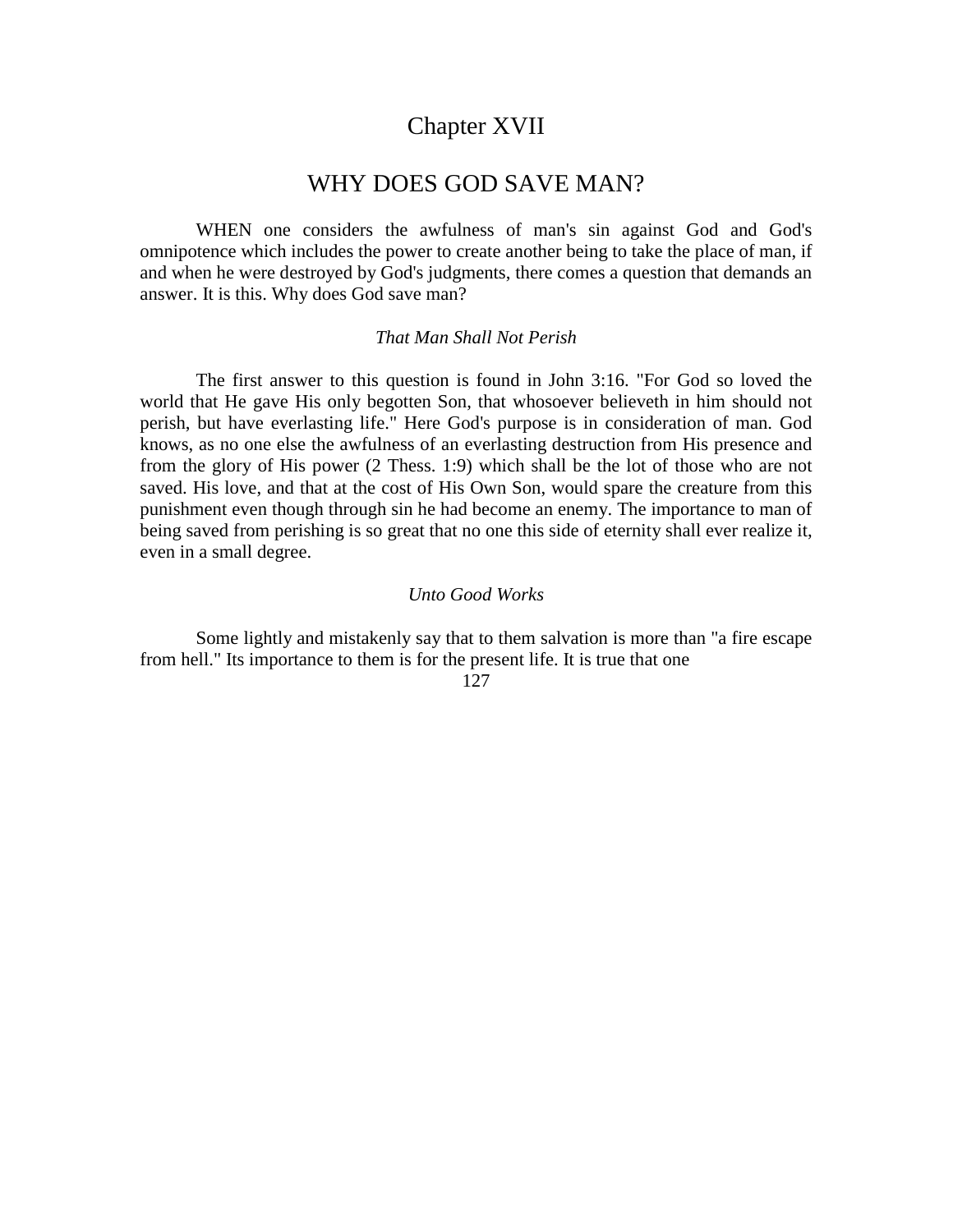# Chapter XVII

## WHY DOES GOD SAVE MAN?

WHEN one considers the awfulness of man's sin against God and God's omnipotence which includes the power to create another being to take the place of man, if and when he were destroyed by God's judgments, there comes a question that demands an answer. It is this. Why does God save man?

## *That Man Shall Not Perish*

The first answer to this question is found in John 3:16. "For God so loved the world that He gave His only begotten Son, that whosoever believeth in him should not perish, but have everlasting life." Here God's purpose is in consideration of man. God knows, as no one else the awfulness of an everlasting destruction from His presence and from the glory of His power (2 Thess. 1:9) which shall be the lot of those who are not saved. His love, and that at the cost of His Own Son, would spare the creature from this punishment even though through sin he had become an enemy. The importance to man of being saved from perishing is so great that no one this side of eternity shall ever realize it, even in a small degree.

## *Unto Good Works*

Some lightly and mistakenly say that to them salvation is more than "a fire escape from hell." Its importance to them is for the present life. It is true that one

127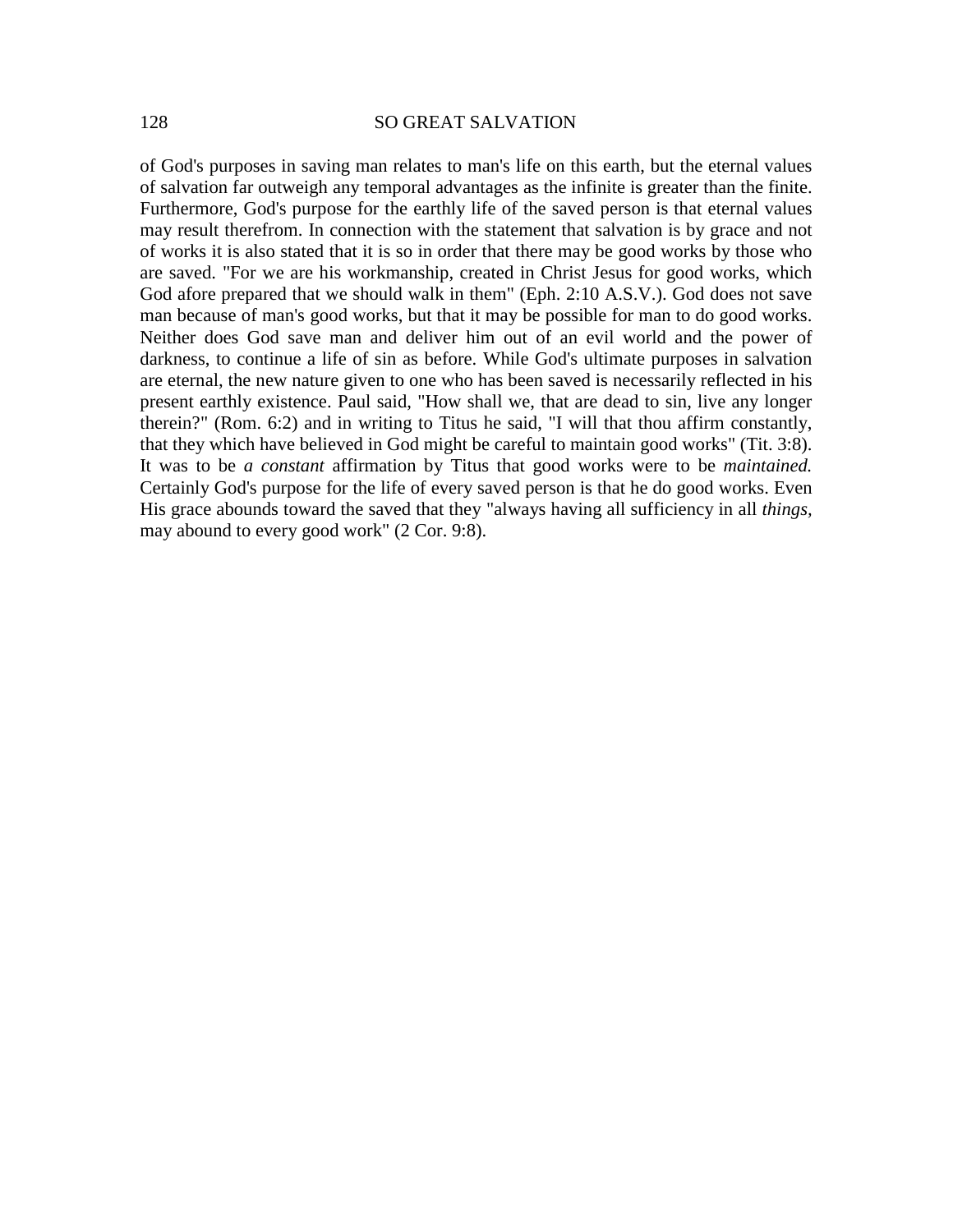of God's purposes in saving man relates to man's life on this earth, but the eternal values of salvation far outweigh any temporal advantages as the infinite is greater than the finite. Furthermore, God's purpose for the earthly life of the saved person is that eternal values may result therefrom. In connection with the statement that salvation is by grace and not of works it is also stated that it is so in order that there may be good works by those who are saved. "For we are his workmanship, created in Christ Jesus for good works, which God afore prepared that we should walk in them" (Eph. 2:10 A.S.V.). God does not save man because of man's good works, but that it may be possible for man to do good works. Neither does God save man and deliver him out of an evil world and the power of darkness, to continue a life of sin as before. While God's ultimate purposes in salvation are eternal, the new nature given to one who has been saved is necessarily reflected in his present earthly existence. Paul said, "How shall we, that are dead to sin, live any longer therein?" (Rom. 6:2) and in writing to Titus he said, "I will that thou affirm constantly, that they which have believed in God might be careful to maintain good works" (Tit. 3:8). It was to be *a constant* affirmation by Titus that good works were to be *maintained.*  Certainly God's purpose for the life of every saved person is that he do good works. Even His grace abounds toward the saved that they "always having all sufficiency in all *things,*  may abound to every good work" (2 Cor. 9:8).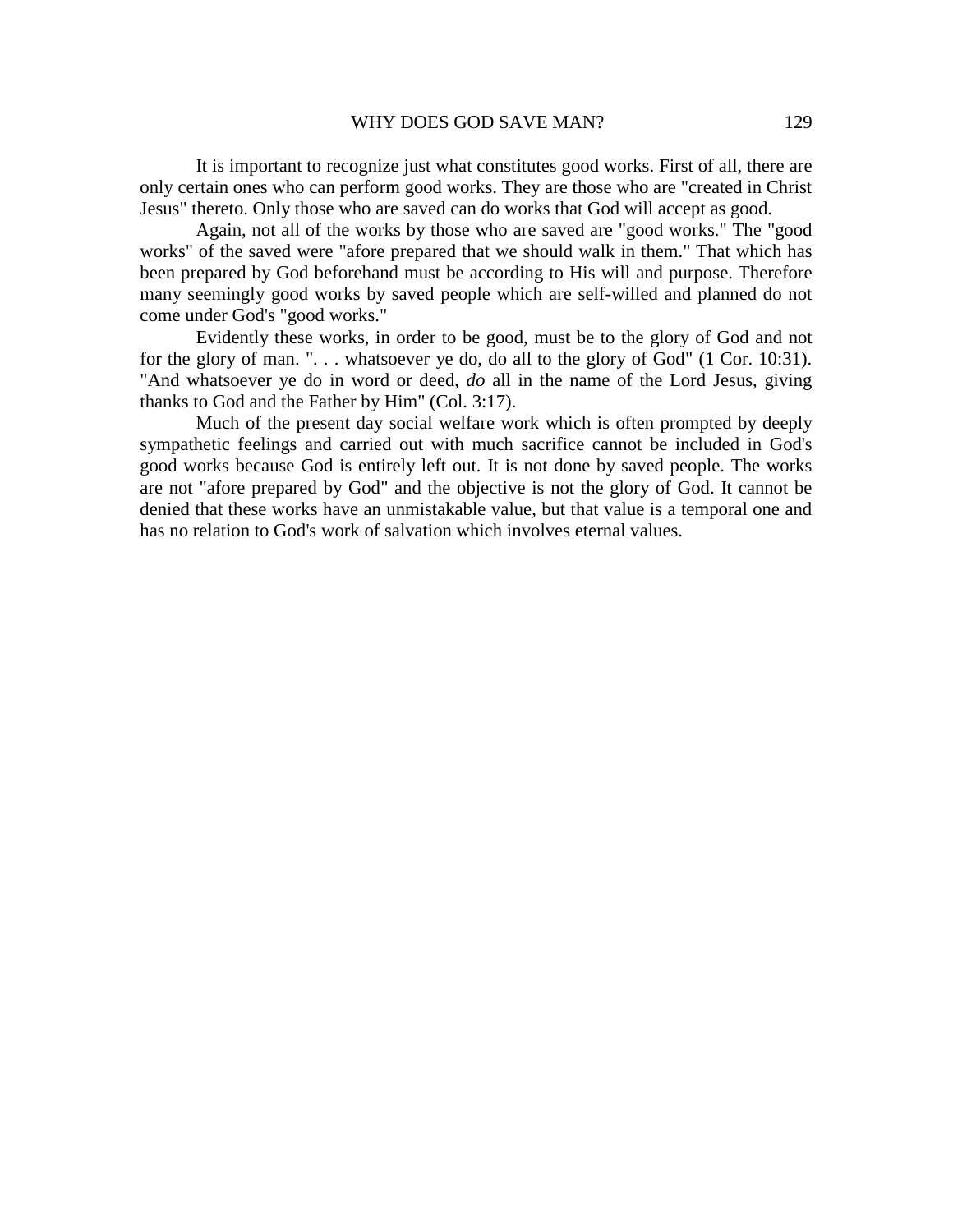It is important to recognize just what constitutes good works. First of all, there are only certain ones who can perform good works. They are those who are "created in Christ Jesus" thereto. Only those who are saved can do works that God will accept as good.

Again, not all of the works by those who are saved are "good works." The "good works" of the saved were "afore prepared that we should walk in them." That which has been prepared by God beforehand must be according to His will and purpose. Therefore many seemingly good works by saved people which are self-willed and planned do not come under God's "good works."

Evidently these works, in order to be good, must be to the glory of God and not for the glory of man. ". . . whatsoever ye do, do all to the glory of God" (1 Cor. 10:31). "And whatsoever ye do in word or deed, *do* all in the name of the Lord Jesus, giving thanks to God and the Father by Him" (Col. 3:17).

Much of the present day social welfare work which is often prompted by deeply sympathetic feelings and carried out with much sacrifice cannot be included in God's good works because God is entirely left out. It is not done by saved people. The works are not "afore prepared by God" and the objective is not the glory of God. It cannot be denied that these works have an unmistakable value, but that value is a temporal one and has no relation to God's work of salvation which involves eternal values.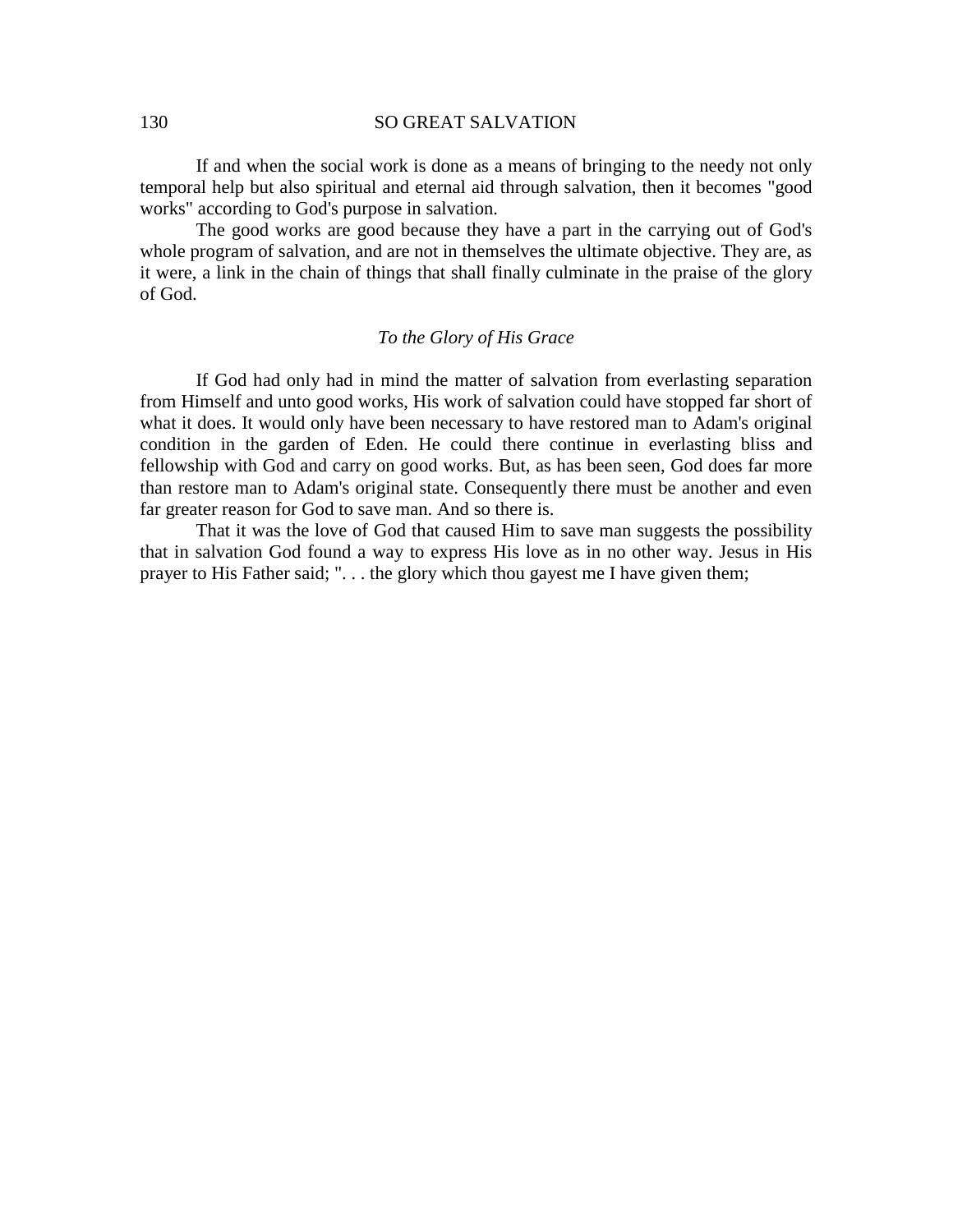If and when the social work is done as a means of bringing to the needy not only temporal help but also spiritual and eternal aid through salvation, then it becomes "good works" according to God's purpose in salvation.

The good works are good because they have a part in the carrying out of God's whole program of salvation, and are not in themselves the ultimate objective. They are, as it were, a link in the chain of things that shall finally culminate in the praise of the glory of God.

## *To the Glory of His Grace*

If God had only had in mind the matter of salvation from everlasting separation from Himself and unto good works, His work of salvation could have stopped far short of what it does. It would only have been necessary to have restored man to Adam's original condition in the garden of Eden. He could there continue in everlasting bliss and fellowship with God and carry on good works. But, as has been seen, God does far more than restore man to Adam's original state. Consequently there must be another and even far greater reason for God to save man. And so there is.

That it was the love of God that caused Him to save man suggests the possibility that in salvation God found a way to express His love as in no other way. Jesus in His prayer to His Father said; ". . . the glory which thou gayest me I have given them;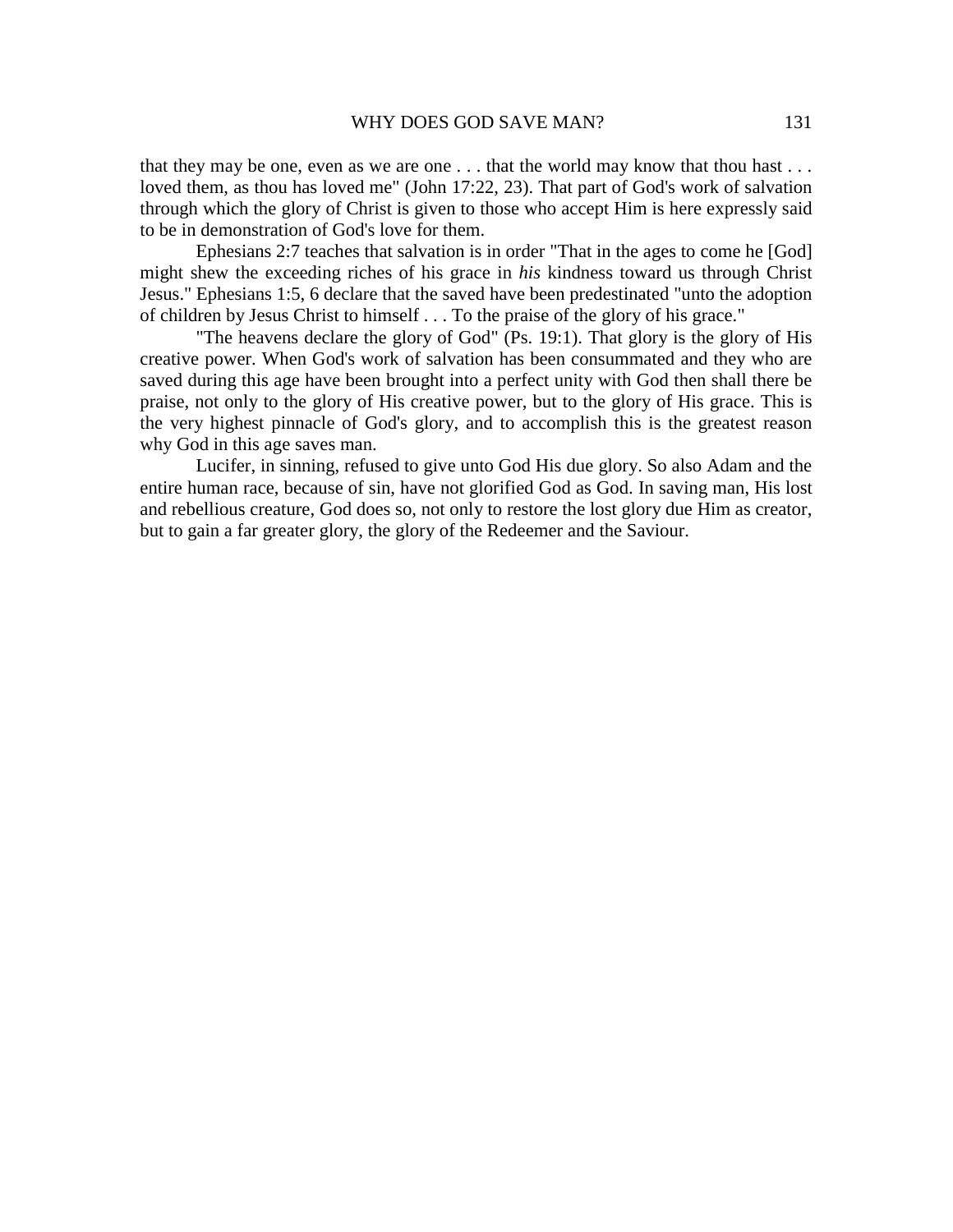that they may be one, even as we are one . . . that the world may know that thou hast . . . loved them, as thou has loved me" (John 17:22, 23). That part of God's work of salvation through which the glory of Christ is given to those who accept Him is here expressly said to be in demonstration of God's love for them.

Ephesians 2:7 teaches that salvation is in order "That in the ages to come he [God] might shew the exceeding riches of his grace in *his* kindness toward us through Christ Jesus." Ephesians 1:5, 6 declare that the saved have been predestinated "unto the adoption of children by Jesus Christ to himself . . . To the praise of the glory of his grace."

"The heavens declare the glory of God" (Ps. 19:1). That glory is the glory of His creative power. When God's work of salvation has been consummated and they who are saved during this age have been brought into a perfect unity with God then shall there be praise, not only to the glory of His creative power, but to the glory of His grace. This is the very highest pinnacle of God's glory, and to accomplish this is the greatest reason why God in this age saves man.

Lucifer, in sinning, refused to give unto God His due glory. So also Adam and the entire human race, because of sin, have not glorified God as God. In saving man, His lost and rebellious creature, God does so, not only to restore the lost glory due Him as creator, but to gain a far greater glory, the glory of the Redeemer and the Saviour.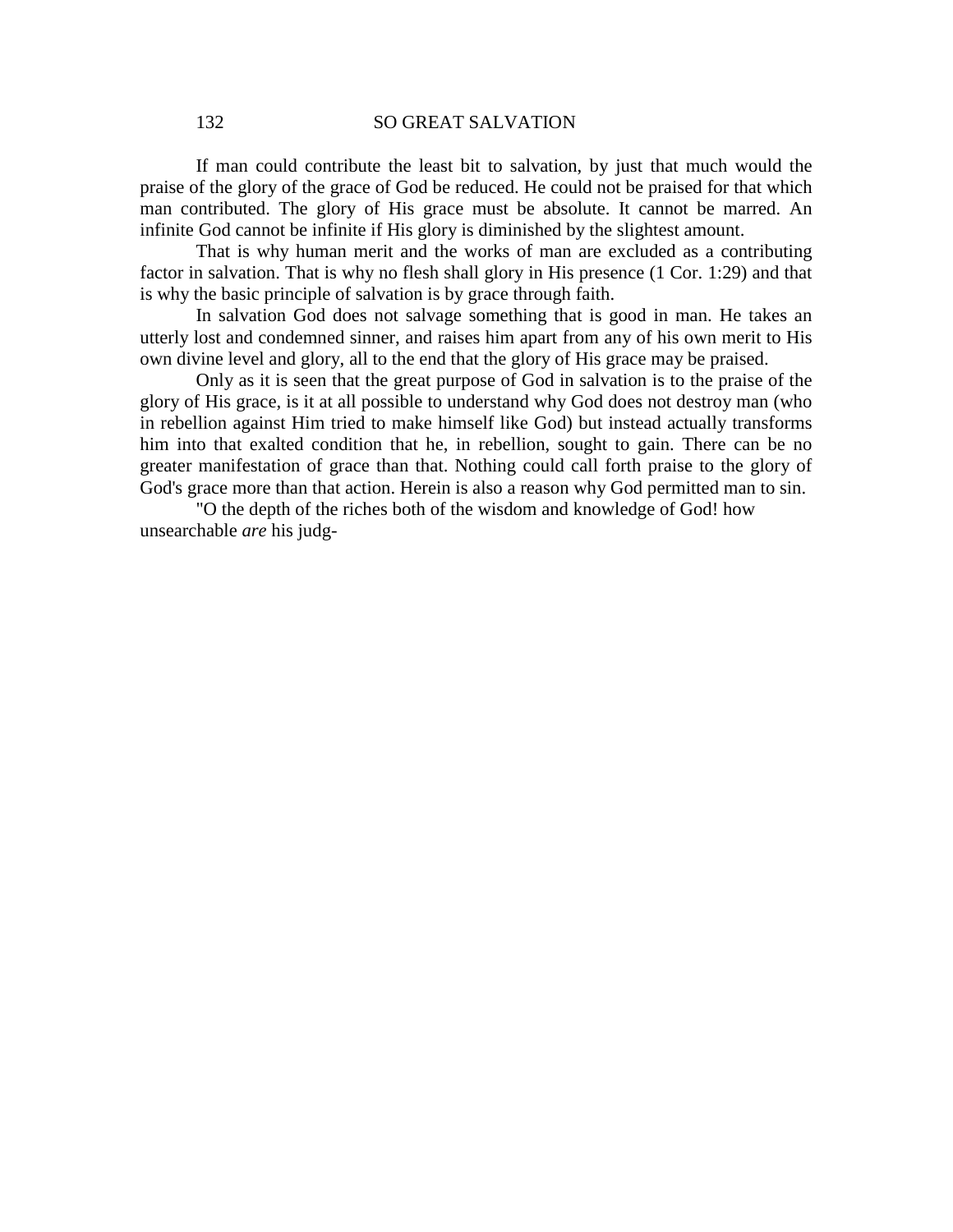If man could contribute the least bit to salvation, by just that much would the praise of the glory of the grace of God be reduced. He could not be praised for that which man contributed. The glory of His grace must be absolute. It cannot be marred. An infinite God cannot be infinite if His glory is diminished by the slightest amount.

That is why human merit and the works of man are excluded as a contributing factor in salvation. That is why no flesh shall glory in His presence (1 Cor. 1:29) and that is why the basic principle of salvation is by grace through faith.

In salvation God does not salvage something that is good in man. He takes an utterly lost and condemned sinner, and raises him apart from any of his own merit to His own divine level and glory, all to the end that the glory of His grace may be praised.

Only as it is seen that the great purpose of God in salvation is to the praise of the glory of His grace, is it at all possible to understand why God does not destroy man (who in rebellion against Him tried to make himself like God) but instead actually transforms him into that exalted condition that he, in rebellion, sought to gain. There can be no greater manifestation of grace than that. Nothing could call forth praise to the glory of God's grace more than that action. Herein is also a reason why God permitted man to sin.

"O the depth of the riches both of the wisdom and knowledge of God! how unsearchable *are* his judg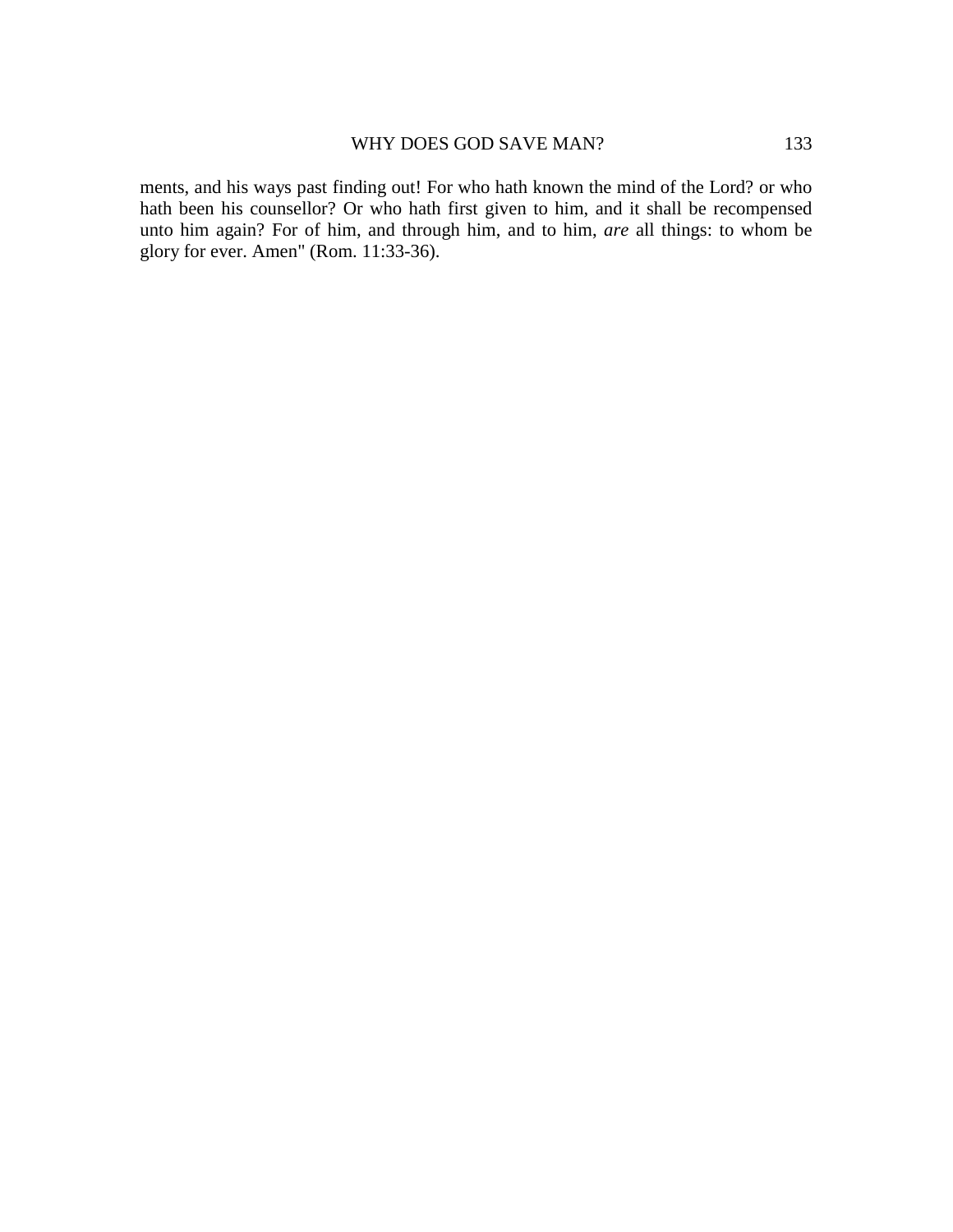ments, and his ways past finding out! For who hath known the mind of the Lord? or who hath been his counsellor? Or who hath first given to him, and it shall be recompensed unto him again? For of him, and through him, and to him, *are* all things: to whom be glory for ever. Amen" (Rom. 11:33-36).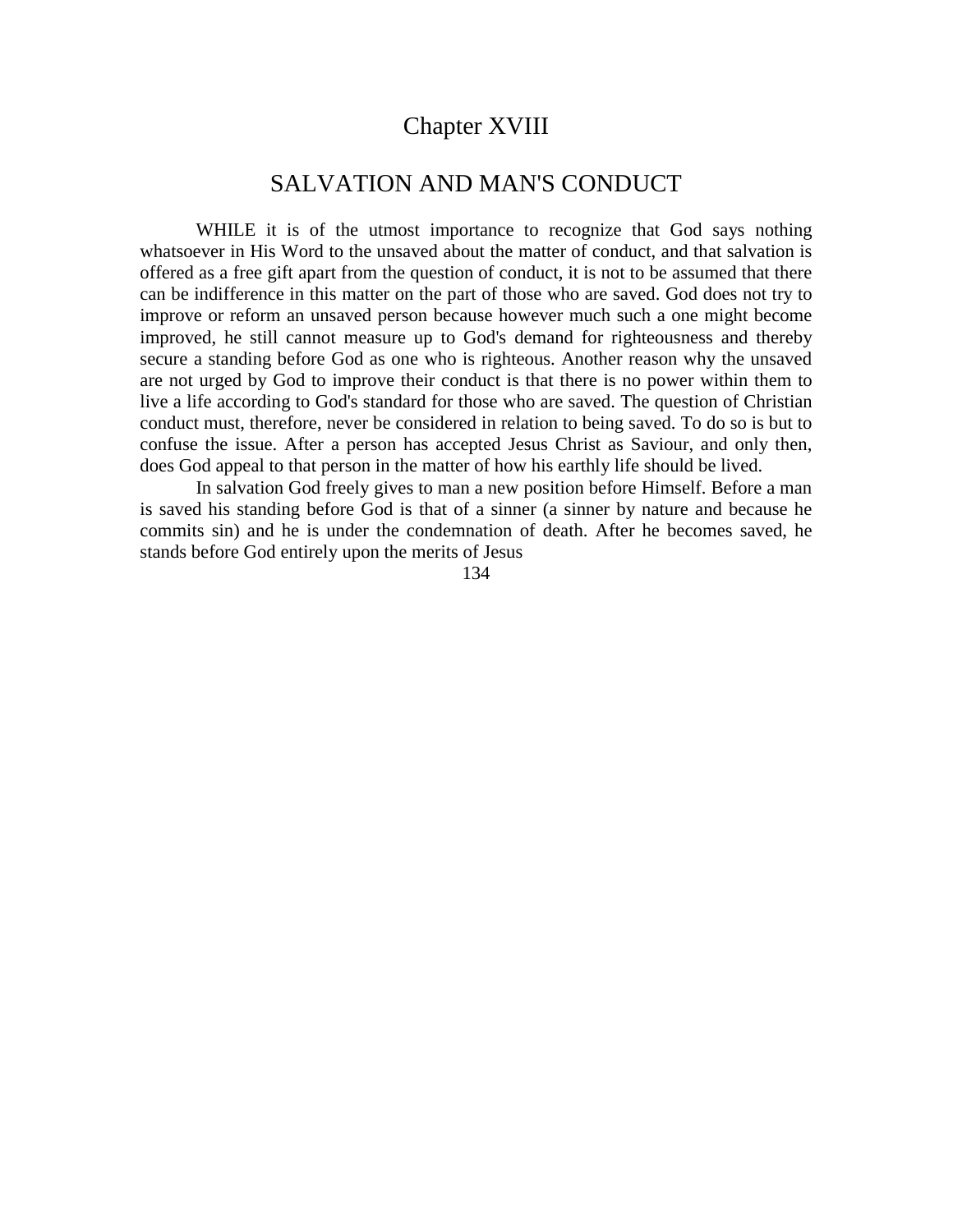# Chapter XVIII

## SALVATION AND MAN'S CONDUCT

WHILE it is of the utmost importance to recognize that God says nothing whatsoever in His Word to the unsaved about the matter of conduct, and that salvation is offered as a free gift apart from the question of conduct, it is not to be assumed that there can be indifference in this matter on the part of those who are saved. God does not try to improve or reform an unsaved person because however much such a one might become improved, he still cannot measure up to God's demand for righteousness and thereby secure a standing before God as one who is righteous. Another reason why the unsaved are not urged by God to improve their conduct is that there is no power within them to live a life according to God's standard for those who are saved. The question of Christian conduct must, therefore, never be considered in relation to being saved. To do so is but to confuse the issue. After a person has accepted Jesus Christ as Saviour, and only then, does God appeal to that person in the matter of how his earthly life should be lived.

In salvation God freely gives to man a new position before Himself. Before a man is saved his standing before God is that of a sinner (a sinner by nature and because he commits sin) and he is under the condemnation of death. After he becomes saved, he stands before God entirely upon the merits of Jesus

134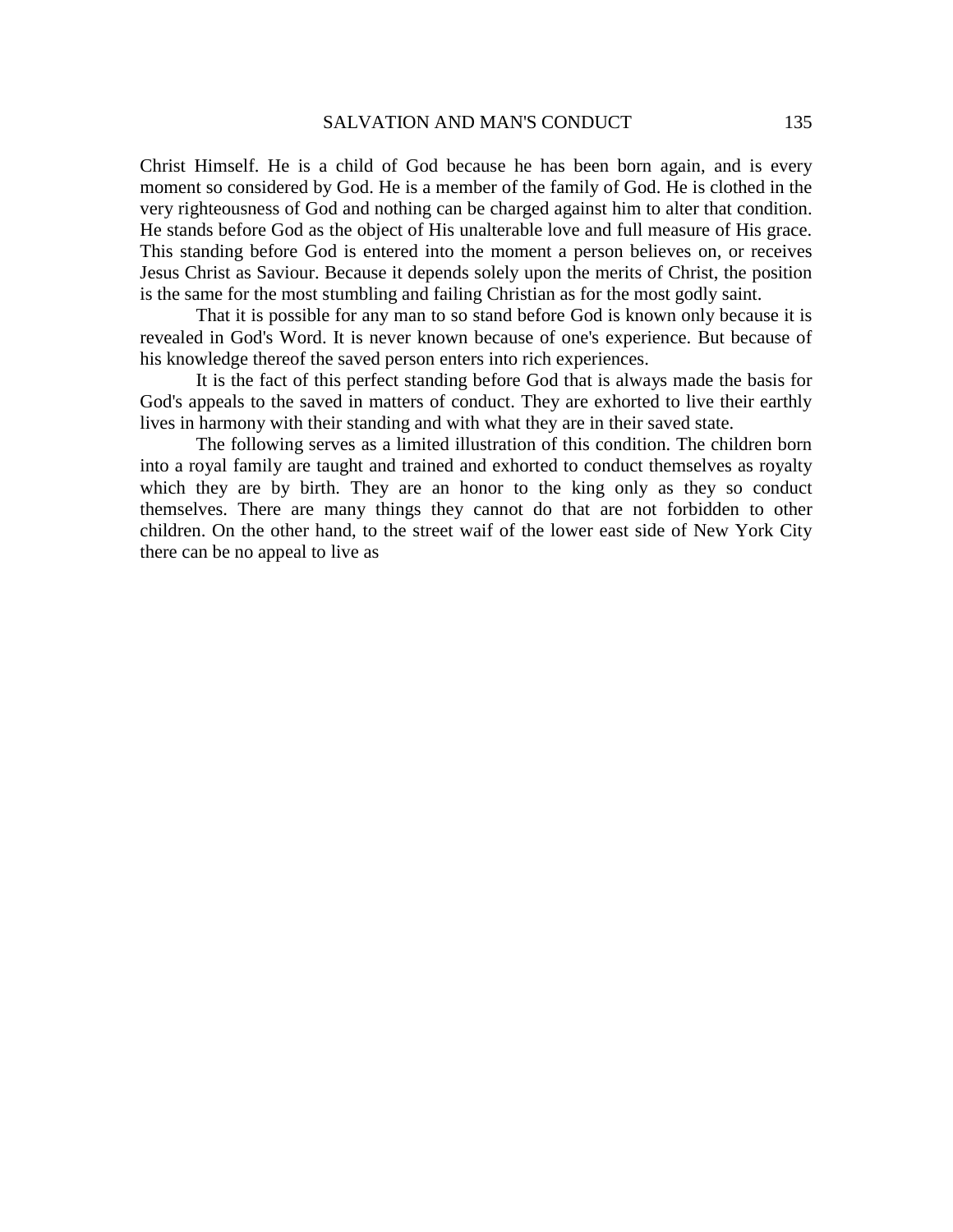Christ Himself. He is a child of God because he has been born again, and is every moment so considered by God. He is a member of the family of God. He is clothed in the very righteousness of God and nothing can be charged against him to alter that condition. He stands before God as the object of His unalterable love and full measure of His grace. This standing before God is entered into the moment a person believes on, or receives Jesus Christ as Saviour. Because it depends solely upon the merits of Christ, the position is the same for the most stumbling and failing Christian as for the most godly saint.

That it is possible for any man to so stand before God is known only because it is revealed in God's Word. It is never known because of one's experience. But because of his knowledge thereof the saved person enters into rich experiences.

It is the fact of this perfect standing before God that is always made the basis for God's appeals to the saved in matters of conduct. They are exhorted to live their earthly lives in harmony with their standing and with what they are in their saved state.

The following serves as a limited illustration of this condition. The children born into a royal family are taught and trained and exhorted to conduct themselves as royalty which they are by birth. They are an honor to the king only as they so conduct themselves. There are many things they cannot do that are not forbidden to other children. On the other hand, to the street waif of the lower east side of New York City there can be no appeal to live as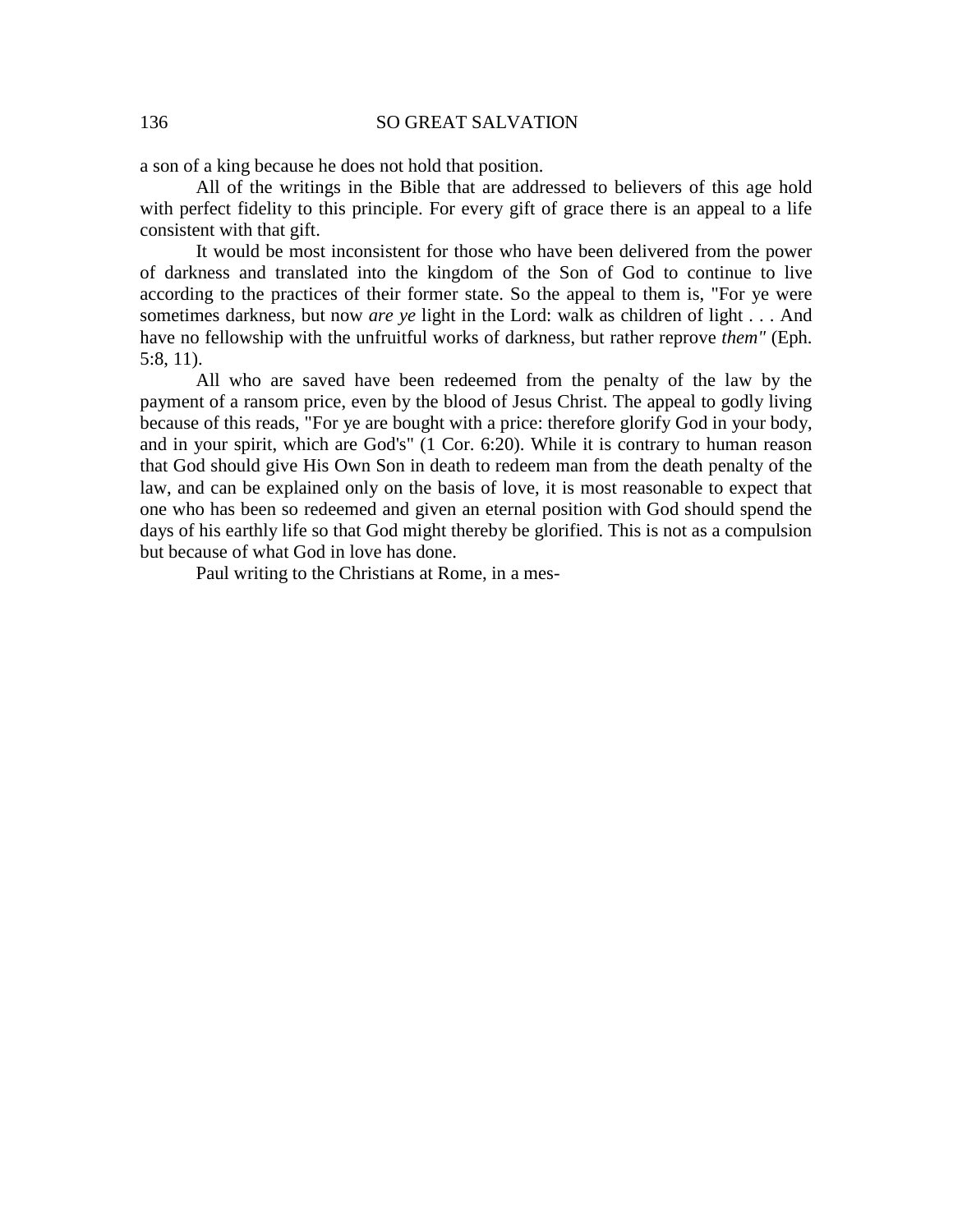a son of a king because he does not hold that position.

All of the writings in the Bible that are addressed to believers of this age hold with perfect fidelity to this principle. For every gift of grace there is an appeal to a life consistent with that gift.

It would be most inconsistent for those who have been delivered from the power of darkness and translated into the kingdom of the Son of God to continue to live according to the practices of their former state. So the appeal to them is, "For ye were sometimes darkness, but now *are ye* light in the Lord: walk as children of light . . . And have no fellowship with the unfruitful works of darkness, but rather reprove *them"* (Eph. 5:8, 11).

All who are saved have been redeemed from the penalty of the law by the payment of a ransom price, even by the blood of Jesus Christ. The appeal to godly living because of this reads, "For ye are bought with a price: therefore glorify God in your body, and in your spirit, which are God's" (1 Cor. 6:20). While it is contrary to human reason that God should give His Own Son in death to redeem man from the death penalty of the law, and can be explained only on the basis of love, it is most reasonable to expect that one who has been so redeemed and given an eternal position with God should spend the days of his earthly life so that God might thereby be glorified. This is not as a compulsion but because of what God in love has done.

Paul writing to the Christians at Rome, in a mes-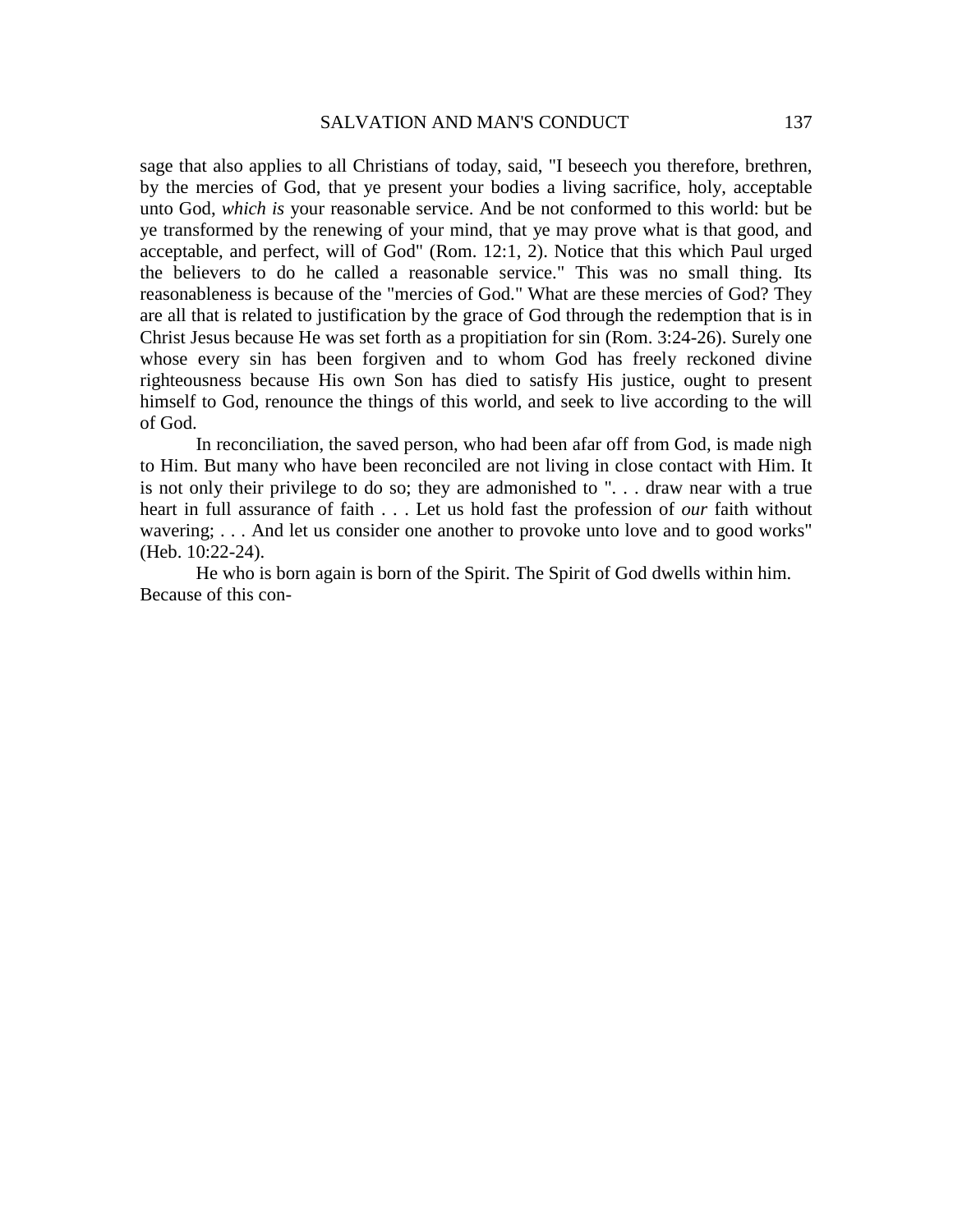sage that also applies to all Christians of today, said, "I beseech you therefore, brethren, by the mercies of God, that ye present your bodies a living sacrifice, holy, acceptable unto God, *which is* your reasonable service. And be not conformed to this world: but be ye transformed by the renewing of your mind, that ye may prove what is that good, and acceptable, and perfect, will of God" (Rom. 12:1, 2). Notice that this which Paul urged the believers to do he called a reasonable service." This was no small thing. Its reasonableness is because of the "mercies of God." What are these mercies of God? They are all that is related to justification by the grace of God through the redemption that is in Christ Jesus because He was set forth as a propitiation for sin (Rom. 3:24-26). Surely one whose every sin has been forgiven and to whom God has freely reckoned divine righteousness because His own Son has died to satisfy His justice, ought to present himself to God, renounce the things of this world, and seek to live according to the will of God.

In reconciliation, the saved person, who had been afar off from God, is made nigh to Him. But many who have been reconciled are not living in close contact with Him. It is not only their privilege to do so; they are admonished to ". . . draw near with a true heart in full assurance of faith . . . Let us hold fast the profession of *our* faith without wavering; . . . And let us consider one another to provoke unto love and to good works" (Heb. 10:22-24).

He who is born again is born of the Spirit. The Spirit of God dwells within him. Because of this con-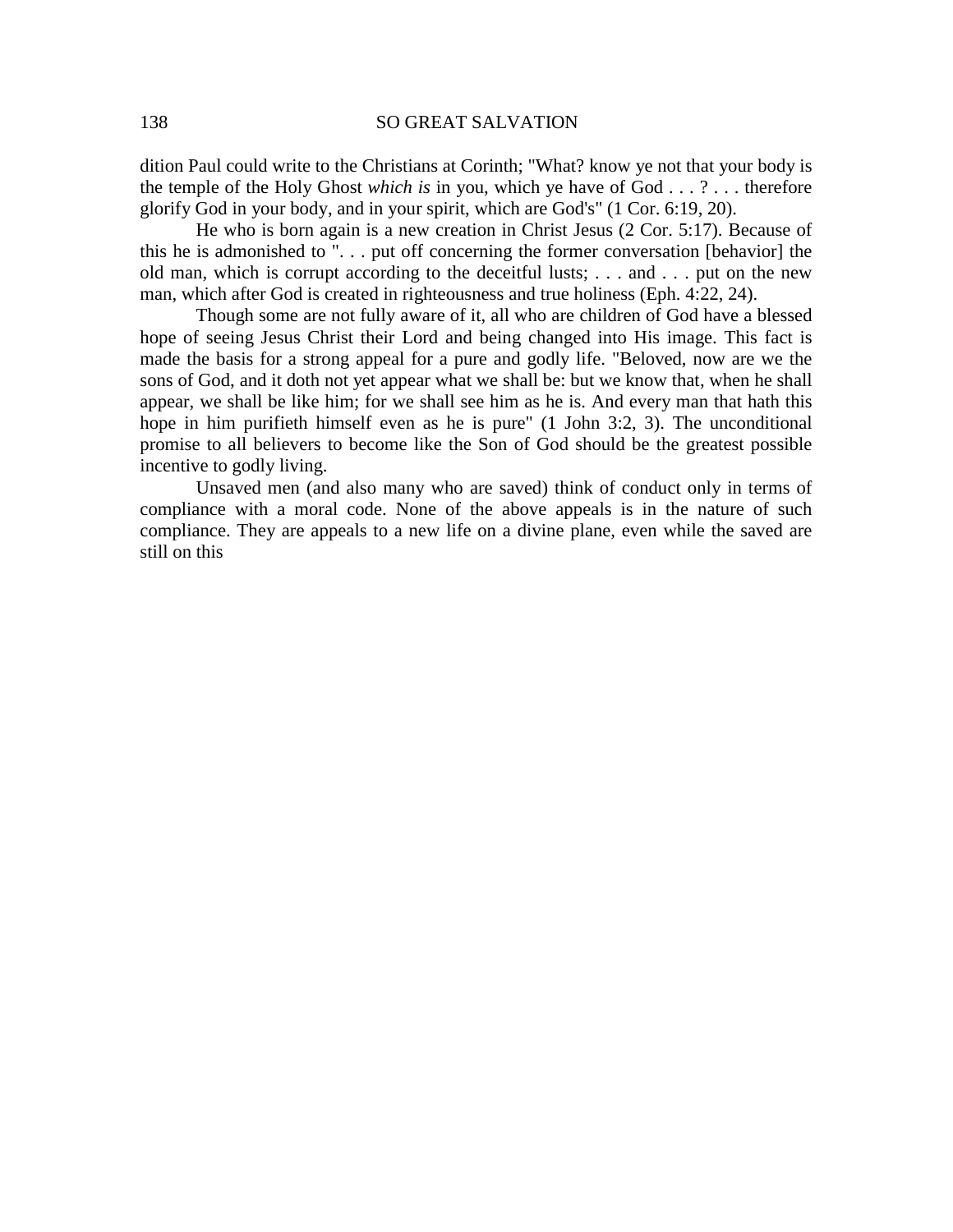dition Paul could write to the Christians at Corinth; "What? know ye not that your body is the temple of the Holy Ghost *which is* in you, which ye have of God . . . ? . . . therefore glorify God in your body, and in your spirit, which are God's" (1 Cor. 6:19, 20).

He who is born again is a new creation in Christ Jesus (2 Cor. 5:17). Because of this he is admonished to ". . . put off concerning the former conversation [behavior] the old man, which is corrupt according to the deceitful lusts; . . . and . . . put on the new man, which after God is created in righteousness and true holiness (Eph. 4:22, 24).

Though some are not fully aware of it, all who are children of God have a blessed hope of seeing Jesus Christ their Lord and being changed into His image. This fact is made the basis for a strong appeal for a pure and godly life. "Beloved, now are we the sons of God, and it doth not yet appear what we shall be: but we know that, when he shall appear, we shall be like him; for we shall see him as he is. And every man that hath this hope in him purifieth himself even as he is pure" (1 John 3:2, 3). The unconditional promise to all believers to become like the Son of God should be the greatest possible incentive to godly living.

Unsaved men (and also many who are saved) think of conduct only in terms of compliance with a moral code. None of the above appeals is in the nature of such compliance. They are appeals to a new life on a divine plane, even while the saved are still on this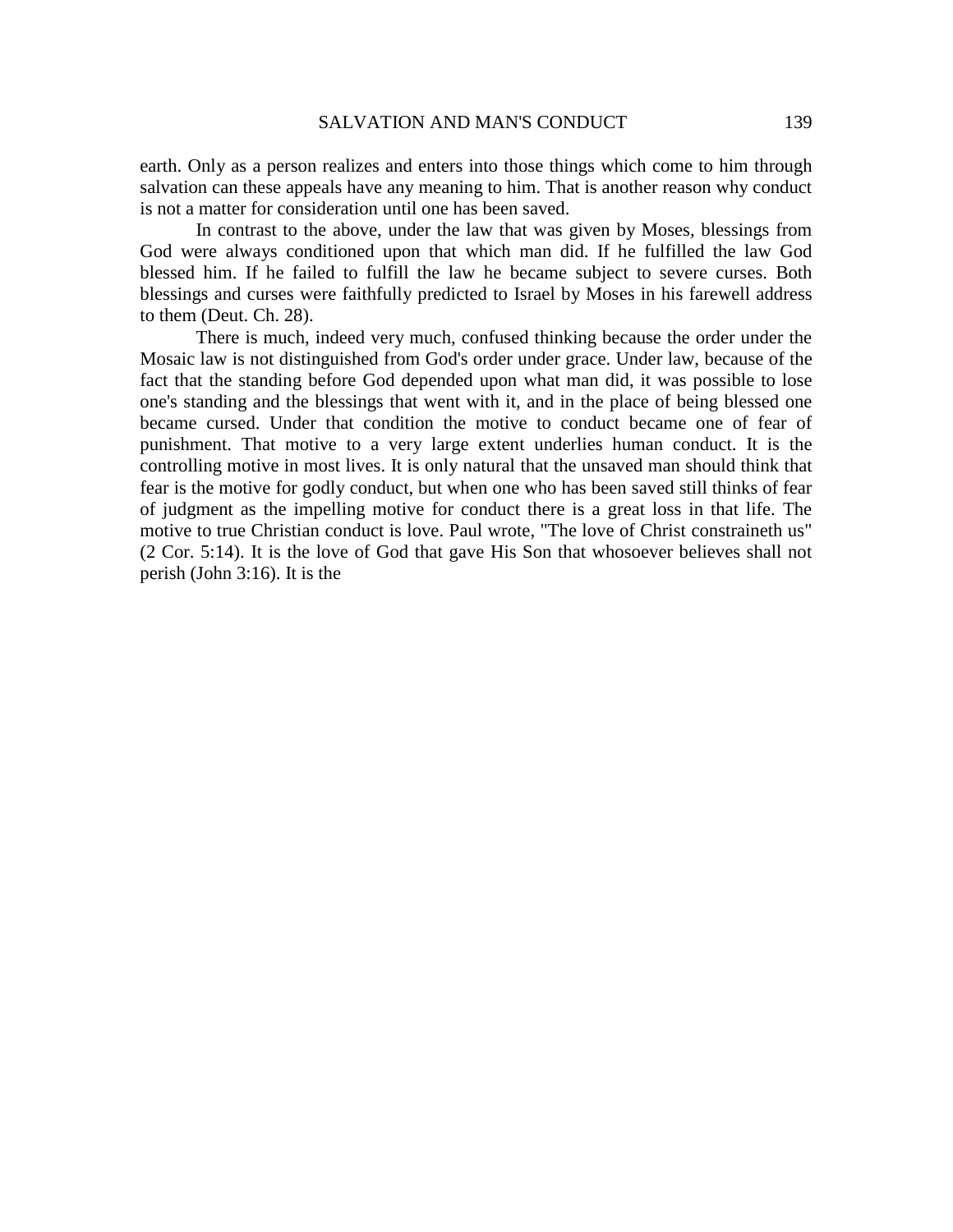earth. Only as a person realizes and enters into those things which come to him through salvation can these appeals have any meaning to him. That is another reason why conduct is not a matter for consideration until one has been saved.

In contrast to the above, under the law that was given by Moses, blessings from God were always conditioned upon that which man did. If he fulfilled the law God blessed him. If he failed to fulfill the law he became subject to severe curses. Both blessings and curses were faithfully predicted to Israel by Moses in his farewell address to them (Deut. Ch. 28).

There is much, indeed very much, confused thinking because the order under the Mosaic law is not distinguished from God's order under grace. Under law, because of the fact that the standing before God depended upon what man did, it was possible to lose one's standing and the blessings that went with it, and in the place of being blessed one became cursed. Under that condition the motive to conduct became one of fear of punishment. That motive to a very large extent underlies human conduct. It is the controlling motive in most lives. It is only natural that the unsaved man should think that fear is the motive for godly conduct, but when one who has been saved still thinks of fear of judgment as the impelling motive for conduct there is a great loss in that life. The motive to true Christian conduct is love. Paul wrote, "The love of Christ constraineth us" (2 Cor. 5:14). It is the love of God that gave His Son that whosoever believes shall not perish (John 3:16). It is the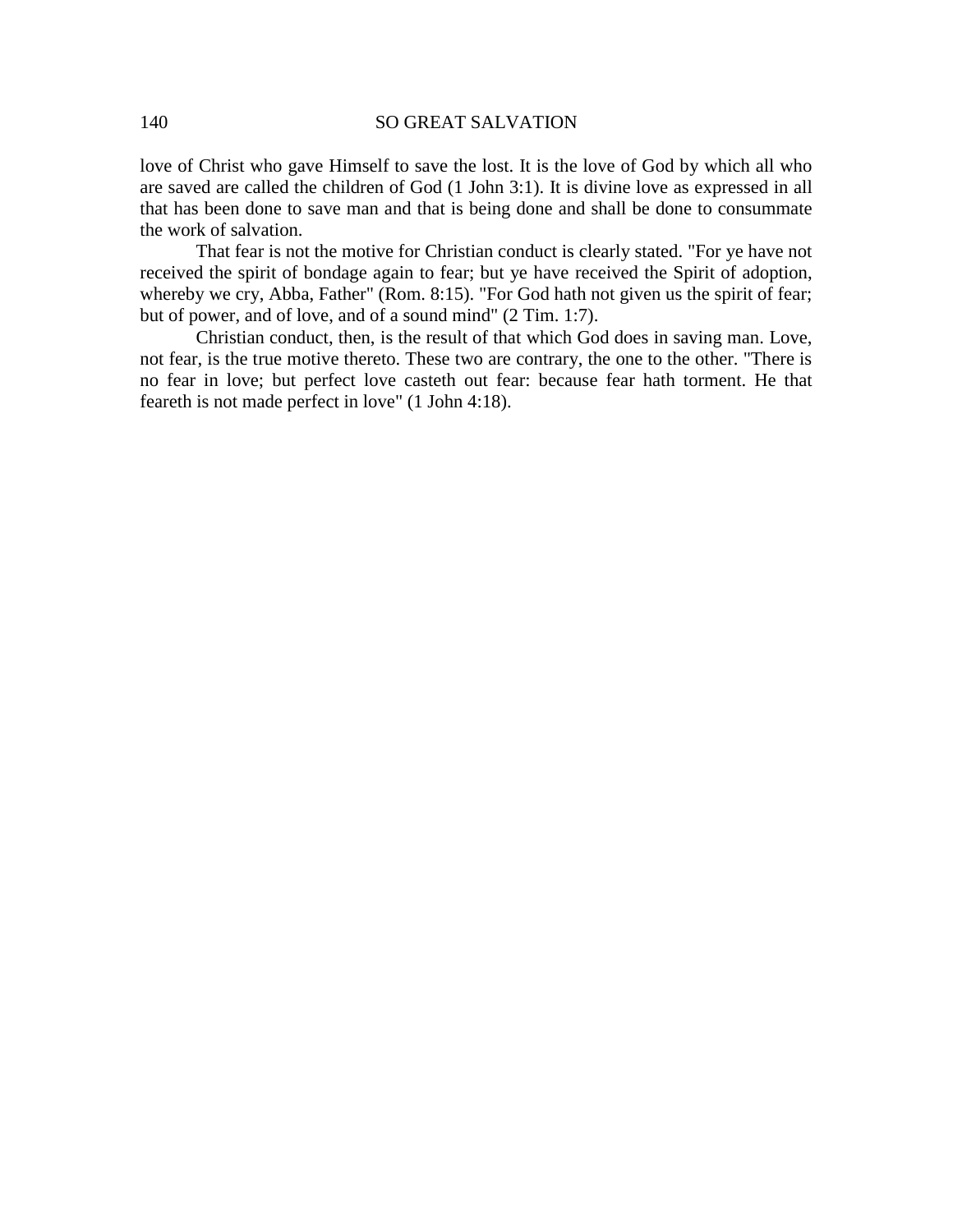love of Christ who gave Himself to save the lost. It is the love of God by which all who are saved are called the children of God (1 John 3:1). It is divine love as expressed in all that has been done to save man and that is being done and shall be done to consummate the work of salvation.

That fear is not the motive for Christian conduct is clearly stated. "For ye have not received the spirit of bondage again to fear; but ye have received the Spirit of adoption, whereby we cry, Abba, Father" (Rom. 8:15). "For God hath not given us the spirit of fear; but of power, and of love, and of a sound mind" (2 Tim. 1:7).

Christian conduct, then, is the result of that which God does in saving man. Love, not fear, is the true motive thereto. These two are contrary, the one to the other. "There is no fear in love; but perfect love casteth out fear: because fear hath torment. He that feareth is not made perfect in love" (1 John 4:18).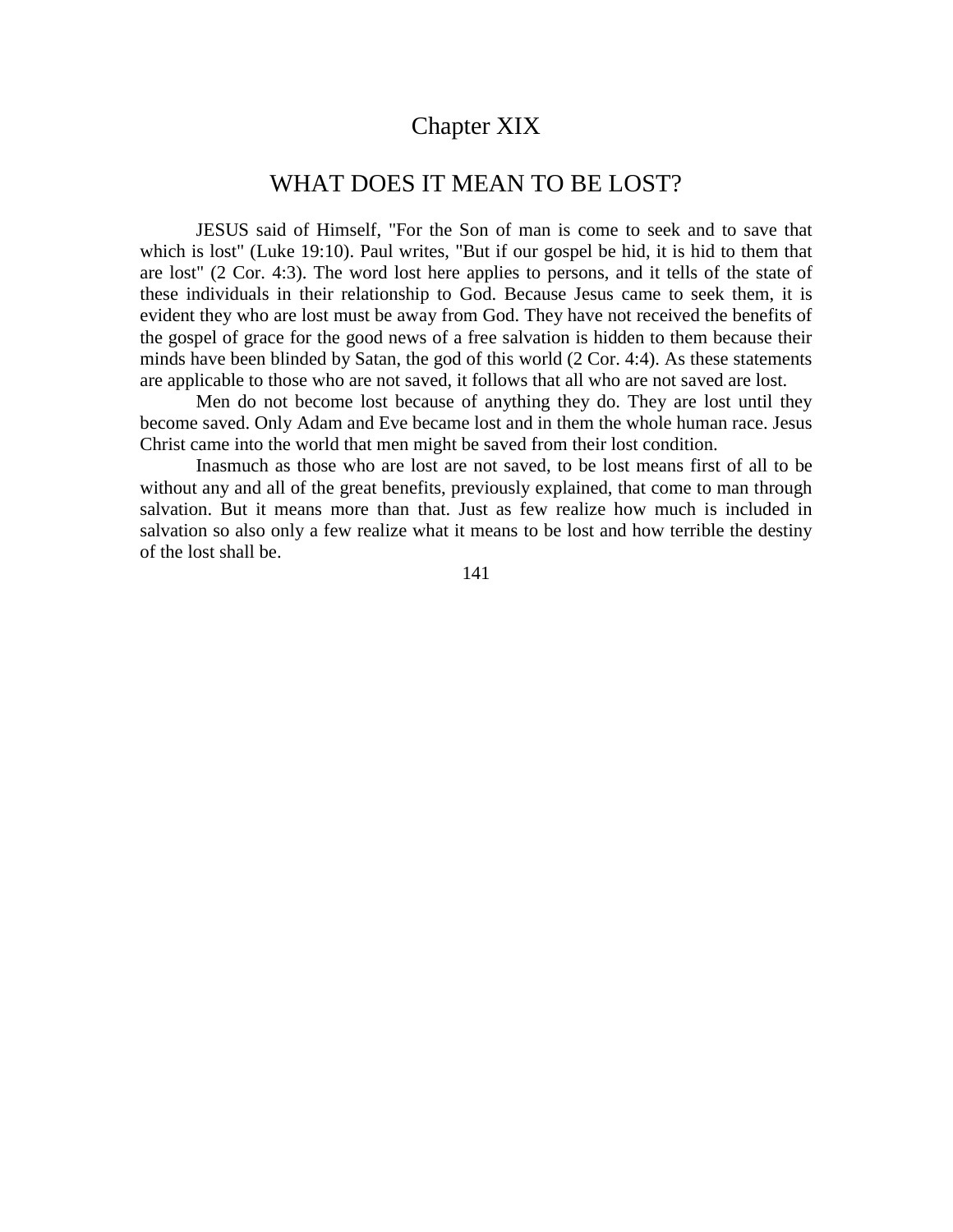# Chapter XIX

## WHAT DOES IT MEAN TO BE LOST?

JESUS said of Himself, "For the Son of man is come to seek and to save that which is lost" (Luke 19:10). Paul writes, "But if our gospel be hid, it is hid to them that are lost" (2 Cor. 4:3). The word lost here applies to persons, and it tells of the state of these individuals in their relationship to God. Because Jesus came to seek them, it is evident they who are lost must be away from God. They have not received the benefits of the gospel of grace for the good news of a free salvation is hidden to them because their minds have been blinded by Satan, the god of this world (2 Cor. 4:4). As these statements are applicable to those who are not saved, it follows that all who are not saved are lost.

Men do not become lost because of anything they do. They are lost until they become saved. Only Adam and Eve became lost and in them the whole human race. Jesus Christ came into the world that men might be saved from their lost condition.

Inasmuch as those who are lost are not saved, to be lost means first of all to be without any and all of the great benefits, previously explained, that come to man through salvation. But it means more than that. Just as few realize how much is included in salvation so also only a few realize what it means to be lost and how terrible the destiny of the lost shall be.

141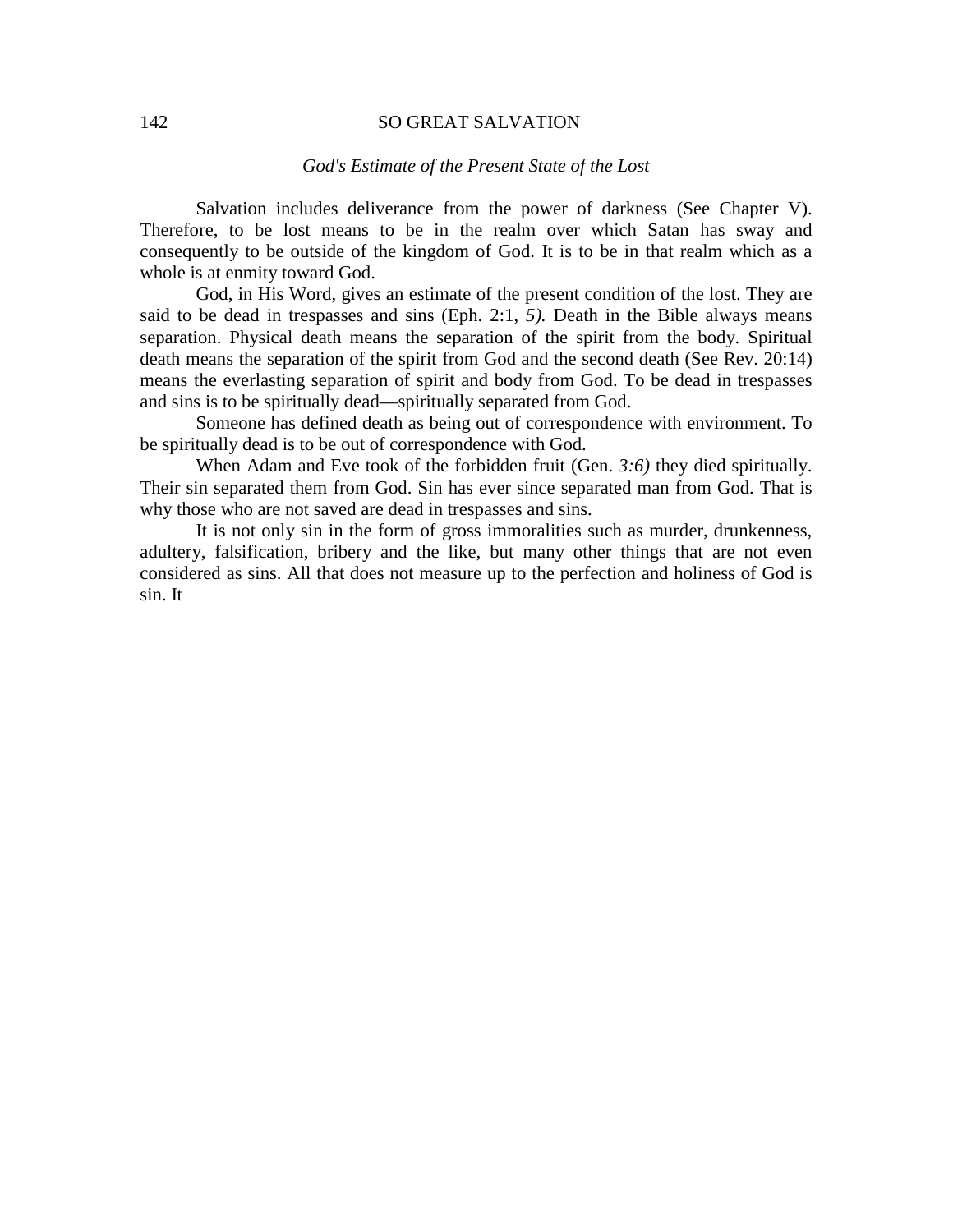#### *God's Estimate of the Present State of the Lost*

Salvation includes deliverance from the power of darkness (See Chapter V). Therefore, to be lost means to be in the realm over which Satan has sway and consequently to be outside of the kingdom of God. It is to be in that realm which as a whole is at enmity toward God.

God, in His Word, gives an estimate of the present condition of the lost. They are said to be dead in trespasses and sins (Eph. 2:1, *5).* Death in the Bible always means separation. Physical death means the separation of the spirit from the body. Spiritual death means the separation of the spirit from God and the second death (See Rev. 20:14) means the everlasting separation of spirit and body from God. To be dead in trespasses and sins is to be spiritually dead—spiritually separated from God.

Someone has defined death as being out of correspondence with environment. To be spiritually dead is to be out of correspondence with God.

When Adam and Eve took of the forbidden fruit (Gen. *3:6)* they died spiritually. Their sin separated them from God. Sin has ever since separated man from God. That is why those who are not saved are dead in trespasses and sins.

It is not only sin in the form of gross immoralities such as murder, drunkenness, adultery, falsification, bribery and the like, but many other things that are not even considered as sins. All that does not measure up to the perfection and holiness of God is sin. It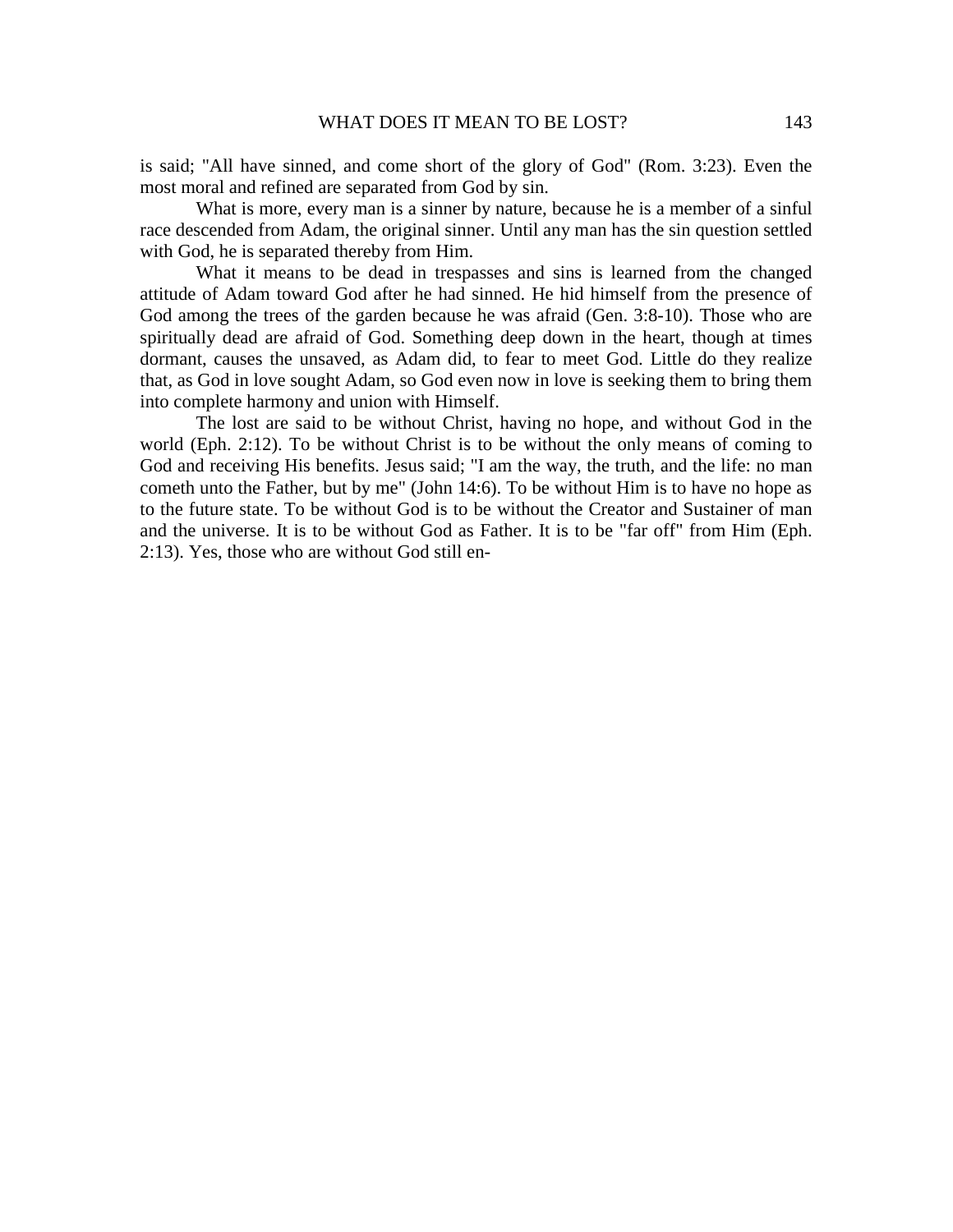is said; "All have sinned, and come short of the glory of God" (Rom. 3:23). Even the most moral and refined are separated from God by sin.

What is more, every man is a sinner by nature, because he is a member of a sinful race descended from Adam, the original sinner. Until any man has the sin question settled with God, he is separated thereby from Him.

What it means to be dead in trespasses and sins is learned from the changed attitude of Adam toward God after he had sinned. He hid himself from the presence of God among the trees of the garden because he was afraid (Gen. 3:8-10). Those who are spiritually dead are afraid of God. Something deep down in the heart, though at times dormant, causes the unsaved, as Adam did, to fear to meet God. Little do they realize that, as God in love sought Adam, so God even now in love is seeking them to bring them into complete harmony and union with Himself.

The lost are said to be without Christ, having no hope, and without God in the world (Eph. 2:12). To be without Christ is to be without the only means of coming to God and receiving His benefits. Jesus said; "I am the way, the truth, and the life: no man cometh unto the Father, but by me" (John 14:6). To be without Him is to have no hope as to the future state. To be without God is to be without the Creator and Sustainer of man and the universe. It is to be without God as Father. It is to be "far off" from Him (Eph. 2:13). Yes, those who are without God still en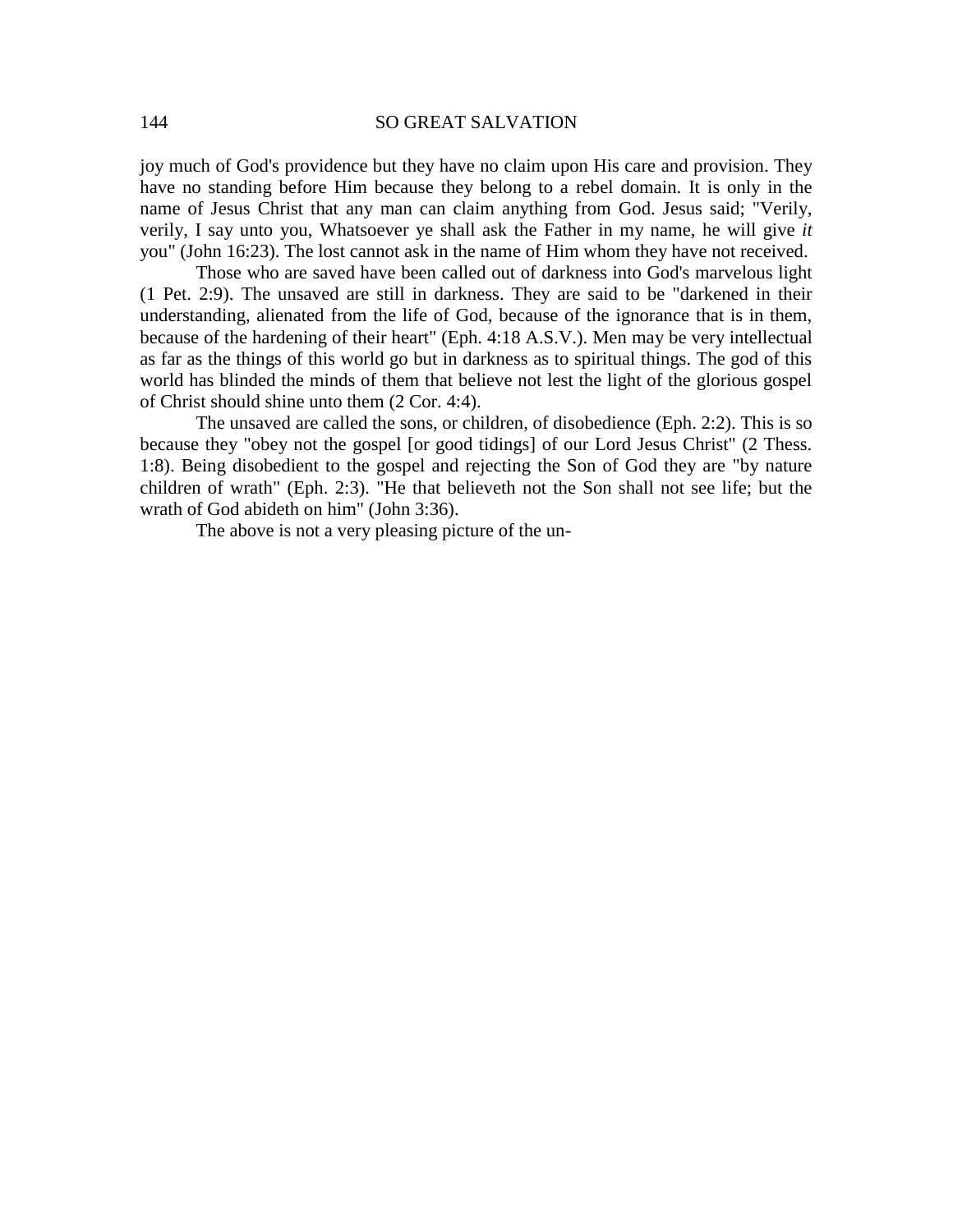joy much of God's providence but they have no claim upon His care and provision. They have no standing before Him because they belong to a rebel domain. It is only in the name of Jesus Christ that any man can claim anything from God. Jesus said; "Verily, verily, I say unto you, Whatsoever ye shall ask the Father in my name, he will give *it*  you" (John 16:23). The lost cannot ask in the name of Him whom they have not received.

Those who are saved have been called out of darkness into God's marvelous light (1 Pet. 2:9). The unsaved are still in darkness. They are said to be "darkened in their understanding, alienated from the life of God, because of the ignorance that is in them, because of the hardening of their heart" (Eph. 4:18 A.S.V.). Men may be very intellectual as far as the things of this world go but in darkness as to spiritual things. The god of this world has blinded the minds of them that believe not lest the light of the glorious gospel of Christ should shine unto them (2 Cor. 4:4).

The unsaved are called the sons, or children, of disobedience (Eph. 2:2). This is so because they "obey not the gospel [or good tidings] of our Lord Jesus Christ" (2 Thess. 1:8). Being disobedient to the gospel and rejecting the Son of God they are "by nature children of wrath" (Eph. 2:3). "He that believeth not the Son shall not see life; but the wrath of God abideth on him" (John 3:36).

The above is not a very pleasing picture of the un-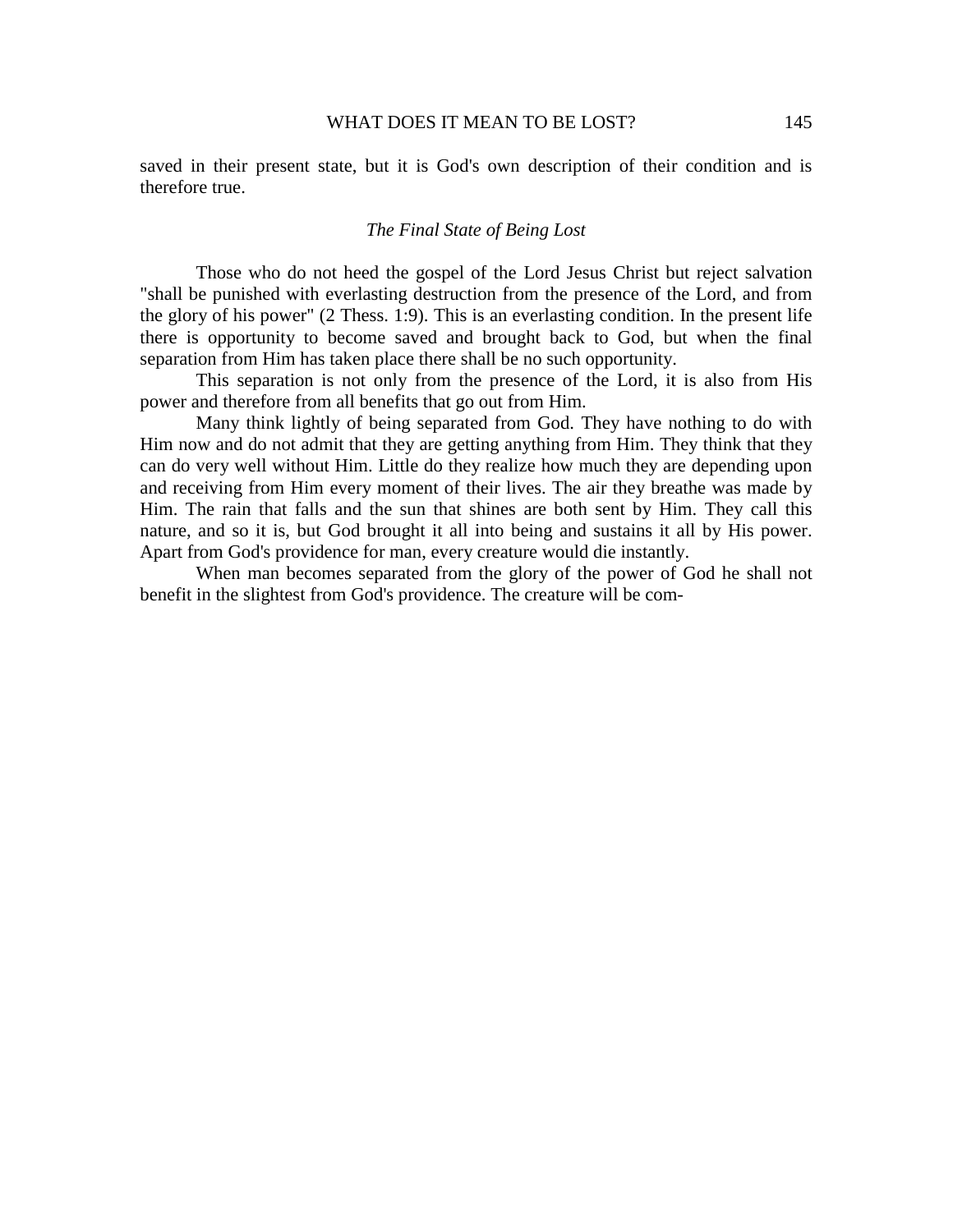saved in their present state, but it is God's own description of their condition and is therefore true.

#### *The Final State of Being Lost*

Those who do not heed the gospel of the Lord Jesus Christ but reject salvation "shall be punished with everlasting destruction from the presence of the Lord, and from the glory of his power" (2 Thess. 1:9). This is an everlasting condition. In the present life there is opportunity to become saved and brought back to God, but when the final separation from Him has taken place there shall be no such opportunity.

This separation is not only from the presence of the Lord, it is also from His power and therefore from all benefits that go out from Him.

Many think lightly of being separated from God. They have nothing to do with Him now and do not admit that they are getting anything from Him. They think that they can do very well without Him. Little do they realize how much they are depending upon and receiving from Him every moment of their lives. The air they breathe was made by Him. The rain that falls and the sun that shines are both sent by Him. They call this nature, and so it is, but God brought it all into being and sustains it all by His power. Apart from God's providence for man, every creature would die instantly.

When man becomes separated from the glory of the power of God he shall not benefit in the slightest from God's providence. The creature will be com-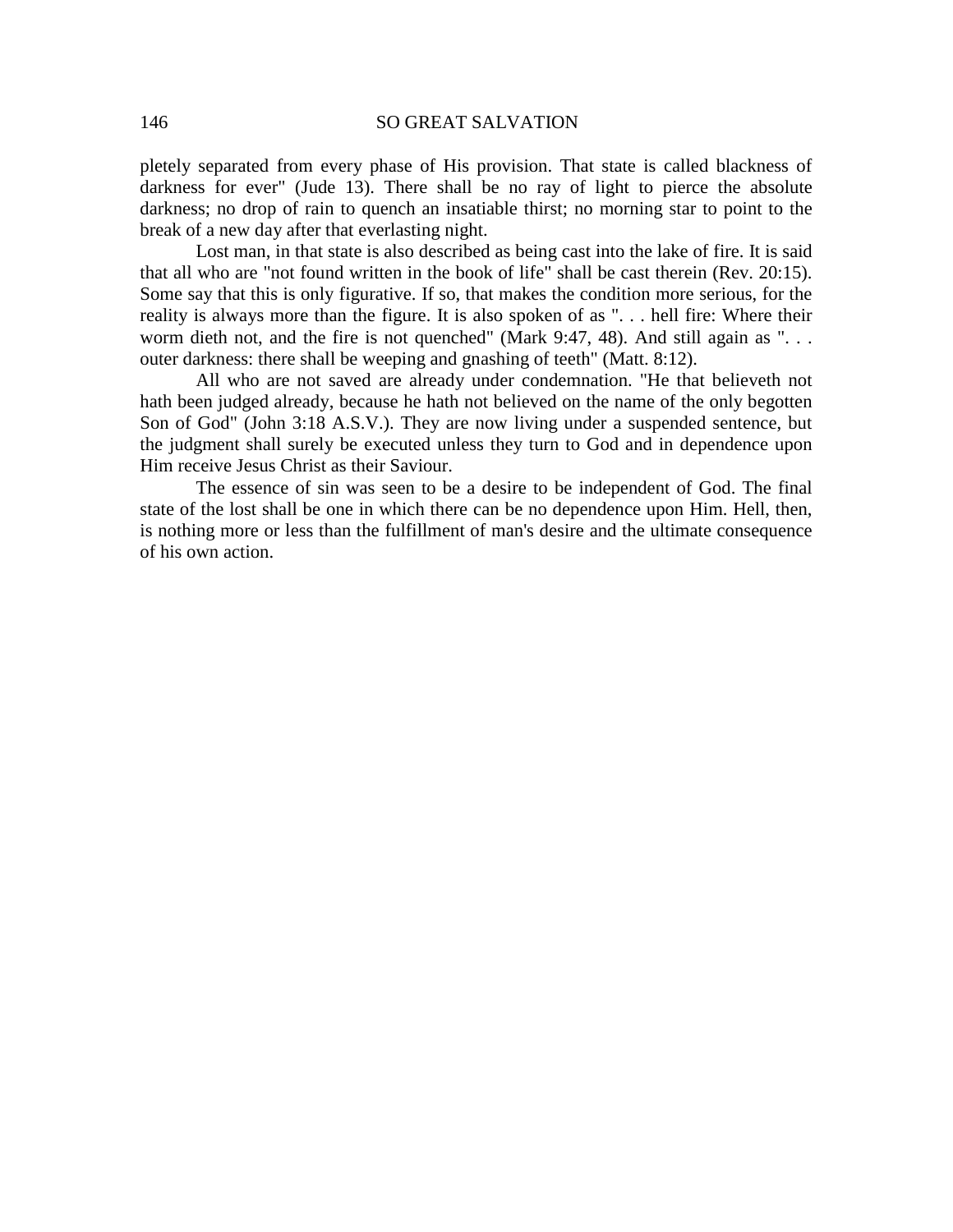pletely separated from every phase of His provision. That state is called blackness of darkness for ever" (Jude 13). There shall be no ray of light to pierce the absolute darkness; no drop of rain to quench an insatiable thirst; no morning star to point to the break of a new day after that everlasting night.

Lost man, in that state is also described as being cast into the lake of fire. It is said that all who are "not found written in the book of life" shall be cast therein (Rev. 20:15). Some say that this is only figurative. If so, that makes the condition more serious, for the reality is always more than the figure. It is also spoken of as ". . . hell fire: Where their worm dieth not, and the fire is not quenched" (Mark 9:47, 48). And still again as "... outer darkness: there shall be weeping and gnashing of teeth" (Matt. 8:12).

All who are not saved are already under condemnation. "He that believeth not hath been judged already, because he hath not believed on the name of the only begotten Son of God" (John 3:18 A.S.V.). They are now living under a suspended sentence, but the judgment shall surely be executed unless they turn to God and in dependence upon Him receive Jesus Christ as their Saviour.

The essence of sin was seen to be a desire to be independent of God. The final state of the lost shall be one in which there can be no dependence upon Him. Hell, then, is nothing more or less than the fulfillment of man's desire and the ultimate consequence of his own action.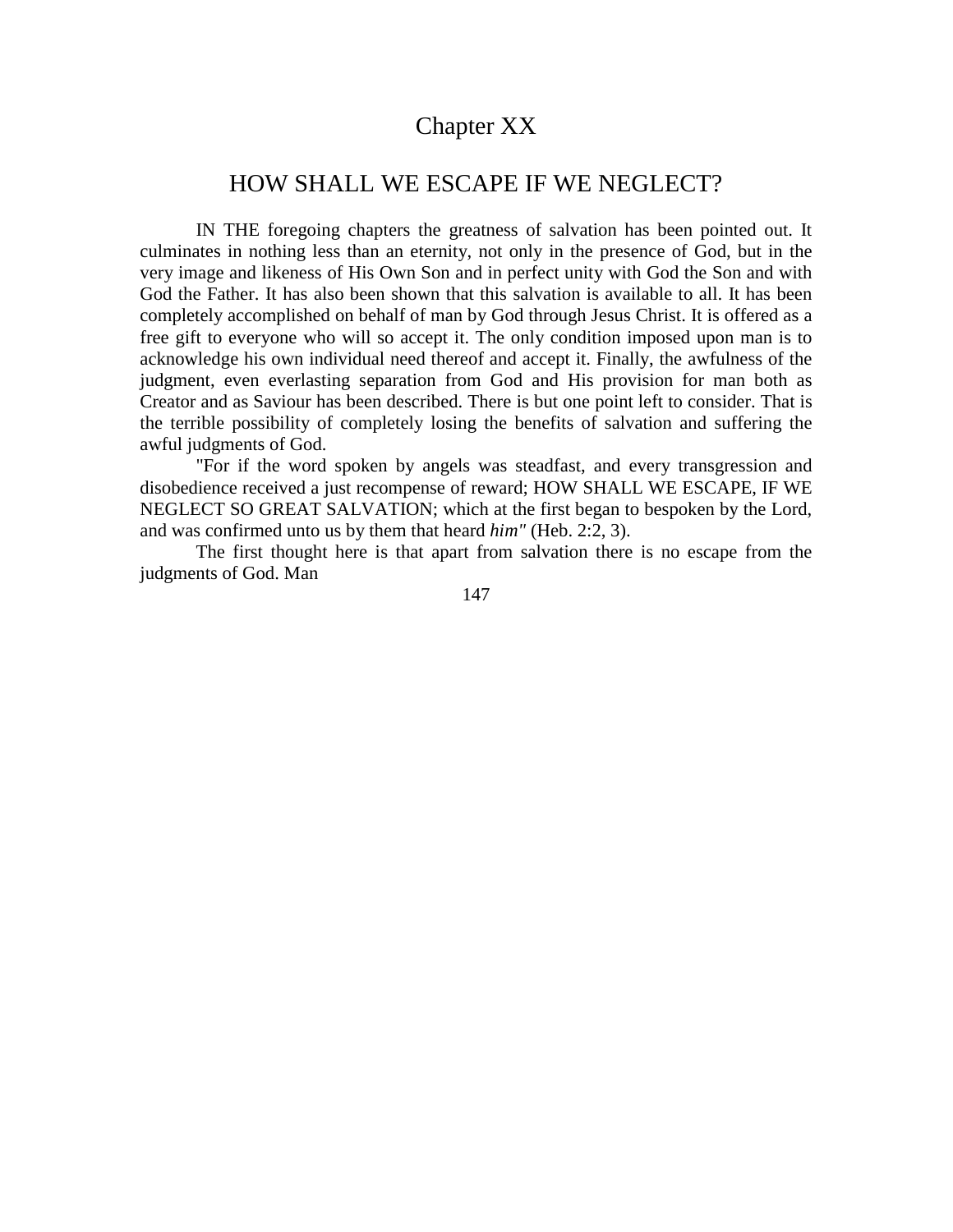# Chapter XX

## HOW SHALL WE ESCAPE IF WE NEGLECT?

IN THE foregoing chapters the greatness of salvation has been pointed out. It culminates in nothing less than an eternity, not only in the presence of God, but in the very image and likeness of His Own Son and in perfect unity with God the Son and with God the Father. It has also been shown that this salvation is available to all. It has been completely accomplished on behalf of man by God through Jesus Christ. It is offered as a free gift to everyone who will so accept it. The only condition imposed upon man is to acknowledge his own individual need thereof and accept it. Finally, the awfulness of the judgment, even everlasting separation from God and His provision for man both as Creator and as Saviour has been described. There is but one point left to consider. That is the terrible possibility of completely losing the benefits of salvation and suffering the awful judgments of God.

"For if the word spoken by angels was steadfast, and every transgression and disobedience received a just recompense of reward; HOW SHALL WE ESCAPE, IF WE NEGLECT SO GREAT SALVATION; which at the first began to bespoken by the Lord, and was confirmed unto us by them that heard *him"* (Heb. 2:2, 3).

The first thought here is that apart from salvation there is no escape from the judgments of God. Man

147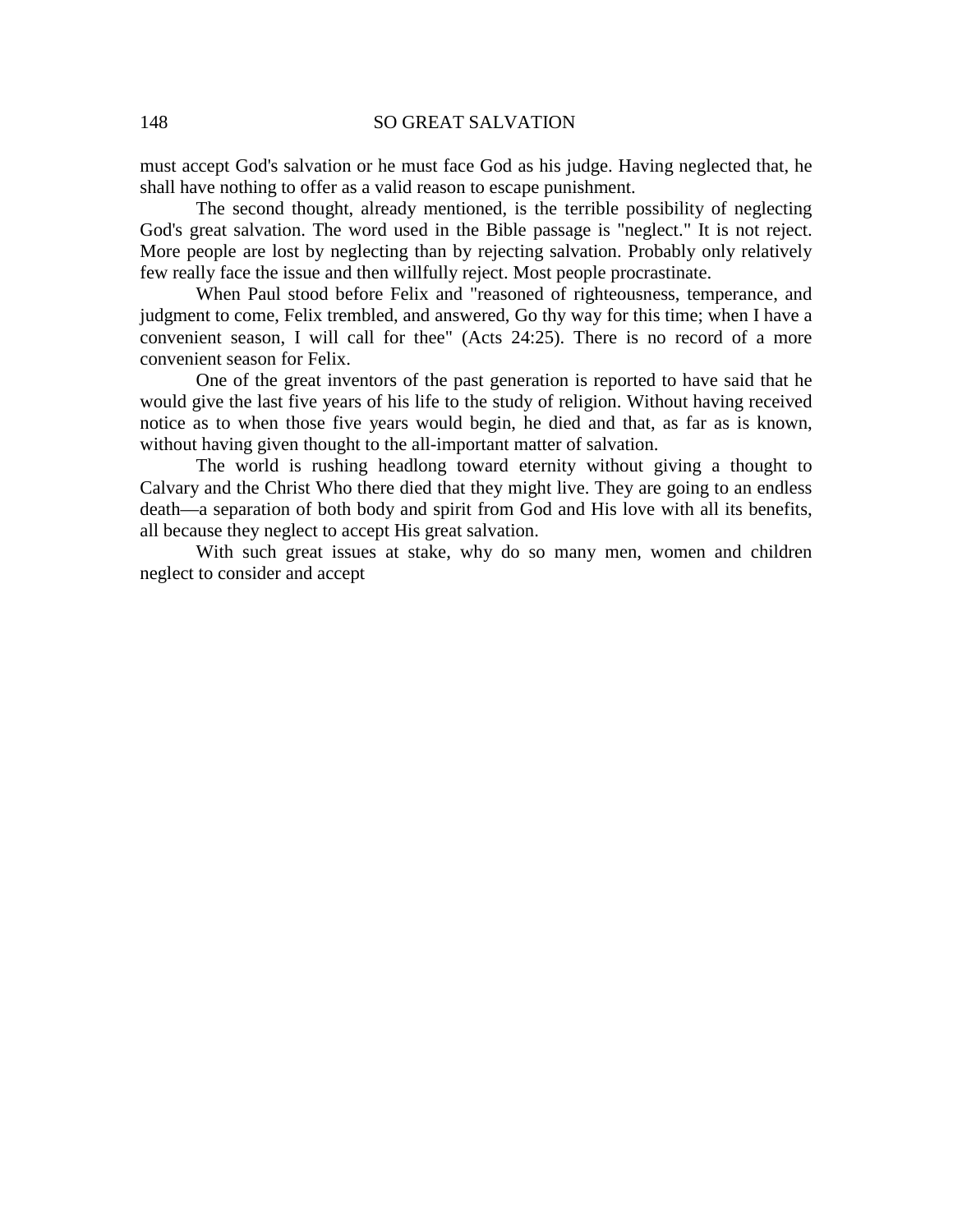must accept God's salvation or he must face God as his judge. Having neglected that, he shall have nothing to offer as a valid reason to escape punishment.

The second thought, already mentioned, is the terrible possibility of neglecting God's great salvation. The word used in the Bible passage is "neglect." It is not reject. More people are lost by neglecting than by rejecting salvation. Probably only relatively few really face the issue and then willfully reject. Most people procrastinate.

When Paul stood before Felix and "reasoned of righteousness, temperance, and judgment to come, Felix trembled, and answered, Go thy way for this time; when I have a convenient season, I will call for thee" (Acts 24:25). There is no record of a more convenient season for Felix.

One of the great inventors of the past generation is reported to have said that he would give the last five years of his life to the study of religion. Without having received notice as to when those five years would begin, he died and that, as far as is known, without having given thought to the all-important matter of salvation.

The world is rushing headlong toward eternity without giving a thought to Calvary and the Christ Who there died that they might live. They are going to an endless death—a separation of both body and spirit from God and His love with all its benefits, all because they neglect to accept His great salvation.

With such great issues at stake, why do so many men, women and children neglect to consider and accept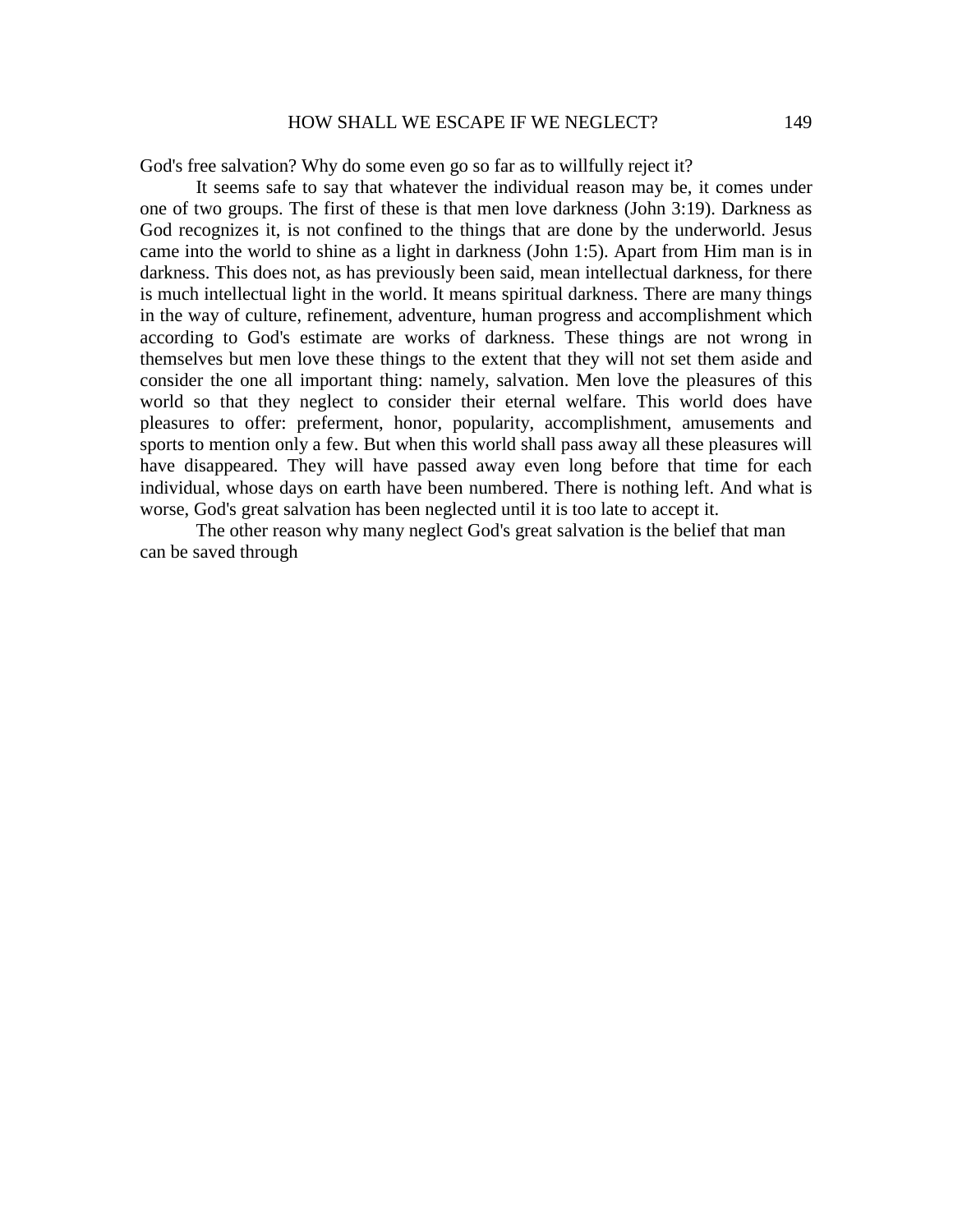God's free salvation? Why do some even go so far as to willfully reject it?

It seems safe to say that whatever the individual reason may be, it comes under one of two groups. The first of these is that men love darkness (John 3:19). Darkness as God recognizes it, is not confined to the things that are done by the underworld. Jesus came into the world to shine as a light in darkness (John 1:5). Apart from Him man is in darkness. This does not, as has previously been said, mean intellectual darkness, for there is much intellectual light in the world. It means spiritual darkness. There are many things in the way of culture, refinement, adventure, human progress and accomplishment which according to God's estimate are works of darkness. These things are not wrong in themselves but men love these things to the extent that they will not set them aside and consider the one all important thing: namely, salvation. Men love the pleasures of this world so that they neglect to consider their eternal welfare. This world does have pleasures to offer: preferment, honor, popularity, accomplishment, amusements and sports to mention only a few. But when this world shall pass away all these pleasures will have disappeared. They will have passed away even long before that time for each individual, whose days on earth have been numbered. There is nothing left. And what is worse, God's great salvation has been neglected until it is too late to accept it.

The other reason why many neglect God's great salvation is the belief that man can be saved through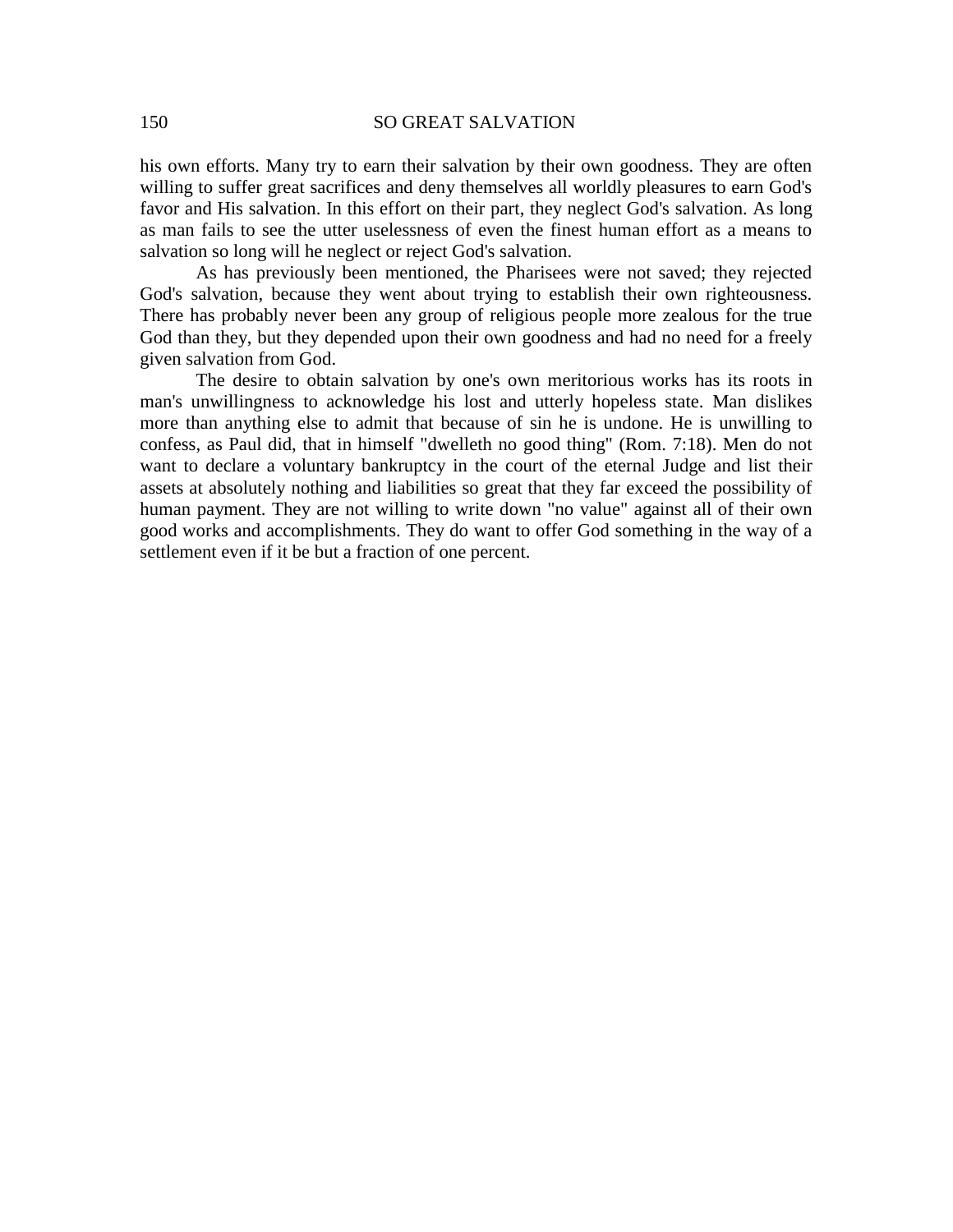## 150 SO GREAT SALVATION

his own efforts. Many try to earn their salvation by their own goodness. They are often willing to suffer great sacrifices and deny themselves all worldly pleasures to earn God's favor and His salvation. In this effort on their part, they neglect God's salvation. As long as man fails to see the utter uselessness of even the finest human effort as a means to salvation so long will he neglect or reject God's salvation.

As has previously been mentioned, the Pharisees were not saved; they rejected God's salvation, because they went about trying to establish their own righteousness. There has probably never been any group of religious people more zealous for the true God than they, but they depended upon their own goodness and had no need for a freely given salvation from God.

The desire to obtain salvation by one's own meritorious works has its roots in man's unwillingness to acknowledge his lost and utterly hopeless state. Man dislikes more than anything else to admit that because of sin he is undone. He is unwilling to confess, as Paul did, that in himself "dwelleth no good thing" (Rom. 7:18). Men do not want to declare a voluntary bankruptcy in the court of the eternal Judge and list their assets at absolutely nothing and liabilities so great that they far exceed the possibility of human payment. They are not willing to write down "no value" against all of their own good works and accomplishments. They do want to offer God something in the way of a settlement even if it be but a fraction of one percent.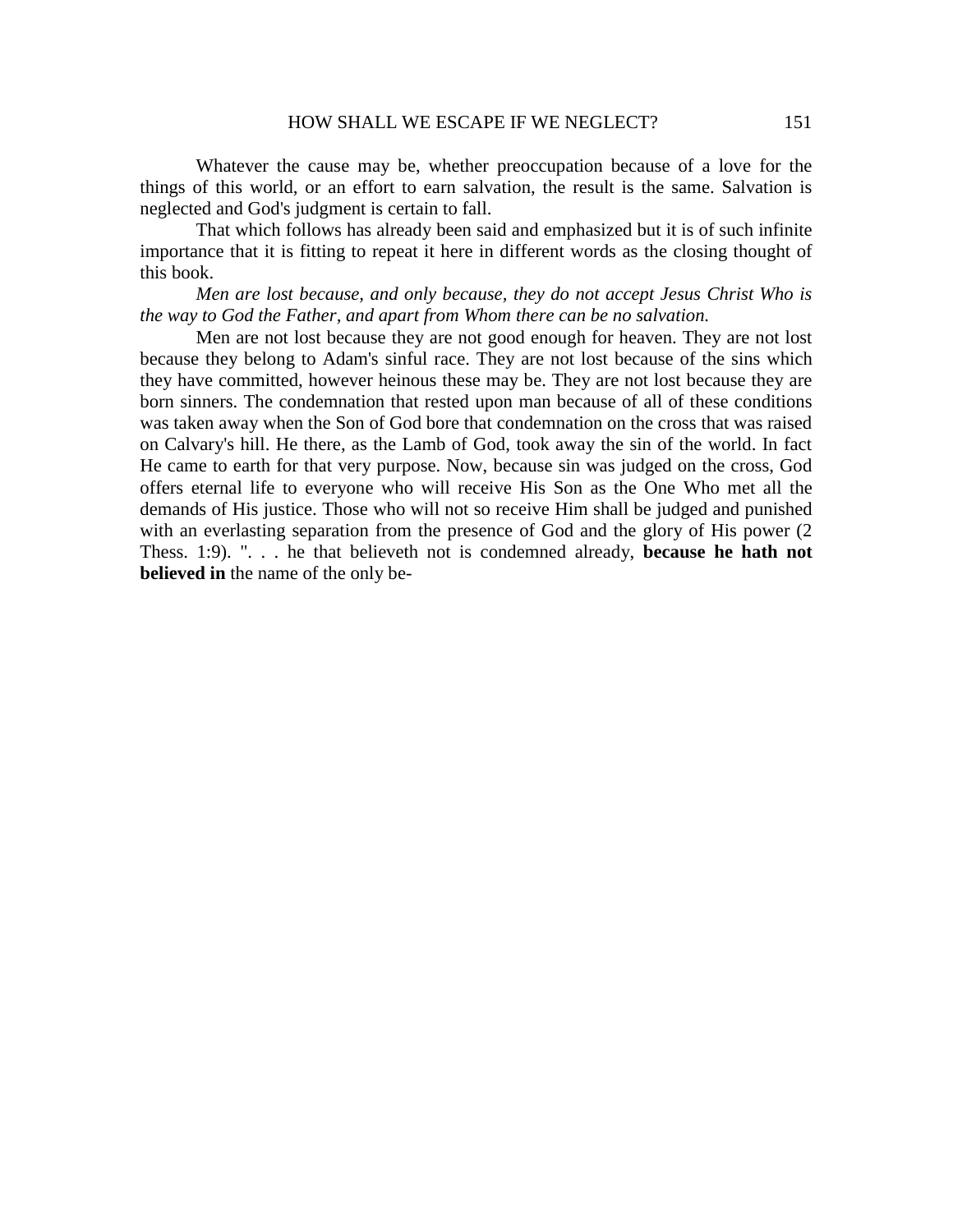Whatever the cause may be, whether preoccupation because of a love for the things of this world, or an effort to earn salvation, the result is the same. Salvation is neglected and God's judgment is certain to fall.

That which follows has already been said and emphasized but it is of such infinite importance that it is fitting to repeat it here in different words as the closing thought of this book.

*Men are lost because, and only because, they do not accept Jesus Christ Who is the way to God the Father, and apart from Whom there can be no salvation.* 

Men are not lost because they are not good enough for heaven. They are not lost because they belong to Adam's sinful race. They are not lost because of the sins which they have committed, however heinous these may be. They are not lost because they are born sinners. The condemnation that rested upon man because of all of these conditions was taken away when the Son of God bore that condemnation on the cross that was raised on Calvary's hill. He there, as the Lamb of God, took away the sin of the world. In fact He came to earth for that very purpose. Now, because sin was judged on the cross, God offers eternal life to everyone who will receive His Son as the One Who met all the demands of His justice. Those who will not so receive Him shall be judged and punished with an everlasting separation from the presence of God and the glory of His power (2 Thess. 1:9). ". . . he that believeth not is condemned already, **because he hath not believed in** the name of the only be-